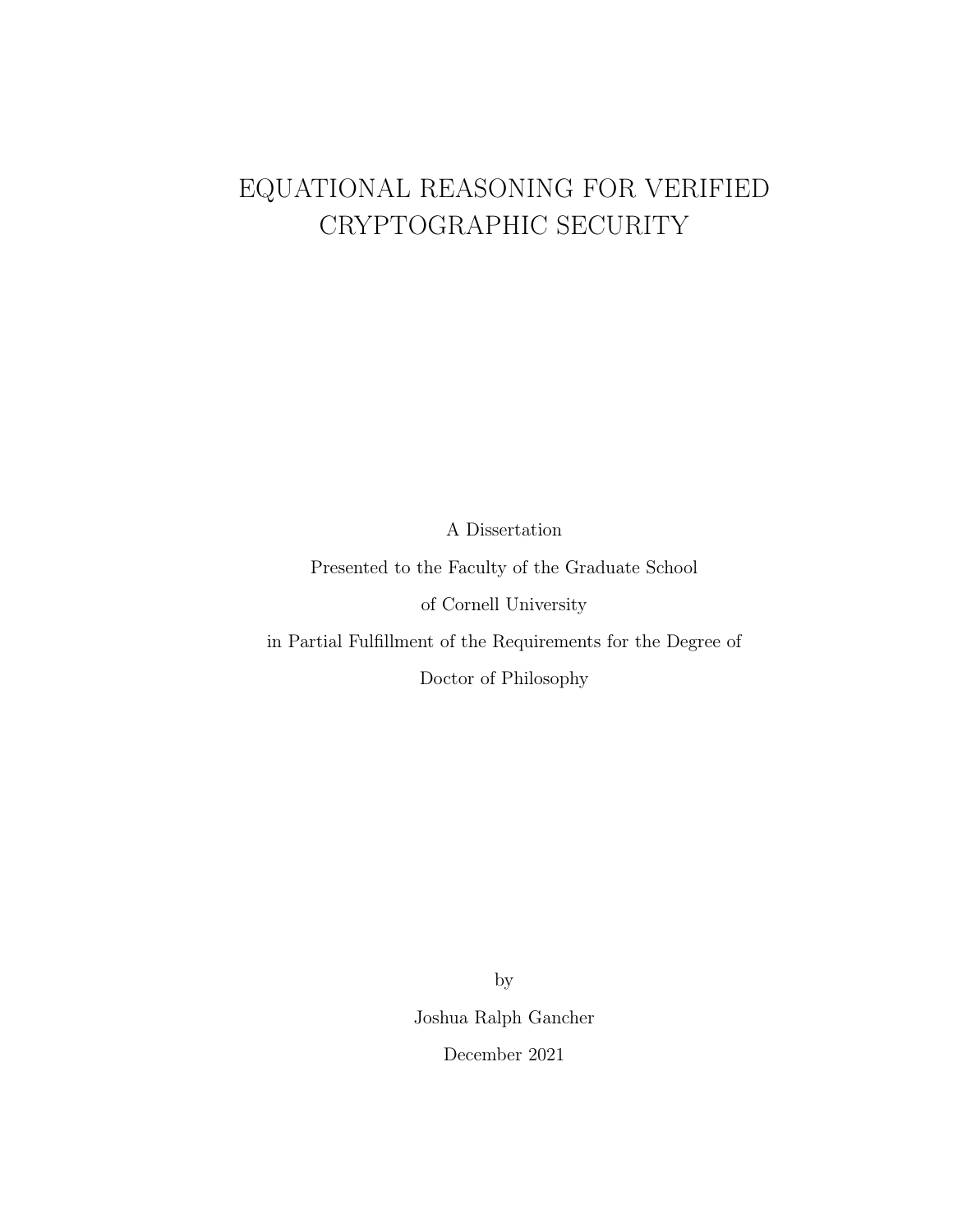# <span id="page-0-0"></span>EQUATIONAL REASONING FOR VERIFIED CRYPTOGRAPHIC SECURITY

A Dissertation

Presented to the Faculty of the Graduate School of Cornell University

in Partial Fulfillment of the Requirements for the Degree of

Doctor of Philosophy

by Joshua Ralph Gancher December 2021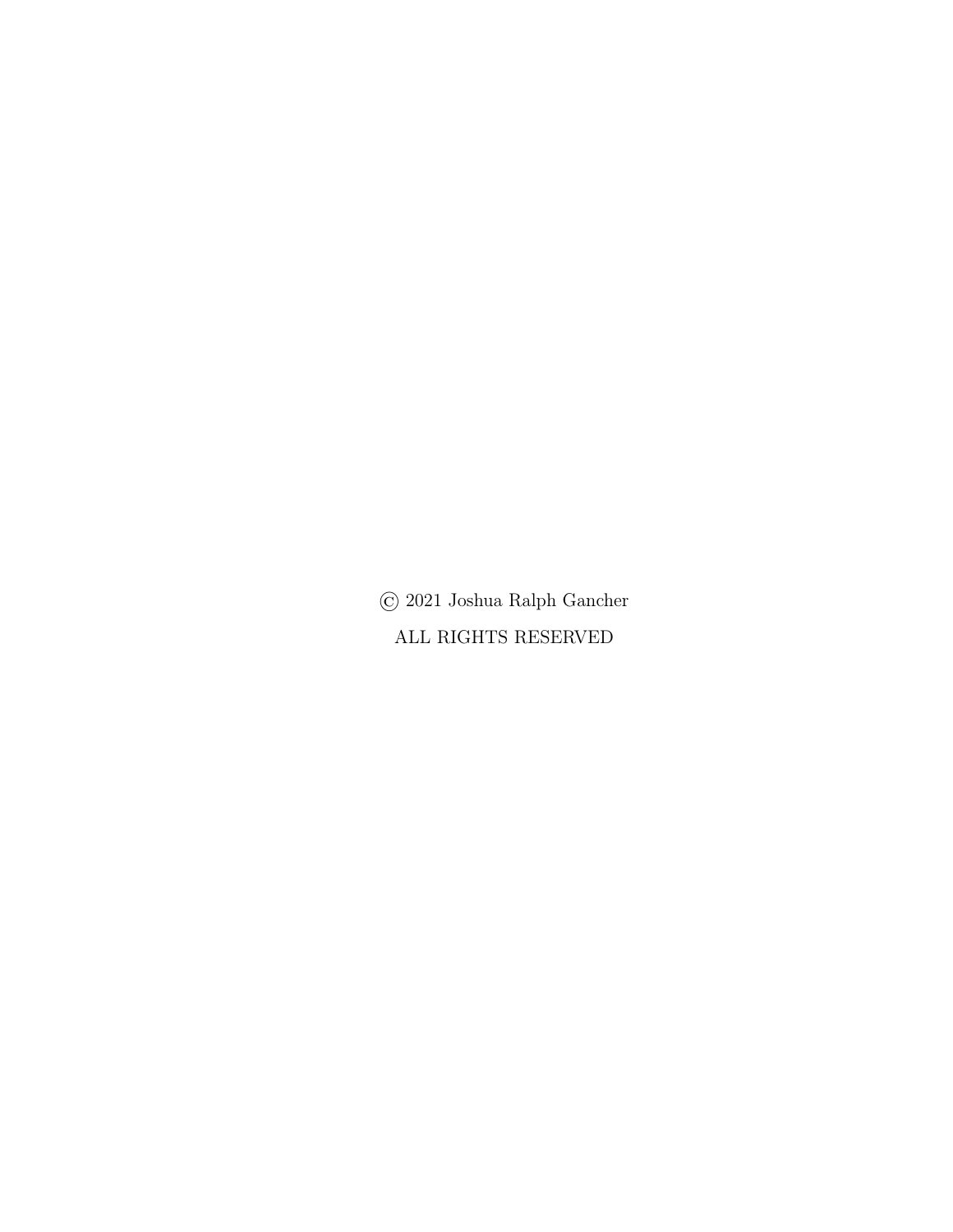© 2021 Joshua Ralph Gancher ALL RIGHTS RESERVED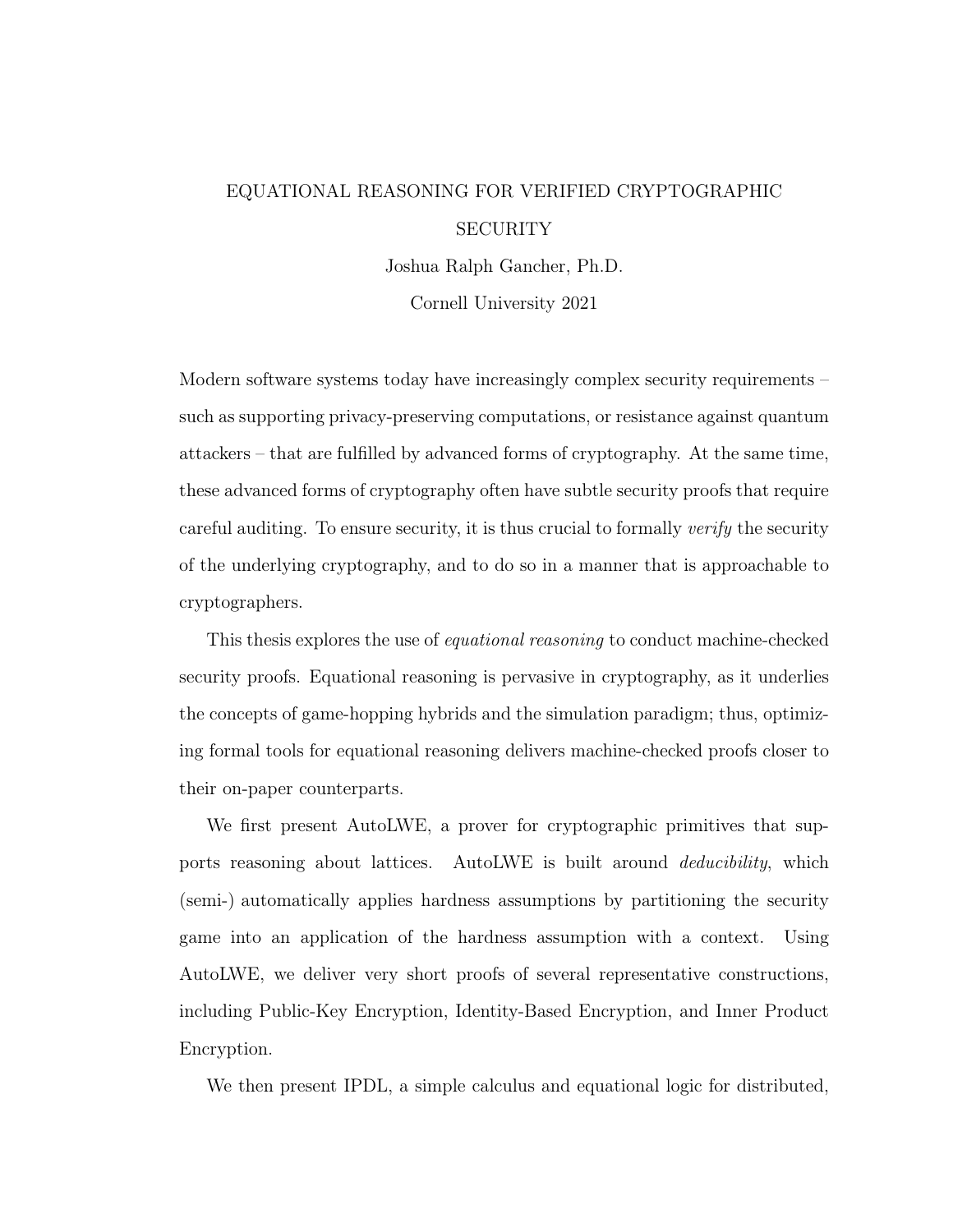# EQUATIONAL REASONING FOR VERIFIED CRYPTOGRAPHIC **SECURITY**

Joshua Ralph Gancher, Ph.D.

Cornell University 2021

Modern software systems today have increasingly complex security requirements – such as supporting privacy-preserving computations, or resistance against quantum attackers – that are fulfilled by advanced forms of cryptography. At the same time, these advanced forms of cryptography often have subtle security proofs that require careful auditing. To ensure security, it is thus crucial to formally verify the security of the underlying cryptography, and to do so in a manner that is approachable to cryptographers.

This thesis explores the use of equational reasoning to conduct machine-checked security proofs. Equational reasoning is pervasive in cryptography, as it underlies the concepts of game-hopping hybrids and the simulation paradigm; thus, optimizing formal tools for equational reasoning delivers machine-checked proofs closer to their on-paper counterparts.

We first present AutoLWE, a prover for cryptographic primitives that supports reasoning about lattices. AutoLWE is built around deducibility, which (semi-) automatically applies hardness assumptions by partitioning the security game into an application of the hardness assumption with a context. Using AutoLWE, we deliver very short proofs of several representative constructions, including Public-Key Encryption, Identity-Based Encryption, and Inner Product Encryption.

We then present IPDL, a simple calculus and equational logic for distributed,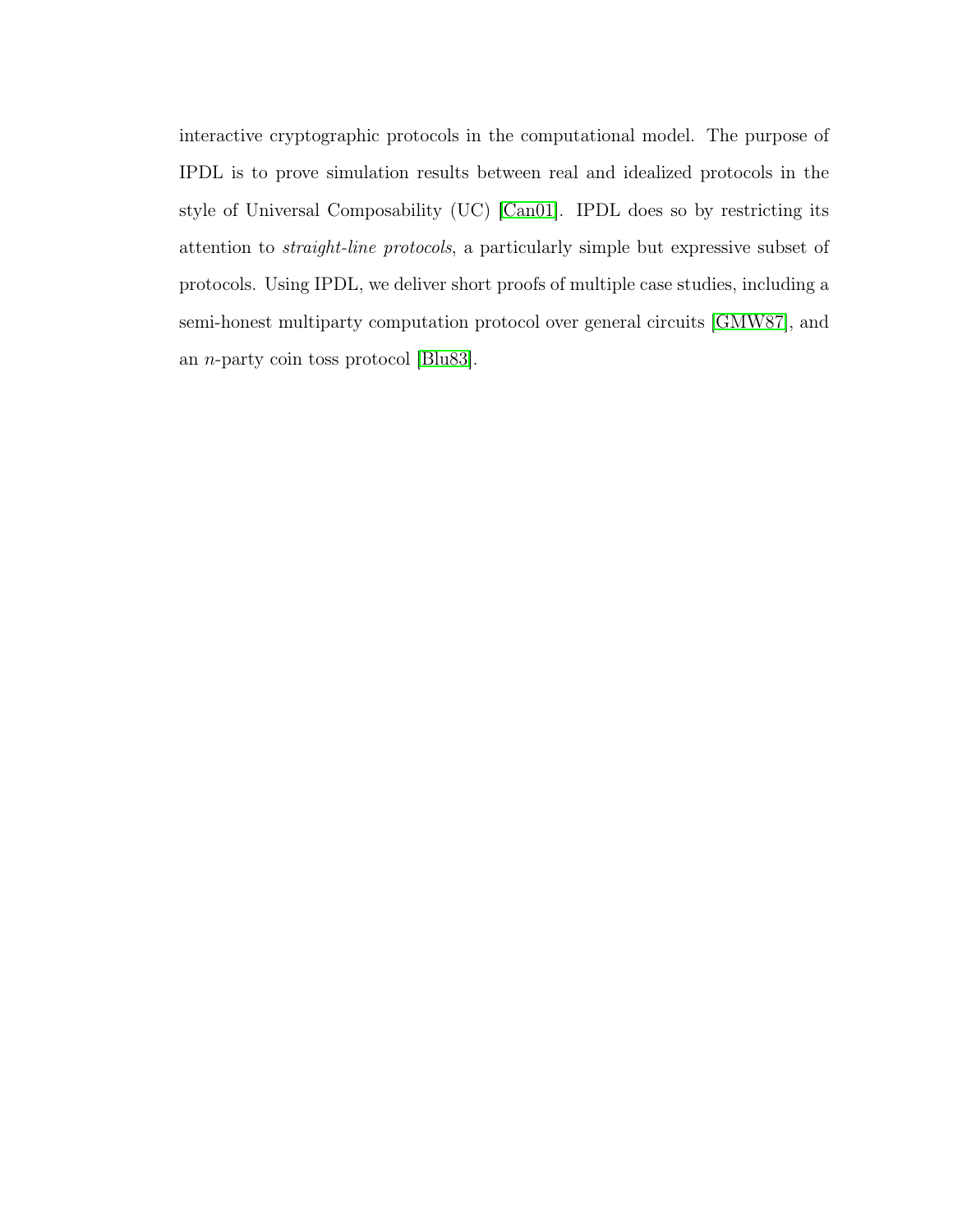interactive cryptographic protocols in the computational model. The purpose of IPDL is to prove simulation results between real and idealized protocols in the style of Universal Composability (UC) [\[Can01\]](#page-141-0). IPDL does so by restricting its attention to straight-line protocols, a particularly simple but expressive subset of protocols. Using IPDL, we deliver short proofs of multiple case studies, including a semi-honest multiparty computation protocol over general circuits [\[GMW87\]](#page-144-0), and an n-party coin toss protocol [\[Blu83\]](#page-140-0).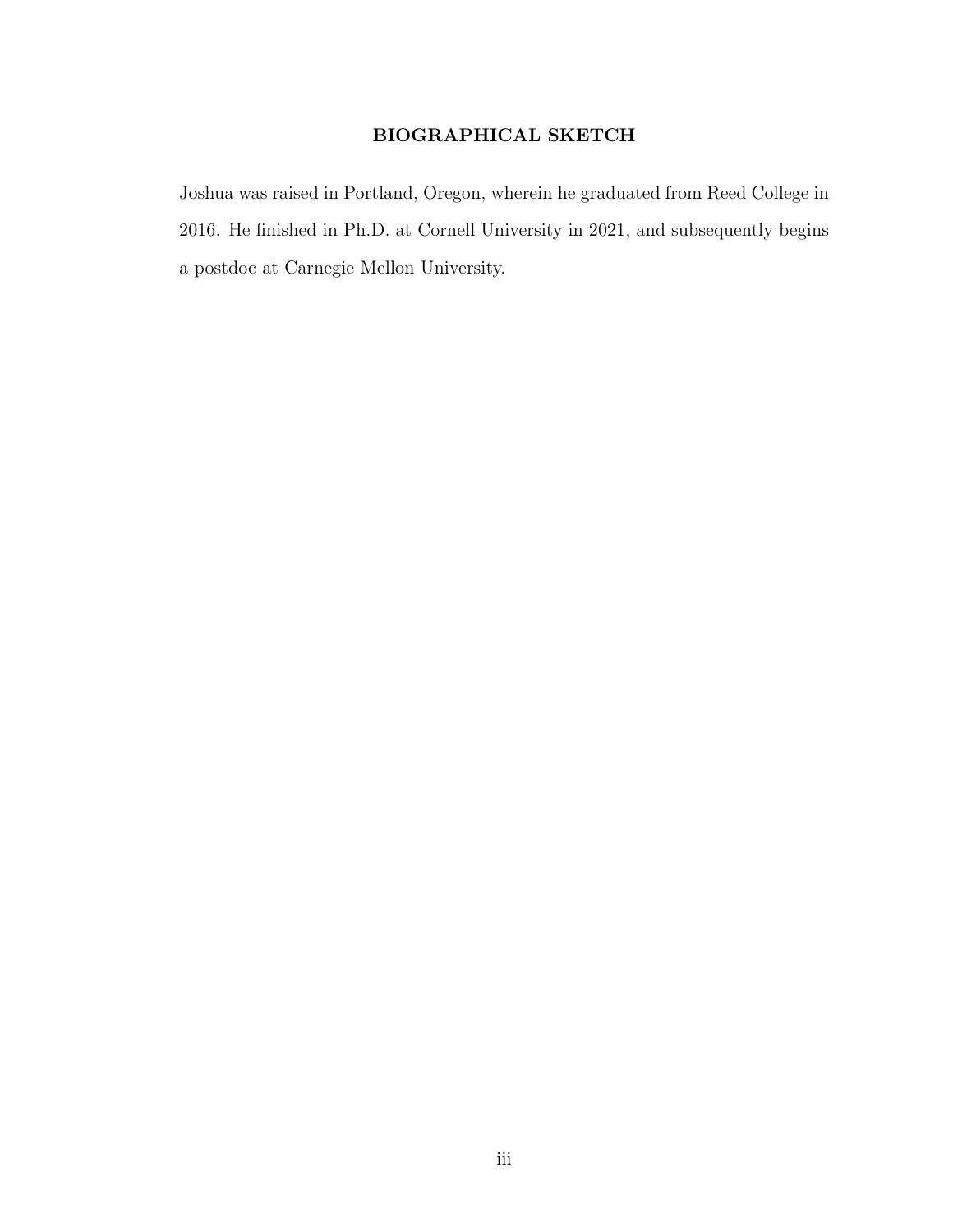# BIOGRAPHICAL SKETCH

<span id="page-4-0"></span>Joshua was raised in Portland, Oregon, wherein he graduated from Reed College in 2016. He finished in Ph.D. at Cornell University in 2021, and subsequently begins a postdoc at Carnegie Mellon University.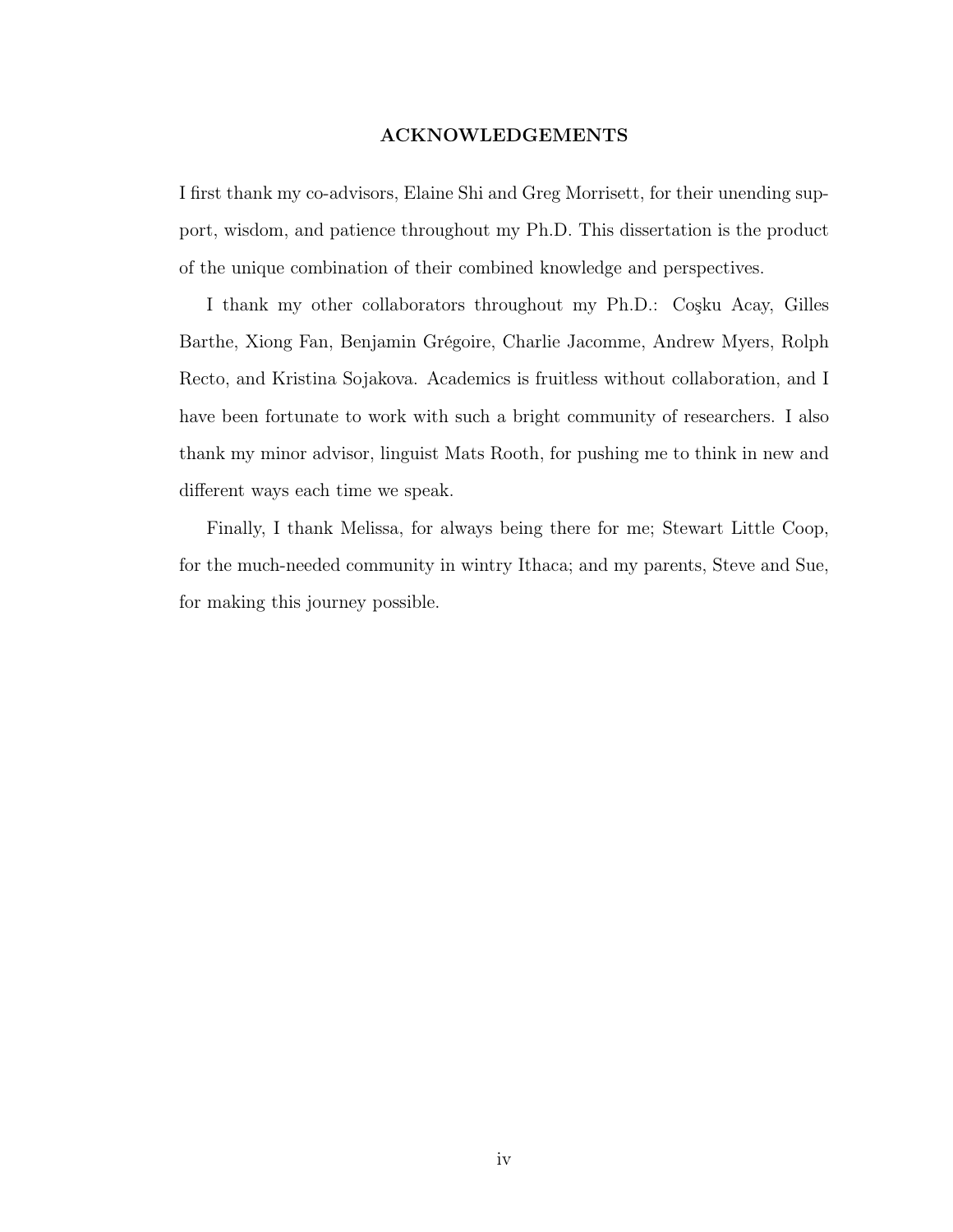### ACKNOWLEDGEMENTS

<span id="page-5-0"></span>I first thank my co-advisors, Elaine Shi and Greg Morrisett, for their unending support, wisdom, and patience throughout my Ph.D. This dissertation is the product of the unique combination of their combined knowledge and perspectives.

I thank my other collaborators throughout my Ph.D.: Coşku Acay, Gilles Barthe, Xiong Fan, Benjamin Grégoire, Charlie Jacomme, Andrew Myers, Rolph Recto, and Kristina Sojakova. Academics is fruitless without collaboration, and I have been fortunate to work with such a bright community of researchers. I also thank my minor advisor, linguist Mats Rooth, for pushing me to think in new and different ways each time we speak.

Finally, I thank Melissa, for always being there for me; Stewart Little Coop, for the much-needed community in wintry Ithaca; and my parents, Steve and Sue, for making this journey possible.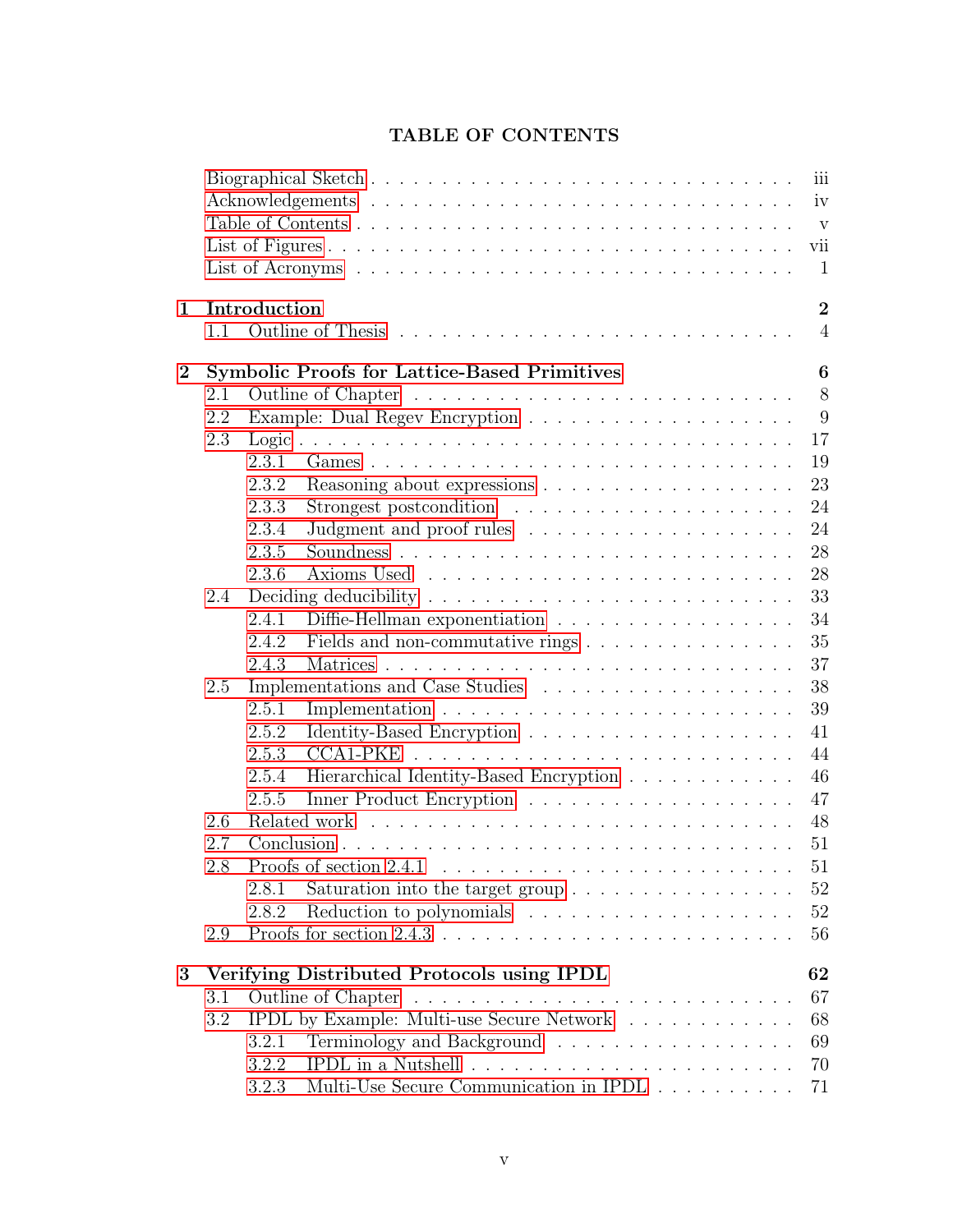<span id="page-6-0"></span>

|              | vii |                                                                                      |  |  |  |
|--------------|-----|--------------------------------------------------------------------------------------|--|--|--|
| 1            | 1.1 | $\overline{2}$<br>Introduction<br>$\overline{4}$                                     |  |  |  |
| $\mathbf{2}$ |     | <b>Symbolic Proofs for Lattice-Based Primitives</b><br>6                             |  |  |  |
|              | 2.1 | 8                                                                                    |  |  |  |
|              | 2.2 | 9                                                                                    |  |  |  |
|              | 2.3 | 17                                                                                   |  |  |  |
|              |     | 2.3.1<br>19                                                                          |  |  |  |
|              |     | 23<br>2.3.2                                                                          |  |  |  |
|              |     | 2.3.3<br>24                                                                          |  |  |  |
|              |     | 24<br>2.3.4                                                                          |  |  |  |
|              |     | 28<br>2.3.5                                                                          |  |  |  |
|              |     | 2.3.6<br>28                                                                          |  |  |  |
|              | 2.4 | 33                                                                                   |  |  |  |
|              |     | 2.4.1<br>34<br>Diffie-Hellman exponentiation                                         |  |  |  |
|              |     | 35<br>2.4.2                                                                          |  |  |  |
|              |     | 37<br>2.4.3                                                                          |  |  |  |
|              | 2.5 | 38                                                                                   |  |  |  |
|              |     | 2.5.1<br>39                                                                          |  |  |  |
|              |     | 2.5.2<br>41                                                                          |  |  |  |
|              |     | 44<br>2.5.3                                                                          |  |  |  |
|              |     | Hierarchical Identity-Based Encryption<br>46<br>2.5.4                                |  |  |  |
|              |     | 47<br>2.5.5                                                                          |  |  |  |
|              | 2.6 | 48                                                                                   |  |  |  |
|              | 2.7 | 51                                                                                   |  |  |  |
|              | 2.8 | 51                                                                                   |  |  |  |
|              |     | 52<br>2.8.1<br>Saturation into the target group $\ldots \ldots \ldots \ldots \ldots$ |  |  |  |
|              |     | 52<br>2.8.2                                                                          |  |  |  |
|              | 2.9 | 56                                                                                   |  |  |  |
| 3            |     | Verifying Distributed Protocols using IPDL<br>62                                     |  |  |  |
|              | 3.1 | 67                                                                                   |  |  |  |
|              | 3.2 | IPDL by Example: Multi-use Secure Network<br>68                                      |  |  |  |
|              |     | Terminology and Background<br>3.2.1<br>69                                            |  |  |  |
|              |     | 3.2.2<br>70                                                                          |  |  |  |
|              |     | Multi-Use Secure Communication in IPDL $\ldots \ldots \ldots$<br>3.2.3<br>71         |  |  |  |

# TABLE OF CONTENTS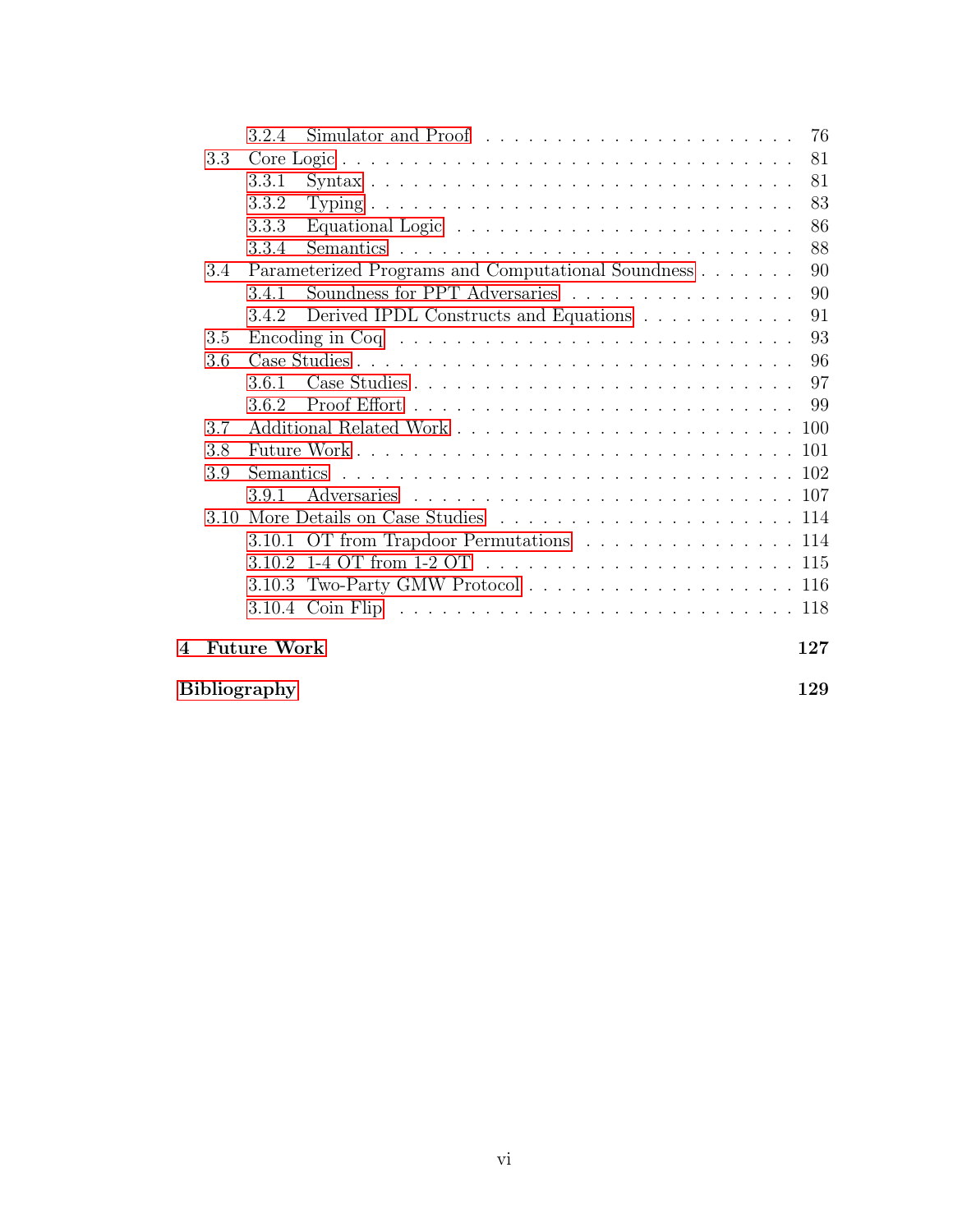|                |      | 3.2.4              | 76<br>Simulator and Proof $\dots \dots \dots \dots \dots \dots \dots \dots$ |
|----------------|------|--------------------|-----------------------------------------------------------------------------|
|                | 3.3  |                    | 81                                                                          |
|                |      | 3.3.1              | 81                                                                          |
|                |      | 3.3.2              | 83                                                                          |
|                |      | 3.3.3              | 86                                                                          |
|                |      | 3.3.4              | 88                                                                          |
|                | 3.4  |                    | Parameterized Programs and Computational Soundness<br>90                    |
|                |      | 3.4.1              | Soundness for PPT Adversaries<br>90                                         |
|                |      | 3.4.2              | Derived IPDL Constructs and Equations<br>91                                 |
|                | 3.5  |                    | 93                                                                          |
|                | 3.6  |                    | 96                                                                          |
|                |      | 3.6.1              | 97                                                                          |
|                |      | 362                |                                                                             |
|                | 3.7  |                    |                                                                             |
|                | 3.8  |                    |                                                                             |
|                | 3.9  |                    |                                                                             |
|                |      | 3.9.1              |                                                                             |
|                | 3.10 |                    |                                                                             |
|                |      |                    | 3.10.1 OT from Trapdoor Permutations 114                                    |
|                |      |                    |                                                                             |
|                |      |                    |                                                                             |
|                |      |                    |                                                                             |
| $\overline{4}$ |      | <b>Future Work</b> | 127                                                                         |

[Bibliography](#page-137-0) 129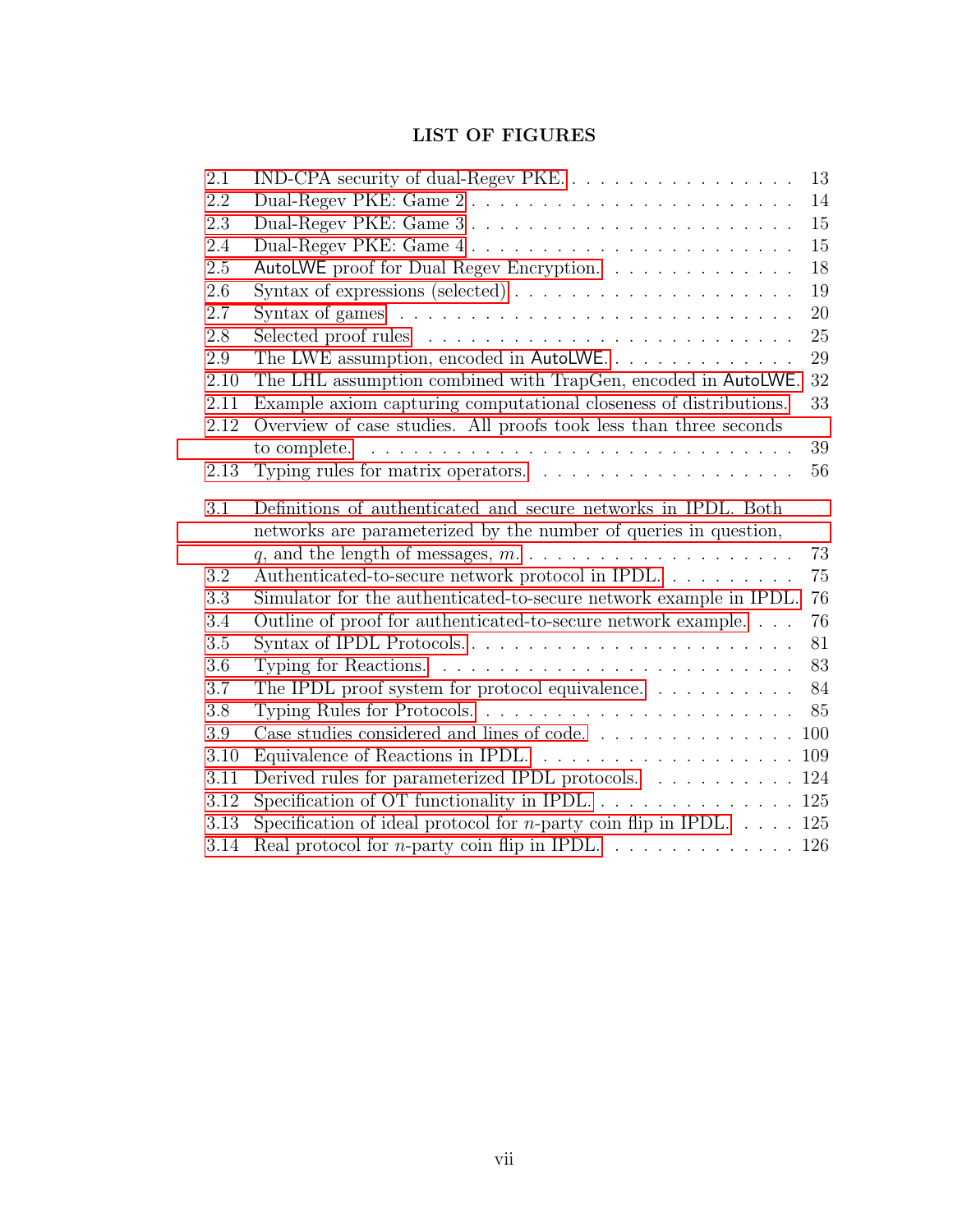# LIST OF FIGURES

<span id="page-8-0"></span>

| 2.1  | IND-CPA security of dual-Regev PKE.                                                                                               | 13 |
|------|-----------------------------------------------------------------------------------------------------------------------------------|----|
| 2.2  | Dual-Regev PKE: Game 2                                                                                                            | 14 |
| 2.3  |                                                                                                                                   | 15 |
| 2.4  | Dual-Regev PKE: Game 4                                                                                                            | 15 |
| 2.5  | AutoLWE proof for Dual Regev Encryption.                                                                                          | 18 |
| 2.6  | Syntax of expressions (selected) $\ldots \ldots \ldots \ldots \ldots \ldots$                                                      | 19 |
| 2.7  | Syntax of games $\ldots \ldots \ldots \ldots \ldots \ldots \ldots \ldots \ldots \ldots$                                           | 20 |
| 2.8  |                                                                                                                                   | 25 |
| 2.9  | The LWE assumption, encoded in AutoLWE.                                                                                           | 29 |
| 2.10 | The LHL assumption combined with TrapGen, encoded in AutoLWE.                                                                     | 32 |
| 2.11 | Example axiom capturing computational closeness of distributions.                                                                 | 33 |
| 2.12 | Overview of case studies. All proofs took less than three seconds                                                                 |    |
|      | to complete.                                                                                                                      | 39 |
| 2.13 |                                                                                                                                   | 56 |
| 3.1  | Definitions of authenticated and secure networks in IPDL. Both                                                                    |    |
|      |                                                                                                                                   |    |
|      | networks are parameterized by the number of queries in question,                                                                  |    |
|      |                                                                                                                                   | 73 |
| 3.2  | q, and the length of messages, $m. \ldots \ldots \ldots \ldots \ldots \ldots$<br>Authenticated-to-secure network protocol in IPDL | 75 |
| 3.3  | Simulator for the authenticated-to-secure network example in IPDL.                                                                | 76 |
| 3.4  | Outline of proof for authenticated-to-secure network example                                                                      | 76 |
| 3.5  |                                                                                                                                   | 81 |
| 3.6  | Typing for Reactions. $\ldots \ldots \ldots \ldots \ldots \ldots \ldots \ldots$                                                   | 83 |
| 3.7  | The IPDL proof system for protocol equivalence. $\dots \dots \dots$                                                               | 84 |
| 3.8  |                                                                                                                                   | 85 |
| 3.9  | Case studies considered and lines of code. $\ldots \ldots \ldots \ldots \ldots \ldots$                                            |    |
| 3.10 | Equivalence of Reactions in IPDL. $\ldots \ldots \ldots \ldots \ldots \ldots \ldots \ldots 109$                                   |    |
| 3.11 | Derived rules for parameterized IPDL protocols. 124                                                                               |    |
| 3.12 |                                                                                                                                   |    |
| 3.13 | Specification of ideal protocol for <i>n</i> -party coin flip in IPDL. $\ldots$ . 125                                             |    |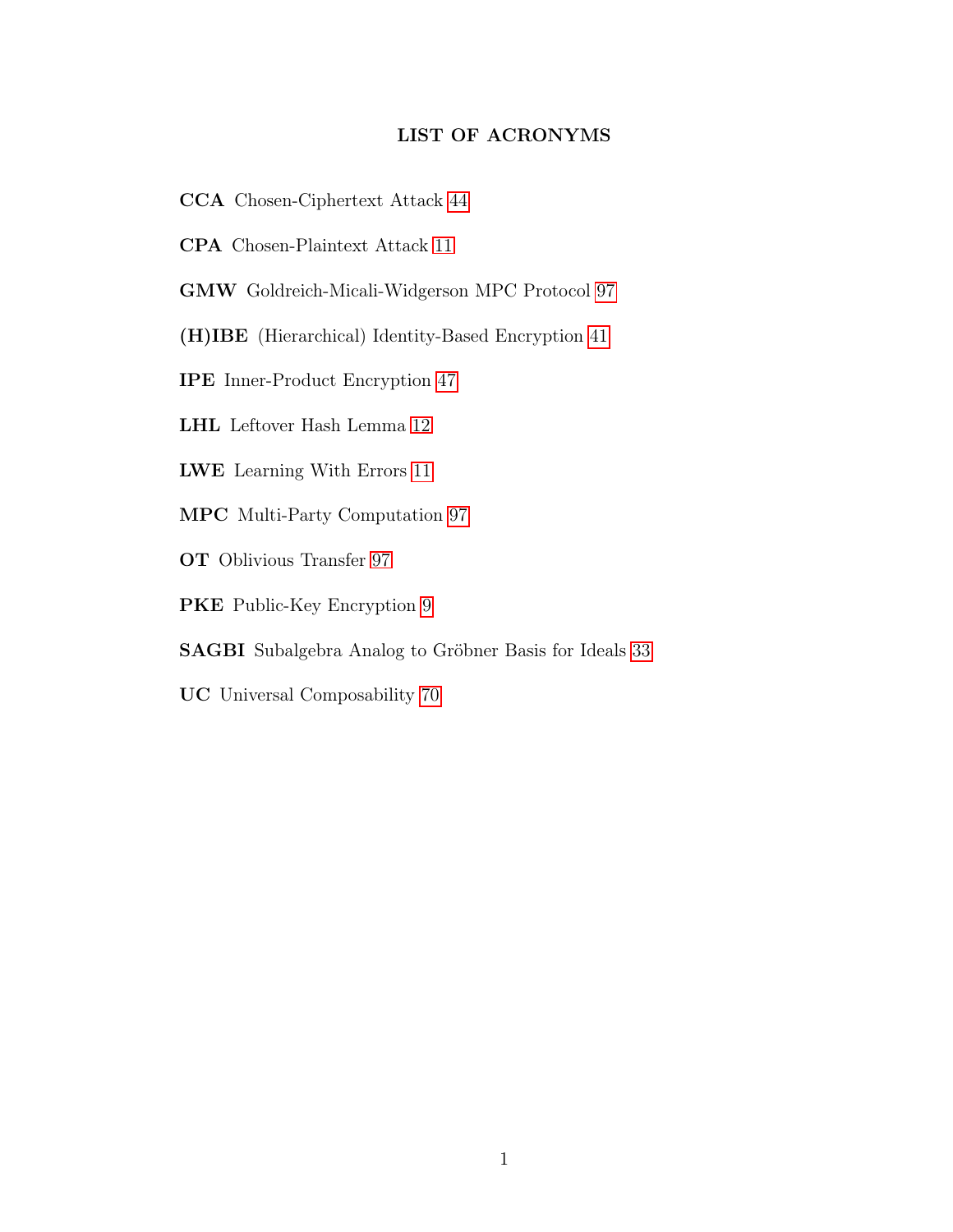### LIST OF ACRONYMS

- CCA Chosen-Ciphertext Attack [44](#page-52-0)
- CPA Chosen-Plaintext Attack [11](#page-17-1)
- GMW Goldreich-Micali-Widgerson MPC Protocol [97](#page-105-1)
- (H)IBE (Hierarchical) Identity-Based Encryption [41](#page-49-0)
- IPE Inner-Product Encryption [47](#page-55-0)
- LHL Leftover Hash Lemma [12](#page-20-0)
- LWE Learning With Errors [11](#page-19-0)
- MPC Multi-Party Computation [97](#page-105-1)
- OT Oblivious Transfer [97](#page-105-2)
- PKE Public-Key Encryption [9](#page-17-0)
- SAGBI Subalgebra Analog to Gröbner Basis for Ideals [33](#page-41-0)
- UC Universal Composability [70](#page-78-0)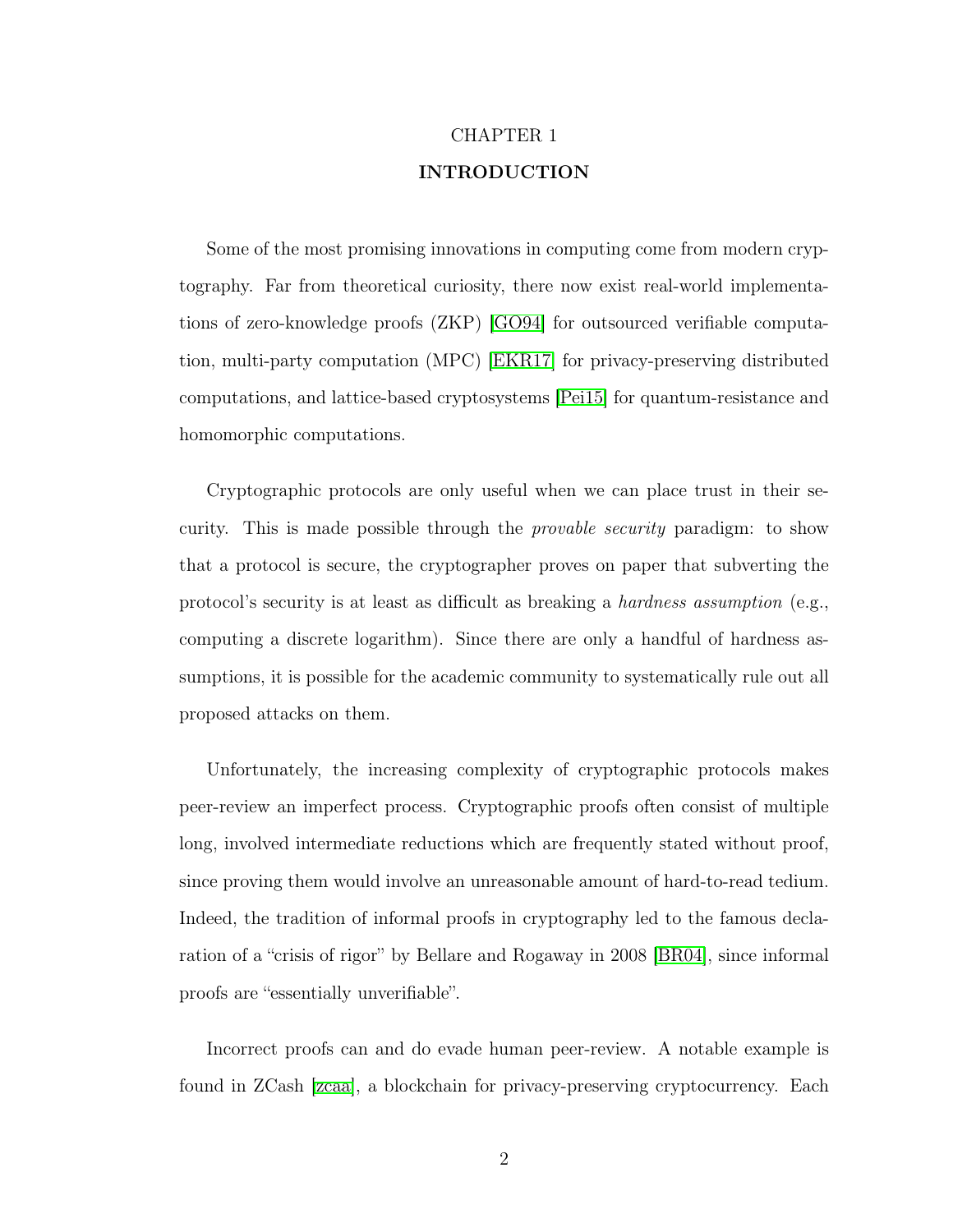# CHAPTER 1 INTRODUCTION

<span id="page-10-0"></span>Some of the most promising innovations in computing come from modern cryptography. Far from theoretical curiosity, there now exist real-world implementations of zero-knowledge proofs (ZKP) [\[GO94\]](#page-144-1) for outsourced verifiable computation, multi-party computation (MPC) [\[EKR17\]](#page-143-0) for privacy-preserving distributed computations, and lattice-based cryptosystems [\[Pei15\]](#page-147-0) for quantum-resistance and homomorphic computations.

Cryptographic protocols are only useful when we can place trust in their security. This is made possible through the provable security paradigm: to show that a protocol is secure, the cryptographer proves on paper that subverting the protocol's security is at least as difficult as breaking a hardness assumption (e.g., computing a discrete logarithm). Since there are only a handful of hardness assumptions, it is possible for the academic community to systematically rule out all proposed attacks on them.

Unfortunately, the increasing complexity of cryptographic protocols makes peer-review an imperfect process. Cryptographic proofs often consist of multiple long, involved intermediate reductions which are frequently stated without proof, since proving them would involve an unreasonable amount of hard-to-read tedium. Indeed, the tradition of informal proofs in cryptography led to the famous declaration of a "crisis of rigor" by Bellare and Rogaway in 2008 [\[BR04\]](#page-140-1), since informal proofs are "essentially unverifiable".

Incorrect proofs can and do evade human peer-review. A notable example is found in ZCash [\[zcaa\]](#page-149-0), a blockchain for privacy-preserving cryptocurrency. Each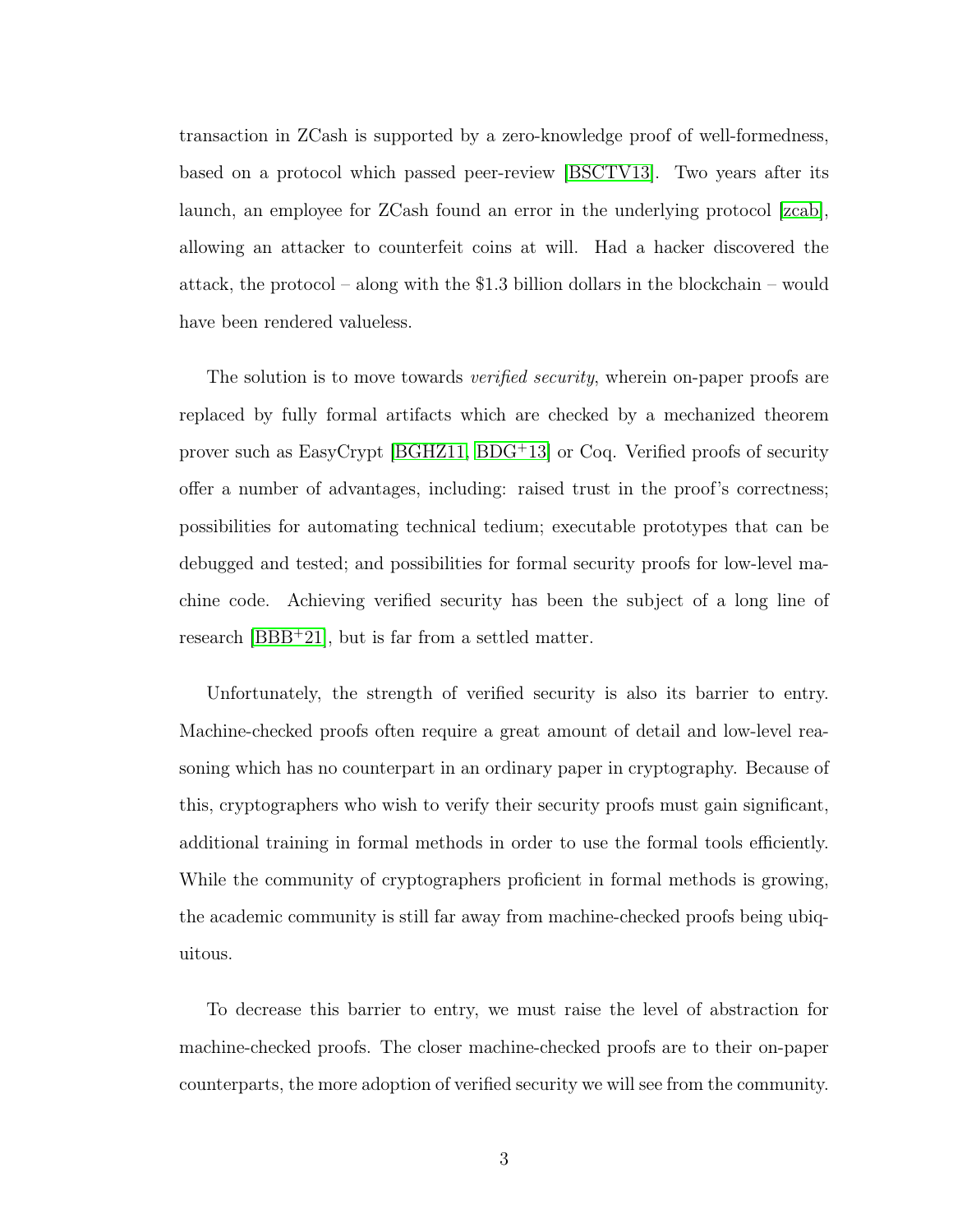transaction in ZCash is supported by a zero-knowledge proof of well-formedness, based on a protocol which passed peer-review [\[BSCTV13\]](#page-141-1). Two years after its launch, an employee for ZCash found an error in the underlying protocol [\[zcab\]](#page-149-1), allowing an attacker to counterfeit coins at will. Had a hacker discovered the attack, the protocol – along with the \$1.3 billion dollars in the blockchain – would have been rendered valueless.

The solution is to move towards *verified security*, wherein on-paper proofs are replaced by fully formal artifacts which are checked by a mechanized theorem prover such as EasyCrypt [\[BGHZ11,](#page-139-0) [BDG](#page-139-1)<sup>+</sup>13] or Coq. Verified proofs of security offer a number of advantages, including: raised trust in the proof's correctness; possibilities for automating technical tedium; executable prototypes that can be debugged and tested; and possibilities for formal security proofs for low-level machine code. Achieving verified security has been the subject of a long line of research [\[BBB](#page-138-0)<sup>+</sup>21], but is far from a settled matter.

Unfortunately, the strength of verified security is also its barrier to entry. Machine-checked proofs often require a great amount of detail and low-level reasoning which has no counterpart in an ordinary paper in cryptography. Because of this, cryptographers who wish to verify their security proofs must gain significant, additional training in formal methods in order to use the formal tools efficiently. While the community of cryptographers proficient in formal methods is growing, the academic community is still far away from machine-checked proofs being ubiquitous.

To decrease this barrier to entry, we must raise the level of abstraction for machine-checked proofs. The closer machine-checked proofs are to their on-paper counterparts, the more adoption of verified security we will see from the community.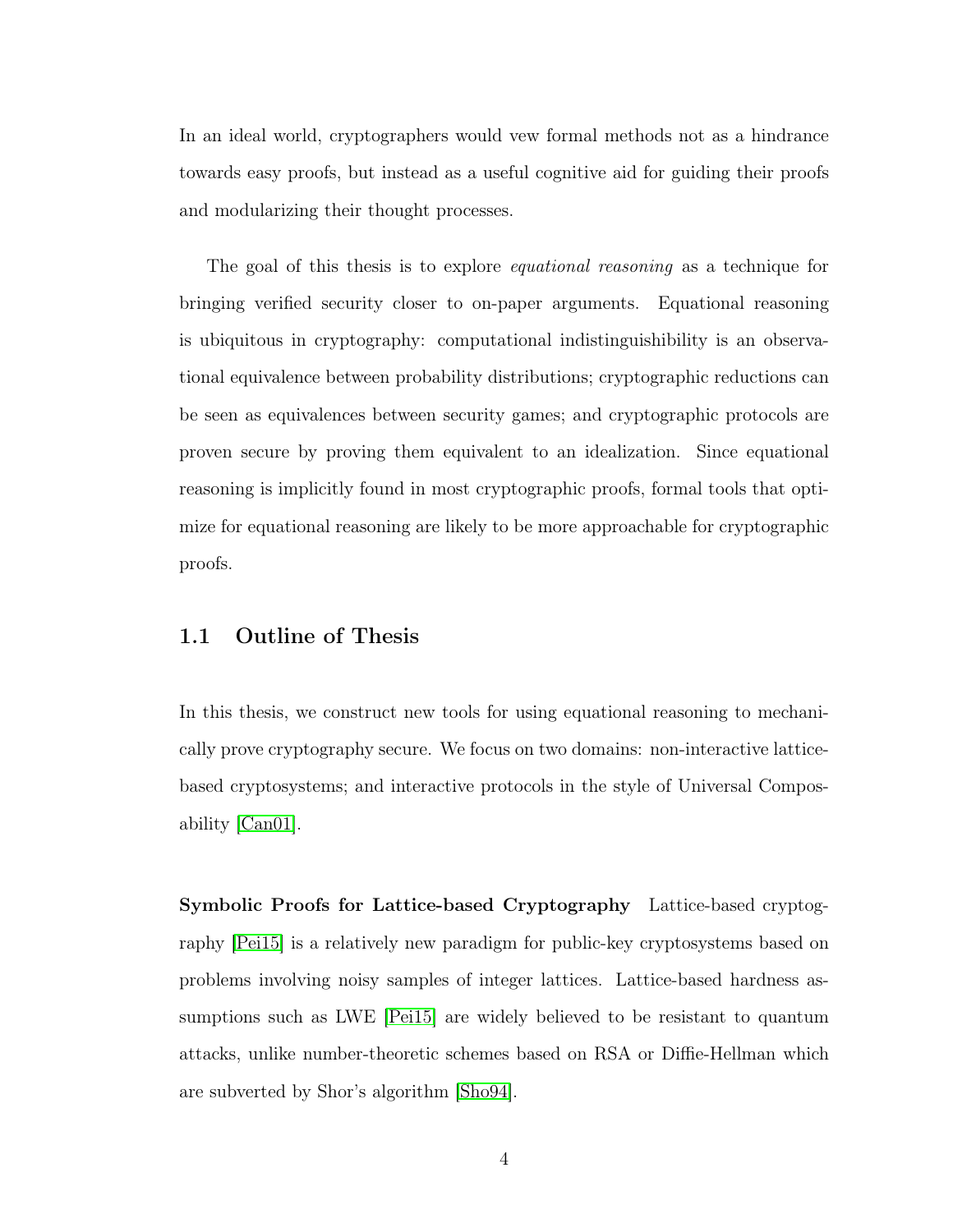In an ideal world, cryptographers would vew formal methods not as a hindrance towards easy proofs, but instead as a useful cognitive aid for guiding their proofs and modularizing their thought processes.

The goal of this thesis is to explore *equational reasoning* as a technique for bringing verified security closer to on-paper arguments. Equational reasoning is ubiquitous in cryptography: computational indistinguishibility is an observational equivalence between probability distributions; cryptographic reductions can be seen as equivalences between security games; and cryptographic protocols are proven secure by proving them equivalent to an idealization. Since equational reasoning is implicitly found in most cryptographic proofs, formal tools that optimize for equational reasoning are likely to be more approachable for cryptographic proofs.

### <span id="page-12-0"></span>1.1 Outline of Thesis

In this thesis, we construct new tools for using equational reasoning to mechanically prove cryptography secure. We focus on two domains: non-interactive latticebased cryptosystems; and interactive protocols in the style of Universal Composability [\[Can01\]](#page-141-0).

Symbolic Proofs for Lattice-based Cryptography Lattice-based cryptography [\[Pei15\]](#page-147-0) is a relatively new paradigm for public-key cryptosystems based on problems involving noisy samples of integer lattices. Lattice-based hardness assumptions such as LWE [\[Pei15\]](#page-147-0) are widely believed to be resistant to quantum attacks, unlike number-theoretic schemes based on RSA or Diffie-Hellman which are subverted by Shor's algorithm [\[Sho94\]](#page-148-0).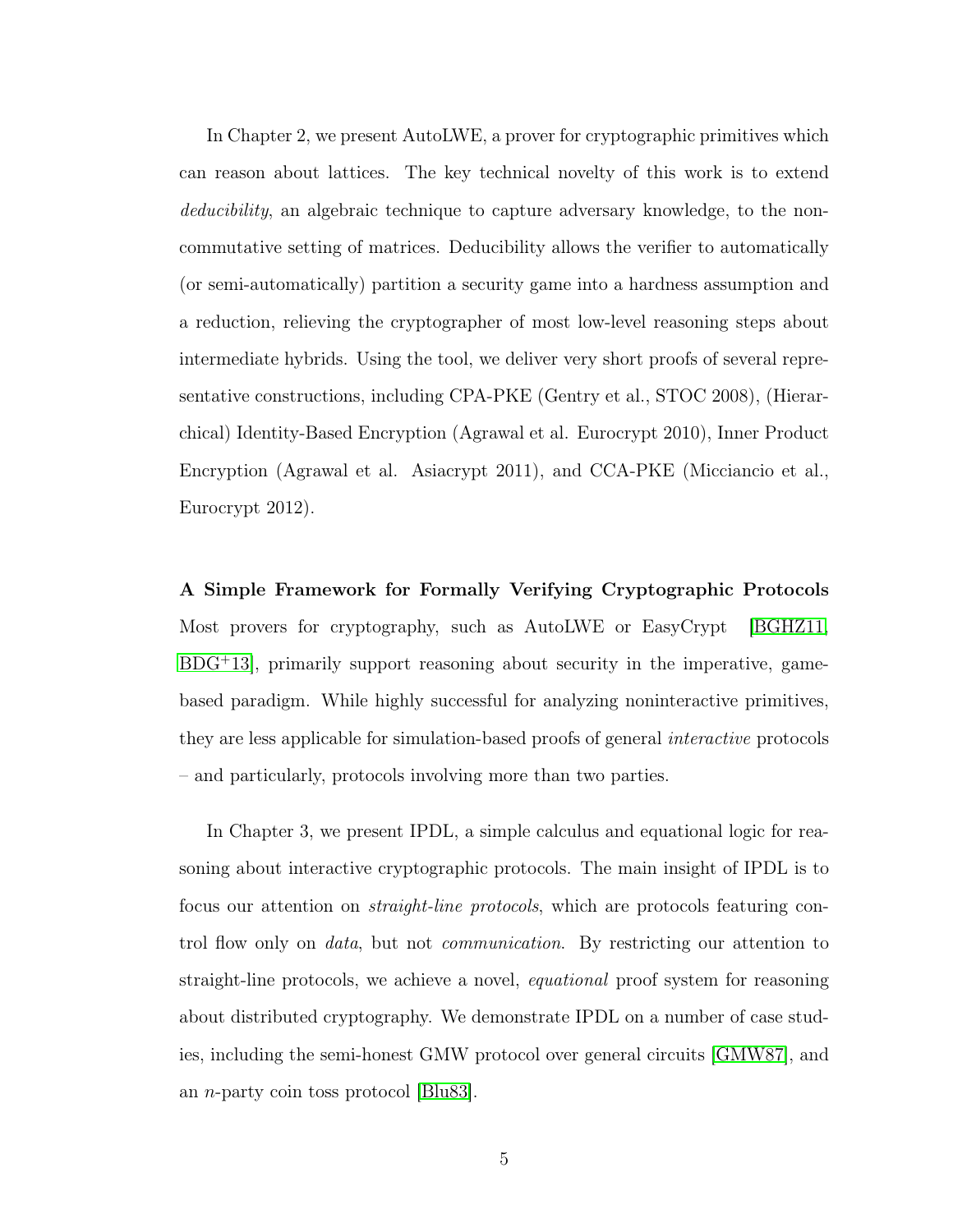In Chapter 2, we present AutoLWE, a prover for cryptographic primitives which can reason about lattices. The key technical novelty of this work is to extend deducibility, an algebraic technique to capture adversary knowledge, to the noncommutative setting of matrices. Deducibility allows the verifier to automatically (or semi-automatically) partition a security game into a hardness assumption and a reduction, relieving the cryptographer of most low-level reasoning steps about intermediate hybrids. Using the tool, we deliver very short proofs of several representative constructions, including CPA-PKE (Gentry et al., STOC 2008), (Hierarchical) Identity-Based Encryption (Agrawal et al. Eurocrypt 2010), Inner Product Encryption (Agrawal et al. Asiacrypt 2011), and CCA-PKE (Micciancio et al., Eurocrypt 2012).

A Simple Framework for Formally Verifying Cryptographic Protocols Most provers for cryptography, such as AutoLWE or EasyCrypt [\[BGHZ11,](#page-139-0) [BDG](#page-139-1)<sup>+</sup>13], primarily support reasoning about security in the imperative, gamebased paradigm. While highly successful for analyzing noninteractive primitives, they are less applicable for simulation-based proofs of general interactive protocols – and particularly, protocols involving more than two parties.

In Chapter 3, we present IPDL, a simple calculus and equational logic for reasoning about interactive cryptographic protocols. The main insight of IPDL is to focus our attention on straight-line protocols, which are protocols featuring control flow only on data, but not communication. By restricting our attention to straight-line protocols, we achieve a novel, equational proof system for reasoning about distributed cryptography. We demonstrate IPDL on a number of case studies, including the semi-honest GMW protocol over general circuits [\[GMW87\]](#page-144-0), and an n-party coin toss protocol [\[Blu83\]](#page-140-0).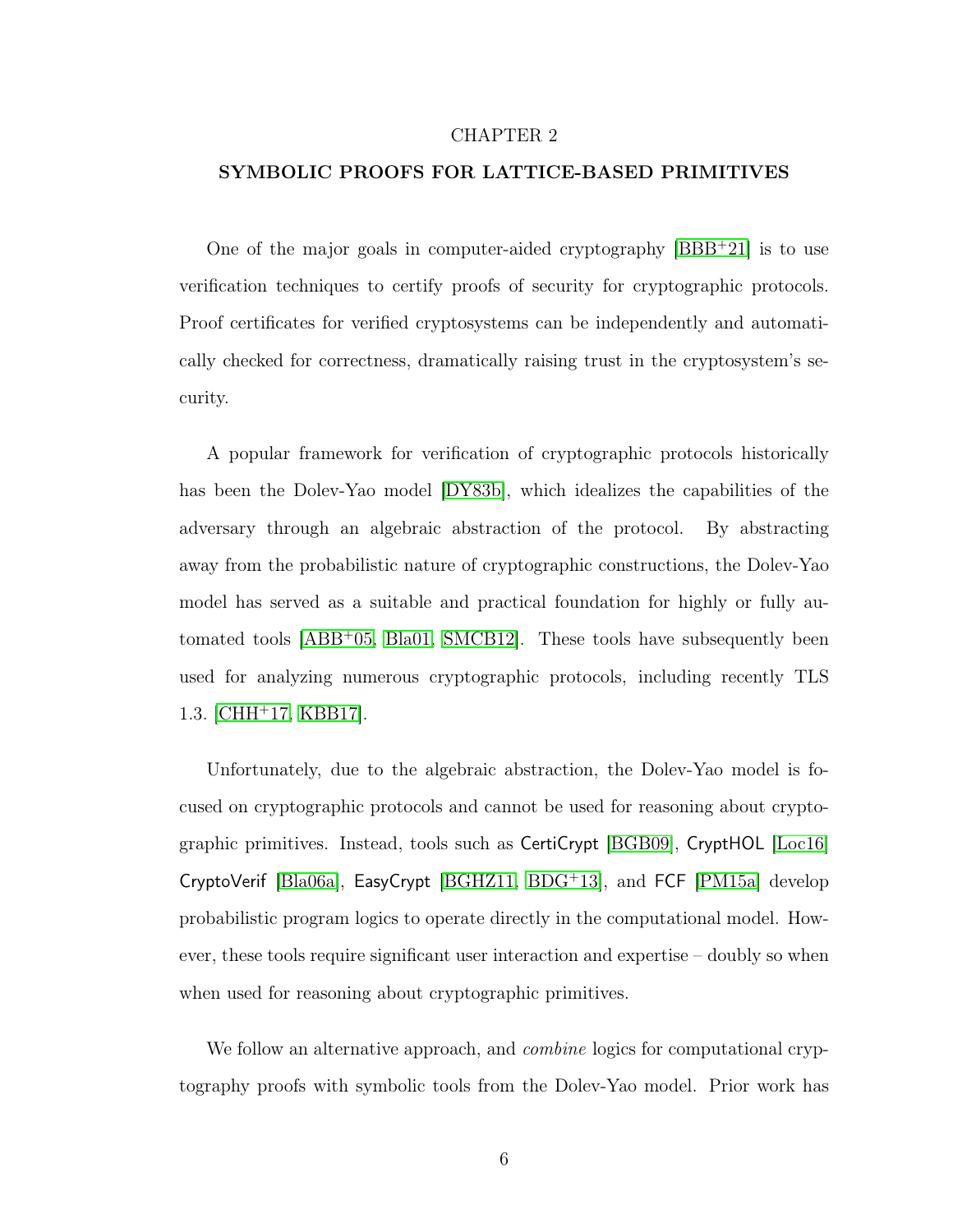#### CHAPTER 2

#### <span id="page-14-0"></span>SYMBOLIC PROOFS FOR LATTICE-BASED PRIMITIVES

One of the major goals in computer-aided cryptography [\[BBB](#page-138-0)<sup>+</sup>21] is to use verification techniques to certify proofs of security for cryptographic protocols. Proof certificates for verified cryptosystems can be independently and automatically checked for correctness, dramatically raising trust in the cryptosystem's security.

A popular framework for verification of cryptographic protocols historically has been the Dolev-Yao model [\[DY83b\]](#page-143-1), which idealizes the capabilities of the adversary through an algebraic abstraction of the protocol. By abstracting away from the probabilistic nature of cryptographic constructions, the Dolev-Yao model has served as a suitable and practical foundation for highly or fully automated tools [\[ABB](#page-137-1)<sup>+</sup>05, [Bla01,](#page-140-2) [SMCB12\]](#page-148-1). These tools have subsequently been used for analyzing numerous cryptographic protocols, including recently TLS 1.3. [\[CHH](#page-142-0)<sup>+</sup>17, [KBB17\]](#page-144-2).

Unfortunately, due to the algebraic abstraction, the Dolev-Yao model is focused on cryptographic protocols and cannot be used for reasoning about cryptographic primitives. Instead, tools such as CertiCrypt [\[BGB09\]](#page-139-2), CryptHOL [\[Loc16\]](#page-145-0) CryptoVerif [\[Bla06a\]](#page-140-3), EasyCrypt [\[BGHZ11,](#page-139-0) [BDG](#page-139-1)<sup>+</sup>13], and FCF [\[PM15a\]](#page-147-1) develop probabilistic program logics to operate directly in the computational model. However, these tools require significant user interaction and expertise – doubly so when when used for reasoning about cryptographic primitives.

We follow an alternative approach, and *combine* logics for computational cryptography proofs with symbolic tools from the Dolev-Yao model. Prior work has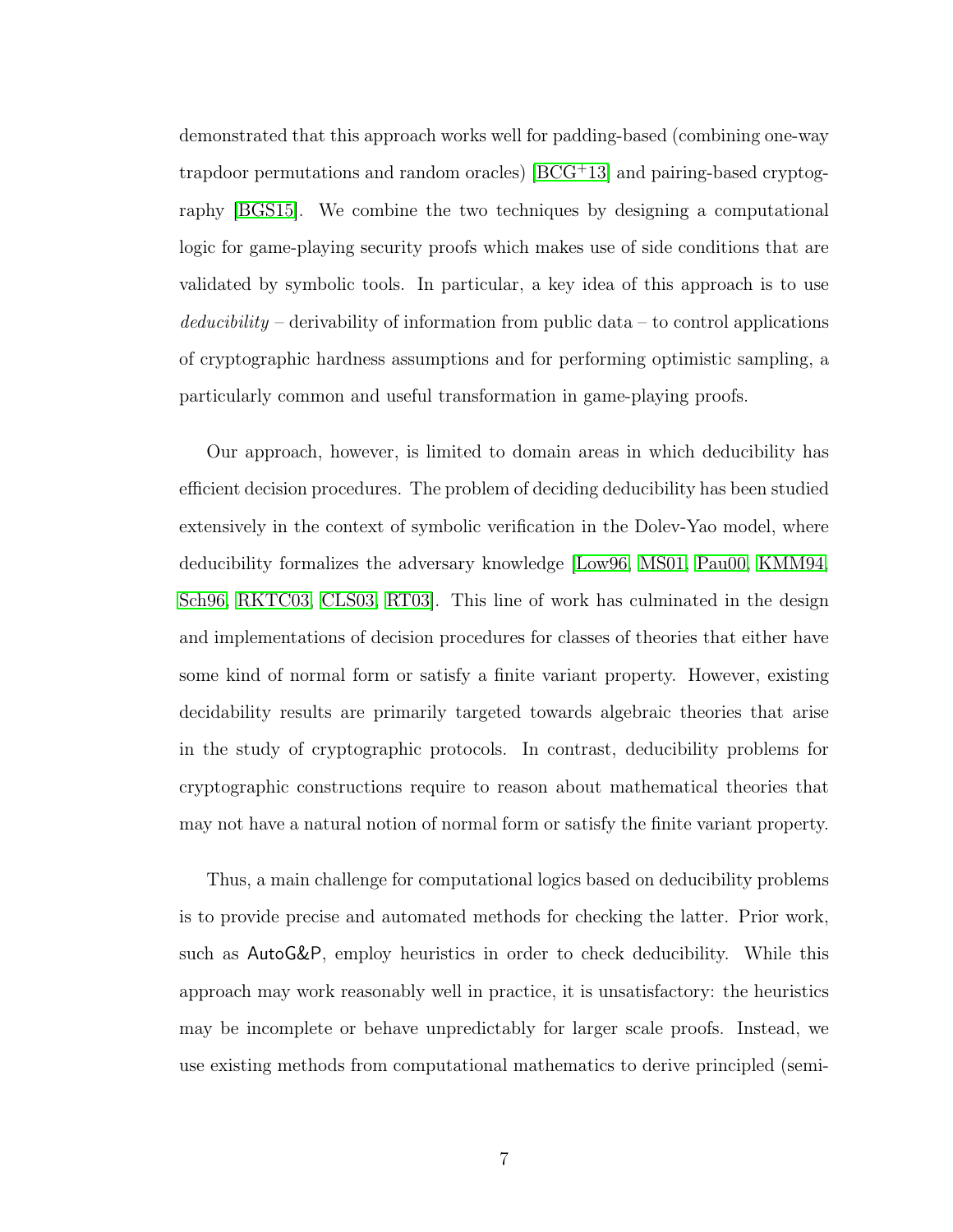demonstrated that this approach works well for padding-based (combining one-way trapdoor permutations and random oracles) [\[BCG](#page-138-1)<sup>+</sup>13] and pairing-based cryptography [\[BGS15\]](#page-140-4). We combine the two techniques by designing a computational logic for game-playing security proofs which makes use of side conditions that are validated by symbolic tools. In particular, a key idea of this approach is to use  $deducibility$  – derivability of information from public data – to control applications of cryptographic hardness assumptions and for performing optimistic sampling, a particularly common and useful transformation in game-playing proofs.

Our approach, however, is limited to domain areas in which deducibility has efficient decision procedures. The problem of deciding deducibility has been studied extensively in the context of symbolic verification in the Dolev-Yao model, where deducibility formalizes the adversary knowledge [\[Low96,](#page-145-1) [MS01,](#page-146-0) [Pau00,](#page-147-2) [KMM94,](#page-145-2) [Sch96,](#page-148-2) [RKTC03,](#page-148-3) [CLS03,](#page-142-1) [RT03\]](#page-148-4). This line of work has culminated in the design and implementations of decision procedures for classes of theories that either have some kind of normal form or satisfy a finite variant property. However, existing decidability results are primarily targeted towards algebraic theories that arise in the study of cryptographic protocols. In contrast, deducibility problems for cryptographic constructions require to reason about mathematical theories that may not have a natural notion of normal form or satisfy the finite variant property.

Thus, a main challenge for computational logics based on deducibility problems is to provide precise and automated methods for checking the latter. Prior work, such as AutoG&P, employ heuristics in order to check deducibility. While this approach may work reasonably well in practice, it is unsatisfactory: the heuristics may be incomplete or behave unpredictably for larger scale proofs. Instead, we use existing methods from computational mathematics to derive principled (semi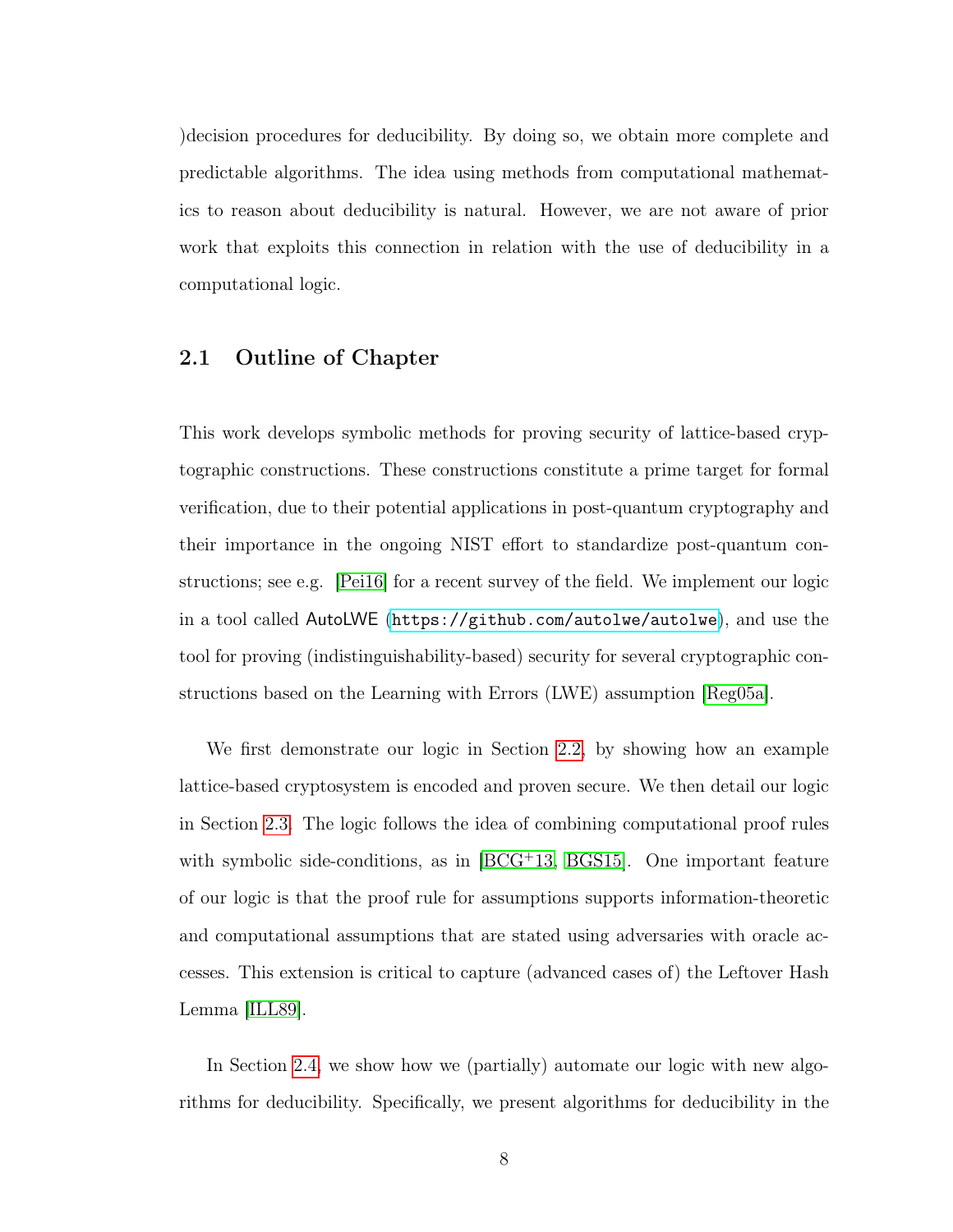)decision procedures for deducibility. By doing so, we obtain more complete and predictable algorithms. The idea using methods from computational mathematics to reason about deducibility is natural. However, we are not aware of prior work that exploits this connection in relation with the use of deducibility in a computational logic.

# <span id="page-16-0"></span>2.1 Outline of Chapter

This work develops symbolic methods for proving security of lattice-based cryptographic constructions. These constructions constitute a prime target for formal verification, due to their potential applications in post-quantum cryptography and their importance in the ongoing NIST effort to standardize post-quantum constructions; see e.g. [\[Pei16\]](#page-147-3) for a recent survey of the field. We implement our logic in a tool called AutoLWE (<https://github.com/autolwe/autolwe>), and use the tool for proving (indistinguishability-based) security for several cryptographic constructions based on the Learning with Errors (LWE) assumption [\[Reg05a\]](#page-148-5).

We first demonstrate our logic in Section [2.2,](#page-17-0) by showing how an example lattice-based cryptosystem is encoded and proven secure. We then detail our logic in Section [2.3.](#page-25-0) The logic follows the idea of combining computational proof rules with symbolic side-conditions, as in [\[BCG](#page-138-1)<sup>+</sup>13, [BGS15\]](#page-140-4). One important feature of our logic is that the proof rule for assumptions supports information-theoretic and computational assumptions that are stated using adversaries with oracle accesses. This extension is critical to capture (advanced cases of) the Leftover Hash Lemma [\[ILL89\]](#page-144-3).

In Section [2.4,](#page-41-0) we show how we (partially) automate our logic with new algorithms for deducibility. Specifically, we present algorithms for deducibility in the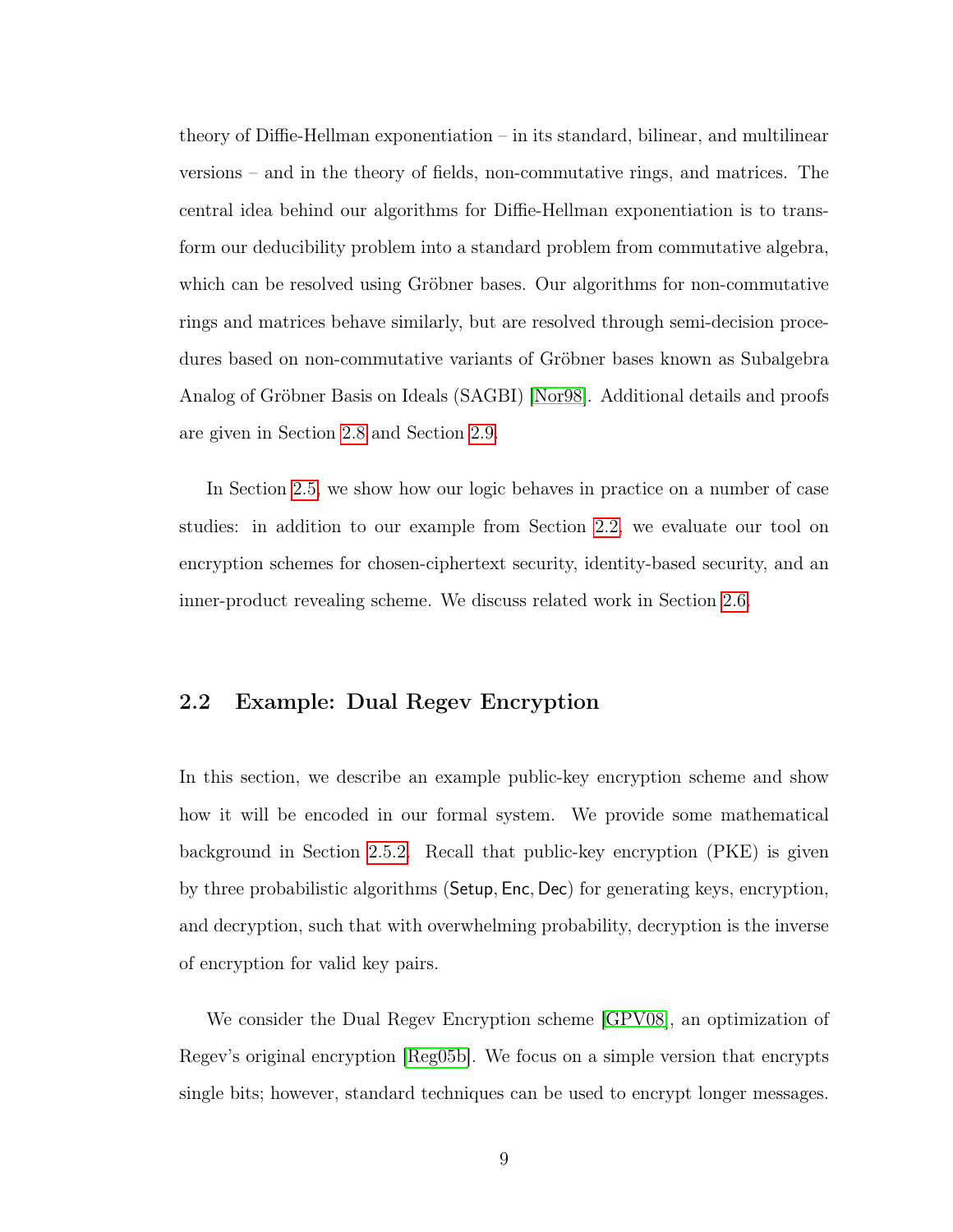theory of Diffie-Hellman exponentiation – in its standard, bilinear, and multilinear versions – and in the theory of fields, non-commutative rings, and matrices. The central idea behind our algorithms for Diffie-Hellman exponentiation is to transform our deducibility problem into a standard problem from commutative algebra, which can be resolved using Gröbner bases. Our algorithms for non-commutative rings and matrices behave similarly, but are resolved through semi-decision procedures based on non-commutative variants of Gröbner bases known as Subalgebra Analog of Gröbner Basis on Ideals (SAGBI) [\[Nor98\]](#page-147-4). Additional details and proofs are given in Section [2.8](#page-59-1) and Section [2.9.](#page-64-0)

In Section [2.5,](#page-46-0) we show how our logic behaves in practice on a number of case studies: in addition to our example from Section [2.2,](#page-17-0) we evaluate our tool on encryption schemes for chosen-ciphertext security, identity-based security, and an inner-product revealing scheme. We discuss related work in Section [2.6.](#page-56-0)

# <span id="page-17-0"></span>2.2 Example: Dual Regev Encryption

In this section, we describe an example public-key encryption scheme and show how it will be encoded in our formal system. We provide some mathematical background in Section [2.5.2.](#page-49-0) Recall that public-key encryption (PKE) is given by three probabilistic algorithms (Setup, Enc, Dec) for generating keys, encryption, and decryption, such that with overwhelming probability, decryption is the inverse of encryption for valid key pairs.

<span id="page-17-1"></span>We consider the Dual Regev Encryption scheme [\[GPV08\]](#page-144-4), an optimization of Regev's original encryption [\[Reg05b\]](#page-148-6). We focus on a simple version that encrypts single bits; however, standard techniques can be used to encrypt longer messages.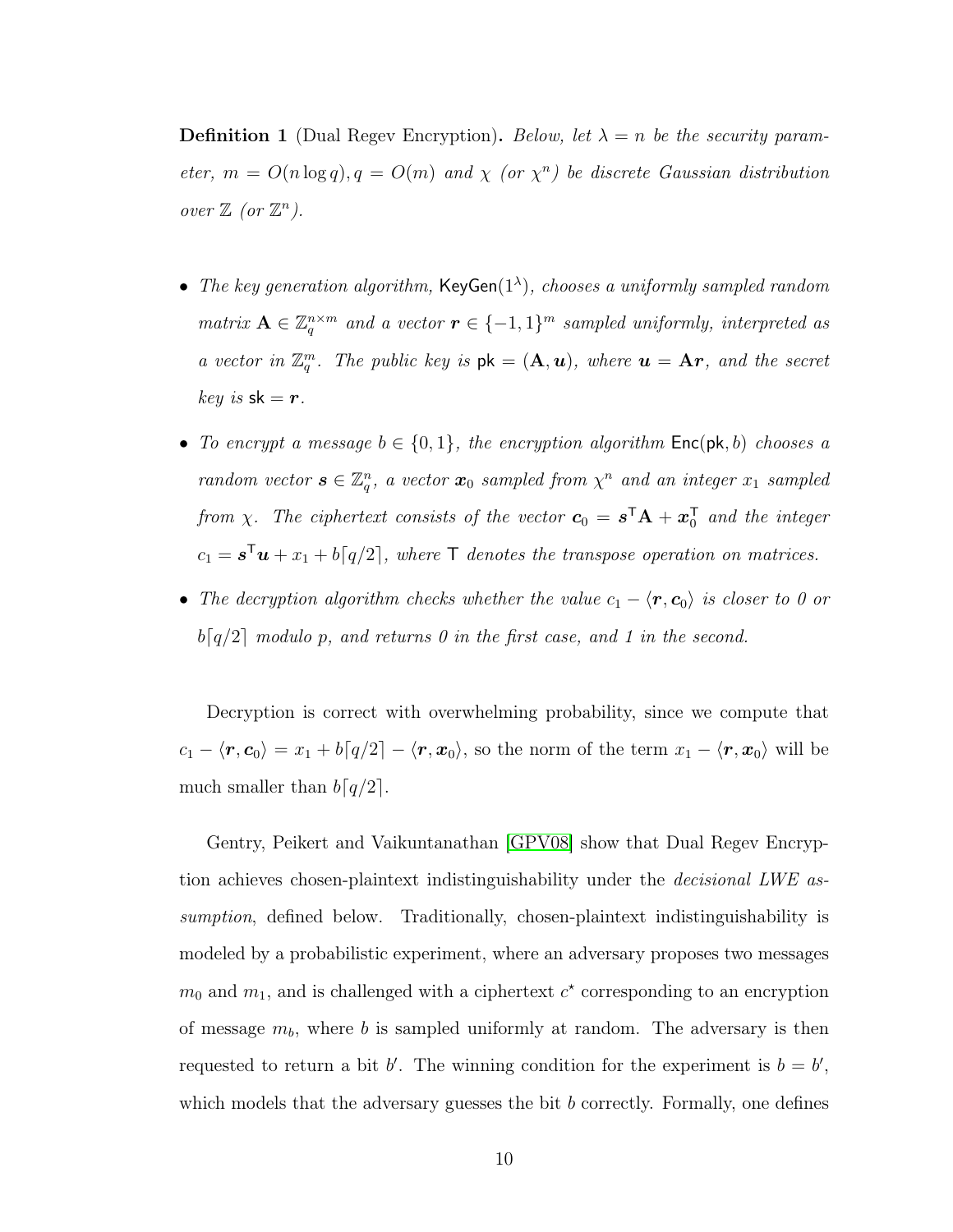**Definition 1** (Dual Regev Encryption). Below, let  $\lambda = n$  be the security parameter,  $m = O(n \log q)$ ,  $q = O(m)$  and  $\chi$  (or  $\chi^n$ ) be discrete Gaussian distribution over  $\mathbb{Z}$  (or  $\mathbb{Z}^n$ ).

- The key generation algorithm,  $KeyGen(1^{\lambda})$ , chooses a uniformly sampled random matrix  $\mathbf{A} \in \mathbb{Z}_q^{n \times m}$  and a vector  $\mathbf{r} \in \{-1,1\}^m$  sampled uniformly, interpreted as a vector in  $\mathbb{Z}_q^m$ . The public key is  $pk = (\mathbf{A}, \mathbf{u})$ , where  $\mathbf{u} = \mathbf{A}\mathbf{r}$ , and the secret  $key$  is  $sk = r$ .
- To encrypt a message  $b \in \{0,1\}$ , the encryption algorithm  $\mathsf{Enc}(\mathsf{pk}, b)$  chooses a random vector  $\mathbf{s} \in \mathbb{Z}_q^n$ , a vector  $\mathbf{x}_0$  sampled from  $\chi^n$  and an integer  $x_1$  sampled from  $\chi$ . The ciphertext consists of the vector  $\mathbf{c}_0 = \mathbf{s}^\mathsf{T} \mathbf{A} + \mathbf{x}_0^\mathsf{T}$  and the integer  $c_1 = s^{\mathsf{T}} \boldsymbol{u} + x_1 + b[q/2],$  where  $\mathsf{T}$  denotes the transpose operation on matrices.
- The decryption algorithm checks whether the value  $c_1 \langle \mathbf{r}, \mathbf{c}_0 \rangle$  is closer to 0 or  $b[q/2]$  modulo p, and returns 0 in the first case, and 1 in the second.

Decryption is correct with overwhelming probability, since we compute that  $c_1 - \langle r, c_0 \rangle = x_1 + b\lceil q/2 \rceil - \langle r, x_0 \rangle$ , so the norm of the term  $x_1 - \langle r, x_0 \rangle$  will be much smaller than  $b[q/2]$ .

Gentry, Peikert and Vaikuntanathan [\[GPV08\]](#page-144-4) show that Dual Regev Encryption achieves chosen-plaintext indistinguishability under the *decisional LWE* assumption, defined below. Traditionally, chosen-plaintext indistinguishability is modeled by a probabilistic experiment, where an adversary proposes two messages  $m_0$  and  $m_1$ , and is challenged with a ciphertext  $c^*$  corresponding to an encryption of message  $m_b$ , where b is sampled uniformly at random. The adversary is then requested to return a bit b'. The winning condition for the experiment is  $b = b'$ , which models that the adversary guesses the bit b correctly. Formally, one defines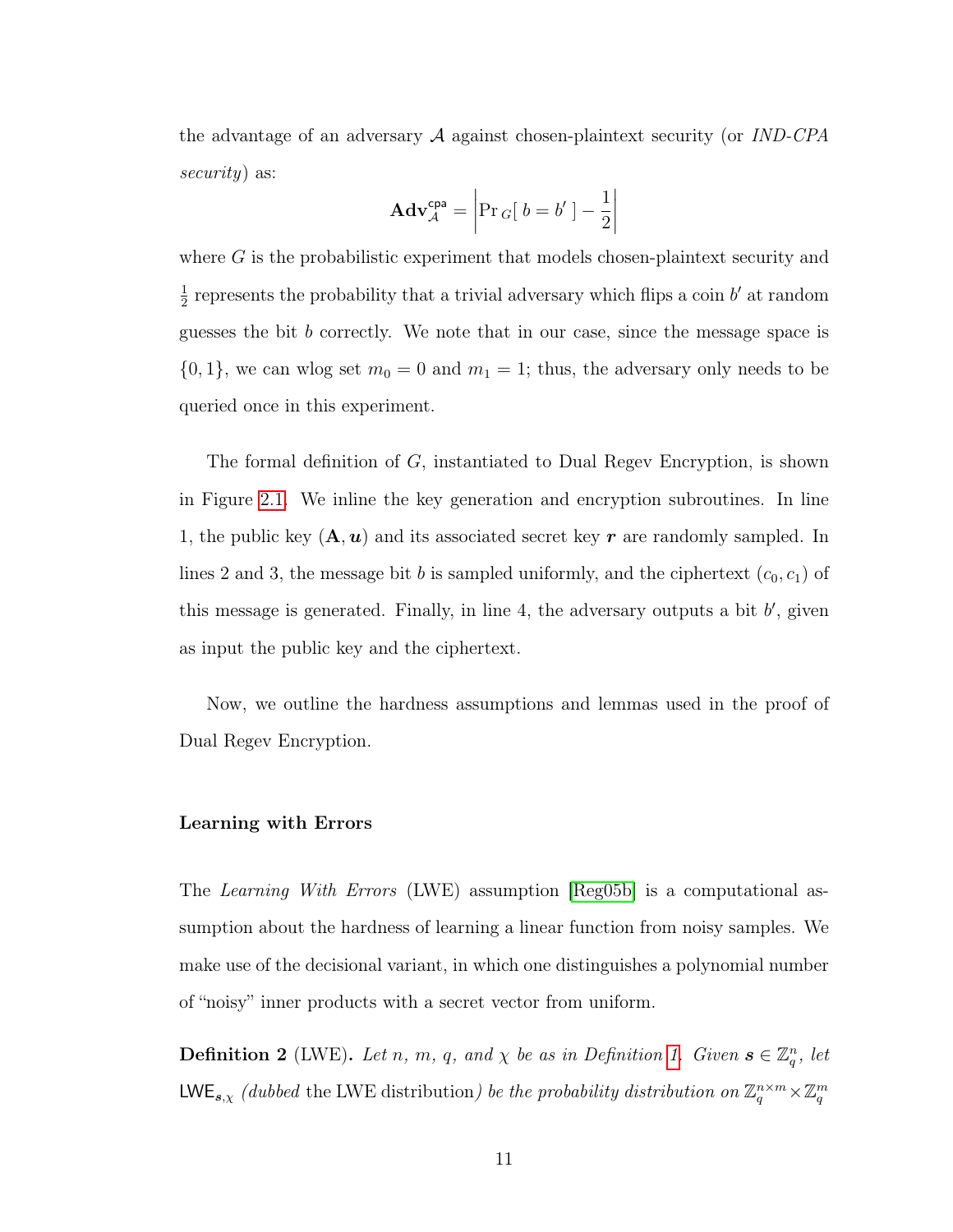the advantage of an adversary A against chosen-plaintext security (or IND-CPA security) as:

$$
\mathbf{Adv}_{\mathcal{A}}^{\mathsf{cpa}} = \left| \Pr_{G}[\ b = b'] - \frac{1}{2} \right|
$$

where  $G$  is the probabilistic experiment that models chosen-plaintext security and 1  $\frac{1}{2}$  represents the probability that a trivial adversary which flips a coin b' at random guesses the bit b correctly. We note that in our case, since the message space is  $\{0, 1\}$ , we can wlog set  $m_0 = 0$  and  $m_1 = 1$ ; thus, the adversary only needs to be queried once in this experiment.

The formal definition of G, instantiated to Dual Regev Encryption, is shown in Figure [2.1.](#page-21-0) We inline the key generation and encryption subroutines. In line 1, the public key  $(A, u)$  and its associated secret key r are randomly sampled. In lines 2 and 3, the message bit b is sampled uniformly, and the ciphertext  $(c_0, c_1)$  of this message is generated. Finally, in line 4, the adversary outputs a bit  $b'$ , given as input the public key and the ciphertext.

Now, we outline the hardness assumptions and lemmas used in the proof of Dual Regev Encryption.

#### Learning with Errors

The Learning With Errors (LWE) assumption [\[Reg05b\]](#page-148-6) is a computational assumption about the hardness of learning a linear function from noisy samples. We make use of the decisional variant, in which one distinguishes a polynomial number of "noisy" inner products with a secret vector from uniform.

<span id="page-19-0"></span>**Definition 2** (LWE). Let n, m, q, and  $\chi$  be as in Definition [1.](#page-17-1) Given  $s \in \mathbb{Z}_q^n$ , let LWE<sub>s, $\chi$ </sub> (dubbed the LWE distribution) be the probability distribution on  $\mathbb{Z}_q^{n \times m} \times \mathbb{Z}_q^m$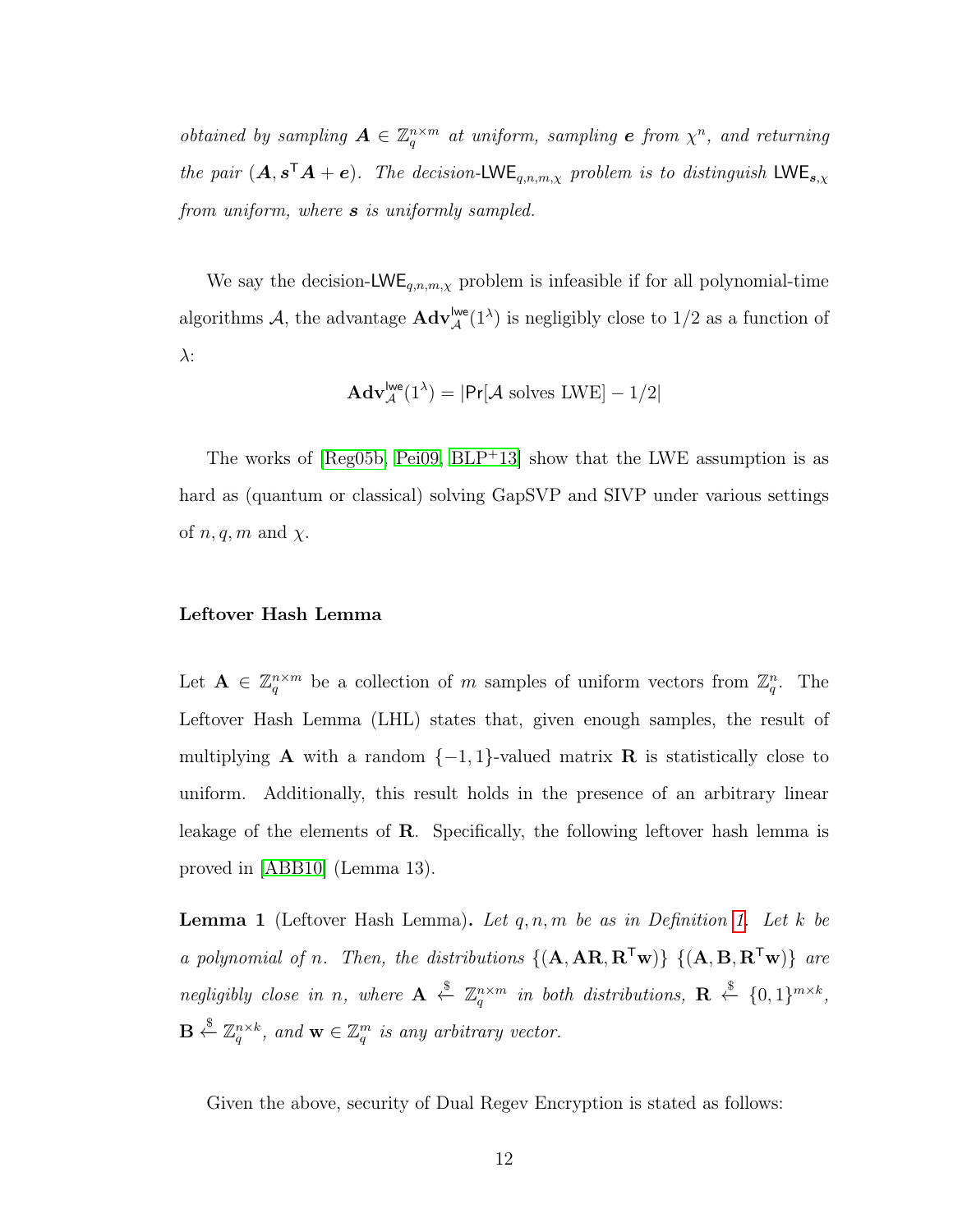obtained by sampling  $\mathbf{A} \in \mathbb{Z}_q^{n \times m}$  at uniform, sampling **e** from  $\chi^n$ , and returning the pair  $(A, s^{\mathsf{T}}A + e)$ . The decision-LWE<sub>q,n,m,x</sub> problem is to distinguish LWE<sub>s,x</sub> from uniform, where **s** is uniformly sampled.

We say the decision-LWE<sub>q,n,m,x</sub> problem is infeasible if for all polynomial-time algorithms A, the advantage  $\mathbf{Adv}_{\mathcal{A}}^{\mathsf{Iwe}}(1^{\lambda})$  is negligibly close to  $1/2$  as a function of  $\lambda$ :

$$
\mathbf{Adv}_{\mathcal{A}}^{\mathsf{Iwe}}(1^{\lambda}) = |\mathsf{Pr}[\mathcal{A} \text{ solves LWE}] - 1/2|
$$

The works of  $[Reg05b, Pei09, BLP<sup>+</sup>13]$  $[Reg05b, Pei09, BLP<sup>+</sup>13]$  $[Reg05b, Pei09, BLP<sup>+</sup>13]$  $[Reg05b, Pei09, BLP<sup>+</sup>13]$  show that the LWE assumption is as hard as (quantum or classical) solving GapSVP and SIVP under various settings of  $n, q, m$  and  $\chi$ .

#### Leftover Hash Lemma

Let  $\mathbf{A} \in \mathbb{Z}_q^{n \times m}$  be a collection of m samples of uniform vectors from  $\mathbb{Z}_q^n$ . The Leftover Hash Lemma (LHL) states that, given enough samples, the result of multiplying **A** with a random  $\{-1, 1\}$ -valued matrix **R** is statistically close to uniform. Additionally, this result holds in the presence of an arbitrary linear leakage of the elements of R. Specifically, the following leftover hash lemma is proved in [\[ABB10\]](#page-137-2) (Lemma 13).

<span id="page-20-0"></span>**Lemma 1** (Leftover Hash Lemma). Let  $q, n, m$  be as in Definition [1.](#page-17-1) Let k be a polynomial of n. Then, the distributions  $\{(\mathbf{A}, \mathbf{A}\mathbf{R}, \mathbf{R}^T\mathbf{w})\}$   $\{(\mathbf{A}, \mathbf{B}, \mathbf{R}^T\mathbf{w})\}$  are negligibly close in n, where  $\mathbf{A} \stackrel{\$}{\leftarrow} \mathbb{Z}_q^{n \times m}$  in both distributions,  $\mathbf{R} \stackrel{\$}{\leftarrow} \{0,1\}^{m \times k}$ ,  $\mathbf{B} \stackrel{\$}{\leftarrow} \mathbb{Z}_q^{n \times k}$ , and  $\mathbf{w} \in \mathbb{Z}_q^m$  is any arbitrary vector.

<span id="page-20-1"></span>Given the above, security of Dual Regev Encryption is stated as follows: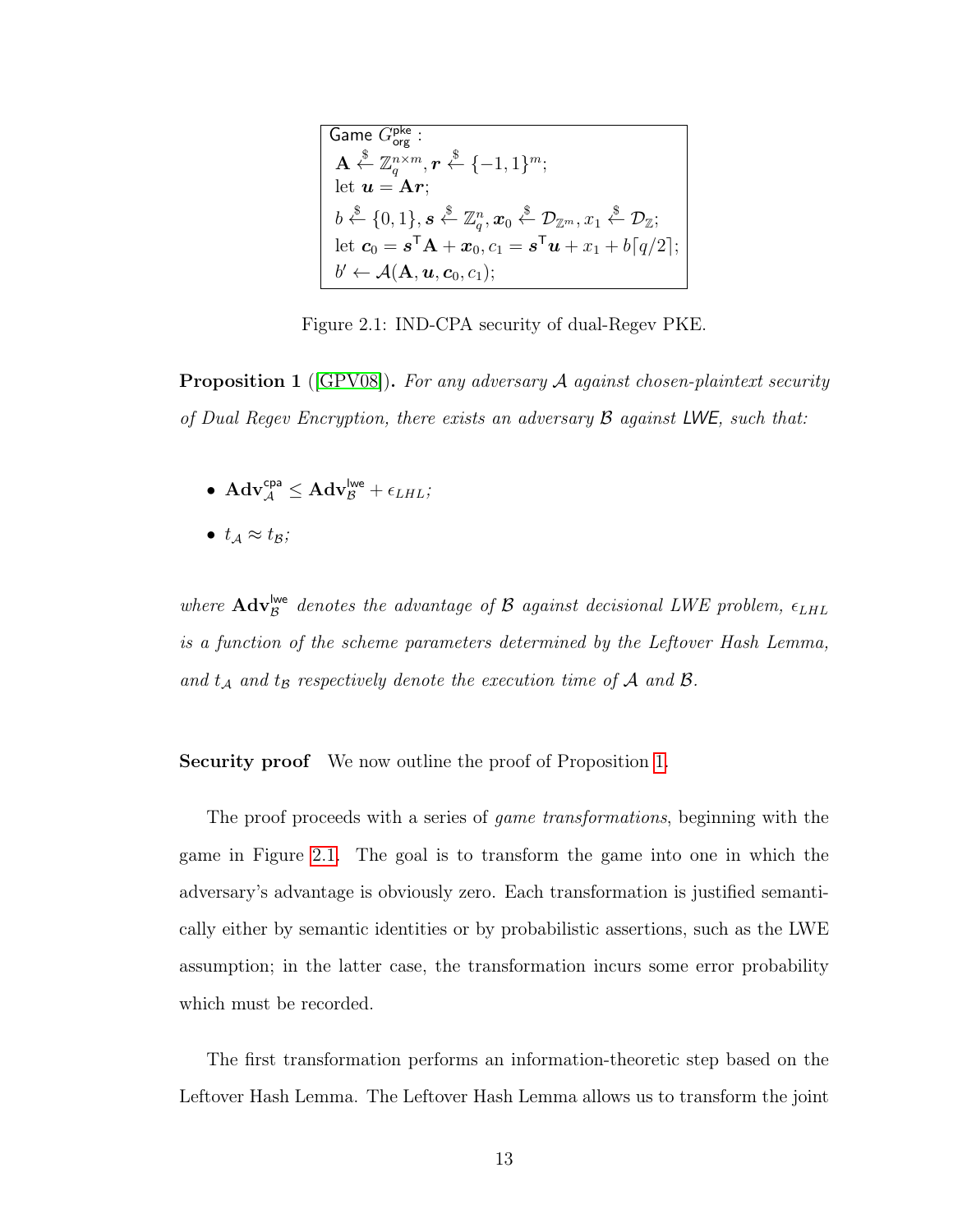<span id="page-21-0"></span>
$$
\begin{array}{l}\n\textbf{Game } G_{\text{org}}^{\text{pke}}: \\
\mathbf{A} \overset{\$}{\leftarrow} \mathbb{Z}_q^{n \times m}, \mathbf{r} \overset{\$}{\leftarrow} \{-1, 1\}^m; \\
\text{let } \mathbf{u} = \mathbf{A}\mathbf{r}; \\
b \overset{\$}{\leftarrow} \{0, 1\}, \mathbf{s} \overset{\$}{\leftarrow} \mathbb{Z}_q^n, \mathbf{x}_0 \overset{\$}{\leftarrow} \mathcal{D}_{\mathbb{Z}^m}, x_1 \overset{\$}{\leftarrow} \mathcal{D}_{\mathbb{Z}}; \\
\text{let } \mathbf{c}_0 = \mathbf{s}^{\mathsf{T}} \mathbf{A} + \mathbf{x}_0, c_1 = \mathbf{s}^{\mathsf{T}} \mathbf{u} + x_1 + b[q/2]; \\
b' \leftarrow \mathcal{A}(\mathbf{A}, \mathbf{u}, \mathbf{c}_0, c_1); \n\end{array}
$$

Figure 2.1: IND-CPA security of dual-Regev PKE.

**Proposition 1** ( $|GPV08|$ ). For any adversary A against chosen-plaintext security of Dual Regev Encryption, there exists an adversary  $\beta$  against LWE, such that:

- $\bullet \ \operatorname{Adv}^{\text{\rm cpa}}_{\mathcal{A}} \leq \operatorname{Adv}^{\text{\rm lwe}}_{\mathcal{B}} + \epsilon_{\text{\it LHL}};$
- $t_A \approx t_B$ ;

where  $\text{Adv}_{\mathcal{B}}^{\text{live}}$  denotes the advantage of  $\mathcal B$  against decisional LWE problem,  $\epsilon_{LHL}$ is a function of the scheme parameters determined by the Leftover Hash Lemma, and  $t_A$  and  $t_B$  respectively denote the execution time of A and B.

#### Security proof We now outline the proof of Proposition [1.](#page-20-1)

The proof proceeds with a series of *game transformations*, beginning with the game in Figure [2.1.](#page-21-0) The goal is to transform the game into one in which the adversary's advantage is obviously zero. Each transformation is justified semantically either by semantic identities or by probabilistic assertions, such as the LWE assumption; in the latter case, the transformation incurs some error probability which must be recorded.

The first transformation performs an information-theoretic step based on the Leftover Hash Lemma. The Leftover Hash Lemma allows us to transform the joint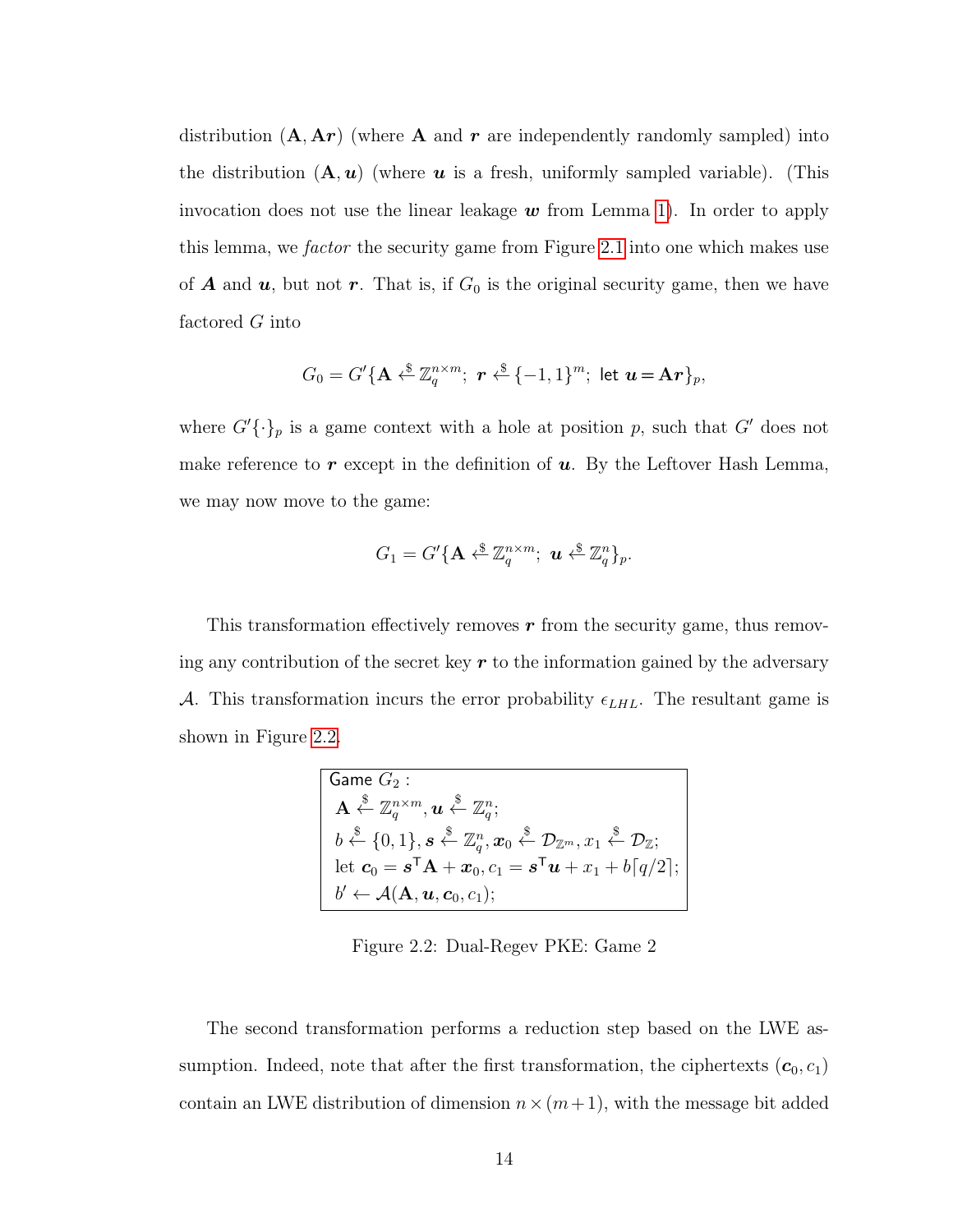distribution  $(A, Ar)$  (where A and r are independently randomly sampled) into the distribution  $(A, u)$  (where u is a fresh, uniformly sampled variable). (This invocation does not use the linear leakage  $w$  from Lemma [1\)](#page-20-0). In order to apply this lemma, we factor the security game from Figure [2.1](#page-21-0) into one which makes use of **A** and  $u$ , but not  $r$ . That is, if  $G_0$  is the original security game, then we have factored G into

$$
G_0 = G'\{\mathbf{A} \xleftarrow{\$} \mathbb{Z}_q^{n \times m}; \; \mathbf{r} \xleftarrow{\$} \{-1,1\}^m; \text{ let } \mathbf{u} = \mathbf{A}\mathbf{r}\}_p,
$$

where  $G'\{\cdot\}_p$  is a game context with a hole at position p, such that  $G'$  does not make reference to  $r$  except in the definition of  $u$ . By the Leftover Hash Lemma, we may now move to the game:

$$
G_1 = G'\{\mathbf{A} \stackrel{\$}{\leftarrow} \mathbb{Z}_q^{n \times m}; \ \mathbf{u} \stackrel{\$}{\leftarrow} \mathbb{Z}_q^n\}_p.
$$

<span id="page-22-0"></span>This transformation effectively removes  $r$  from the security game, thus removing any contribution of the secret key  $r$  to the information gained by the adversary A. This transformation incurs the error probability  $\epsilon_{LHL}$ . The resultant game is shown in Figure [2.2.](#page-22-0)

| Game $G_2$ :                                                                                                                                                                                                                   |  |  |
|--------------------------------------------------------------------------------------------------------------------------------------------------------------------------------------------------------------------------------|--|--|
| $\mathbf{A} \stackrel{\$}{\leftarrow} \mathbb{Z}_a^{n \times m}, \mathbf{u} \stackrel{\$}{\leftarrow} \mathbb{Z}_a^n;$                                                                                                         |  |  |
| $b \stackrel{\$}{\leftarrow} \{0,1\}, \boldsymbol{s} \stackrel{\$}{\leftarrow} \mathbb{Z}^n_q, \boldsymbol{x}_0 \stackrel{\$}{\leftarrow} \mathcal{D}_{\mathbb{Z}^m}, x_1 \stackrel{\$}{\leftarrow} \mathcal{D}_{\mathbb{Z}};$ |  |  |
| let $c_0 = s^{\mathsf{T}} A + x_0, c_1 = s^{\mathsf{T}} u + x_1 + b[q/2];$                                                                                                                                                     |  |  |
| $b' \leftarrow \mathcal{A}(\mathbf{A}, \boldsymbol{u}, \boldsymbol{c}_0, c_1);$                                                                                                                                                |  |  |

Figure 2.2: Dual-Regev PKE: Game 2

The second transformation performs a reduction step based on the LWE assumption. Indeed, note that after the first transformation, the ciphertexts  $(c_0, c_1)$ contain an LWE distribution of dimension  $n \times (m+1)$ , with the message bit added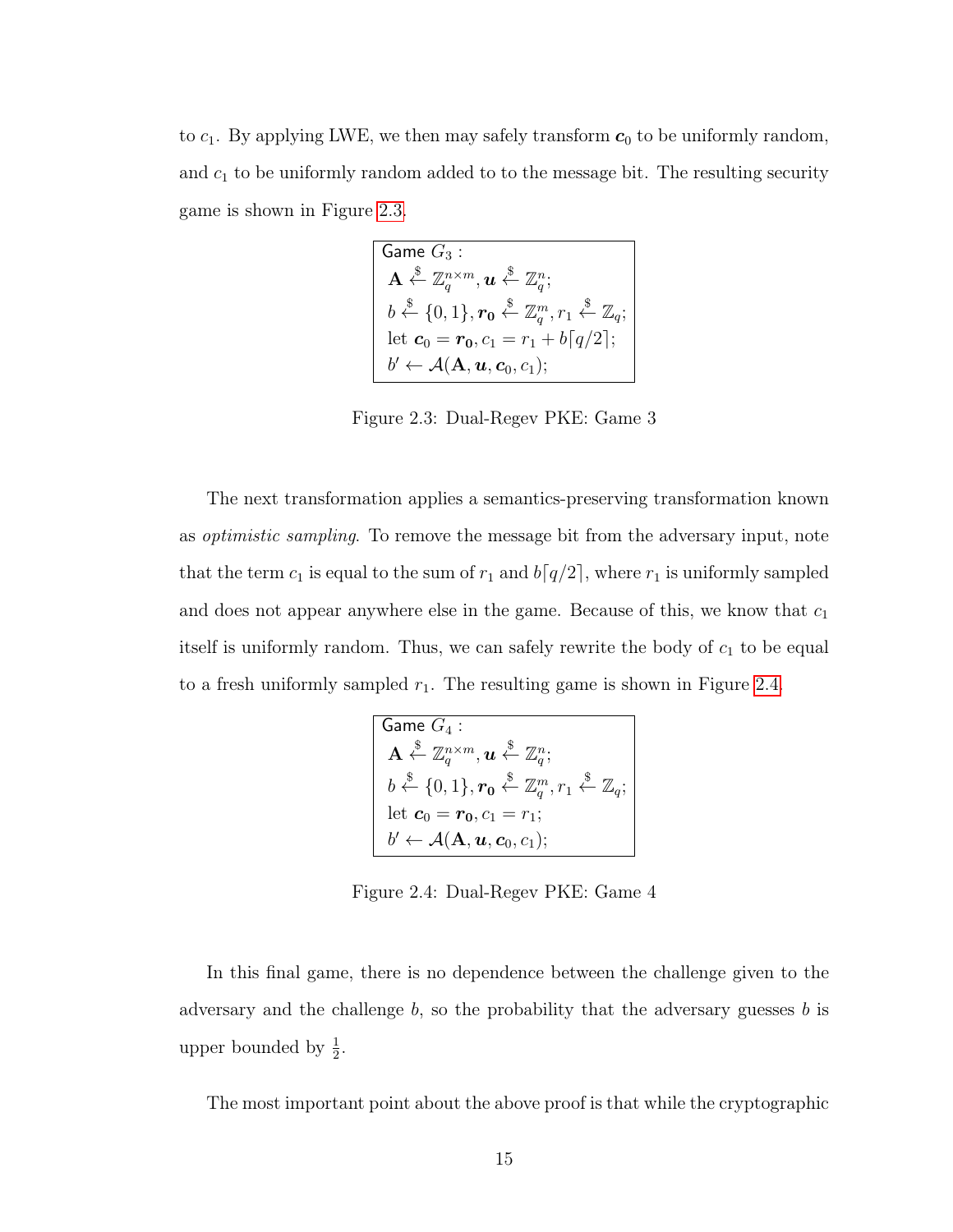<span id="page-23-0"></span>to  $c_1$ . By applying LWE, we then may safely transform  $c_0$  to be uniformly random, and  $c_1$  to be uniformly random added to to the message bit. The resulting security game is shown in Figure [2.3.](#page-23-0)

$$
\begin{array}{|l|} \hline \text{Game } G_3: \\ \mathbf{A} \overset{\$}{\leftarrow} \mathbb{Z}_q^{n \times m}, \mathbf{u} \overset{\$}{\leftarrow} \mathbb{Z}_q^n; \\ b \overset{\$}{\leftarrow} \{0,1\}, \mathbf{r_0} \overset{\$}{\leftarrow} \mathbb{Z}_q^m, r_1 \overset{\$}{\leftarrow} \mathbb{Z}_q; \\ \hline \text{let } \mathbf{c}_0 = \mathbf{r_0}, c_1 = r_1 + b\lceil q/2 \rceil; \\ b' \leftarrow \mathcal{A}(\mathbf{A}, \mathbf{u}, \mathbf{c}_0, c_1); \hline \end{array}
$$

Figure 2.3: Dual-Regev PKE: Game 3

The next transformation applies a semantics-preserving transformation known as optimistic sampling. To remove the message bit from the adversary input, note that the term  $c_1$  is equal to the sum of  $r_1$  and  $b[q/2]$ , where  $r_1$  is uniformly sampled and does not appear anywhere else in the game. Because of this, we know that  $c_1$ itself is uniformly random. Thus, we can safely rewrite the body of  $c_1$  to be equal to a fresh uniformly sampled  $r_1$ . The resulting game is shown in Figure [2.4.](#page-23-1)

<span id="page-23-1"></span>
$$
\begin{array}{|l|} \hline \text{Game } G_4: \\ \mathbf{A} \overset{\$}{\leftarrow} \mathbb{Z}_q^{n \times m}, \mathbf{u} \overset{\$}{\leftarrow} \mathbb{Z}_q^n; \\ b \overset{\$}{\leftarrow} \{0,1\}, \mathbf{r_0} \overset{\$}{\leftarrow} \mathbb{Z}_q^m, r_1 \overset{\$}{\leftarrow} \mathbb{Z}_q; \\ \hline \text{let } \mathbf{c}_0 = \mathbf{r_0}, c_1 = r_1; \\ b' \leftarrow \mathcal{A}(\mathbf{A}, \mathbf{u}, \mathbf{c}_0, c_1); \hline \end{array}
$$

Figure 2.4: Dual-Regev PKE: Game 4

In this final game, there is no dependence between the challenge given to the adversary and the challenge  $b$ , so the probability that the adversary guesses  $b$  is upper bounded by  $\frac{1}{2}$ .

The most important point about the above proof is that while the cryptographic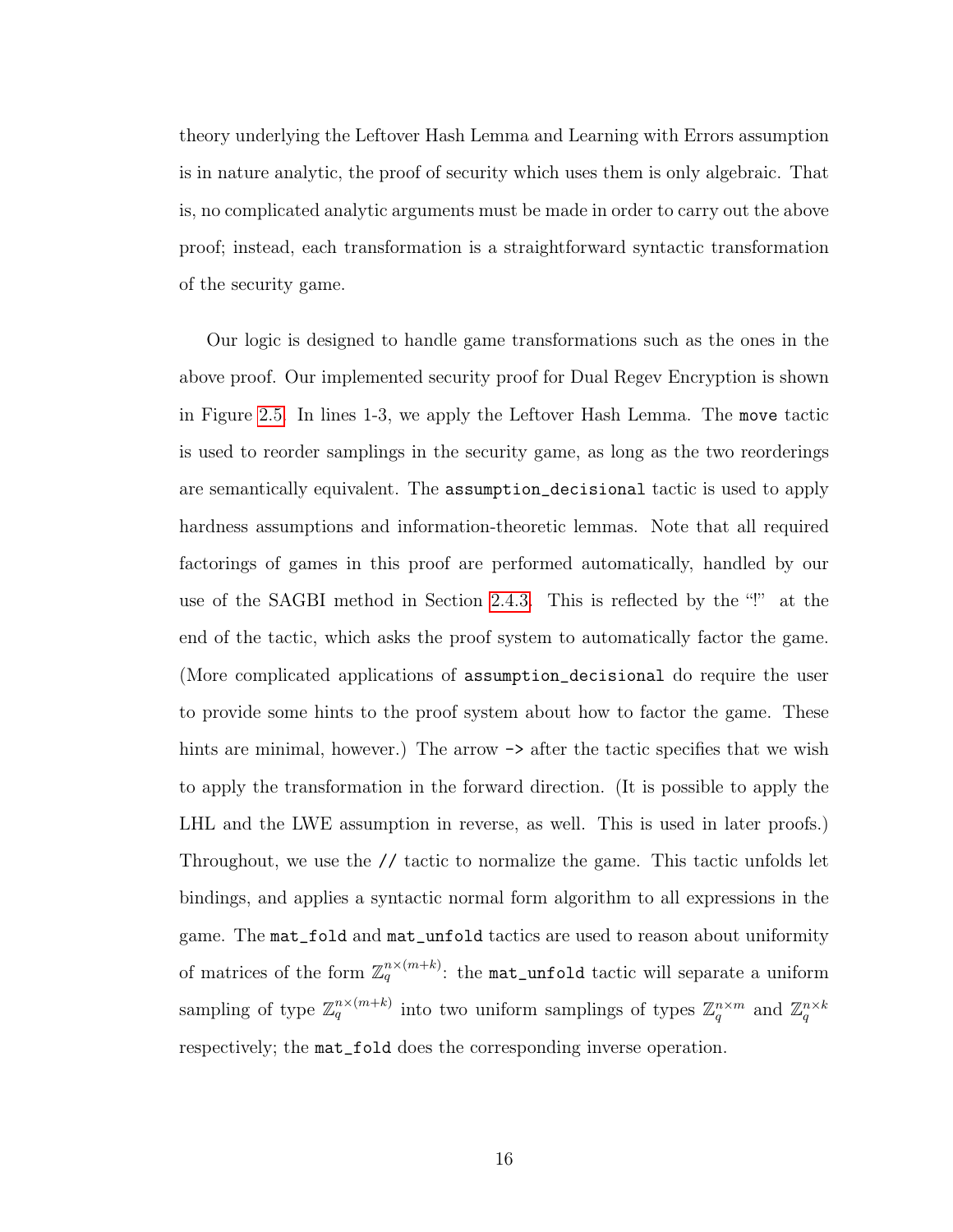theory underlying the Leftover Hash Lemma and Learning with Errors assumption is in nature analytic, the proof of security which uses them is only algebraic. That is, no complicated analytic arguments must be made in order to carry out the above proof; instead, each transformation is a straightforward syntactic transformation of the security game.

Our logic is designed to handle game transformations such as the ones in the above proof. Our implemented security proof for Dual Regev Encryption is shown in Figure [2.5.](#page-26-0) In lines 1-3, we apply the Leftover Hash Lemma. The move tactic is used to reorder samplings in the security game, as long as the two reorderings are semantically equivalent. The assumption\_decisional tactic is used to apply hardness assumptions and information-theoretic lemmas. Note that all required factorings of games in this proof are performed automatically, handled by our use of the SAGBI method in Section [2.4.3.](#page-45-0) This is reflected by the "!" at the end of the tactic, which asks the proof system to automatically factor the game. (More complicated applications of assumption\_decisional do require the user to provide some hints to the proof system about how to factor the game. These hints are minimal, however.) The arrow  $\rightarrow$  after the tactic specifies that we wish to apply the transformation in the forward direction. (It is possible to apply the LHL and the LWE assumption in reverse, as well. This is used in later proofs.) Throughout, we use the // tactic to normalize the game. This tactic unfolds let bindings, and applies a syntactic normal form algorithm to all expressions in the game. The mat\_fold and mat\_unfold tactics are used to reason about uniformity of matrices of the form  $\mathbb{Z}_q^{n \times (m+k)}$ : the mat\_unfold tactic will separate a uniform sampling of type  $\mathbb{Z}_q^{n \times (m+k)}$  into two uniform samplings of types  $\mathbb{Z}_q^{n \times m}$  and  $\mathbb{Z}_q^{n \times k}$ respectively; the mat\_fold does the corresponding inverse operation.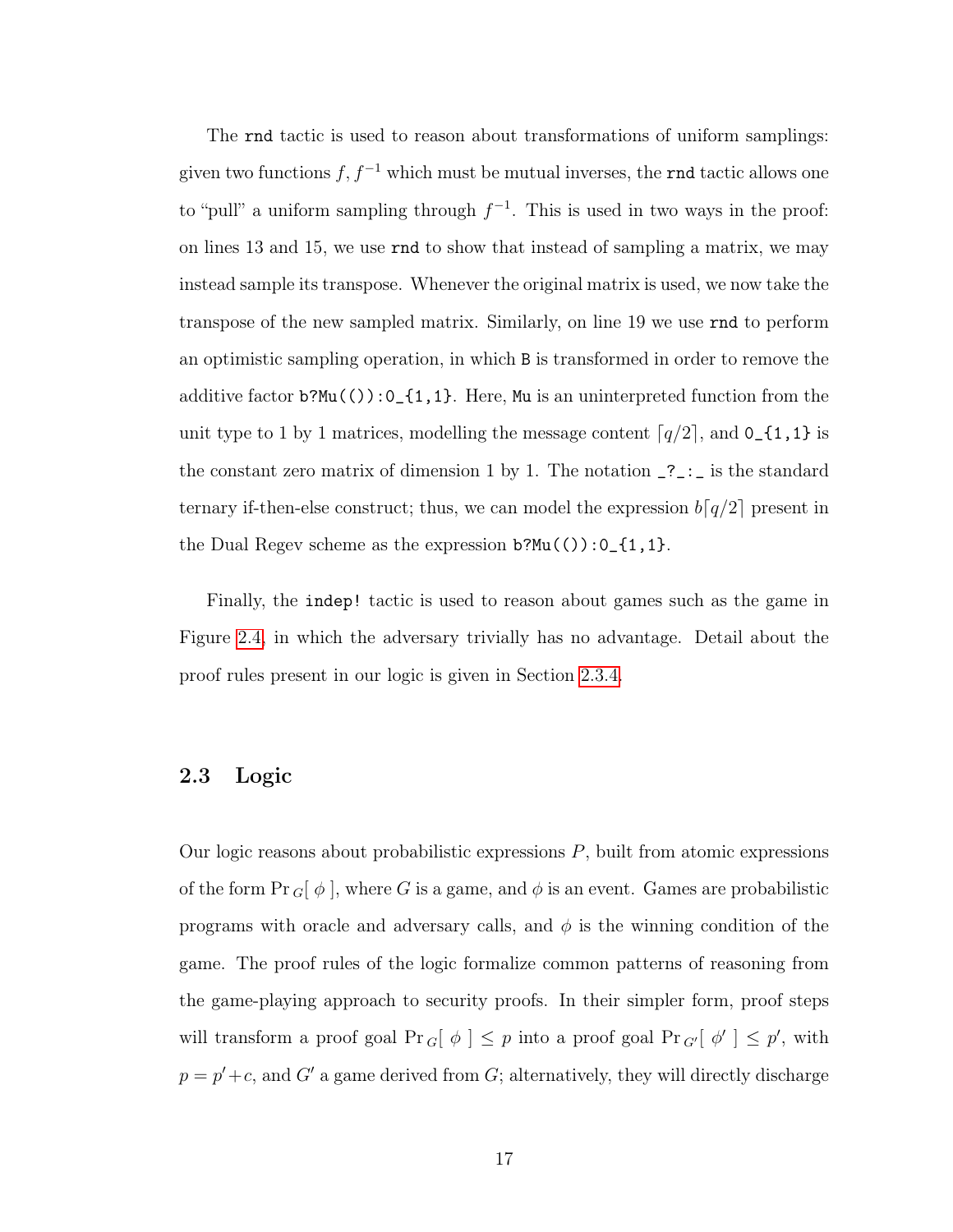The rnd tactic is used to reason about transformations of uniform samplings: given two functions  $f, f^{-1}$  which must be mutual inverses, the rnd tactic allows one to "pull" a uniform sampling through  $f^{-1}$ . This is used in two ways in the proof: on lines 13 and 15, we use rnd to show that instead of sampling a matrix, we may instead sample its transpose. Whenever the original matrix is used, we now take the transpose of the new sampled matrix. Similarly, on line 19 we use rnd to perform an optimistic sampling operation, in which B is transformed in order to remove the additive factor  $b?Mu(()):0_{-1,1}.$  Here, Mu is an uninterpreted function from the unit type to 1 by 1 matrices, modelling the message content  $\lceil q/2 \rceil$ , and  $0_{-1,1}$  is the constant zero matrix of dimension 1 by 1. The notation  $\frac{?}{?}$ : ternary if-then-else construct; thus, we can model the expression  $b[q/2]$  present in the Dual Regev scheme as the expression  $b?Mu(()):0_{-1,1}.$ 

Finally, the indep! tactic is used to reason about games such as the game in Figure [2.4,](#page-23-1) in which the adversary trivially has no advantage. Detail about the proof rules present in our logic is given in Section [2.3.4.](#page-32-1)

### <span id="page-25-0"></span>2.3 Logic

Our logic reasons about probabilistic expressions  $P$ , built from atomic expressions of the form  $\Pr G[\phi]$ , where G is a game, and  $\phi$  is an event. Games are probabilistic programs with oracle and adversary calls, and  $\phi$  is the winning condition of the game. The proof rules of the logic formalize common patterns of reasoning from the game-playing approach to security proofs. In their simpler form, proof steps will transform a proof goal  $Pr_{G}[\phi] \leq p$  into a proof goal  $Pr_{G'}[\phi'] \leq p'$ , with  $p = p' + c$ , and G' a game derived from G; alternatively, they will directly discharge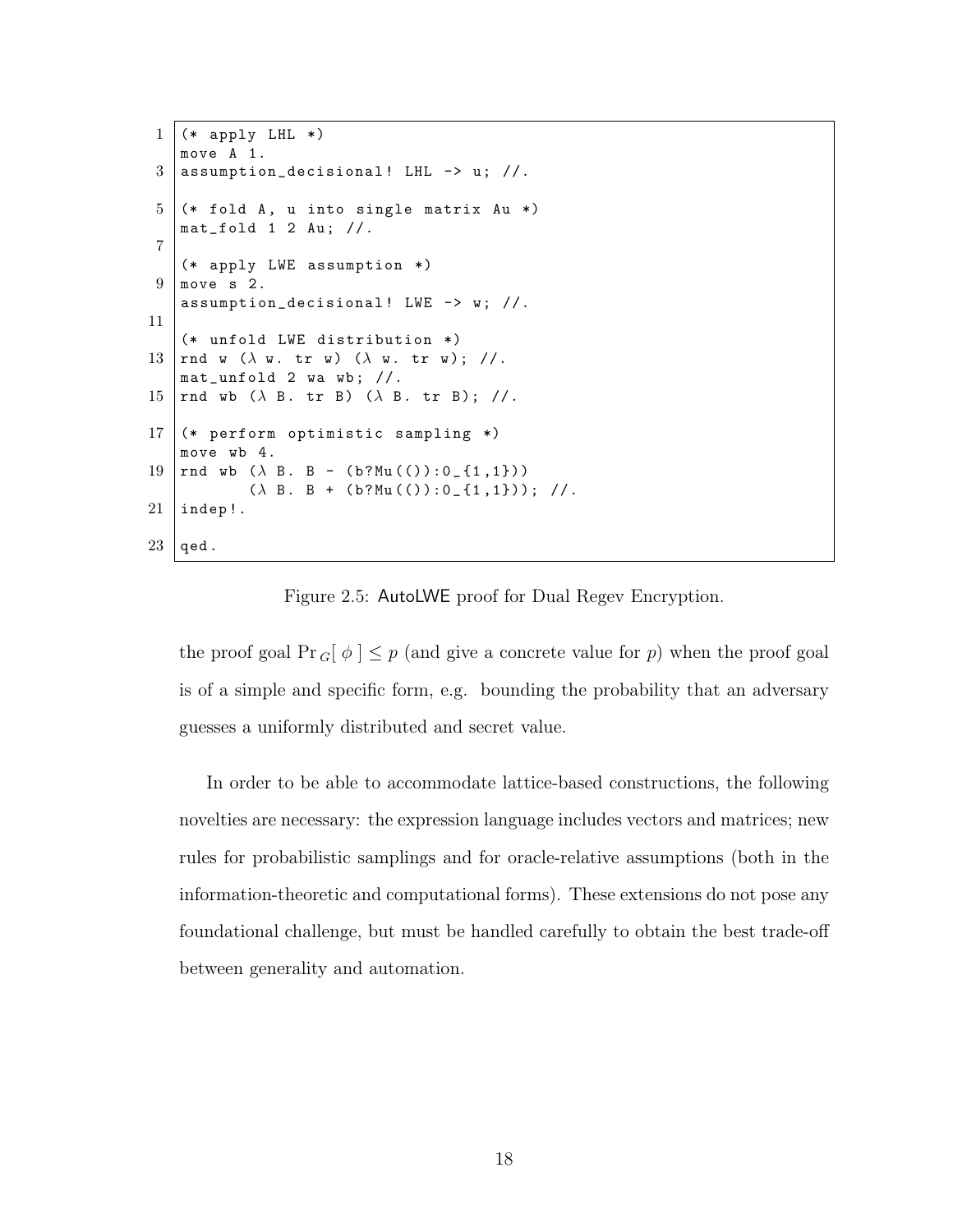```
1 (* apply LHL *)
    move A 1.
 3 assumption_decisional! LHL \rightarrow u; //.
 5 (* fold A, u into single matrix Au *)
    mat_fold 1 2 Au; //.7
    (* apply LWE assumption *)
9 move s 2.
    assumption_decisional! LWE \rightarrow w; //.
11
    (* unfold LWE distribution *)
13 | rnd w (\lambda \text{ w. tr w}) (\lambda \text{ w. tr w}); //.
    mat_unfold 2 wa wb ; //.
15 | rnd wb (\lambda B. tr B) (\lambda B. tr B); //.
17 (* perform optimistic sampling *)
    move wb 4.
19 | rnd wb (\lambda \text{ B. B - } (b?Mu(()):0_{11}, 1))(\lambda \ B. B + (b?Mu(()):0_{11},1)); //.
21 | indep!.
23 \mid qed.
```
Figure 2.5: AutoLWE proof for Dual Regev Encryption.

the proof goal  $Pr_{G}[\phi] \leq p$  (and give a concrete value for p) when the proof goal is of a simple and specific form, e.g. bounding the probability that an adversary guesses a uniformly distributed and secret value.

In order to be able to accommodate lattice-based constructions, the following novelties are necessary: the expression language includes vectors and matrices; new rules for probabilistic samplings and for oracle-relative assumptions (both in the information-theoretic and computational forms). These extensions do not pose any foundational challenge, but must be handled carefully to obtain the best trade-off between generality and automation.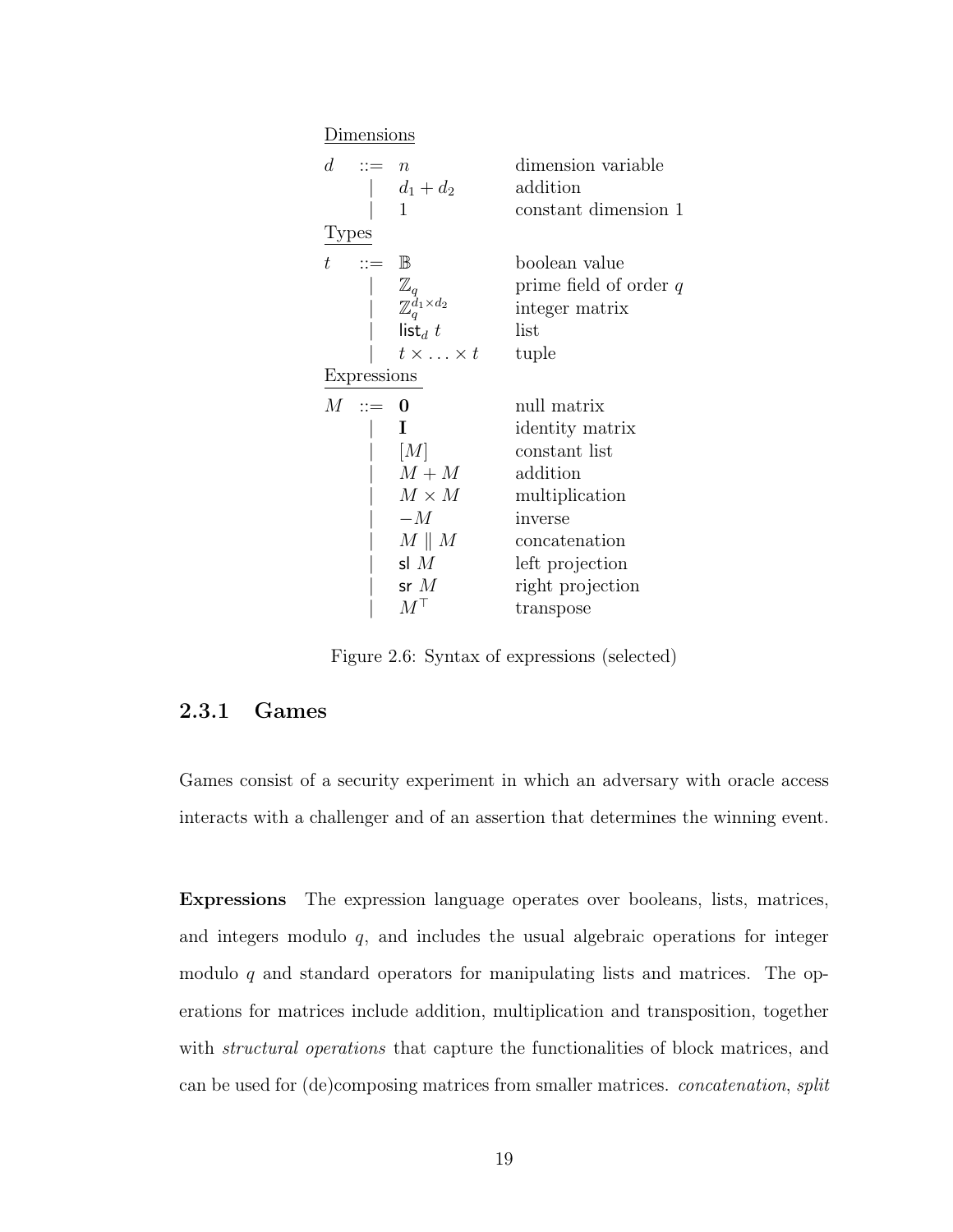<span id="page-27-1"></span>

|       | Dimensions                       |                                                                                                  |                                                                                                                                                               |
|-------|----------------------------------|--------------------------------------------------------------------------------------------------|---------------------------------------------------------------------------------------------------------------------------------------------------------------|
| $d-$  | $ ::= n$                         | $d_1 + d_2$<br>$\mathbf{1}$                                                                      | dimension variable<br>addition<br>constant dimension 1                                                                                                        |
| Types |                                  |                                                                                                  |                                                                                                                                                               |
| t.    | $\mathrel{\mathop:}= \mathbb{B}$ | $\frac{\mathbb{Z}_q}{\mathbb{Z}_q^{d_1 \times d_2}}$<br>$list_d$ t<br>$t \times \ldots \times t$ | boolean value<br>prime field of order $q$<br>integer matrix<br>list<br>tuple                                                                                  |
|       | Expressions                      |                                                                                                  |                                                                                                                                                               |
| $M^-$ | $\ddot{ } := 0$                  | L<br>[M]<br>$M+M$<br>$M \times M$<br>$-M$<br>$M \parallel M$<br>sl $M$<br>sr $M$<br>$M^+$        | null matrix<br>identity matrix<br>constant list<br>addition<br>multiplication<br>inverse<br>concatenation<br>left projection<br>right projection<br>transpose |

Figure 2.6: Syntax of expressions (selected)

### <span id="page-27-0"></span>2.3.1 Games

Games consist of a security experiment in which an adversary with oracle access interacts with a challenger and of an assertion that determines the winning event.

Expressions The expression language operates over booleans, lists, matrices, and integers modulo  $q$ , and includes the usual algebraic operations for integer modulo  $q$  and standard operators for manipulating lists and matrices. The operations for matrices include addition, multiplication and transposition, together with *structural operations* that capture the functionalities of block matrices, and can be used for (de)composing matrices from smaller matrices. concatenation, split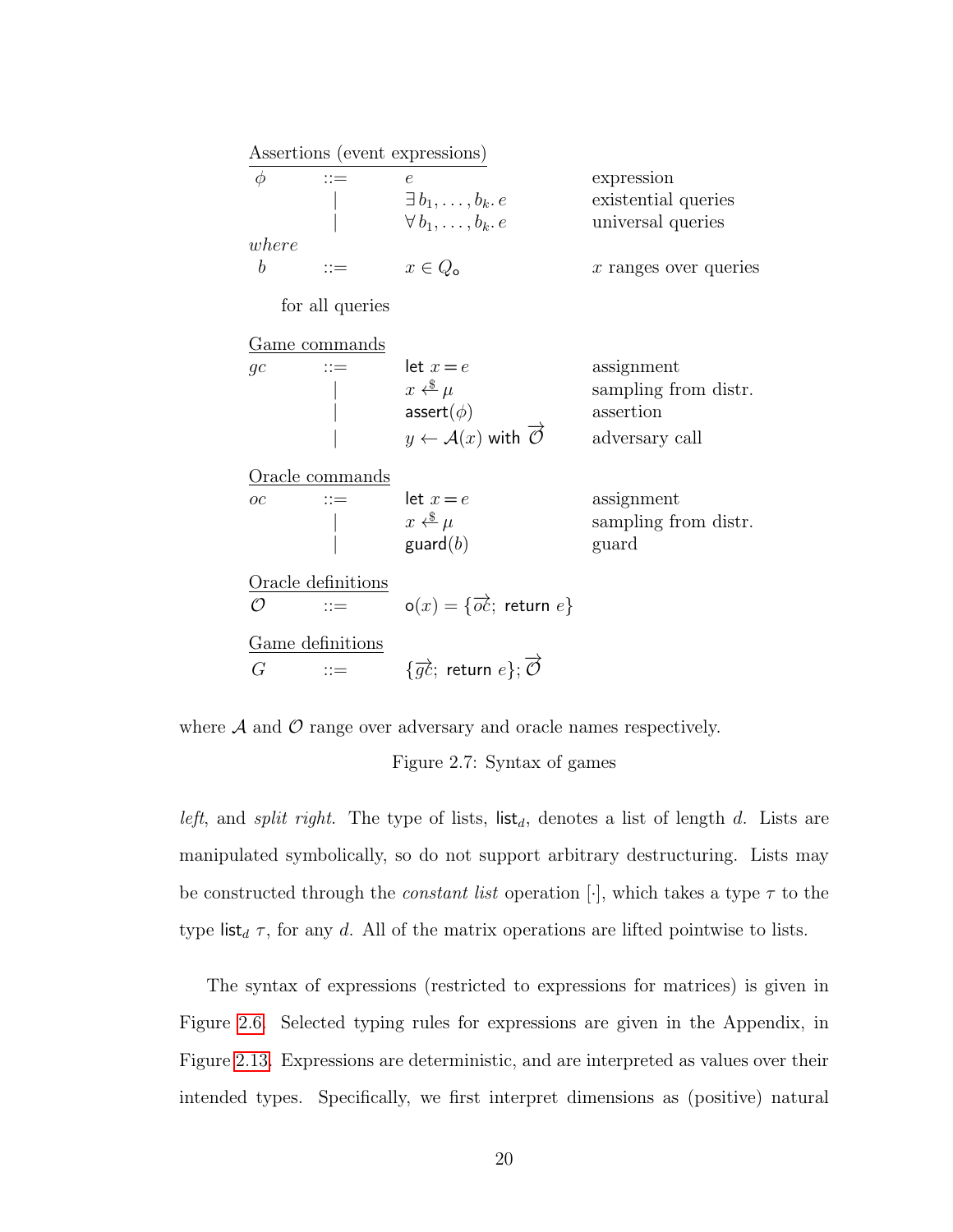<span id="page-28-0"></span>Assertions (event expressions)  $\phi$  ::=  $e$  expression  $\exists b_1, \ldots, b_k. e$  existential queries<br>  $\forall b_1, \ldots, b_k. e$  universal queries universal queries where b ::=  $x \in Q_0$  x ranges over queries for all queries Game commands gc ::= let  $x = e$  assignment<br>  $\begin{array}{ccc} x \leftarrow^* \& \mu \end{array}$  assignment sampling from distr.  $\textsf{assert}(\phi)$  assertion  $y \leftarrow \mathcal{A}(x)$  with  $\overrightarrow{O}$  adversary call Oracle commands oc ::=  $\text{let } x = e$  assignment  $x \xleftarrow{\$} \mu$  sampling from distr.  $\mathsf{guard}(b)$  guard Oracle definitions  $\overline{\mathcal{O}}$  ::=  $o(x) = \{ \overrightarrow{oc} \}$  return  $e \}$ Game definitions  $G \qquad ::=$  $\overrightarrow{gc};$  return  $e\}; \overrightarrow{\mathcal{O}}$ 

where  $A$  and  $O$  range over adversary and oracle names respectively.

Figure 2.7: Syntax of games

left, and split right. The type of lists,  $\mathsf{list}_d$ , denotes a list of length d. Lists are manipulated symbolically, so do not support arbitrary destructuring. Lists may be constructed through the *constant list* operation [ $\cdot$ ], which takes a type  $\tau$  to the type list<sub>d</sub>  $\tau$ , for any d. All of the matrix operations are lifted pointwise to lists.

The syntax of expressions (restricted to expressions for matrices) is given in Figure [2.6.](#page-27-1) Selected typing rules for expressions are given in the Appendix, in Figure [2.13.](#page-64-1) Expressions are deterministic, and are interpreted as values over their intended types. Specifically, we first interpret dimensions as (positive) natural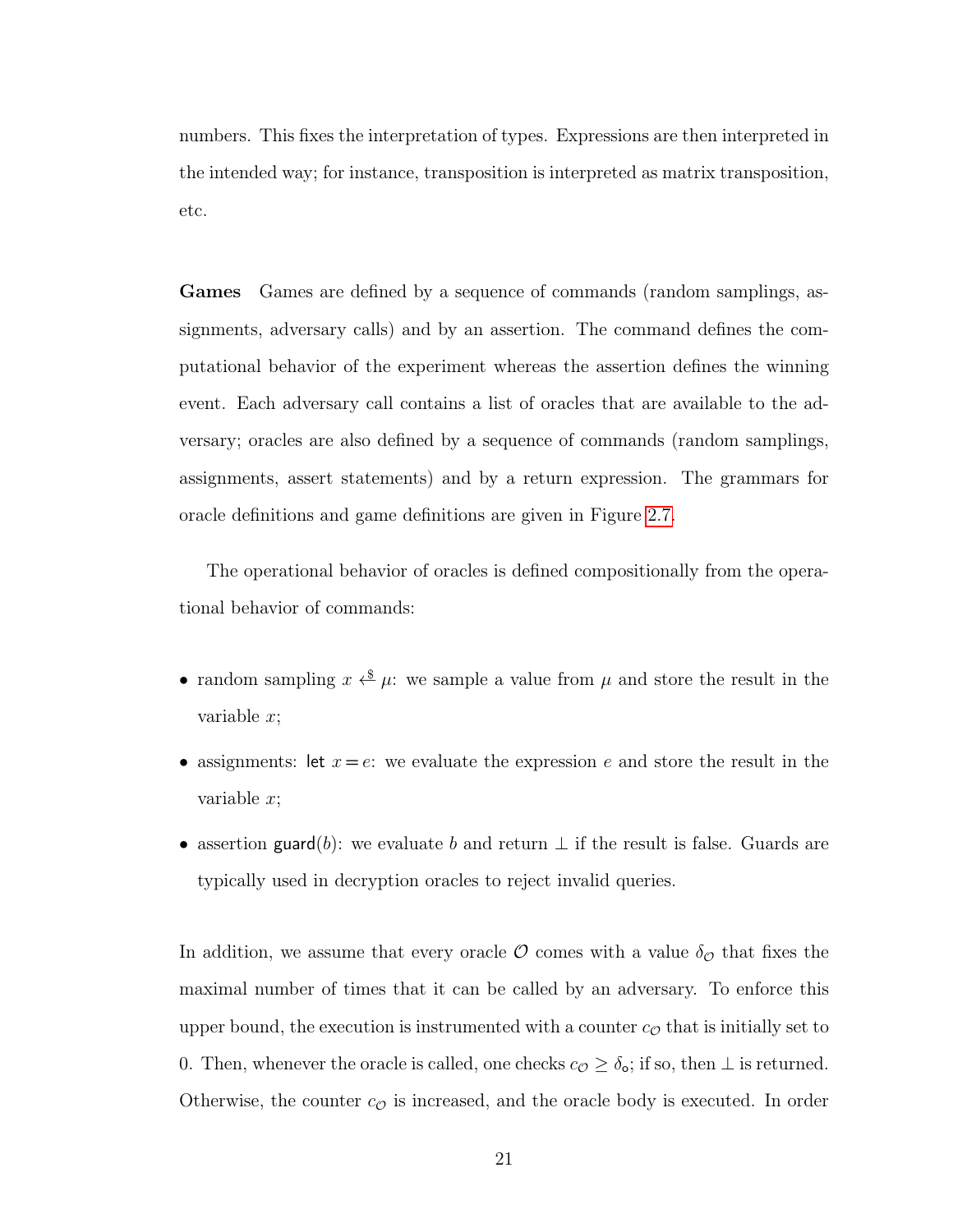numbers. This fixes the interpretation of types. Expressions are then interpreted in the intended way; for instance, transposition is interpreted as matrix transposition, etc.

Games Games are defined by a sequence of commands (random samplings, assignments, adversary calls) and by an assertion. The command defines the computational behavior of the experiment whereas the assertion defines the winning event. Each adversary call contains a list of oracles that are available to the adversary; oracles are also defined by a sequence of commands (random samplings, assignments, assert statements) and by a return expression. The grammars for oracle definitions and game definitions are given in Figure [2.7.](#page-28-0)

The operational behavior of oracles is defined compositionally from the operational behavior of commands:

- random sampling  $x \stackrel{\$}{\longleftrightarrow} \mu$ : we sample a value from  $\mu$  and store the result in the variable x;
- assignments: let  $x = e$ : we evaluate the expression e and store the result in the variable x;
- assertion guard(b): we evaluate b and return  $\perp$  if the result is false. Guards are typically used in decryption oracles to reject invalid queries.

In addition, we assume that every oracle  $\mathcal O$  comes with a value  $\delta_{\mathcal O}$  that fixes the maximal number of times that it can be called by an adversary. To enforce this upper bound, the execution is instrumented with a counter  $c_{\mathcal{O}}$  that is initially set to 0. Then, whenever the oracle is called, one checks  $c_{\mathcal{O}} \geq \delta_{\mathbf{o}}$ ; if so, then  $\perp$  is returned. Otherwise, the counter  $c_{\mathcal{O}}$  is increased, and the oracle body is executed. In order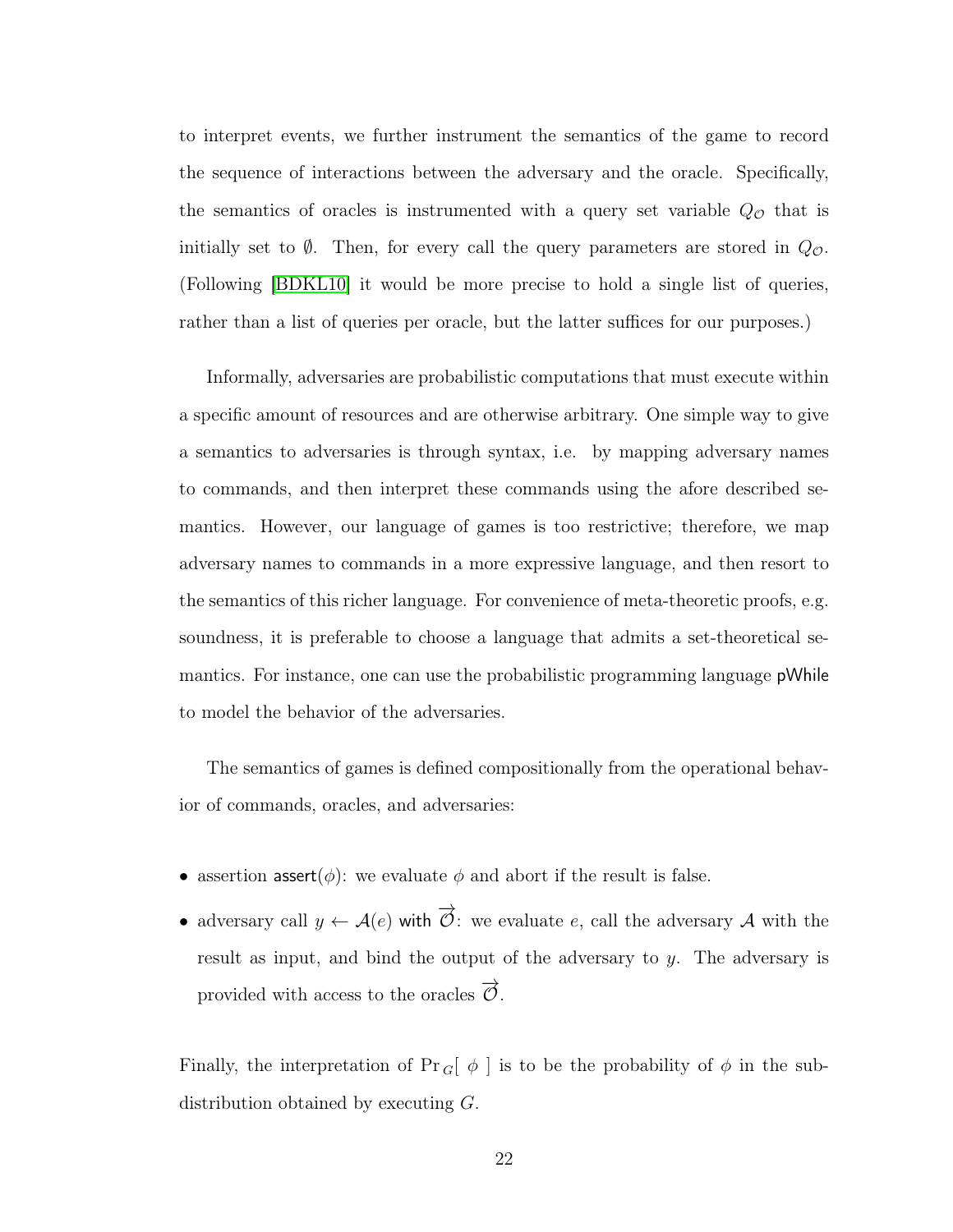to interpret events, we further instrument the semantics of the game to record the sequence of interactions between the adversary and the oracle. Specifically, the semantics of oracles is instrumented with a query set variable  $Q_{\mathcal{O}}$  that is initially set to  $\emptyset$ . Then, for every call the query parameters are stored in  $Q_{\mathcal{O}}$ . (Following [\[BDKL10\]](#page-139-3) it would be more precise to hold a single list of queries, rather than a list of queries per oracle, but the latter suffices for our purposes.)

Informally, adversaries are probabilistic computations that must execute within a specific amount of resources and are otherwise arbitrary. One simple way to give a semantics to adversaries is through syntax, i.e. by mapping adversary names to commands, and then interpret these commands using the afore described semantics. However, our language of games is too restrictive; therefore, we map adversary names to commands in a more expressive language, and then resort to the semantics of this richer language. For convenience of meta-theoretic proofs, e.g. soundness, it is preferable to choose a language that admits a set-theoretical semantics. For instance, one can use the probabilistic programming language pWhile to model the behavior of the adversaries.

The semantics of games is defined compositionally from the operational behavior of commands, oracles, and adversaries:

- assertion assert( $\phi$ ): we evaluate  $\phi$  and abort if the result is false.
- adversary call  $y \leftarrow \mathcal{A}(e)$  with  $\overrightarrow{O}$ : we evaluate e, call the adversary A with the result as input, and bind the output of the adversary to y. The adversary is provided with access to the oracles  $\overrightarrow{\mathcal{O}}$ .

Finally, the interpretation of  $\Pr_{G}[\phi]$  is to be the probability of  $\phi$  in the subdistribution obtained by executing G.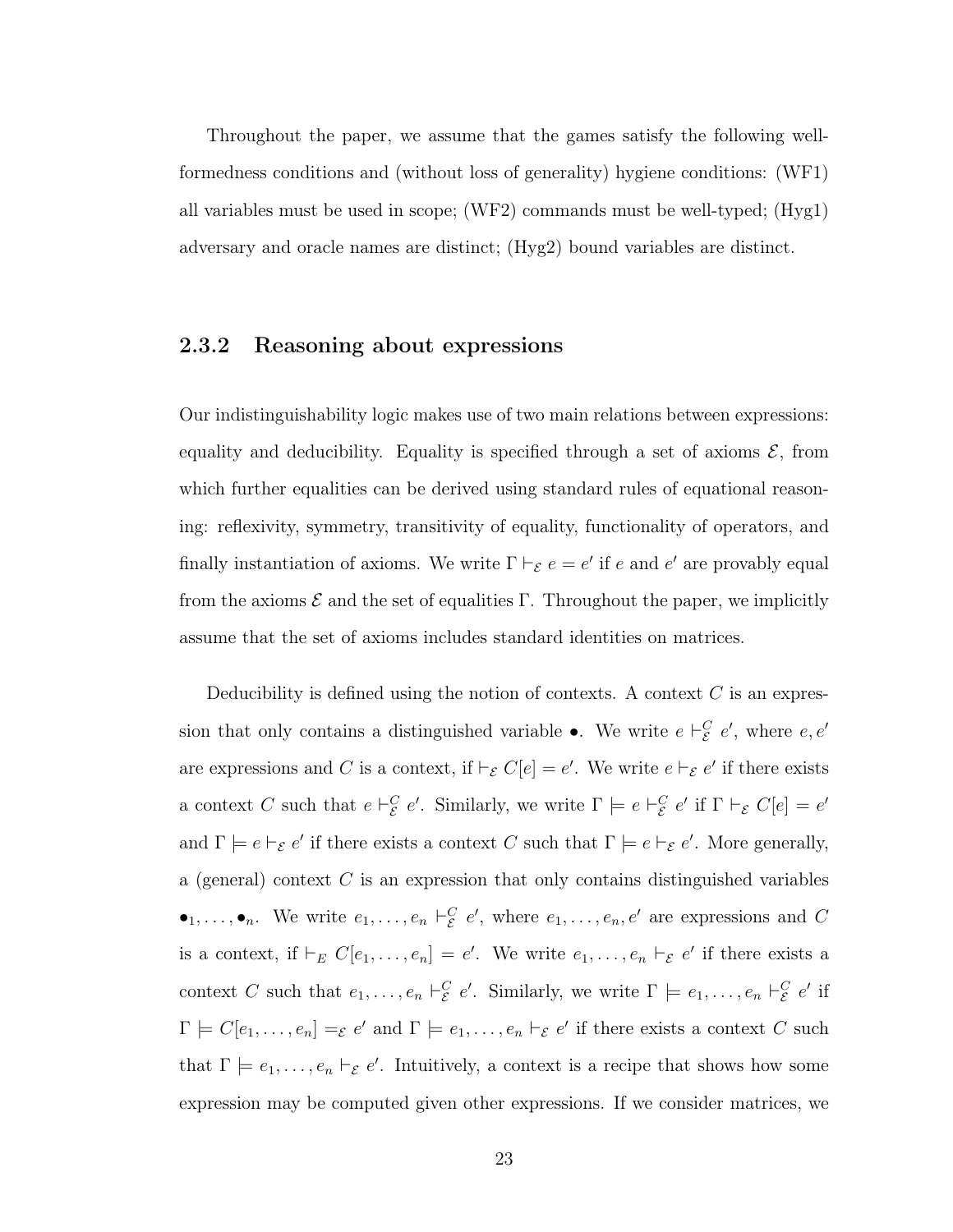Throughout the paper, we assume that the games satisfy the following wellformedness conditions and (without loss of generality) hygiene conditions: (WF1) all variables must be used in scope; (WF2) commands must be well-typed; (Hyg1) adversary and oracle names are distinct; (Hyg2) bound variables are distinct.

# <span id="page-31-0"></span>2.3.2 Reasoning about expressions

Our indistinguishability logic makes use of two main relations between expressions: equality and deducibility. Equality is specified through a set of axioms  $\mathcal{E}$ , from which further equalities can be derived using standard rules of equational reasoning: reflexivity, symmetry, transitivity of equality, functionality of operators, and finally instantiation of axioms. We write  $\Gamma \vdash_{\mathcal{E}} e = e'$  if e and e' are provably equal from the axioms  $\mathcal E$  and the set of equalities Γ. Throughout the paper, we implicitly assume that the set of axioms includes standard identities on matrices.

Deducibility is defined using the notion of contexts. A context  $C$  is an expression that only contains a distinguished variable •. We write  $e \vdash_{\mathcal{E}}^C e'$ , where  $e, e'$ are expressions and C is a context, if  $\vdash_{\mathcal{E}} C[e] = e'$ . We write  $e \vdash_{\mathcal{E}} e'$  if there exists a context C such that  $e \vdash_{\mathcal{E}}^C e'$ . Similarly, we write  $\Gamma \models e \vdash_{\mathcal{E}}^C e'$  if  $\Gamma \vdash_{\mathcal{E}} C[e] = e'$ and  $\Gamma \models e \vdash_{\mathcal{E}} e'$  if there exists a context C such that  $\Gamma \models e \vdash_{\mathcal{E}} e'$ . More generally, a (general) context  $C$  is an expression that only contains distinguished variables  $\bullet_1,\ldots,\bullet_n$ . We write  $e_1,\ldots,e_n \vdash_{\mathcal{E}}^C e'$ , where  $e_1,\ldots,e_n,e'$  are expressions and C is a context, if  $\vdash_E C[e_1,\ldots,e_n] = e'$ . We write  $e_1,\ldots,e_n \vdash_{\mathcal{E}} e'$  if there exists a context C such that  $e_1, \ldots, e_n \vdash_{\mathcal{E}}^C e'$ . Similarly, we write  $\Gamma \models e_1, \ldots, e_n \vdash_{\mathcal{E}}^C e'$  if  $\Gamma \models C[e_1,\ldots,e_n] =_{\mathcal{E}} e'$  and  $\Gamma \models e_1,\ldots,e_n \vdash_{\mathcal{E}} e'$  if there exists a context C such that  $\Gamma \models e_1, \ldots, e_n \vdash_{\mathcal{E}} e'$ . Intuitively, a context is a recipe that shows how some expression may be computed given other expressions. If we consider matrices, we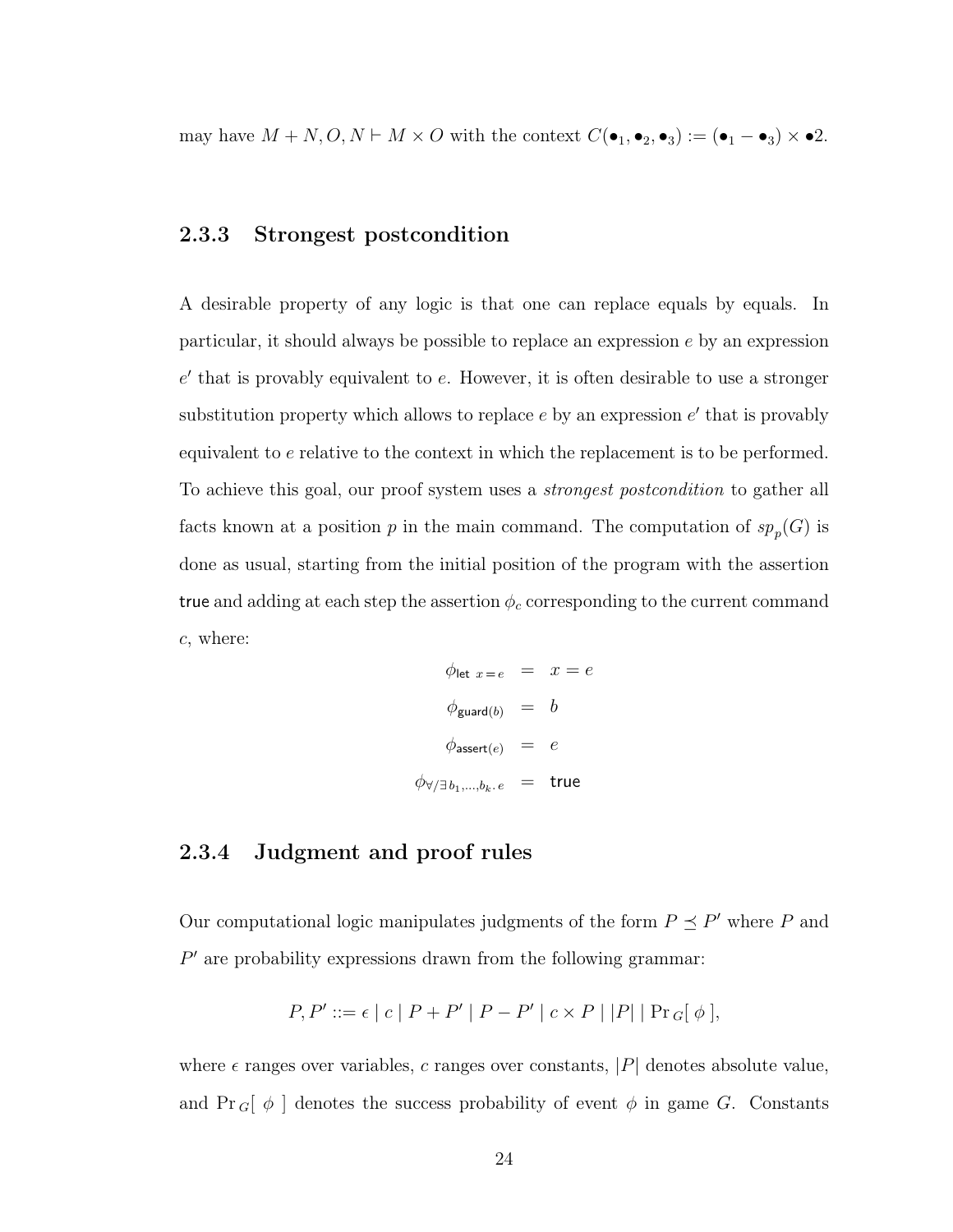<span id="page-32-0"></span>may have  $M + N, O, N \vdash M \times O$  with the context  $C(\bullet_1, \bullet_2, \bullet_3) := (\bullet_1 - \bullet_3) \times \bullet 2$ .

## 2.3.3 Strongest postcondition

A desirable property of any logic is that one can replace equals by equals. In particular, it should always be possible to replace an expression  $e$  by an expression  $e'$  that is provably equivalent to  $e$ . However, it is often desirable to use a stronger substitution property which allows to replace  $e$  by an expression  $e'$  that is provably equivalent to e relative to the context in which the replacement is to be performed. To achieve this goal, our proof system uses a *strongest postcondition* to gather all facts known at a position p in the main command. The computation of  $sp_p(G)$  is done as usual, starting from the initial position of the program with the assertion true and adding at each step the assertion  $\phi_c$  corresponding to the current command c, where:

$$
\phi_{\text{let } x = e} = x = e
$$
\n
$$
\phi_{\text{guard}(b)} = b
$$
\n
$$
\phi_{\text{assert}(e)} = e
$$
\n
$$
\phi_{\forall/\exists b_1,\dots,b_k.e} = \text{true}
$$

### <span id="page-32-1"></span>2.3.4 Judgment and proof rules

Our computational logic manipulates judgments of the form  $P \preceq P'$  where P and  $P'$  are probability expressions drawn from the following grammar:

$$
P, P' ::= \epsilon | c | P + P' | P - P' | c \times P | |P| | Pr_G[ \phi ],
$$

where  $\epsilon$  ranges over variables, c ranges over constants, |P| denotes absolute value, and  $Pr_{G}[\phi]$  denotes the success probability of event  $\phi$  in game G. Constants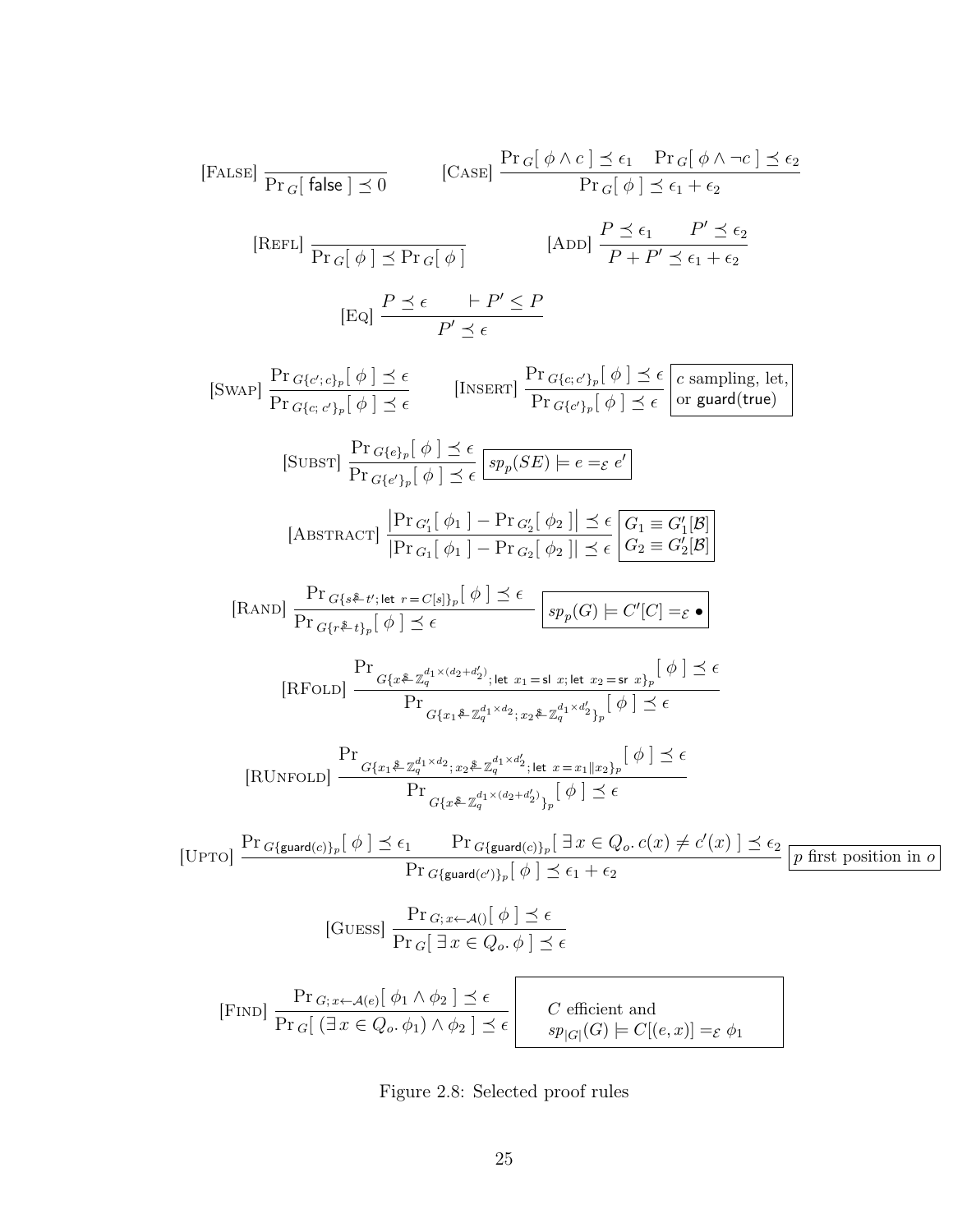<span id="page-33-0"></span>[FALSE] 
$$
\frac{\Pr_G[\text{false}] \leq 0}{\Pr_G[\text{false}] \leq 0}
$$
 [ $\text{CASE}$ ]  $\frac{\Pr_G[\phi \land c] \leq \epsilon_1 \quad \Pr_G[\phi \land \neg c] \leq \epsilon_2}{\Pr_G[\phi] \leq \epsilon_1 + \epsilon_2}$   
\n[REFL]  $\frac{\Pr_G[\phi] \leq \Pr_G[\phi]}{\Pr_G[\phi] \leq \Pr_G[\phi]}$  [ $\text{ADD}$ ]  $\frac{P \leq \epsilon_1 \quad P' \leq \epsilon_2}{P + P' \leq \epsilon_1 + \epsilon_2}$   
\n[Eq]  $\frac{P \leq \epsilon \quad | \neg P' \leq P}{P' \leq \epsilon}$ 

$$
[\text{SWAP}] \frac{\Pr_{G\{e'\}:c\}_p[\phi] \preceq \epsilon}{\Pr_{G\{e\}}_{p}[\phi] \preceq \epsilon} \qquad [\text{INSERT}] \frac{\Pr_{G\{e'\}_p}[\phi] \preceq \epsilon}{\Pr_{G\{e'\}_p}[\phi] \preceq \epsilon} \frac{\epsilon}{\Pr_{G\{e'\}_p}[\phi] \preceq \epsilon} \frac{\epsilon}{\Pr_{G\{e'\}_p}[\phi] \preceq \epsilon} \frac{\epsilon}{\exp_p(\text{SE}) \models e = \varepsilon e'} \frac{\epsilon}{\exp_p(\text{SE}) \preceq \epsilon \exp_p(\text{SE}) \preceq \epsilon} \frac{\epsilon}{\exp_p(\text{SE}) \preceq \epsilon \exp_p(\text{SE})}{\exp_p(\text{SE}) \preceq \epsilon \exp_p(\text{SE}) \preceq \epsilon} \frac{\epsilon}{\exp_p(\text{SE}) \preceq \epsilon} \frac{\epsilon}{\exp_p(\text{SE}) \preceq \epsilon} \frac{\epsilon}{\exp_p(\text{SE}) \preceq \epsilon} \frac{\epsilon}{\exp_p(\text{SE}) \preceq \epsilon} \frac{\epsilon}{\exp_p(\text{SE}) \preceq \epsilon} \frac{\epsilon}{\exp_p(\text{SE}) \preceq \epsilon} \frac{\epsilon}{\exp_p(\text{SE}) \preceq \epsilon} \frac{\epsilon}{\exp_p(\text{SE}) \preceq \epsilon \preceq \epsilon} \frac{\epsilon}{\exp_p(\text{SE}) \preceq \epsilon \preceq \epsilon} \frac{\epsilon}{\exp_p(\text{SE}) \preceq \epsilon \preceq \epsilon} \frac{\epsilon}{\exp_p(\text{SE}) \preceq \epsilon \preceq \epsilon} \frac{\epsilon}{\exp_p(\text{SE}) \preceq \epsilon \preceq \epsilon} \frac{\epsilon}{\exp_p(\text{SE}) \preceq \epsilon \preceq \epsilon} \frac{\epsilon}{\exp_p(\text{SE}) \preceq \epsilon \preceq \epsilon} \frac{\epsilon}{\exp_p(\text{SE}) \preceq \epsilon} \frac{\epsilon}{\exp_p(\text{SE}) \preceq \epsilon} \frac{\epsilon}{\exp_p(\text{SE}) \preceq \epsilon} \frac{\epsilon}{\exp_p(\text{SE}) \preceq \epsilon} \frac{\epsilon}{\exp_p(\text{SE}) \preceq \epsilon} \frac{\epsilon}{\exp_p(\text{SE}) \preceq \epsilon} \frac{\epsilon}{\exp_p(\text{SE}) \preceq \epsilon} \frac{\epsilon}{\exp_p(\text{SE}) \preceq \epsilon} \frac{\epsilon
$$

Figure 2.8: Selected proof rules

Ш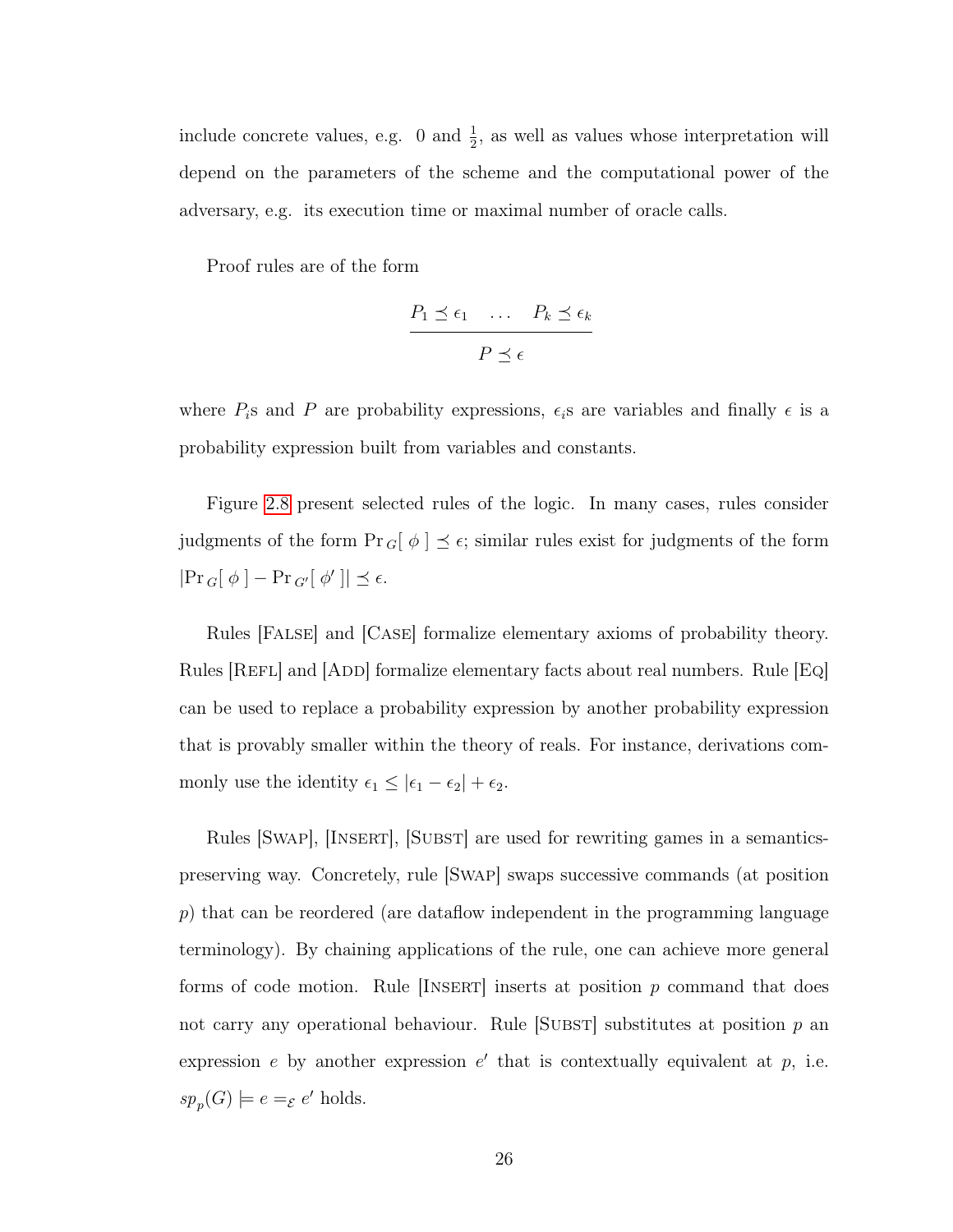include concrete values, e.g. 0 and  $\frac{1}{2}$ , as well as values whose interpretation will depend on the parameters of the scheme and the computational power of the adversary, e.g. its execution time or maximal number of oracle calls.

Proof rules are of the form

$$
\frac{P_1 \preceq \epsilon_1 \quad \dots \quad P_k \preceq \epsilon_k}{P \preceq \epsilon}
$$

where  $P_i$ s and P are probability expressions,  $\epsilon_i$ s are variables and finally  $\epsilon$  is a probability expression built from variables and constants.

Figure [2.8](#page-33-0) present selected rules of the logic. In many cases, rules consider judgments of the form  $Pr_{G}[\phi] \preceq \epsilon$ ; similar rules exist for judgments of the form  $|\Pr_{G}[\phi] - \Pr_{G'}[\phi']| \preceq \epsilon.$ 

Rules [False] and [Case] formalize elementary axioms of probability theory. Rules [REFL] and [ADD] formalize elementary facts about real numbers. Rule [Eq] can be used to replace a probability expression by another probability expression that is provably smaller within the theory of reals. For instance, derivations commonly use the identity  $\epsilon_1 \leq |\epsilon_1 - \epsilon_2| + \epsilon_2$ .

Rules [SWAP], [INSERT], [SUBST] are used for rewriting games in a semanticspreserving way. Concretely, rule [Swap] swaps successive commands (at position p) that can be reordered (are dataflow independent in the programming language terminology). By chaining applications of the rule, one can achieve more general forms of code motion. Rule  $[INSERT]$  inserts at position p command that does not carry any operational behaviour. Rule  $[SUBST]$  substitutes at position p an expression  $e$  by another expression  $e'$  that is contextually equivalent at  $p$ , i.e.  $sp_p(G) \models e =_{\mathcal{E}} e'$  holds.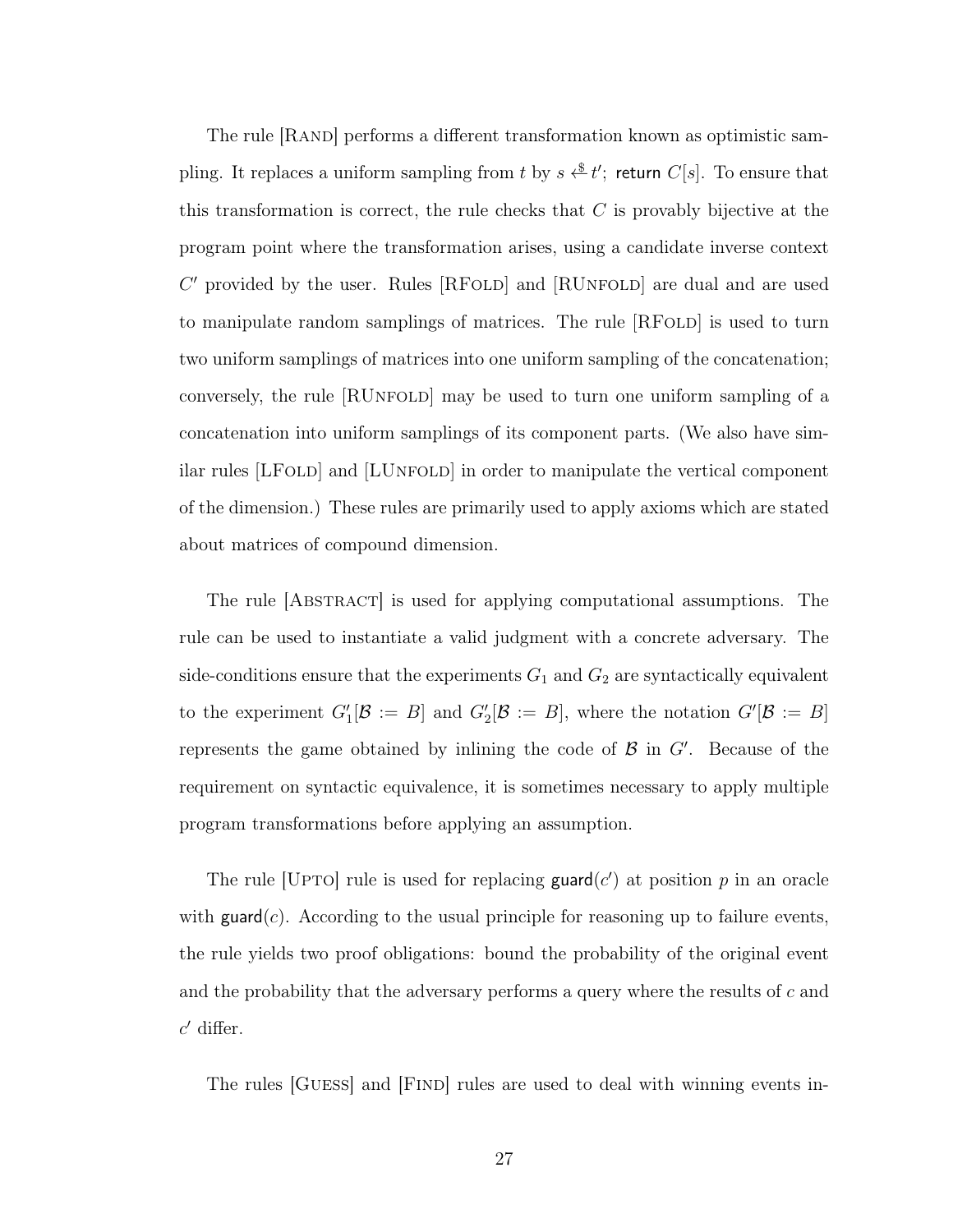The rule [Rand] performs a different transformation known as optimistic sampling. It replaces a uniform sampling from t by  $s \overset{\$}{\longleftrightarrow} t'$ ; return  $C[s]$ . To ensure that this transformation is correct, the rule checks that  $C$  is provably bijective at the program point where the transformation arises, using a candidate inverse context  $C'$  provided by the user. Rules [RFOLD] and [RUNFOLD] are dual and are used to manipulate random samplings of matrices. The rule [RFOLD] is used to turn two uniform samplings of matrices into one uniform sampling of the concatenation; conversely, the rule [RUnfold] may be used to turn one uniform sampling of a concatenation into uniform samplings of its component parts. (We also have similar rules [LFOLD] and [LUNFOLD] in order to manipulate the vertical component of the dimension.) These rules are primarily used to apply axioms which are stated about matrices of compound dimension.

The rule [Abstract] is used for applying computational assumptions. The rule can be used to instantiate a valid judgment with a concrete adversary. The side-conditions ensure that the experiments  $G_1$  and  $G_2$  are syntactically equivalent to the experiment  $G'_{1}[\mathcal{B} := B]$  and  $G'_{2}[\mathcal{B} := B]$ , where the notation  $G'[\mathcal{B} := B]$ represents the game obtained by inlining the code of  $\mathcal{B}$  in  $G'$ . Because of the requirement on syntactic equivalence, it is sometimes necessary to apply multiple program transformations before applying an assumption.

The rule [UPTO] rule is used for replacing  $\mathsf{guard}(c')$  at position p in an oracle with  $\text{guard}(c)$ . According to the usual principle for reasoning up to failure events, the rule yields two proof obligations: bound the probability of the original event and the probability that the adversary performs a query where the results of  $c$  and  $c'$  differ.

The rules GUESS and FIND rules are used to deal with winning events in-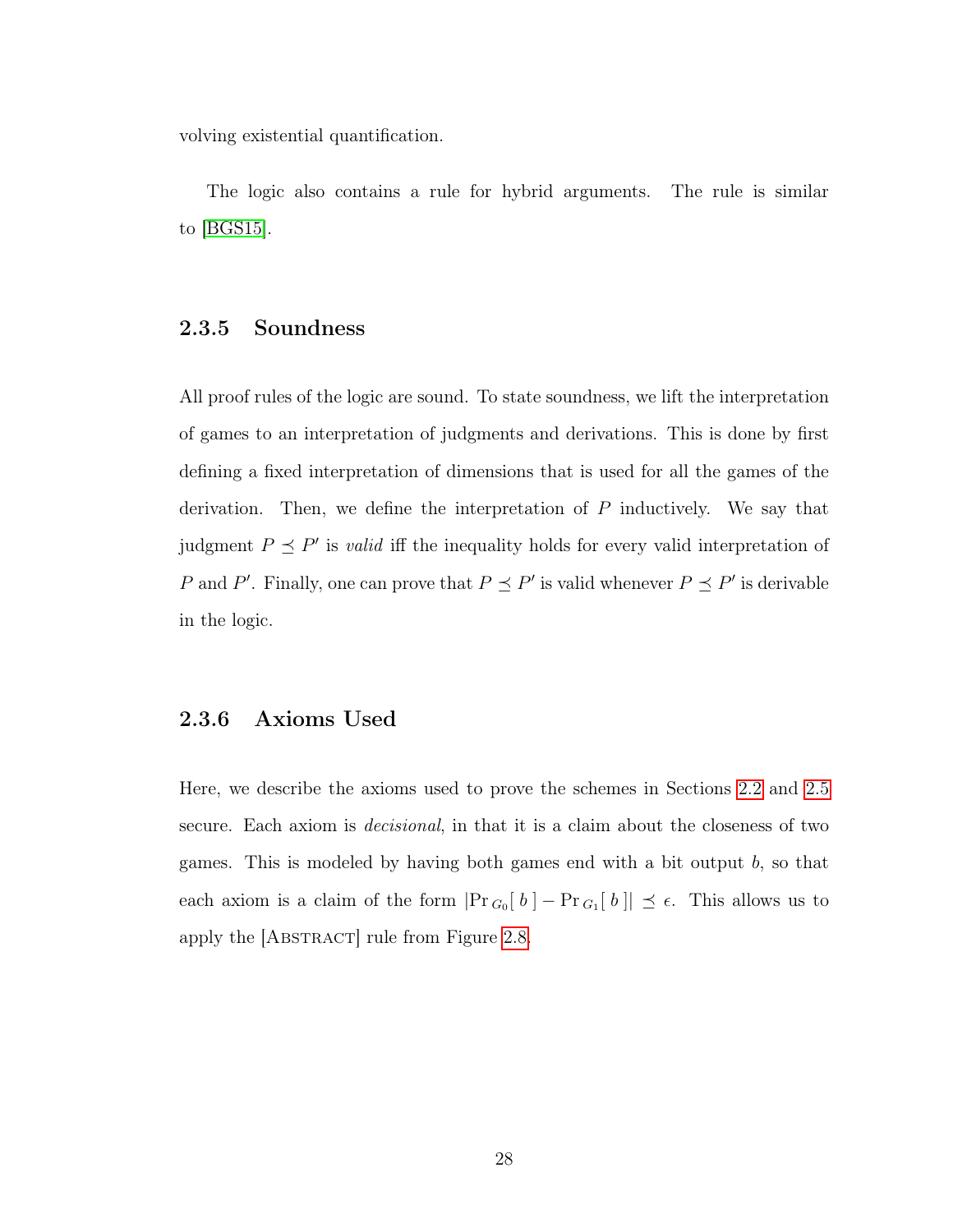volving existential quantification.

The logic also contains a rule for hybrid arguments. The rule is similar to [\[BGS15\]](#page-140-0).

## 2.3.5 Soundness

All proof rules of the logic are sound. To state soundness, we lift the interpretation of games to an interpretation of judgments and derivations. This is done by first defining a fixed interpretation of dimensions that is used for all the games of the derivation. Then, we define the interpretation of  $P$  inductively. We say that judgment  $P \leq P'$  is *valid* iff the inequality holds for every valid interpretation of P and P'. Finally, one can prove that  $P \preceq P'$  is valid whenever  $P \preceq P'$  is derivable in the logic.

## 2.3.6 Axioms Used

Here, we describe the axioms used to prove the schemes in Sections [2.2](#page-17-0) and [2.5](#page-46-0) secure. Each axiom is decisional, in that it is a claim about the closeness of two games. This is modeled by having both games end with a bit output  $b$ , so that each axiom is a claim of the form  $|\Pr_{G_0}[b] - \Pr_{G_1}[b]] \preceq \epsilon$ . This allows us to apply the [ABSTRACT] rule from Figure [2.8.](#page-33-0)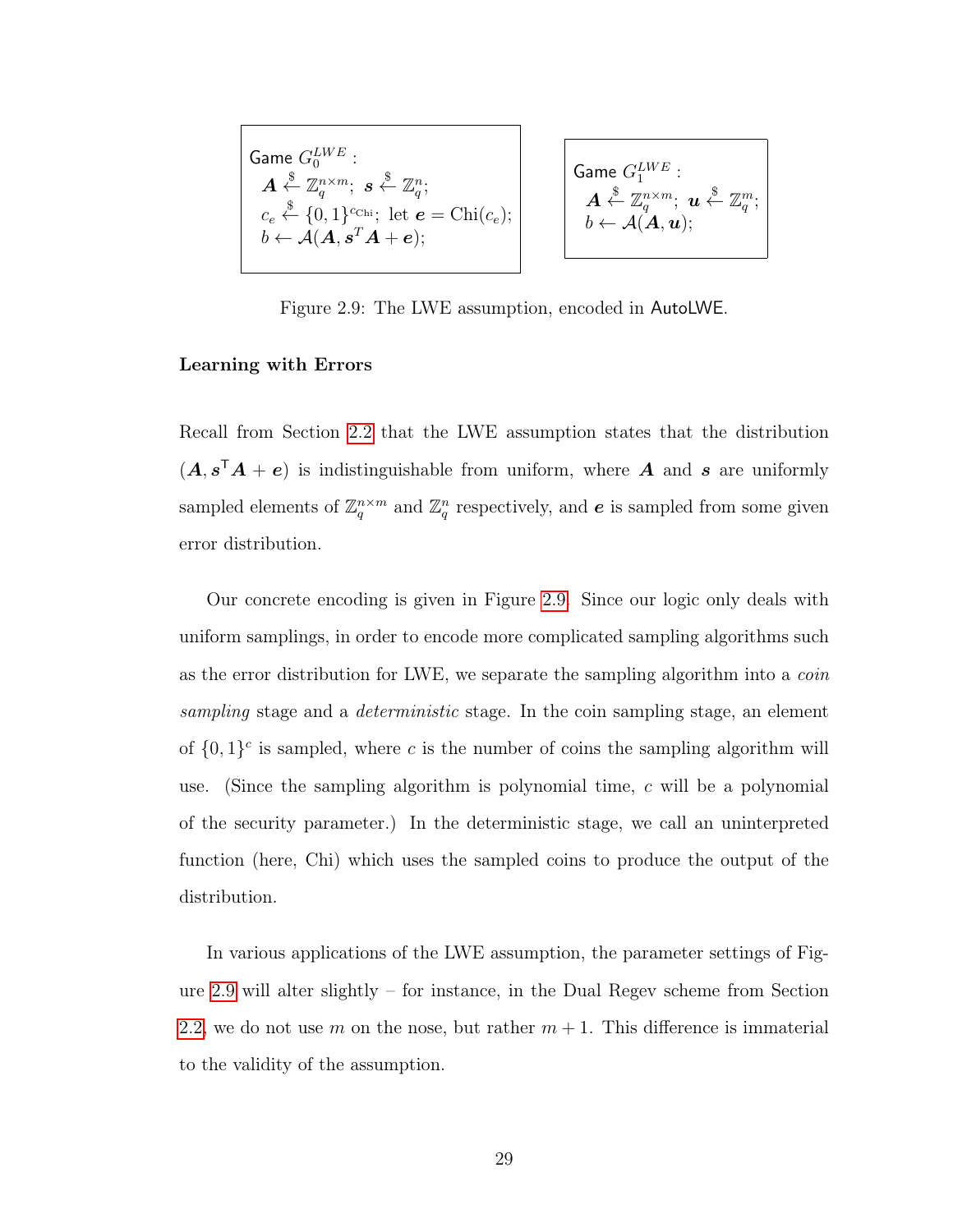<span id="page-37-0"></span>
$$
\begin{array}{c}\n\text{Game } G_0^{LWE}: \\
\mathbf{A} \overset{\$}{\leftarrow} \mathbb{Z}_q^{n \times m}; \ \mathbf{s} \overset{\$}{\leftarrow} \mathbb{Z}_q^n; \\
c_e \overset{\$}{\leftarrow} \{0, 1\}^{c_{\text{Chi}}}; \ \text{let } \mathbf{e} = \text{Chi}(c_e); \\
b \leftarrow \mathcal{A}(\mathbf{A}, \mathbf{s}^T \mathbf{A} + \mathbf{e});\n\end{array}\n\qquad\n\begin{array}{c}\n\text{Gal} \\
\mathbf{A} \\
\mathbf{B} \\
\mathbf{B} \\
\mathbf{C} \\
\mathbf{A} \\
\mathbf{B} \\
\mathbf{C} \\
\mathbf{A} \\
\mathbf{A} \\
\mathbf{B} \\
\mathbf{C} \\
\mathbf{A} \\
\mathbf{A} \\
\mathbf{A} \\
\mathbf{A} \\
\mathbf{A} \\
\mathbf{A} \\
\mathbf{A} \\
\mathbf{A} \\
\mathbf{A} \\
\mathbf{A} \\
\mathbf{A} \\
\mathbf{A} \\
\mathbf{A} \\
\mathbf{A} \\
\mathbf{A} \\
\mathbf{A} \\
\mathbf{A} \\
\mathbf{A} \\
\mathbf{A} \\
\mathbf{A} \\
\mathbf{A} \\
\mathbf{A} \\
\mathbf{A} \\
\mathbf{A} \\
\mathbf{A} \\
\mathbf{A} \\
\mathbf{A} \\
\mathbf{A} \\
\mathbf{A} \\
\mathbf{A} \\
\mathbf{A} \\
\mathbf{A} \\
\mathbf{A} \\
\mathbf{A} \\
\mathbf{A} \\
\mathbf{A} \\
\mathbf{A} \\
\mathbf{A} \\
\mathbf{A} \\
\mathbf{A} \\
\mathbf{A} \\
\mathbf{A} \\
\mathbf{A} \\
\mathbf{A} \\
\mathbf{A} \\
\mathbf{A} \\
\mathbf{A} \\
\mathbf{A} \\
\mathbf{A} \\
\mathbf{A} \\
\mathbf{A} \\
\mathbf{A} \\
\mathbf{A} \\
\mathbf{A} \\
\mathbf{A} \\
\mathbf{A} \\
\mathbf{A} \\
\mathbf{A} \\
\mathbf{A} \\
\mathbf{A} \\
\mathbf{A} \\
\mathbf{A} \\
\mathbf{A} \\
\mathbf{A} \\
\mathbf{A} \\
\mathbf{A} \\
\mathbf{A} \\
\mathbf{A} \\
\mathbf{A} \\
\mathbf{A} \\
\mathbf{
$$

$$
\mathsf{Game} \ G_1^{LWE} : \\ \mathbf{A} \stackrel{\$}{\leftarrow} \mathbb{Z}_q^{n \times m}; \ \mathbf{u} \stackrel{\$}{\leftarrow} \mathbb{Z}_q^m; \\ b \leftarrow \mathcal{A}(\mathbf{A}, \mathbf{u});
$$

Figure 2.9: The LWE assumption, encoded in AutoLWE.

#### Learning with Errors

Recall from Section [2.2](#page-17-0) that the LWE assumption states that the distribution  $(A, s<sup>T</sup>A + e)$  is indistinguishable from uniform, where A and s are uniformly sampled elements of  $\mathbb{Z}_q^{n \times m}$  and  $\mathbb{Z}_q^n$  respectively, and  $e$  is sampled from some given error distribution.

Our concrete encoding is given in Figure [2.9.](#page-37-0) Since our logic only deals with uniform samplings, in order to encode more complicated sampling algorithms such as the error distribution for LWE, we separate the sampling algorithm into a coin sampling stage and a *deterministic* stage. In the coin sampling stage, an element of  $\{0,1\}^c$  is sampled, where c is the number of coins the sampling algorithm will use. (Since the sampling algorithm is polynomial time, c will be a polynomial of the security parameter.) In the deterministic stage, we call an uninterpreted function (here, Chi) which uses the sampled coins to produce the output of the distribution.

In various applications of the LWE assumption, the parameter settings of Figure [2.9](#page-37-0) will alter slightly – for instance, in the Dual Regev scheme from Section [2.2,](#page-17-0) we do not use m on the nose, but rather  $m + 1$ . This difference is immaterial to the validity of the assumption.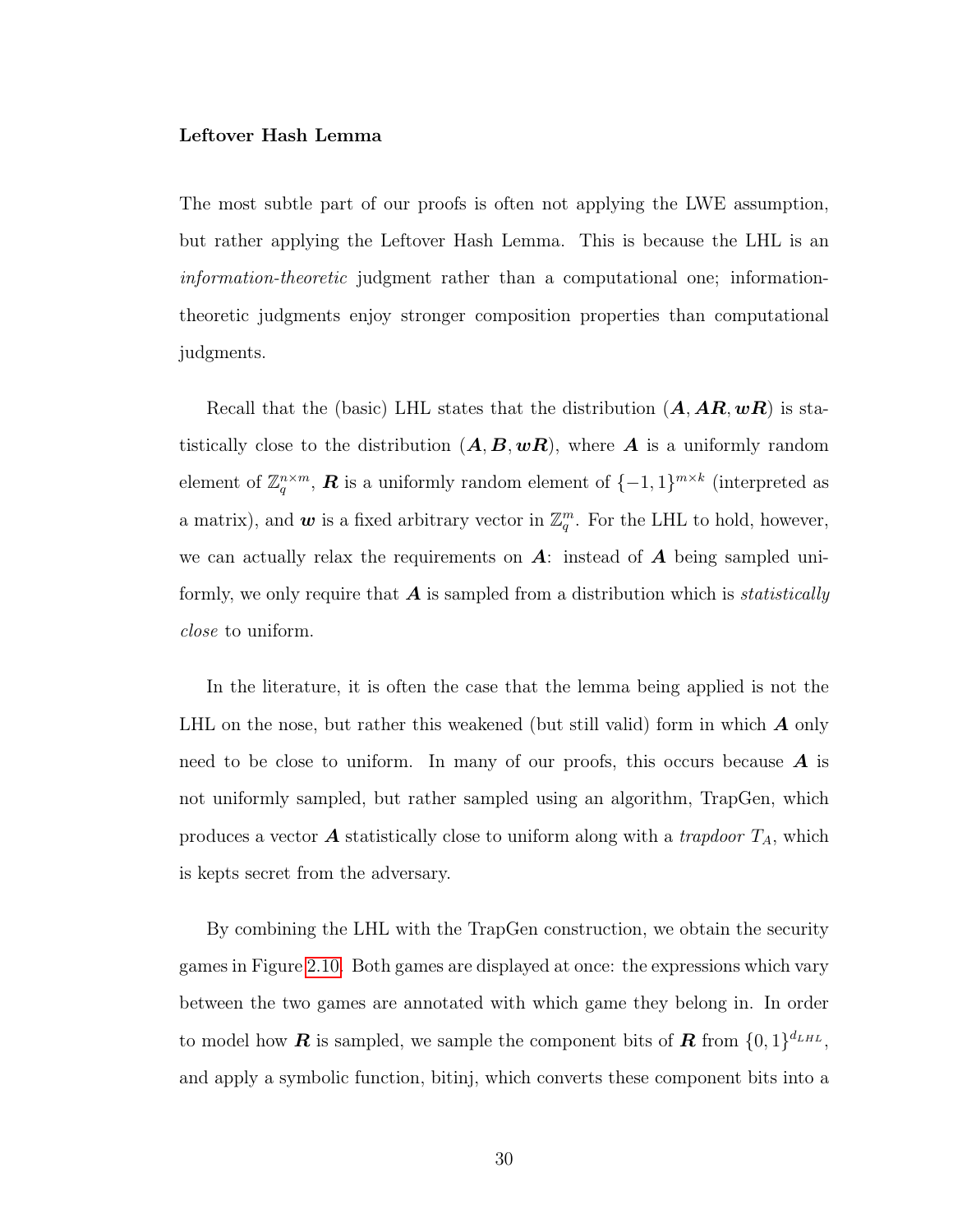#### <span id="page-38-0"></span>Leftover Hash Lemma

The most subtle part of our proofs is often not applying the LWE assumption, but rather applying the Leftover Hash Lemma. This is because the LHL is an information-theoretic judgment rather than a computational one; informationtheoretic judgments enjoy stronger composition properties than computational judgments.

Recall that the (basic) LHL states that the distribution  $(A, AR, wR)$  is statistically close to the distribution  $(A, B, wR)$ , where A is a uniformly random element of  $\mathbb{Z}_q^{n \times m}$ , **R** is a uniformly random element of  $\{-1, 1\}^{m \times k}$  (interpreted as a matrix), and  $w$  is a fixed arbitrary vector in  $\mathbb{Z}_q^m$ . For the LHL to hold, however, we can actually relax the requirements on  $\mathbf{A}$ : instead of  $\mathbf{A}$  being sampled uniformly, we only require that  $\boldsymbol{A}$  is sampled from a distribution which is *statistically* close to uniform.

In the literature, it is often the case that the lemma being applied is not the LHL on the nose, but rather this weakened (but still valid) form in which  $\boldsymbol{A}$  only need to be close to uniform. In many of our proofs, this occurs because  $\boldsymbol{A}$  is not uniformly sampled, but rather sampled using an algorithm, TrapGen, which produces a vector **A** statistically close to uniform along with a *trapdoor*  $T_A$ , which is kepts secret from the adversary.

By combining the LHL with the TrapGen construction, we obtain the security games in Figure [2.10.](#page-40-0) Both games are displayed at once: the expressions which vary between the two games are annotated with which game they belong in. In order to model how **R** is sampled, we sample the component bits of **R** from  $\{0,1\}^{d_{LHL}}$ , and apply a symbolic function, bitinj, which converts these component bits into a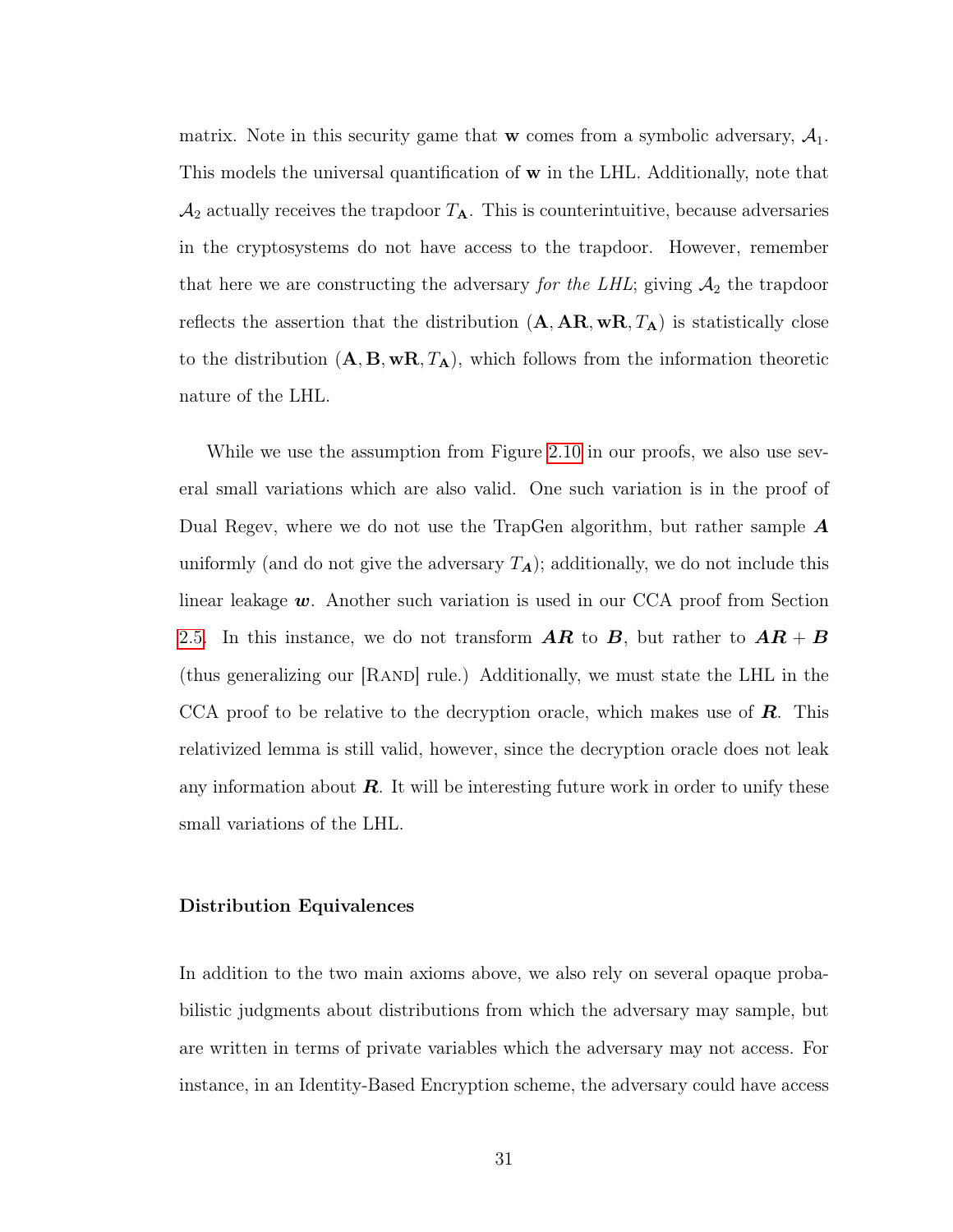matrix. Note in this security game that **w** comes from a symbolic adversary,  $A_1$ . This models the universal quantification of w in the LHL. Additionally, note that  $\mathcal{A}_2$  actually receives the trapdoor  $T_A$ . This is counterintuitive, because adversaries in the cryptosystems do not have access to the trapdoor. However, remember that here we are constructing the adversary for the LHL; giving  $A_2$  the trapdoor reflects the assertion that the distribution  $(A, AR, wR, T_A)$  is statistically close to the distribution  $(A, B, wR, T_A)$ , which follows from the information theoretic nature of the LHL.

While we use the assumption from Figure [2.10](#page-40-0) in our proofs, we also use several small variations which are also valid. One such variation is in the proof of Dual Regev, where we do not use the TrapGen algorithm, but rather sample  $\boldsymbol{A}$ uniformly (and do not give the adversary  $T_A$ ); additionally, we do not include this linear leakage  $w$ . Another such variation is used in our CCA proof from Section [2.5.](#page-46-0) In this instance, we do not transform  $\overline{AR}$  to  $\overline{B}$ , but rather to  $\overline{AR} + \overline{B}$ (thus generalizing our [RAND] rule.) Additionally, we must state the LHL in the CCA proof to be relative to the decryption oracle, which makes use of  $\mathbf{R}$ . This relativized lemma is still valid, however, since the decryption oracle does not leak any information about  $\boldsymbol{R}$ . It will be interesting future work in order to unify these small variations of the LHL.

### <span id="page-39-0"></span>Distribution Equivalences

In addition to the two main axioms above, we also rely on several opaque probabilistic judgments about distributions from which the adversary may sample, but are written in terms of private variables which the adversary may not access. For instance, in an Identity-Based Encryption scheme, the adversary could have access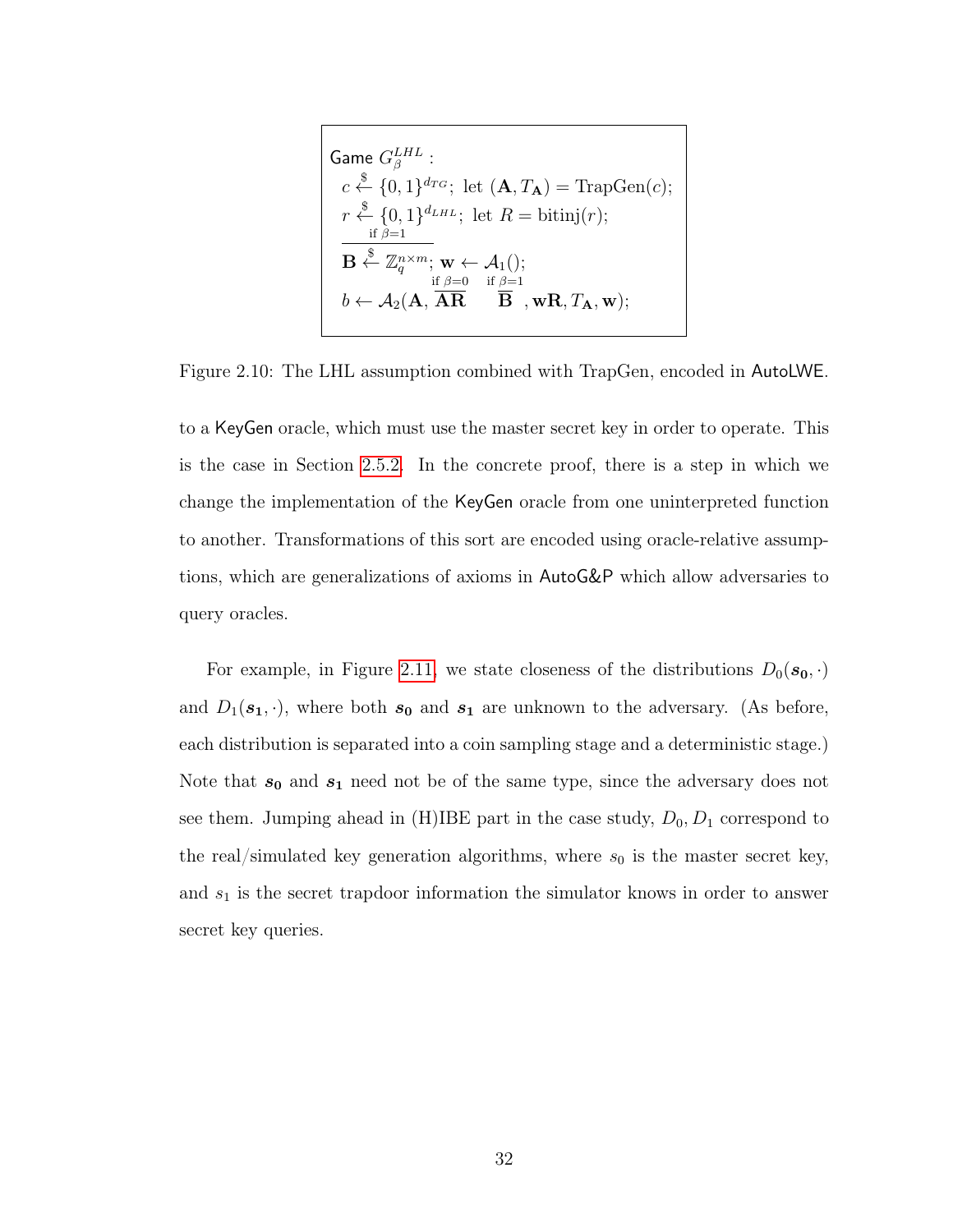<span id="page-40-0"></span>
$$
\begin{cases}\n\text{Game } G_{\beta}^{LHL} : \\
c \stackrel{\$}{\leftarrow} \{0,1\}^{d_{TG}}; \text{ let } (\mathbf{A}, T_{\mathbf{A}}) = \text{TrapGen}(c); \\
r \stackrel{\$}{\leftarrow} \{0,1\}^{d_{LHL}}; \text{ let } R = \text{bitinj}(r); \\
\frac{\text{if } \beta=1}{\mathbf{B} \stackrel{\$}{\leftarrow} \mathbb{Z}_q^{n \times m}; \mathbf{w} \leftarrow \mathcal{A}_1(); \\
b \leftarrow \mathcal{A}_2(\mathbf{A}, \overrightarrow{\mathbf{AR}} \stackrel{\text{if } \beta=1}{\mathbf{B}}, \mathbf{wR}, T_{\mathbf{A}}, \mathbf{w});\n\end{cases}
$$

Figure 2.10: The LHL assumption combined with TrapGen, encoded in AutoLWE.

to a KeyGen oracle, which must use the master secret key in order to operate. This is the case in Section [2.5.2.](#page-49-0) In the concrete proof, there is a step in which we change the implementation of the KeyGen oracle from one uninterpreted function to another. Transformations of this sort are encoded using oracle-relative assumptions, which are generalizations of axioms in AutoG&P which allow adversaries to query oracles.

For example, in Figure [2.11,](#page-41-0) we state closeness of the distributions  $D_0(\mathbf{s_0}, \cdot)$ and  $D_1(\mathbf{s}_1, \cdot)$ , where both  $\mathbf{s}_0$  and  $\mathbf{s}_1$  are unknown to the adversary. (As before, each distribution is separated into a coin sampling stage and a deterministic stage.) Note that  $s_0$  and  $s_1$  need not be of the same type, since the adversary does not see them. Jumping ahead in (H)IBE part in the case study,  $D_0$ ,  $D_1$  correspond to the real/simulated key generation algorithms, where  $s_0$  is the master secret key, and  $s_1$  is the secret trapdoor information the simulator knows in order to answer secret key queries.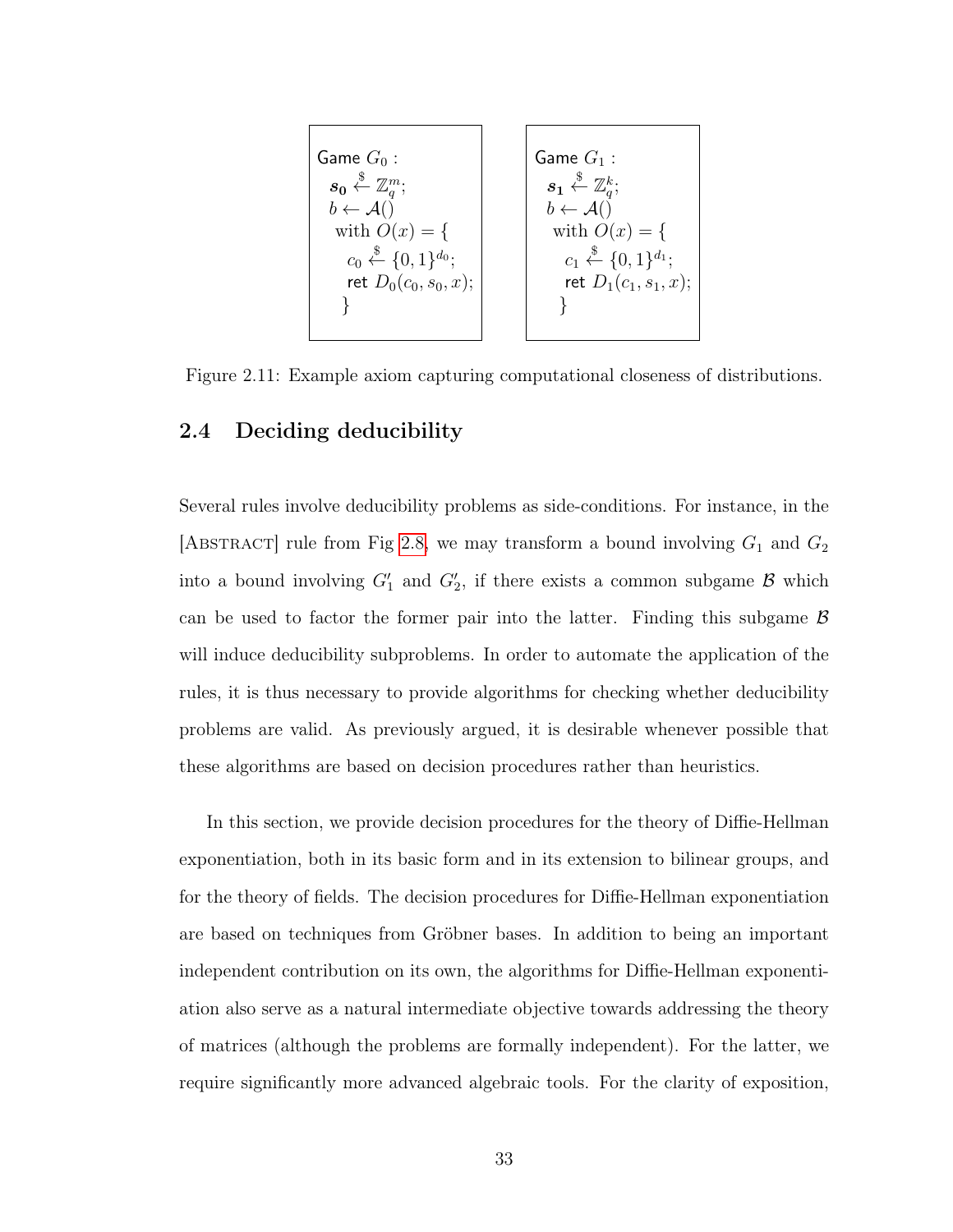<span id="page-41-0"></span>

Figure 2.11: Example axiom capturing computational closeness of distributions.

## 2.4 Deciding deducibility

Several rules involve deducibility problems as side-conditions. For instance, in the [ABSTRACT] rule from Fig [2.8,](#page-33-0) we may transform a bound involving  $G_1$  and  $G_2$ into a bound involving  $G'_1$  and  $G'_2$ , if there exists a common subgame  $\mathcal B$  which can be used to factor the former pair into the latter. Finding this subgame  $\beta$ will induce deducibility subproblems. In order to automate the application of the rules, it is thus necessary to provide algorithms for checking whether deducibility problems are valid. As previously argued, it is desirable whenever possible that these algorithms are based on decision procedures rather than heuristics.

In this section, we provide decision procedures for the theory of Diffie-Hellman exponentiation, both in its basic form and in its extension to bilinear groups, and for the theory of fields. The decision procedures for Diffie-Hellman exponentiation are based on techniques from Gröbner bases. In addition to being an important independent contribution on its own, the algorithms for Diffie-Hellman exponentiation also serve as a natural intermediate objective towards addressing the theory of matrices (although the problems are formally independent). For the latter, we require significantly more advanced algebraic tools. For the clarity of exposition,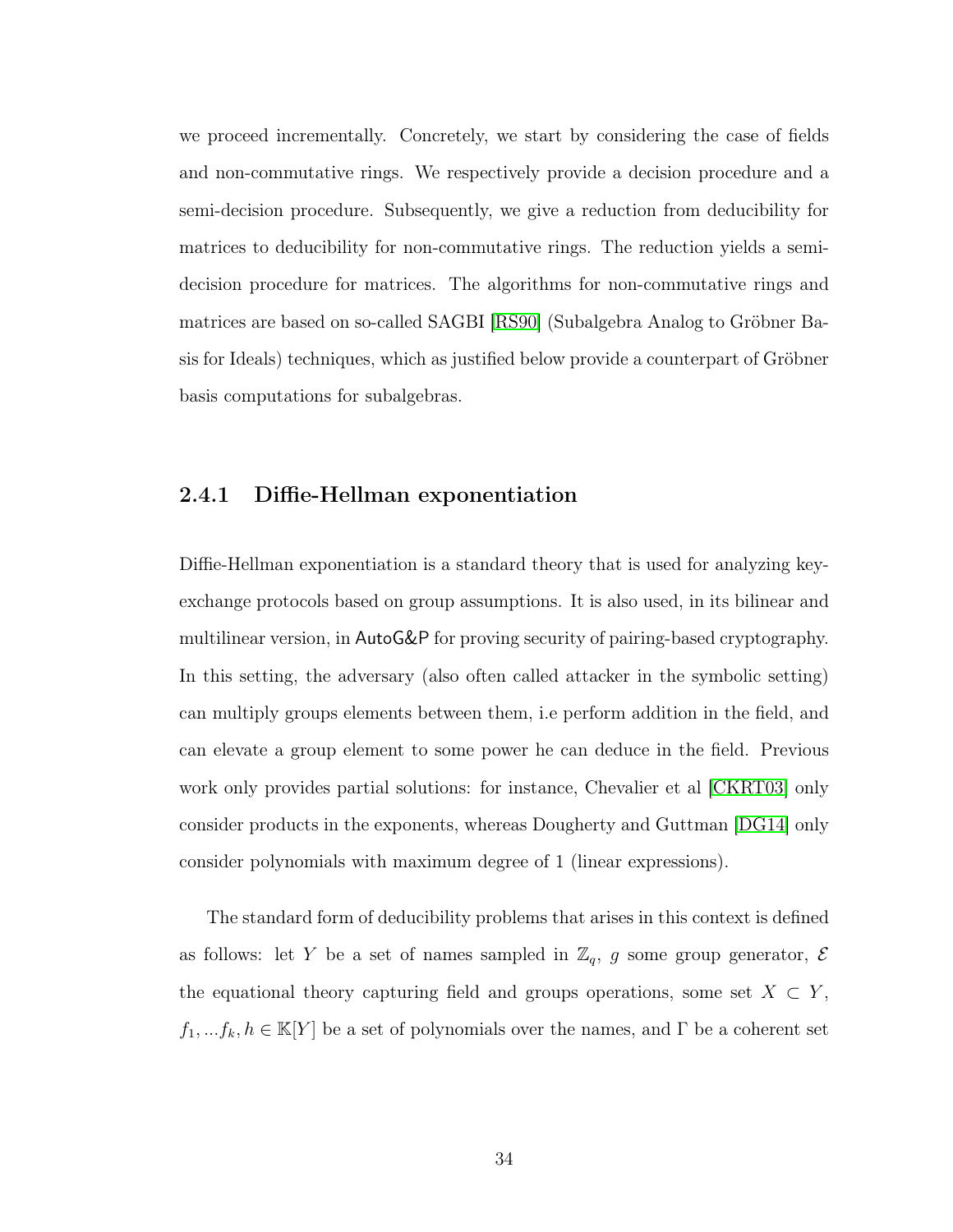we proceed incrementally. Concretely, we start by considering the case of fields and non-commutative rings. We respectively provide a decision procedure and a semi-decision procedure. Subsequently, we give a reduction from deducibility for matrices to deducibility for non-commutative rings. The reduction yields a semidecision procedure for matrices. The algorithms for non-commutative rings and matrices are based on so-called SAGBI [\[RS90\]](#page-148-0) (Subalgebra Analog to Gröbner Basis for Ideals) techniques, which as justified below provide a counterpart of Gröbner basis computations for subalgebras.

## <span id="page-42-0"></span>2.4.1 Diffie-Hellman exponentiation

Diffie-Hellman exponentiation is a standard theory that is used for analyzing keyexchange protocols based on group assumptions. It is also used, in its bilinear and multilinear version, in AutoG&P for proving security of pairing-based cryptography. In this setting, the adversary (also often called attacker in the symbolic setting) can multiply groups elements between them, i.e perform addition in the field, and can elevate a group element to some power he can deduce in the field. Previous work only provides partial solutions: for instance, Chevalier et al  $|CKRT03|$  only consider products in the exponents, whereas Dougherty and Guttman [\[DG14\]](#page-143-0) only consider polynomials with maximum degree of 1 (linear expressions).

The standard form of deducibility problems that arises in this context is defined as follows: let Y be a set of names sampled in  $\mathbb{Z}_q$ , g some group generator, E the equational theory capturing field and groups operations, some set  $X \subset Y$ ,  $f_1, ..., f_k, h \in \mathbb{K}[Y]$  be a set of polynomials over the names, and  $\Gamma$  be a coherent set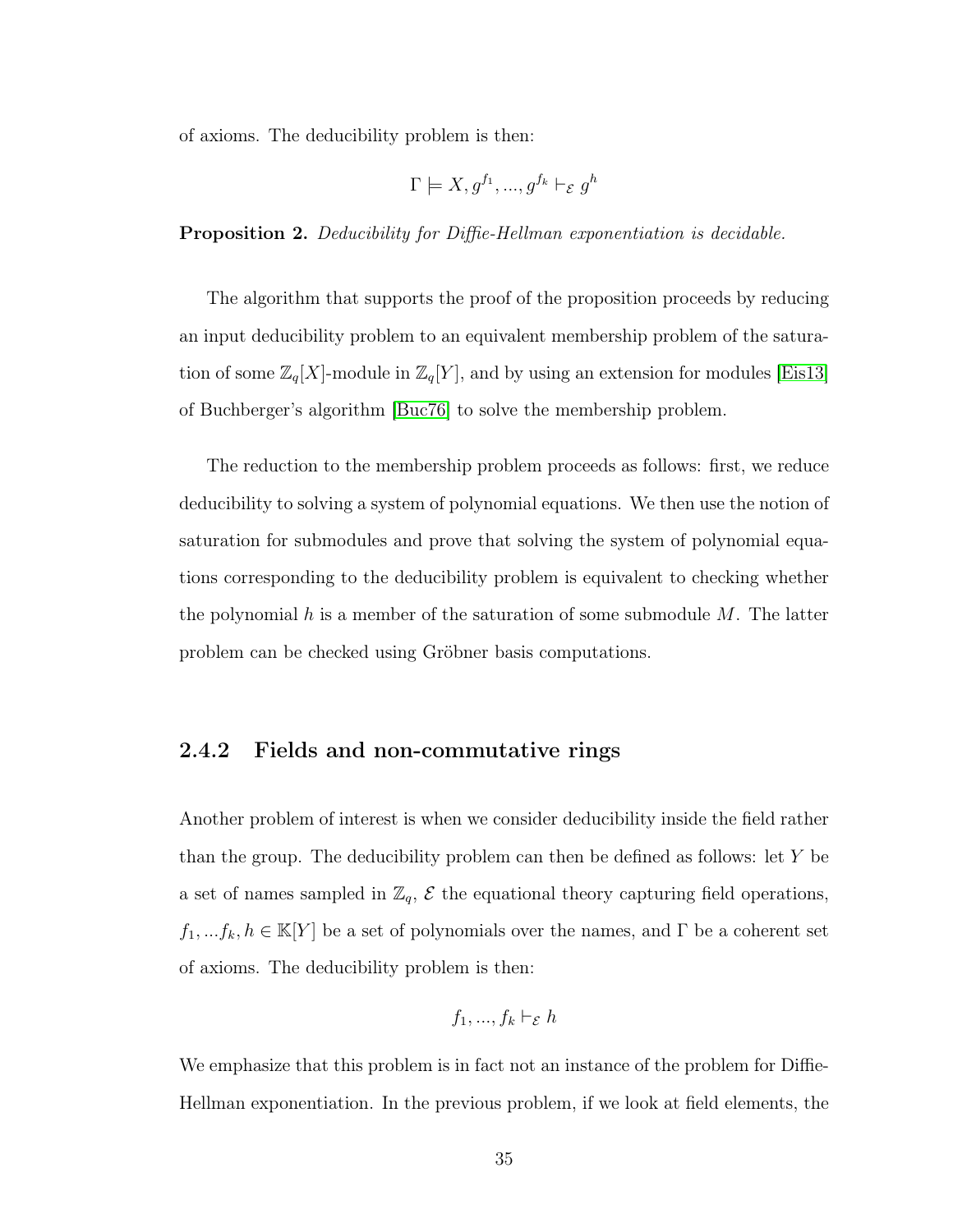of axioms. The deducibility problem is then:

$$
\Gamma \models X, g^{f_1}, ..., g^{f_k} \vdash_{\mathcal{E}} g^h
$$

Proposition 2. Deducibility for Diffie-Hellman exponentiation is decidable.

The algorithm that supports the proof of the proposition proceeds by reducing an input deducibility problem to an equivalent membership problem of the saturation of some  $\mathbb{Z}_q[X]$ -module in  $\mathbb{Z}_q[Y]$ , and by using an extension for modules [\[Eis13\]](#page-143-1) of Buchberger's algorithm [\[Buc76\]](#page-141-0) to solve the membership problem.

The reduction to the membership problem proceeds as follows: first, we reduce deducibility to solving a system of polynomial equations. We then use the notion of saturation for submodules and prove that solving the system of polynomial equations corresponding to the deducibility problem is equivalent to checking whether the polynomial h is a member of the saturation of some submodule  $M$ . The latter problem can be checked using Gröbner basis computations.

### 2.4.2 Fields and non-commutative rings

Another problem of interest is when we consider deducibility inside the field rather than the group. The deducibility problem can then be defined as follows: let Y be a set of names sampled in  $\mathbb{Z}_q$ ,  $\mathcal E$  the equational theory capturing field operations,  $f_1, \ldots, f_k, h \in \mathbb{K}[Y]$  be a set of polynomials over the names, and  $\Gamma$  be a coherent set of axioms. The deducibility problem is then:

$$
f_1, ..., f_k \vdash_{\mathcal{E}} h
$$

We emphasize that this problem is in fact not an instance of the problem for Diffie-Hellman exponentiation. In the previous problem, if we look at field elements, the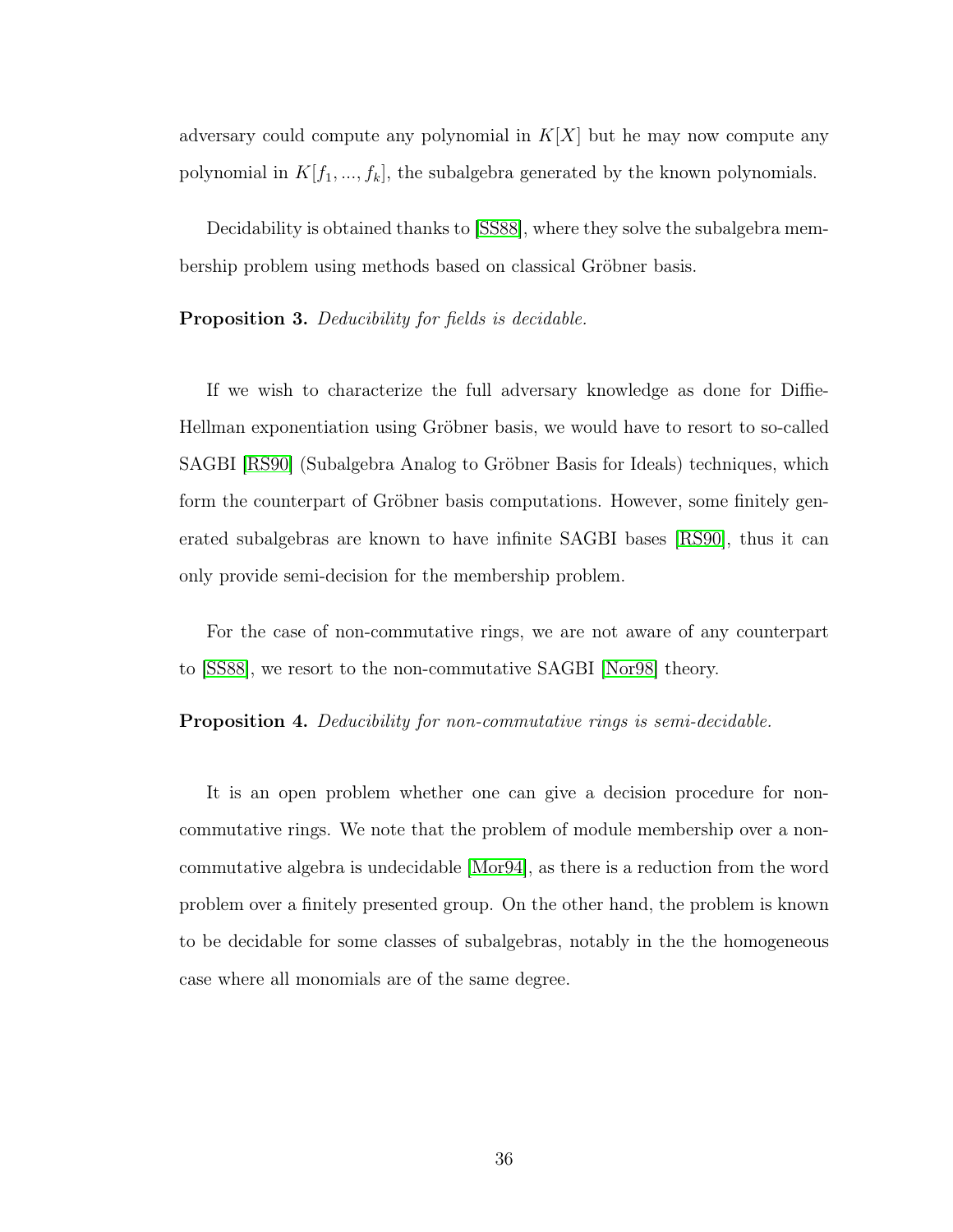adversary could compute any polynomial in  $K[X]$  but he may now compute any polynomial in  $K[f_1, ..., f_k]$ , the subalgebra generated by the known polynomials.

Decidability is obtained thanks to [\[SS88\]](#page-148-1), where they solve the subalgebra membership problem using methods based on classical Gröbner basis.

### Proposition 3. Deducibility for fields is decidable.

If we wish to characterize the full adversary knowledge as done for Diffie-Hellman exponentiation using Gröbner basis, we would have to resort to so-called SAGBI [\[RS90\]](#page-148-0) (Subalgebra Analog to Gröbner Basis for Ideals) techniques, which form the counterpart of Gröbner basis computations. However, some finitely generated subalgebras are known to have infinite SAGBI bases [\[RS90\]](#page-148-0), thus it can only provide semi-decision for the membership problem.

For the case of non-commutative rings, we are not aware of any counterpart to [\[SS88\]](#page-148-1), we resort to the non-commutative SAGBI [\[Nor98\]](#page-147-0) theory.

#### **Proposition 4.** Deducibility for non-commutative rings is semi-decidable.

It is an open problem whether one can give a decision procedure for noncommutative rings. We note that the problem of module membership over a noncommutative algebra is undecidable [\[Mor94\]](#page-146-0), as there is a reduction from the word problem over a finitely presented group. On the other hand, the problem is known to be decidable for some classes of subalgebras, notably in the the homogeneous case where all monomials are of the same degree.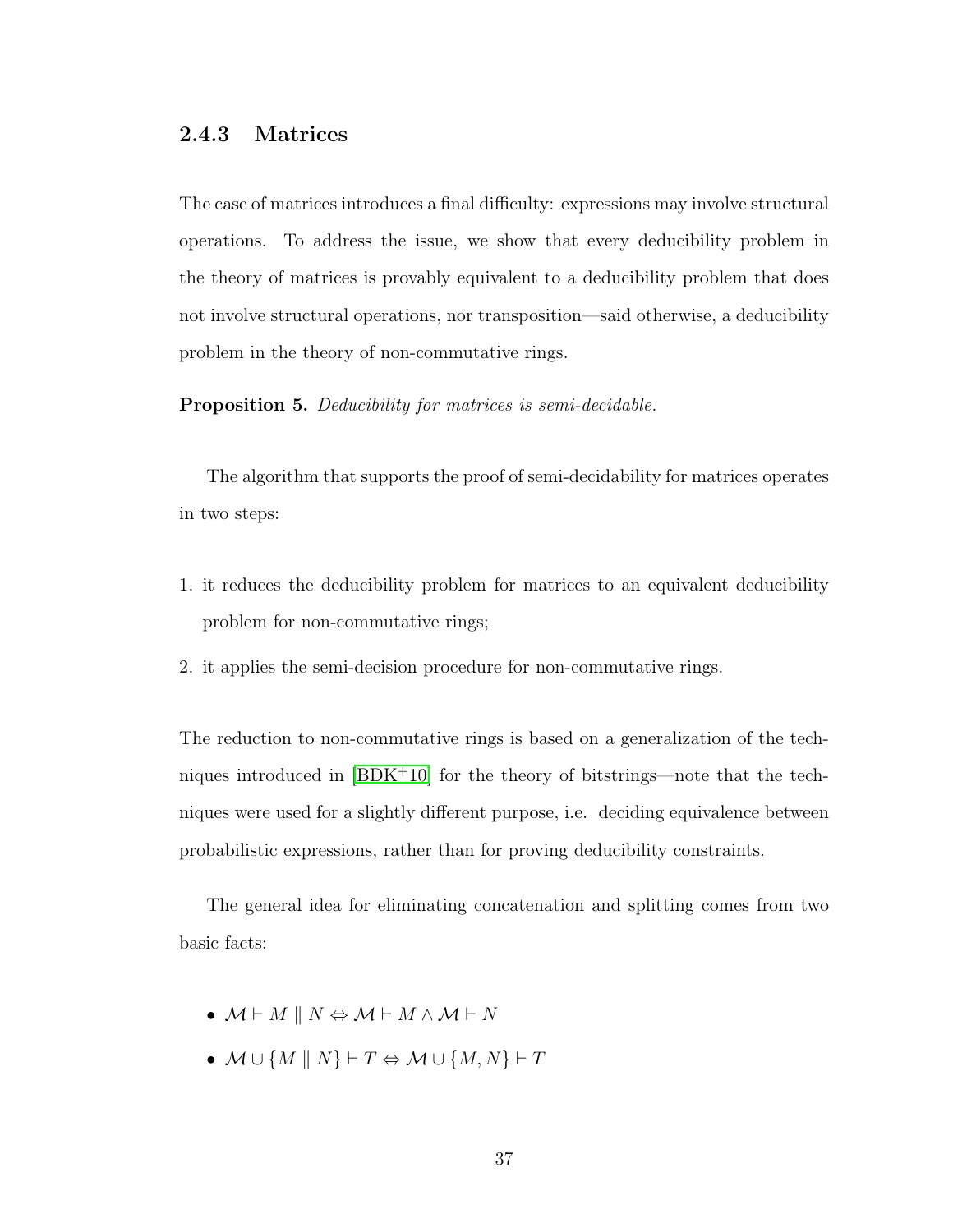## <span id="page-45-0"></span>2.4.3 Matrices

The case of matrices introduces a final difficulty: expressions may involve structural operations. To address the issue, we show that every deducibility problem in the theory of matrices is provably equivalent to a deducibility problem that does not involve structural operations, nor transposition—said otherwise, a deducibility problem in the theory of non-commutative rings.

<span id="page-45-1"></span>Proposition 5. Deducibility for matrices is semi-decidable.

The algorithm that supports the proof of semi-decidability for matrices operates in two steps:

- 1. it reduces the deducibility problem for matrices to an equivalent deducibility problem for non-commutative rings;
- 2. it applies the semi-decision procedure for non-commutative rings.

The reduction to non-commutative rings is based on a generalization of the techniques introduced in  $[BDK^+10]$  $[BDK^+10]$  for the theory of bitstrings—note that the techniques were used for a slightly different purpose, i.e. deciding equivalence between probabilistic expressions, rather than for proving deducibility constraints.

The general idea for eliminating concatenation and splitting comes from two basic facts:

- $M \vdash M \parallel N \Leftrightarrow M \vdash M \wedge M \vdash N$
- $M \cup \{M \mid N\} \vdash T \Leftrightarrow M \cup \{M, N\} \vdash T$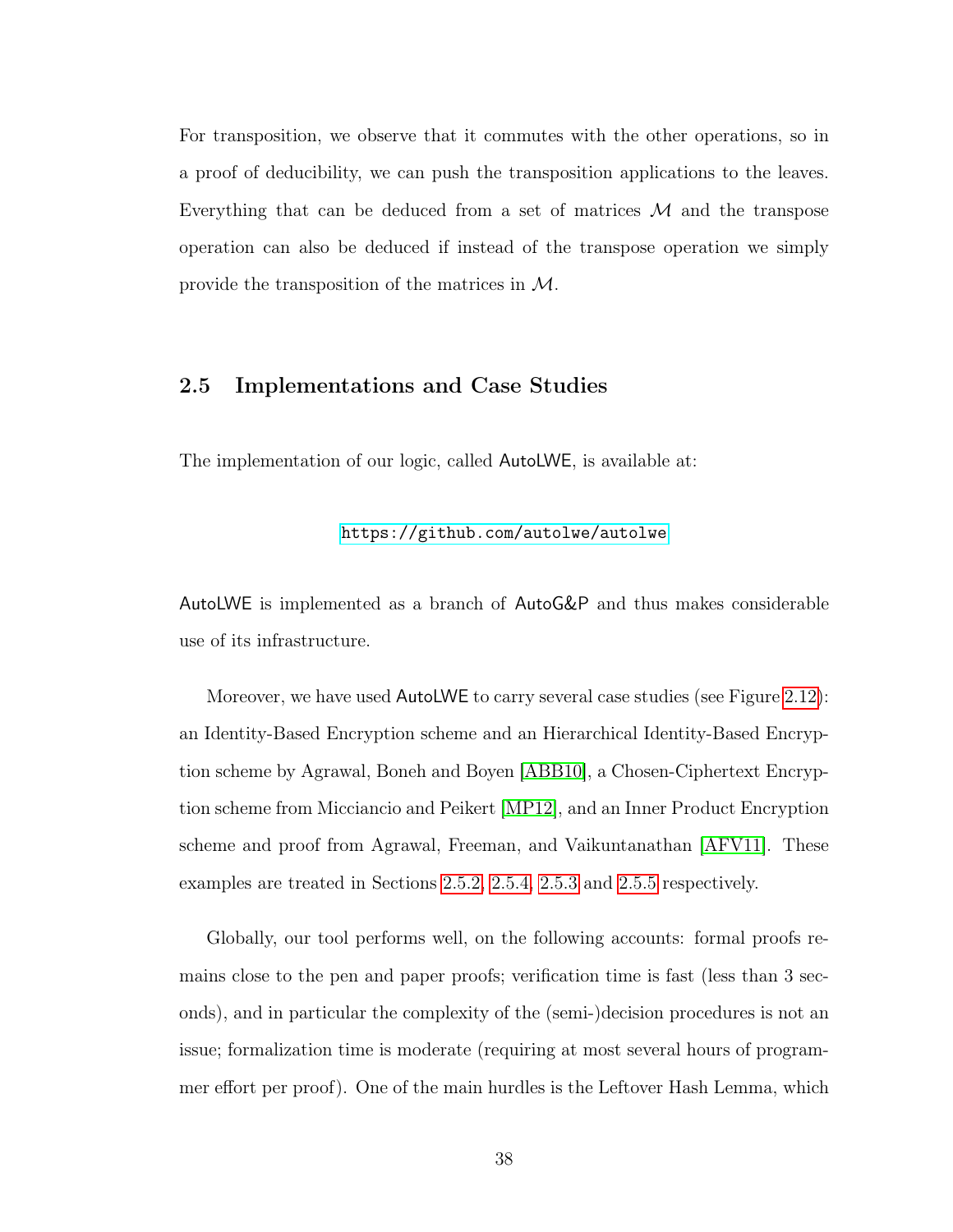For transposition, we observe that it commutes with the other operations, so in a proof of deducibility, we can push the transposition applications to the leaves. Everything that can be deduced from a set of matrices  $\mathcal M$  and the transpose operation can also be deduced if instead of the transpose operation we simply provide the transposition of the matrices in M.

### <span id="page-46-0"></span>2.5 Implementations and Case Studies

The implementation of our logic, called AutoLWE, is available at:

### <https://github.com/autolwe/autolwe>

AutoLWE is implemented as a branch of AutoG&P and thus makes considerable use of its infrastructure.

Moreover, we have used AutoLWE to carry several case studies (see Figure [2.12\)](#page-47-0): an Identity-Based Encryption scheme and an Hierarchical Identity-Based Encryption scheme by Agrawal, Boneh and Boyen [\[ABB10\]](#page-137-0), a Chosen-Ciphertext Encryption scheme from Micciancio and Peikert [\[MP12\]](#page-146-1), and an Inner Product Encryption scheme and proof from Agrawal, Freeman, and Vaikuntanathan [\[AFV11\]](#page-137-1). These examples are treated in Sections [2.5.2,](#page-49-0) [2.5.4,](#page-54-0) [2.5.3](#page-52-0) and [2.5.5](#page-55-0) respectively.

Globally, our tool performs well, on the following accounts: formal proofs remains close to the pen and paper proofs; verification time is fast (less than 3 seconds), and in particular the complexity of the (semi-)decision procedures is not an issue; formalization time is moderate (requiring at most several hours of programmer effort per proof). One of the main hurdles is the Leftover Hash Lemma, which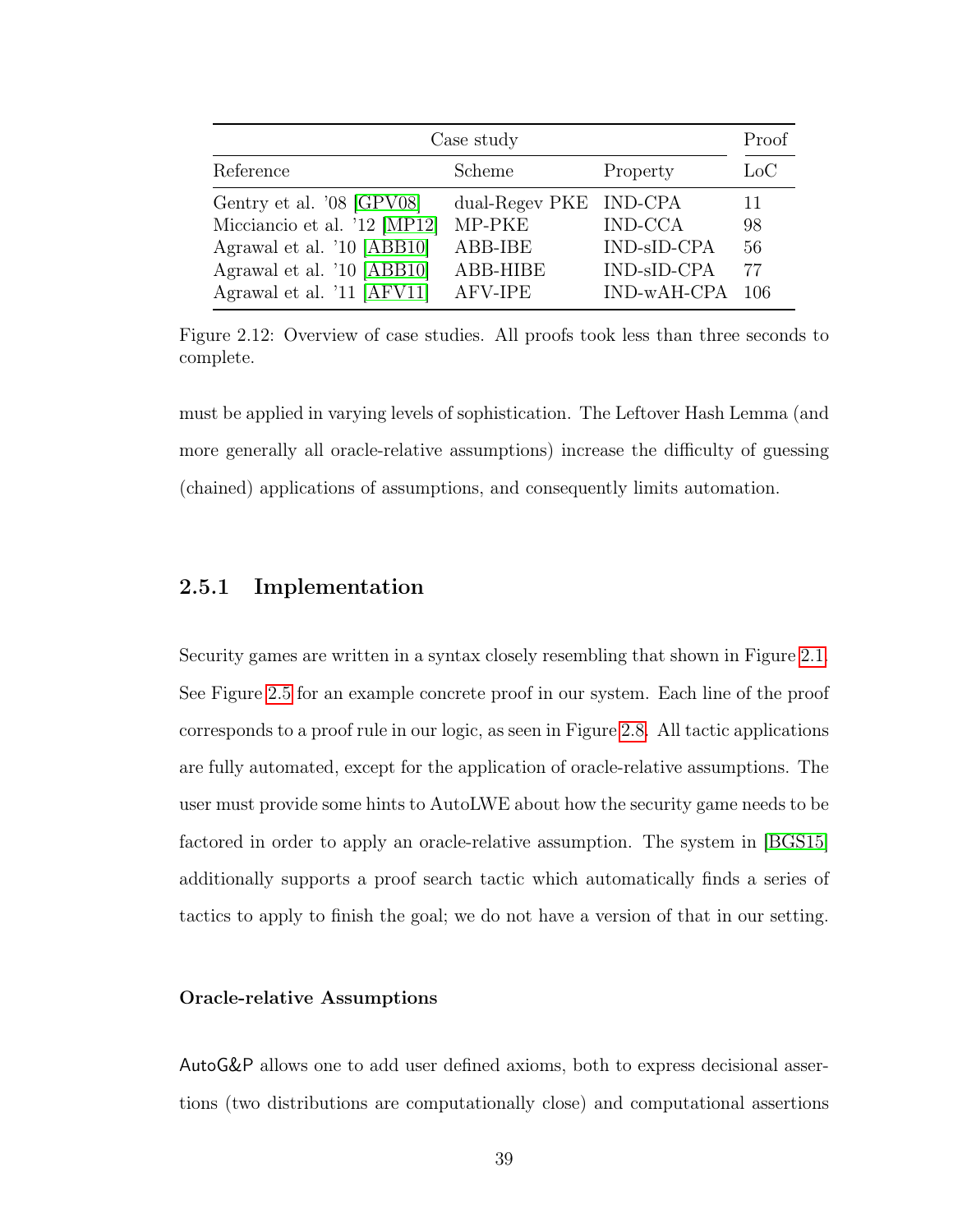<span id="page-47-0"></span>

| Case study                   |                        |                | Proof |
|------------------------------|------------------------|----------------|-------|
| Reference                    | Scheme                 | Property       | LoC   |
| Gentry et al. '08 [GPV08]    | dual-Regev PKE IND-CPA |                | 11    |
| Micciancio et al. '12 [MP12] | MP-PKE                 | <b>IND-CCA</b> | 98    |
| Agrawal et al. '10 [ABB10]   | ABB-IBE                | IND-sID-CPA    | 56    |
| Agrawal et al. '10 [ABB10]   | ABB-HIBE               | IND-sID-CPA    | 77    |
| Agrawal et al. '11 [AFV11]   | AFV-IPE                | IND-wAH-CPA    | 106   |

Figure 2.12: Overview of case studies. All proofs took less than three seconds to complete.

must be applied in varying levels of sophistication. The Leftover Hash Lemma (and more generally all oracle-relative assumptions) increase the difficulty of guessing (chained) applications of assumptions, and consequently limits automation.

### 2.5.1 Implementation

Security games are written in a syntax closely resembling that shown in Figure [2.1.](#page-21-0) See Figure [2.5](#page-26-0) for an example concrete proof in our system. Each line of the proof corresponds to a proof rule in our logic, as seen in Figure [2.8.](#page-33-0) All tactic applications are fully automated, except for the application of oracle-relative assumptions. The user must provide some hints to AutoLWE about how the security game needs to be factored in order to apply an oracle-relative assumption. The system in [\[BGS15\]](#page-140-0) additionally supports a proof search tactic which automatically finds a series of tactics to apply to finish the goal; we do not have a version of that in our setting.

### Oracle-relative Assumptions

AutoG&P allows one to add user defined axioms, both to express decisional assertions (two distributions are computationally close) and computational assertions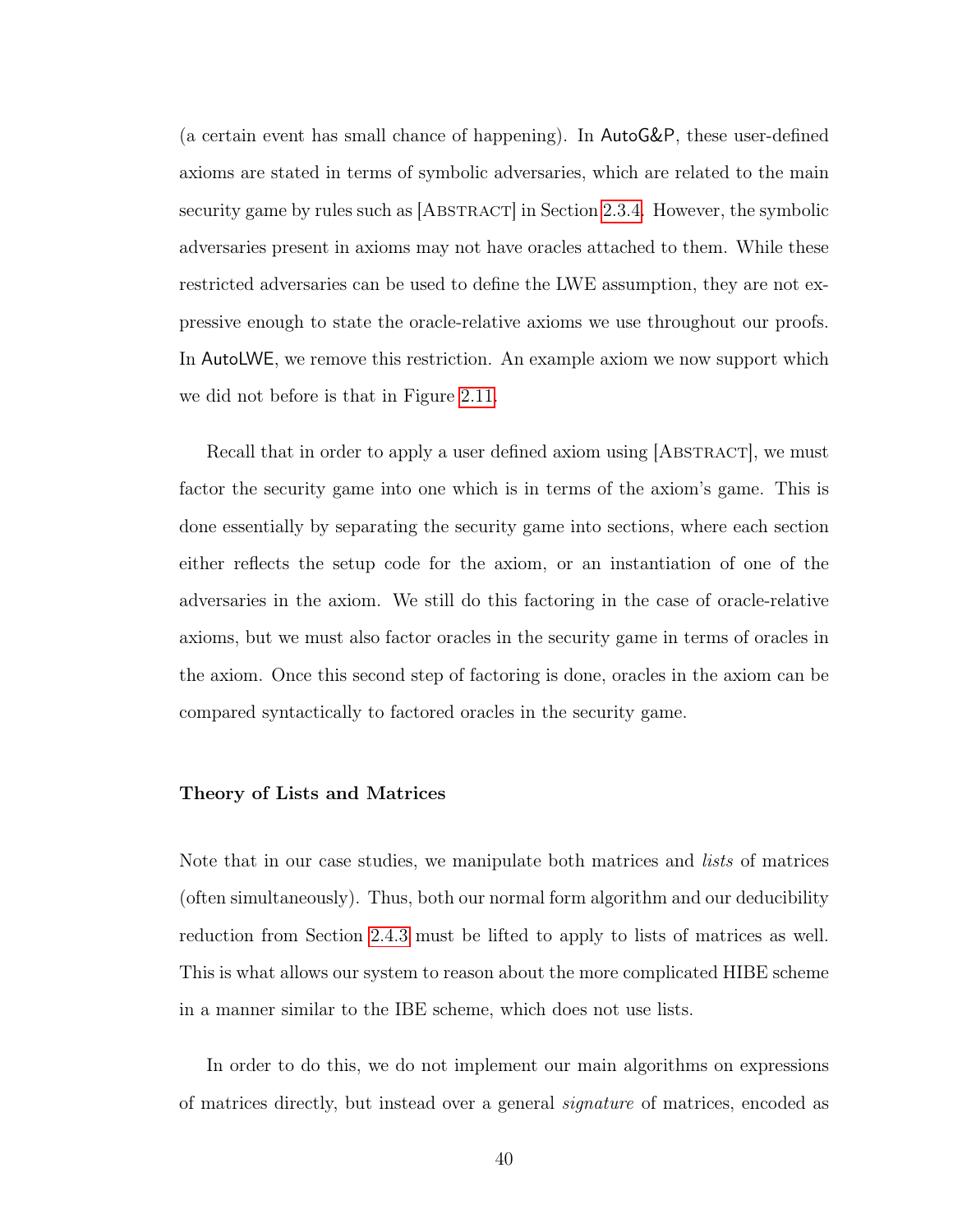(a certain event has small chance of happening). In AutoG&P, these user-defined axioms are stated in terms of symbolic adversaries, which are related to the main security game by rules such as [ABSTRACT] in Section [2.3.4.](#page-32-0) However, the symbolic adversaries present in axioms may not have oracles attached to them. While these restricted adversaries can be used to define the LWE assumption, they are not expressive enough to state the oracle-relative axioms we use throughout our proofs. In AutoLWE, we remove this restriction. An example axiom we now support which we did not before is that in Figure [2.11.](#page-41-0)

Recall that in order to apply a user defined axiom using [ABSTRACT], we must factor the security game into one which is in terms of the axiom's game. This is done essentially by separating the security game into sections, where each section either reflects the setup code for the axiom, or an instantiation of one of the adversaries in the axiom. We still do this factoring in the case of oracle-relative axioms, but we must also factor oracles in the security game in terms of oracles in the axiom. Once this second step of factoring is done, oracles in the axiom can be compared syntactically to factored oracles in the security game.

#### Theory of Lists and Matrices

Note that in our case studies, we manipulate both matrices and *lists* of matrices (often simultaneously). Thus, both our normal form algorithm and our deducibility reduction from Section [2.4.3](#page-45-0) must be lifted to apply to lists of matrices as well. This is what allows our system to reason about the more complicated HIBE scheme in a manner similar to the IBE scheme, which does not use lists.

In order to do this, we do not implement our main algorithms on expressions of matrices directly, but instead over a general signature of matrices, encoded as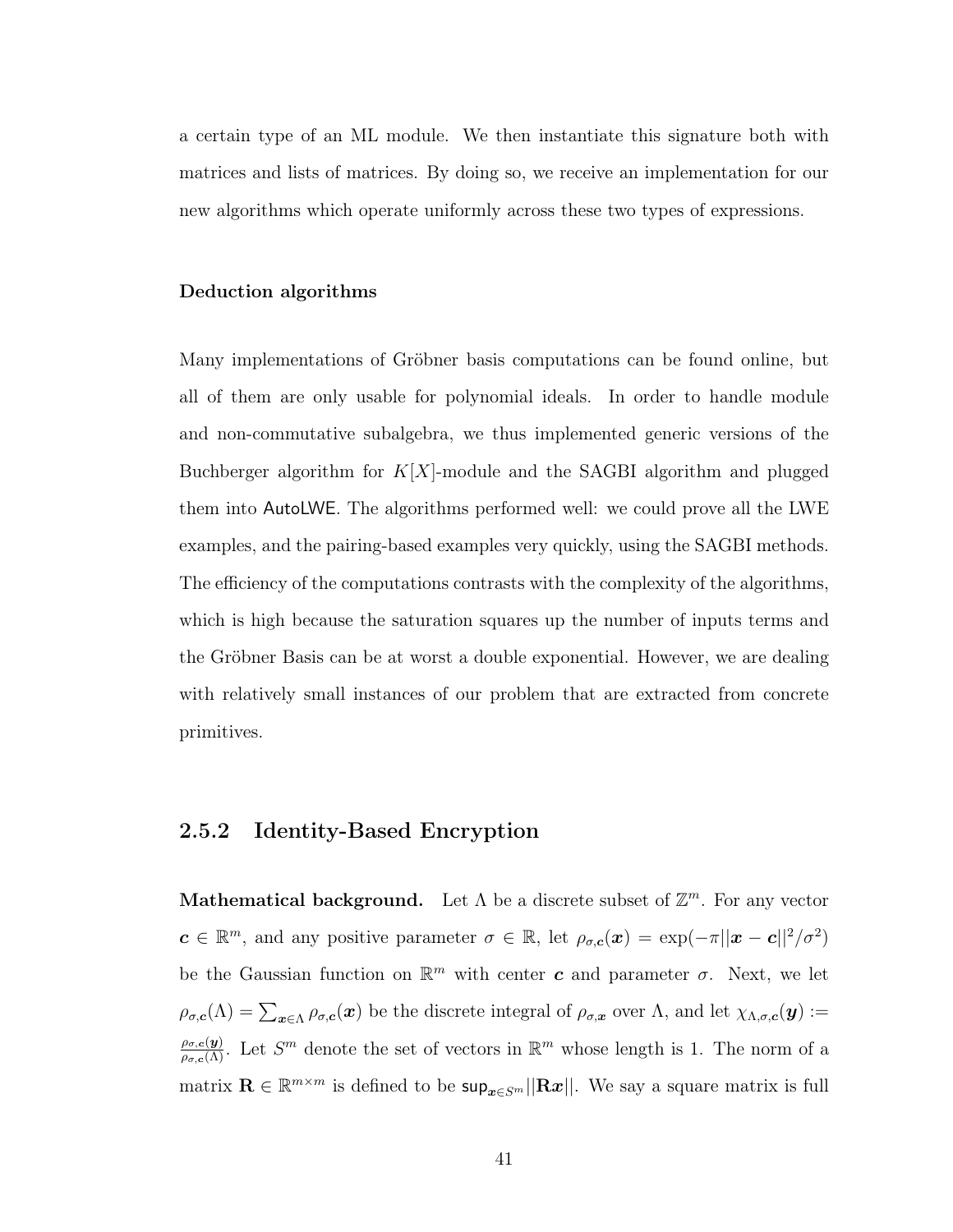a certain type of an ML module. We then instantiate this signature both with matrices and lists of matrices. By doing so, we receive an implementation for our new algorithms which operate uniformly across these two types of expressions.

### Deduction algorithms

Many implementations of Gröbner basis computations can be found online, but all of them are only usable for polynomial ideals. In order to handle module and non-commutative subalgebra, we thus implemented generic versions of the Buchberger algorithm for  $K[X]$ -module and the SAGBI algorithm and plugged them into AutoLWE. The algorithms performed well: we could prove all the LWE examples, and the pairing-based examples very quickly, using the SAGBI methods. The efficiency of the computations contrasts with the complexity of the algorithms, which is high because the saturation squares up the number of inputs terms and the Gröbner Basis can be at worst a double exponential. However, we are dealing with relatively small instances of our problem that are extracted from concrete primitives.

## <span id="page-49-0"></span>2.5.2 Identity-Based Encryption

**Mathematical background.** Let  $\Lambda$  be a discrete subset of  $\mathbb{Z}^m$ . For any vector  $c \in \mathbb{R}^m$ , and any positive parameter  $\sigma \in \mathbb{R}$ , let  $\rho_{\sigma,c}(x) = \exp(-\pi ||x - c||^2/\sigma^2)$ be the Gaussian function on  $\mathbb{R}^m$  with center c and parameter  $\sigma$ . Next, we let  $\rho_{\sigma,\boldsymbol{c}}(\Lambda)=\sum_{\boldsymbol{x}\in\Lambda}\rho_{\sigma,\boldsymbol{c}}(\boldsymbol{x})$  be the discrete integral of  $\rho_{\sigma,\boldsymbol{x}}$  over  $\Lambda$ , and let  $\chi_{\Lambda,\sigma,\boldsymbol{c}}(\boldsymbol{y}):=$  $\frac{\rho_{\sigma,c}(y)}{\rho_{\sigma,c}(\Lambda)}$ . Let  $S^m$  denote the set of vectors in  $\mathbb{R}^m$  whose length is 1. The norm of a matrix  $\mathbf{R} \in \mathbb{R}^{m \times m}$  is defined to be  $\sup_{\bm{x} \in S^m} ||\mathbf{R}\bm{x}||$ . We say a square matrix is full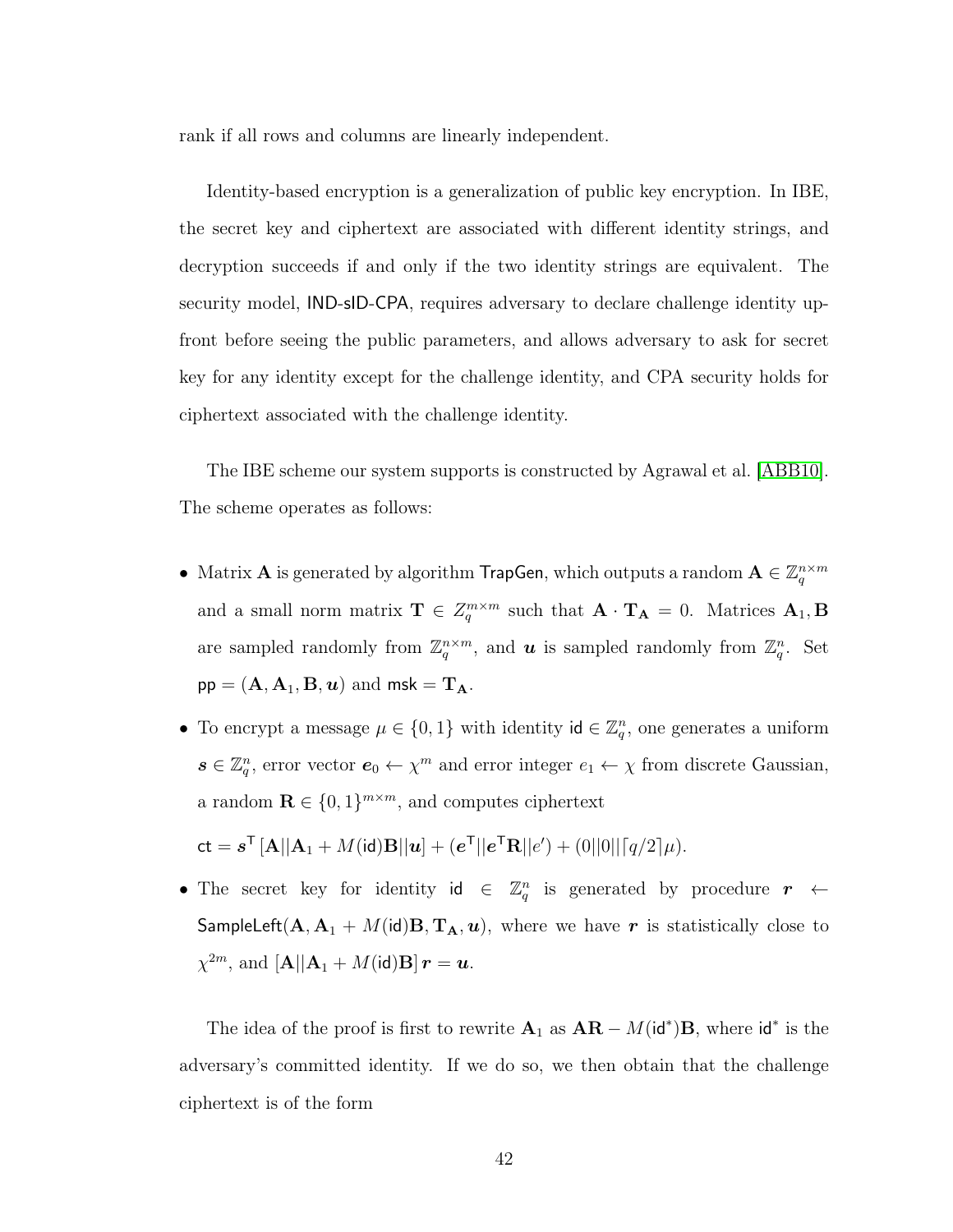rank if all rows and columns are linearly independent.

Identity-based encryption is a generalization of public key encryption. In IBE, the secret key and ciphertext are associated with different identity strings, and decryption succeeds if and only if the two identity strings are equivalent. The security model, IND-sID-CPA, requires adversary to declare challenge identity upfront before seeing the public parameters, and allows adversary to ask for secret key for any identity except for the challenge identity, and CPA security holds for ciphertext associated with the challenge identity.

The IBE scheme our system supports is constructed by Agrawal et al. [\[ABB10\]](#page-137-0). The scheme operates as follows:

- Matrix **A** is generated by algorithm **TrapGen**, which outputs a random  $\mathbf{A} \in \mathbb{Z}_q^{n \times m}$ and a small norm matrix  $\mathbf{T} \in \mathbb{Z}_q^{m \times m}$  such that  $\mathbf{A} \cdot \mathbf{T_A} = 0$ . Matrices  $\mathbf{A}_1, \mathbf{B}$ are sampled randomly from  $\mathbb{Z}_q^{n \times m}$ , and **u** is sampled randomly from  $\mathbb{Z}_q^n$ . Set  $pp = (\mathbf{A}, \mathbf{A}_1, \mathbf{B}, \mathbf{u})$  and  $msk = \mathbf{T_A}$ .
- To encrypt a message  $\mu \in \{0,1\}$  with identity  $\mathsf{id} \in \mathbb{Z}_q^n$ , one generates a uniform  $s \in \mathbb{Z}_q^n$ , error vector  $e_0 \leftarrow \chi^m$  and error integer  $e_1 \leftarrow \chi$  from discrete Gaussian, a random  $\mathbf{R} \in \{0,1\}^{m \times m}$ , and computes ciphertext

$$
\mathsf{ct} = \mathbf{s}^\mathsf{T} \left[ \mathbf{A} || \mathbf{A}_1 + M(\mathsf{id}) \mathbf{B} || \mathbf{u} \right] + (\mathbf{e}^\mathsf{T} || \mathbf{e}^\mathsf{T} \mathbf{R} || \mathbf{e}') + (0 ||0|| \lceil q/2 \rceil \mu).
$$

• The secret key for identity  $id \in \mathbb{Z}_q^n$  is generated by procedure  $r \leftarrow$ SampleLeft( $A, A_1 + M(id)B, T_A, u$ ), where we have r is statistically close to  $\chi^{2m}, \, \text{and} \, \left[\mathbf{A} || \mathbf{A}_1 + M(\mathrm{id}) \mathbf{B} \right] \bm{r} = \bm{u}.$ 

The idea of the proof is first to rewrite  $\mathbf{A}_1$  as  $\mathbf{A}\mathbf{R} - M(\mathsf{id}^*)\mathbf{B}$ , where  $\mathsf{id}^*$  is the adversary's committed identity. If we do so, we then obtain that the challenge ciphertext is of the form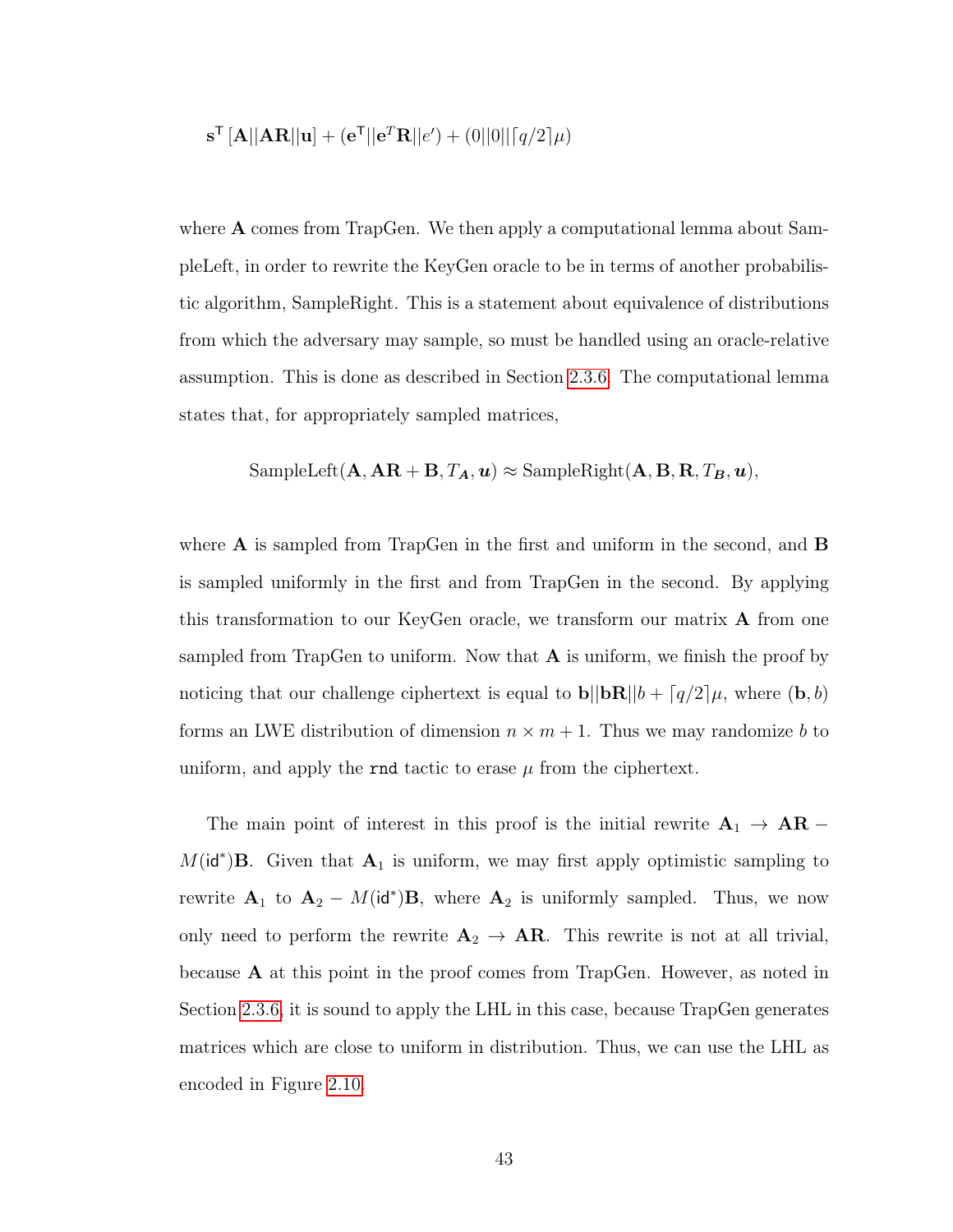$$
\mathbf{s}^{\mathsf{T}}\left[\mathbf{A}||\mathbf{A}\mathbf{R}||\mathbf{u}\right] + (\mathbf{e}^{\mathsf{T}}||\mathbf{e}^T\mathbf{R}||e') + (0||0||\lceil q/2 \rceil \mu)
$$

where **A** comes from TrapGen. We then apply a computational lemma about SampleLeft, in order to rewrite the KeyGen oracle to be in terms of another probabilistic algorithm, SampleRight. This is a statement about equivalence of distributions from which the adversary may sample, so must be handled using an oracle-relative assumption. This is done as described in Section [2.3.6.](#page-39-0) The computational lemma states that, for appropriately sampled matrices,

$$
SampleLeft(\mathbf{A}, \mathbf{AR} + \mathbf{B}, T_{\mathbf{A}}, \mathbf{u}) \approx SampleRight(\mathbf{A}, \mathbf{B}, \mathbf{R}, T_{\mathbf{B}}, \mathbf{u}),
$$

where  $\bf{A}$  is sampled from TrapGen in the first and uniform in the second, and  $\bf{B}$ is sampled uniformly in the first and from TrapGen in the second. By applying this transformation to our KeyGen oracle, we transform our matrix A from one sampled from TrapGen to uniform. Now that  $A$  is uniform, we finish the proof by noticing that our challenge ciphertext is equal to  $\mathbf{b}||\mathbf{b}\mathbf{R}||b + \lceil q/2 \rceil \mu$ , where  $(\mathbf{b}, b)$ forms an LWE distribution of dimension  $n \times m + 1$ . Thus we may randomize b to uniform, and apply the rnd tactic to erase  $\mu$  from the ciphertext.

The main point of interest in this proof is the initial rewrite  $A_1 \rightarrow AR M(\mathsf{id}^*)$ **B**. Given that  $\mathbf{A}_1$  is uniform, we may first apply optimistic sampling to rewrite  $A_1$  to  $A_2 - M(\mathsf{id}^*)B$ , where  $A_2$  is uniformly sampled. Thus, we now only need to perform the rewrite  $A_2 \rightarrow AR$ . This rewrite is not at all trivial, because A at this point in the proof comes from TrapGen. However, as noted in Section [2.3.6,](#page-38-0) it is sound to apply the LHL in this case, because TrapGen generates matrices which are close to uniform in distribution. Thus, we can use the LHL as encoded in Figure [2.10.](#page-40-0)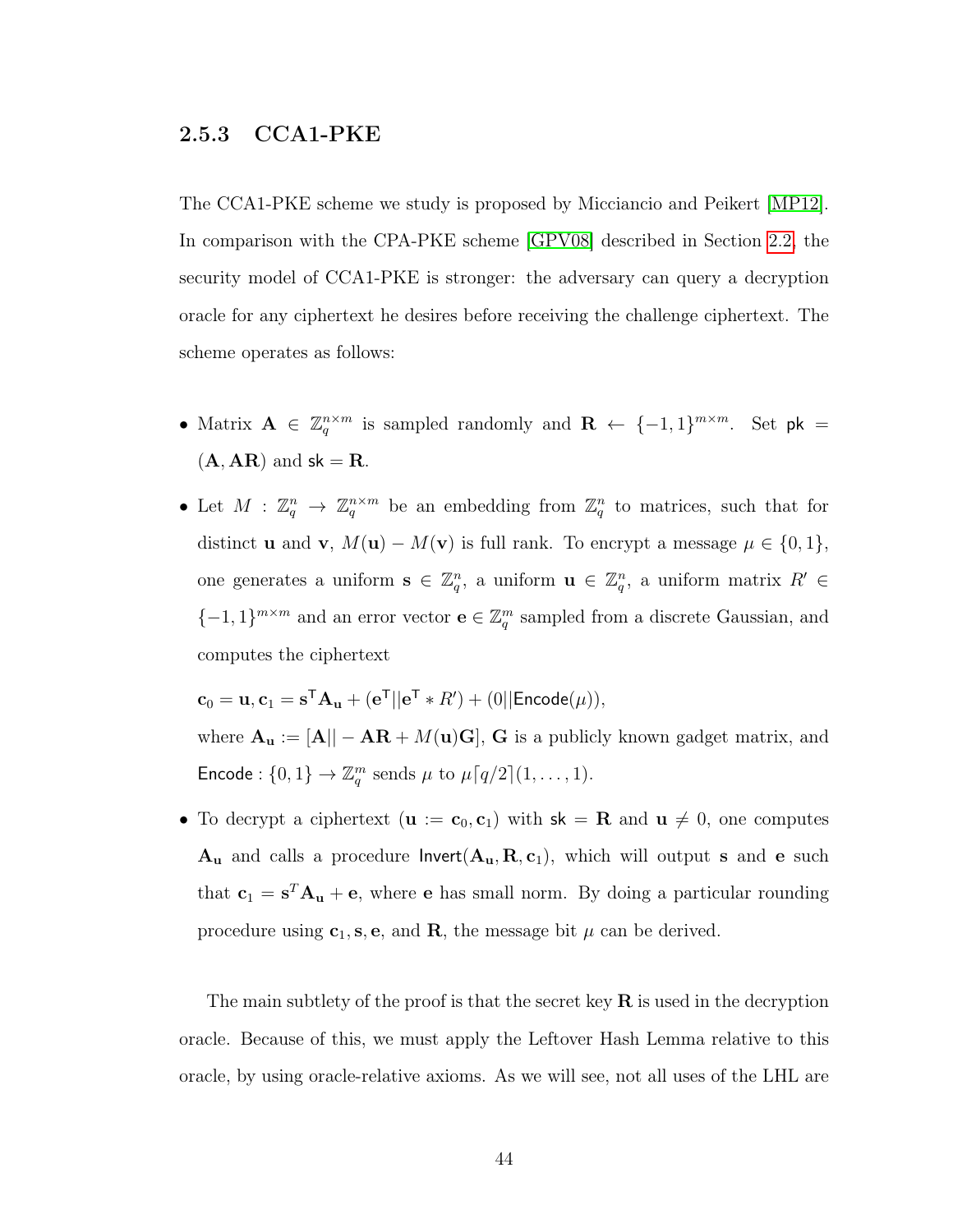## <span id="page-52-0"></span>2.5.3 CCA1-PKE

The CCA1-PKE scheme we study is proposed by Micciancio and Peikert [\[MP12\]](#page-146-1). In comparison with the CPA-PKE scheme [\[GPV08\]](#page-144-0) described in Section [2.2,](#page-17-0) the security model of CCA1-PKE is stronger: the adversary can query a decryption oracle for any ciphertext he desires before receiving the challenge ciphertext. The scheme operates as follows:

- Matrix  $A \in \mathbb{Z}_q^{n \times m}$  is sampled randomly and  $R \leftarrow \{-1,1\}^{m \times m}$ . Set pk =  $(A, AR)$  and  $sk = R$ .
- Let  $M: \mathbb{Z}_q^n \to \mathbb{Z}_q^{n \times m}$  be an embedding from  $\mathbb{Z}_q^n$  to matrices, such that for distinct **u** and **v**,  $M(\mathbf{u}) - M(\mathbf{v})$  is full rank. To encrypt a message  $\mu \in \{0, 1\}$ , one generates a uniform  $\mathbf{s} \in \mathbb{Z}_q^n$ , a uniform  $\mathbf{u} \in \mathbb{Z}_q^n$ , a uniform matrix  $R' \in$  ${-1, 1}^{m \times m}$  and an error vector  $\mathbf{e} \in \mathbb{Z}_q^m$  sampled from a discrete Gaussian, and computes the ciphertext

 $\mathbf{c}_0 = \mathbf{u}, \mathbf{c}_1 = \mathbf{s}^\mathsf{T} \mathbf{A}_\mathbf{u} + (\mathbf{e}^\mathsf{T} || \mathbf{e}^\mathsf{T} * R') + (0 || \mathsf{Encode}(\mu)),$ where  ${\bf A}_{\bf u} := [{\bf A}]|-{\bf A}{\bf R}+M({\bf u}){\bf G}],$   ${\bf G}$  is a publicly known gadget matrix, and Encode :  $\{0,1\} \to \mathbb{Z}_q^m$  sends  $\mu$  to  $\mu\lceil q/2\rceil (1,\ldots,1)$ .

• To decrypt a ciphertext  $(\mathbf{u} := \mathbf{c}_0, \mathbf{c}_1)$  with  $\mathbf{sk} = \mathbf{R}$  and  $\mathbf{u} \neq 0$ , one computes  $A_u$  and calls a procedure  $\mathsf{Invert}(A_u, R, c_1)$ , which will output s and e such that  $c_1 = s^T A_u + e$ , where e has small norm. By doing a particular rounding procedure using  $c_1$ , s, e, and **R**, the message bit  $\mu$  can be derived.

The main subtlety of the proof is that the secret key  $\bf R$  is used in the decryption oracle. Because of this, we must apply the Leftover Hash Lemma relative to this oracle, by using oracle-relative axioms. As we will see, not all uses of the LHL are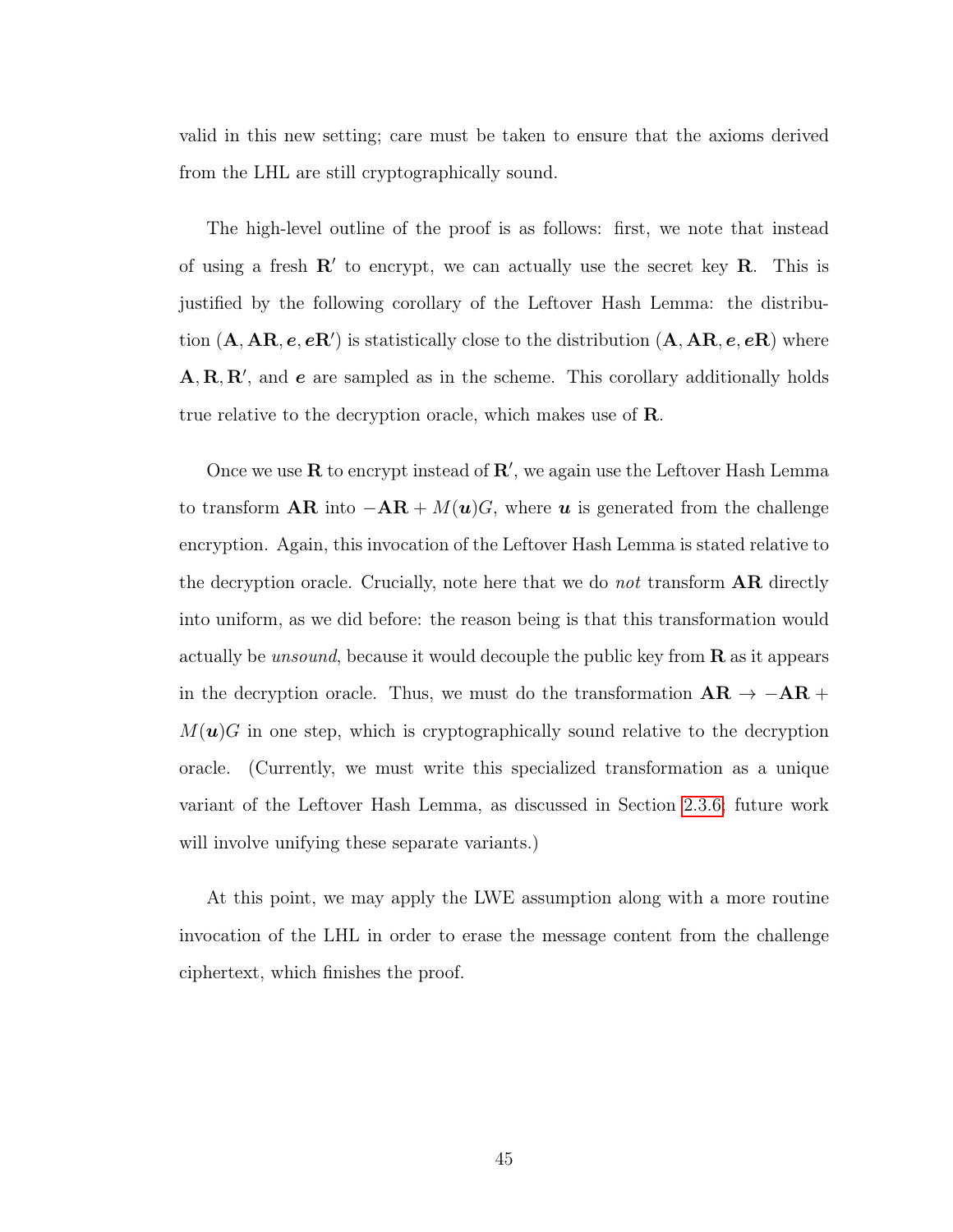valid in this new setting; care must be taken to ensure that the axioms derived from the LHL are still cryptographically sound.

The high-level outline of the proof is as follows: first, we note that instead of using a fresh  $\mathbb{R}'$  to encrypt, we can actually use the secret key  $\mathbb{R}$ . This is justified by the following corollary of the Leftover Hash Lemma: the distribution  $(A, AR, e, eR')$  is statistically close to the distribution  $(A, AR, e, eR)$  where  $A, R, R',$  and  $e$  are sampled as in the scheme. This corollary additionally holds true relative to the decryption oracle, which makes use of **R**.

Once we use  $\bf{R}$  to encrypt instead of  $\bf{R}'$ , we again use the Leftover Hash Lemma to transform  $AR$  into  $-AR + M(u)G$ , where u is generated from the challenge encryption. Again, this invocation of the Leftover Hash Lemma is stated relative to the decryption oracle. Crucially, note here that we do *not* transform  $AR$  directly into uniform, as we did before: the reason being is that this transformation would actually be *unsound*, because it would decouple the public key from  $\bf{R}$  as it appears in the decryption oracle. Thus, we must do the transformation  $AR \rightarrow -AR +$  $M(\mathbf{u})$ G in one step, which is cryptographically sound relative to the decryption oracle. (Currently, we must write this specialized transformation as a unique variant of the Leftover Hash Lemma, as discussed in Section [2.3.6;](#page-38-0) future work will involve unifying these separate variants.)

At this point, we may apply the LWE assumption along with a more routine invocation of the LHL in order to erase the message content from the challenge ciphertext, which finishes the proof.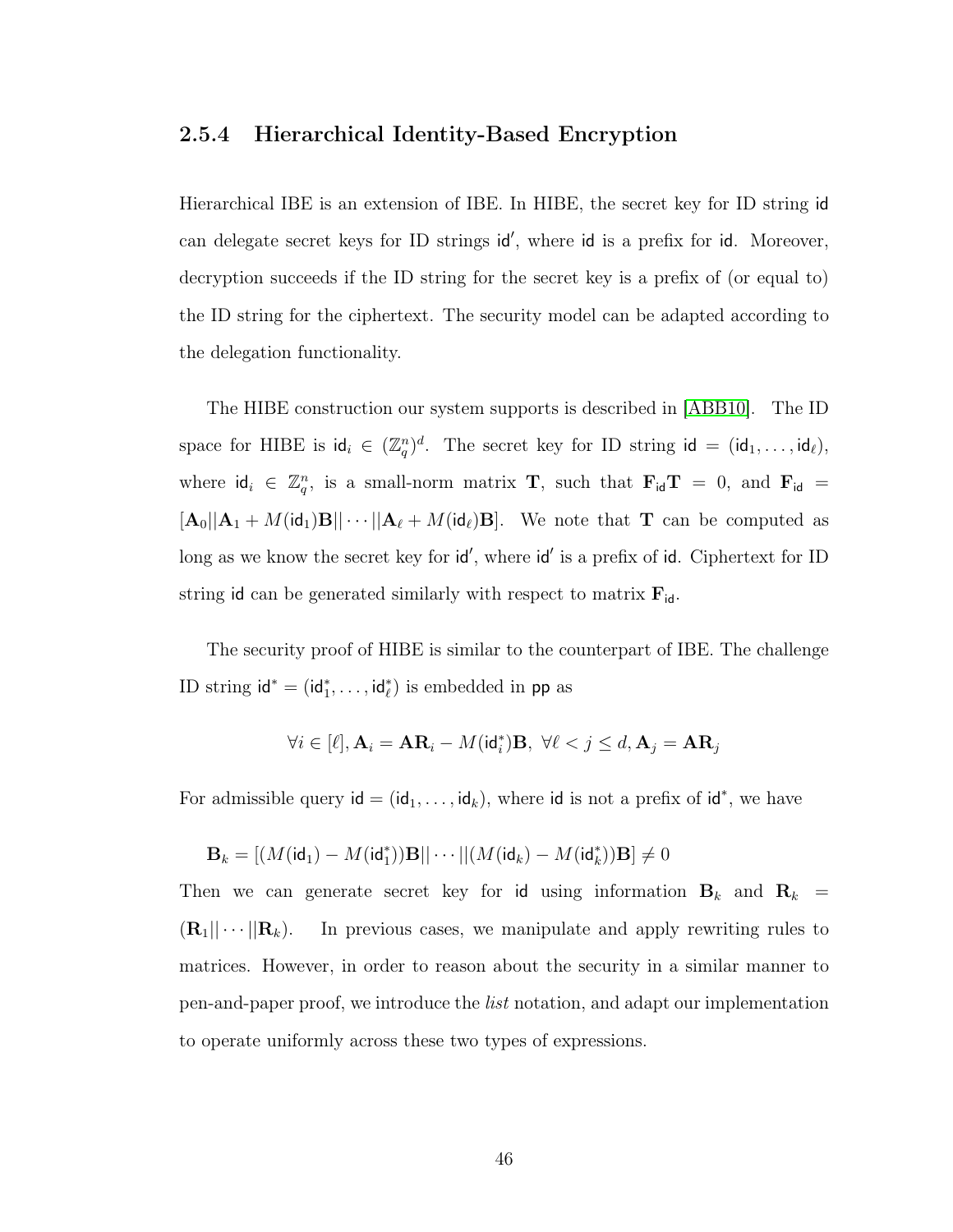### <span id="page-54-0"></span>2.5.4 Hierarchical Identity-Based Encryption

Hierarchical IBE is an extension of IBE. In HIBE, the secret key for ID string id can delegate secret keys for ID strings id', where id is a prefix for id. Moreover, decryption succeeds if the ID string for the secret key is a prefix of (or equal to) the ID string for the ciphertext. The security model can be adapted according to the delegation functionality.

The HIBE construction our system supports is described in [\[ABB10\]](#page-137-0). The ID space for HIBE is  $\mathsf{id}_i \in (\mathbb{Z}_q^n)^d$ . The secret key for ID string  $\mathsf{id} = (\mathsf{id}_1, \dots, \mathsf{id}_\ell),$ where  $\mathsf{id}_i \in \mathbb{Z}_q^n$ , is a small-norm matrix **T**, such that  $\mathbf{F}_{\mathsf{id}} \mathbf{T} = 0$ , and  $\mathbf{F}_{\mathsf{id}} =$  $[\mathbf{A}_0||\mathbf{A}_1 + M(\mathsf{id}_1)\mathbf{B}|| \cdots ||\mathbf{A}_{\ell} + M(\mathsf{id}_{\ell})\mathbf{B}].$  We note that **T** can be computed as long as we know the secret key for  $id'$ , where  $id'$  is a prefix of id. Ciphertext for ID string id can be generated similarly with respect to matrix  $\mathbf{F}_{\mathsf{id}}$ .

The security proof of HIBE is similar to the counterpart of IBE. The challenge ID string  $\mathsf{id}^* = (\mathsf{id}_1^*, \dots, \mathsf{id}_\ell^*)$  is embedded in pp as

$$
\forall i \in [\ell], \mathbf{A}_i = \mathbf{A}\mathbf{R}_i - M(\mathrm{id}_i^*)\mathbf{B}, \ \forall \ell < j \leq d, \mathbf{A}_j = \mathbf{A}\mathbf{R}_j
$$

For admissible query  $id = (id_1, \ldots, id_k)$ , where id is not a prefix of  $id^*$ , we have

$$
\mathbf{B}_k = [(M(\mathsf{id}_1) - M(\mathsf{id}_1^*)) \mathbf{B} || \cdots || (M(\mathsf{id}_k) - M(\mathsf{id}_k^*)) \mathbf{B}] \neq 0
$$

Then we can generate secret key for id using information  $B_k$  and  $R_k$  =  $(\mathbf{R}_1|| \cdots || \mathbf{R}_k)$ . In previous cases, we manipulate and apply rewriting rules to matrices. However, in order to reason about the security in a similar manner to pen-and-paper proof, we introduce the list notation, and adapt our implementation to operate uniformly across these two types of expressions.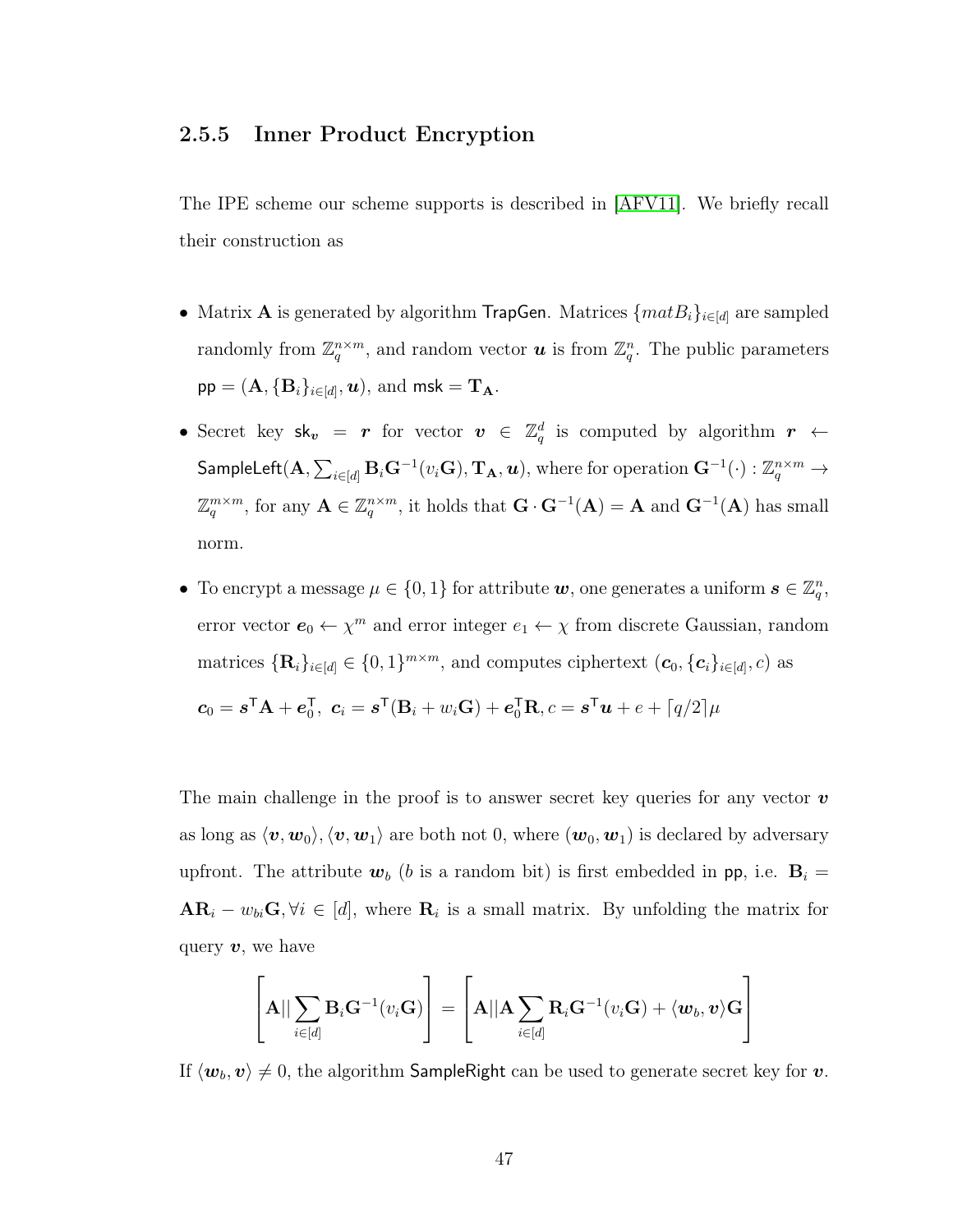## <span id="page-55-0"></span>2.5.5 Inner Product Encryption

The IPE scheme our scheme supports is described in [\[AFV11\]](#page-137-1). We briefly recall their construction as

- Matrix **A** is generated by algorithm TrapGen. Matrices  $\{matB_i\}_{i\in[d]}$  are sampled randomly from  $\mathbb{Z}_q^{n \times m}$ , and random vector **u** is from  $\mathbb{Z}_q^n$ . The public parameters  $\mathsf{pp} = (\mathbf{A}, \{\mathbf{B}_i\}_{i \in [d]}, \bm{u}), \, \text{and} \ \mathsf{msk} = \mathbf{T}_\mathbf{A}.$
- Secret key  $sk_v = r$  for vector  $v \in \mathbb{Z}_q^d$  is computed by algorithm  $r \leftarrow$  $\mathsf{SampleLeft}(\mathbf{A}, \sum_{i \in [d]} \mathbf{B}_i \mathbf{G}^{-1}(v_i\mathbf{G}), \mathbf{T_A},\bm{u}), \text{ where for operation } \mathbf{G}^{-1}(\cdot): \mathbb{Z}_q^{n \times m} \rightarrow$  $\mathbb{Z}_q^{m \times m}$ , for any  $\mathbf{A} \in \mathbb{Z}_q^{n \times m}$ , it holds that  $\mathbf{G} \cdot \mathbf{G}^{-1}(\mathbf{A}) = \mathbf{A}$  and  $\mathbf{G}^{-1}(\mathbf{A})$  has small norm.
- To encrypt a message  $\mu \in \{0, 1\}$  for attribute  $\boldsymbol{w}$ , one generates a uniform  $\boldsymbol{s} \in \mathbb{Z}_q^n$ , error vector  $e_0 \leftarrow \chi^m$  and error integer  $e_1 \leftarrow \chi$  from discrete Gaussian, random matrices  $\{\mathbf{R}_i\}_{i\in[d]}\in\{0,1\}^{m\times m}$ , and computes ciphertext  $(c_0, \{c_i\}_{i\in[d]}, c)$  as

$$
\boldsymbol{c}_0 = \boldsymbol{s}^{\mathsf{T}} \mathbf{A} + \boldsymbol{e}_0^{\mathsf{T}}, \ \boldsymbol{c}_i = \boldsymbol{s}^{\mathsf{T}} (\mathbf{B}_i + w_i \mathbf{G}) + \boldsymbol{e}_0^{\mathsf{T}} \mathbf{R}, c = \boldsymbol{s}^{\mathsf{T}} \boldsymbol{u} + e + \lceil q/2 \rceil \mu
$$

The main challenge in the proof is to answer secret key queries for any vector  $\boldsymbol{v}$ as long as  $\langle v, w_0 \rangle, \langle v, w_1 \rangle$  are both not 0, where  $(w_0, w_1)$  is declared by adversary upfront. The attribute  $w_b$  (b is a random bit) is first embedded in pp, i.e.  $B_i =$  $AR_i - w_{bi}G, \forall i \in [d],$  where  $R_i$  is a small matrix. By unfolding the matrix for query  $v$ , we have

$$
\left[\mathbf{A}||\sum_{i\in[d]}\mathbf{B}_i\mathbf{G}^{-1}(v_i\mathbf{G})\right] = \left[\mathbf{A}||\mathbf{A}\sum_{i\in[d]}\mathbf{R}_i\mathbf{G}^{-1}(v_i\mathbf{G}) + \langle\mathbf{w}_b,\mathbf{v}\rangle\mathbf{G}\right]
$$

If  $\langle w_b, v \rangle \neq 0$ , the algorithm SampleRight can be used to generate secret key for v.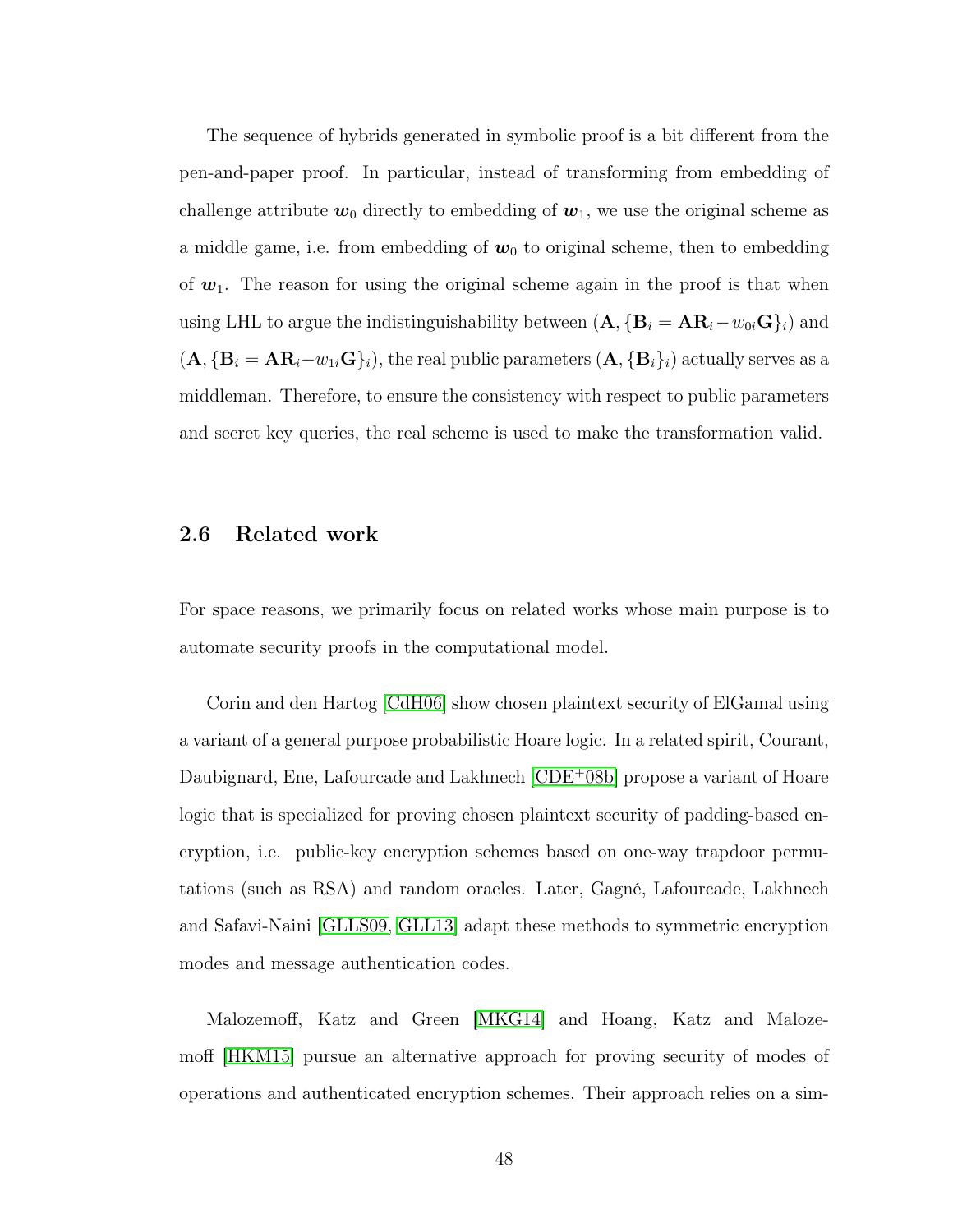The sequence of hybrids generated in symbolic proof is a bit different from the pen-and-paper proof. In particular, instead of transforming from embedding of challenge attribute  $w_0$  directly to embedding of  $w_1$ , we use the original scheme as a middle game, i.e. from embedding of  $w_0$  to original scheme, then to embedding of  $w_1$ . The reason for using the original scheme again in the proof is that when using LHL to argue the indistinguishability between  $(A, {B<sub>i</sub> = AR<sub>i</sub> - w<sub>0i</sub>G}<sub>i</sub>)$  and  $(\mathbf{A}, {\{\mathbf{B}_i = \mathbf{A}\mathbf{R}_i - w_{1i}\mathbf{G}\}}_i)$ , the real public parameters  $(\mathbf{A}, {\{\mathbf{B}_i\}}_i)$  actually serves as a middleman. Therefore, to ensure the consistency with respect to public parameters and secret key queries, the real scheme is used to make the transformation valid.

### 2.6 Related work

For space reasons, we primarily focus on related works whose main purpose is to automate security proofs in the computational model.

Corin and den Hartog [\[CdH06\]](#page-141-1) show chosen plaintext security of ElGamal using a variant of a general purpose probabilistic Hoare logic. In a related spirit, Courant, Daubignard, Ene, Lafourcade and Lakhnech [\[CDE](#page-141-2)<sup>+</sup>08b] propose a variant of Hoare logic that is specialized for proving chosen plaintext security of padding-based encryption, i.e. public-key encryption schemes based on one-way trapdoor permutations (such as RSA) and random oracles. Later, Gagné, Lafourcade, Lakhnech and Safavi-Naini [\[GLLS09,](#page-143-2) [GLL13\]](#page-143-3) adapt these methods to symmetric encryption modes and message authentication codes.

Malozemoff, Katz and Green [\[MKG14\]](#page-146-2) and Hoang, Katz and Malozemoff [\[HKM15\]](#page-144-1) pursue an alternative approach for proving security of modes of operations and authenticated encryption schemes. Their approach relies on a sim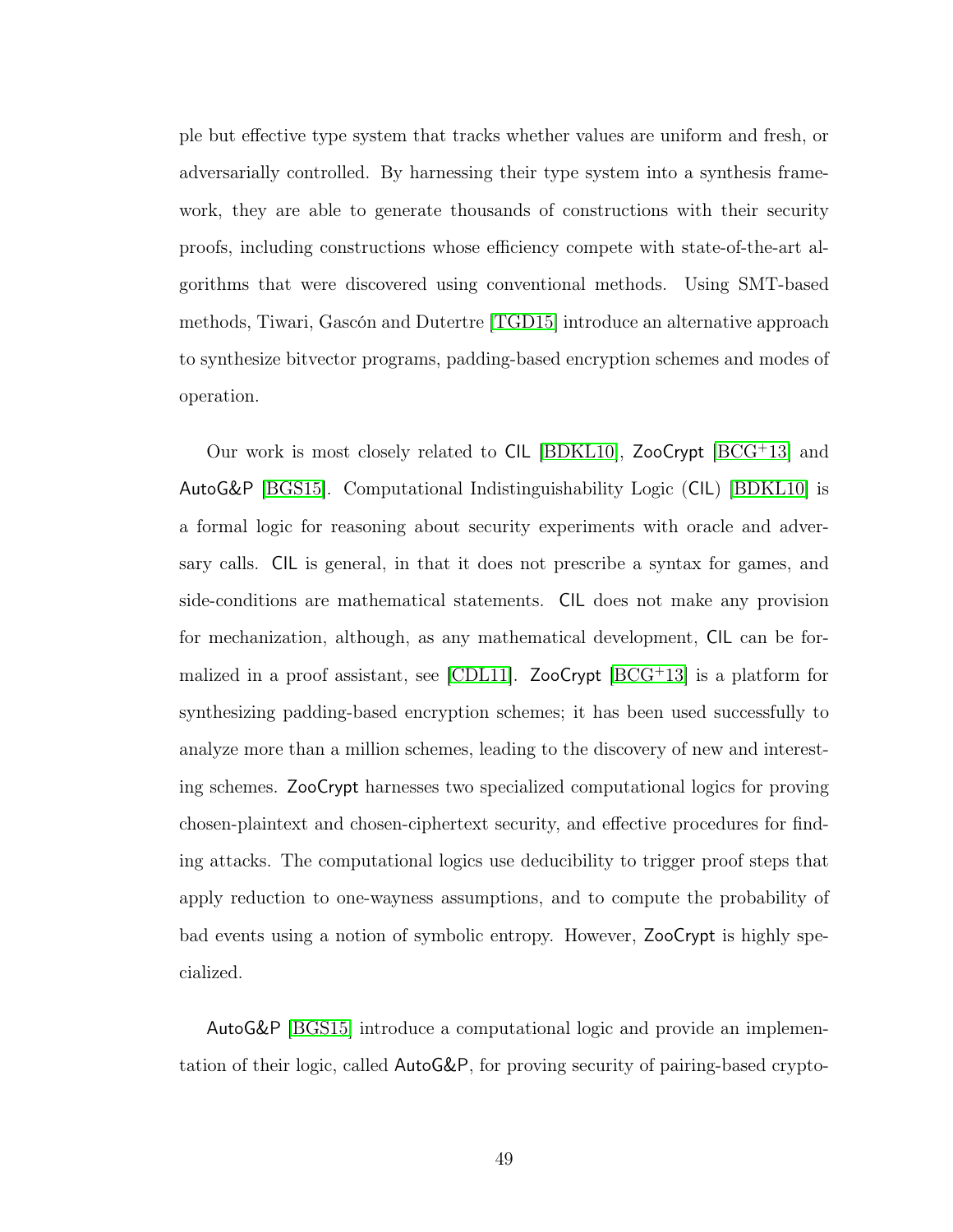ple but effective type system that tracks whether values are uniform and fresh, or adversarially controlled. By harnessing their type system into a synthesis framework, they are able to generate thousands of constructions with their security proofs, including constructions whose efficiency compete with state-of-the-art algorithms that were discovered using conventional methods. Using SMT-based methods, Tiwari, Gascón and Dutertre [\[TGD15\]](#page-149-0) introduce an alternative approach to synthesize bitvector programs, padding-based encryption schemes and modes of operation.

Our work is most closely related to CIL [\[BDKL10\]](#page-139-1), ZooCrypt [\[BCG](#page-138-0)<sup>+</sup>13] and AutoG&P [\[BGS15\]](#page-140-0). Computational Indistinguishability Logic (CIL) [\[BDKL10\]](#page-139-1) is a formal logic for reasoning about security experiments with oracle and adversary calls. CIL is general, in that it does not prescribe a syntax for games, and side-conditions are mathematical statements. CIL does not make any provision for mechanization, although, as any mathematical development, CIL can be for-malized in a proof assistant, see [\[CDL11\]](#page-142-1). ZooCrypt  $[BCG^+13]$  $[BCG^+13]$  is a platform for synthesizing padding-based encryption schemes; it has been used successfully to analyze more than a million schemes, leading to the discovery of new and interesting schemes. ZooCrypt harnesses two specialized computational logics for proving chosen-plaintext and chosen-ciphertext security, and effective procedures for finding attacks. The computational logics use deducibility to trigger proof steps that apply reduction to one-wayness assumptions, and to compute the probability of bad events using a notion of symbolic entropy. However, ZooCrypt is highly specialized.

AutoG&P [\[BGS15\]](#page-140-0) introduce a computational logic and provide an implementation of their logic, called AutoG&P, for proving security of pairing-based crypto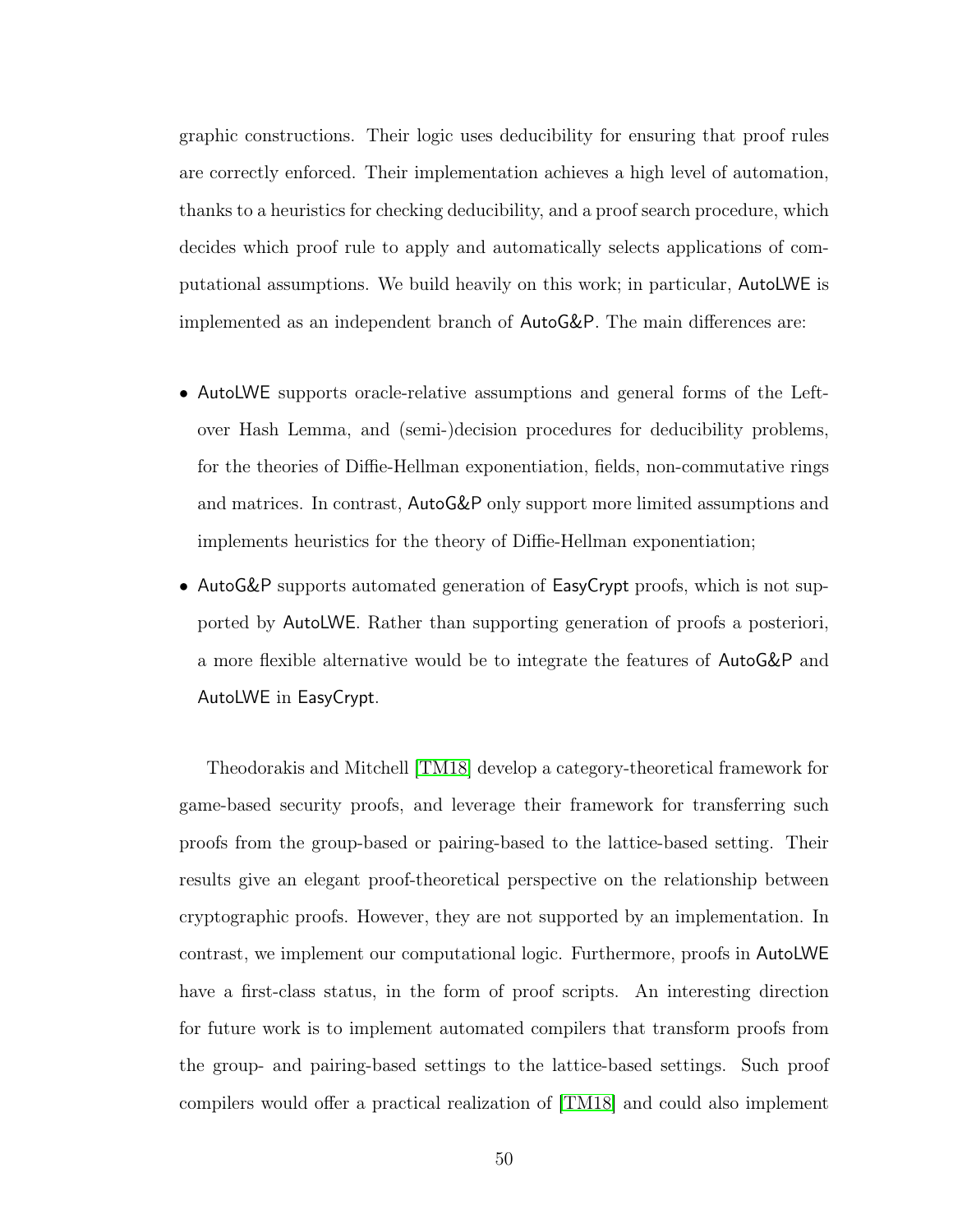graphic constructions. Their logic uses deducibility for ensuring that proof rules are correctly enforced. Their implementation achieves a high level of automation, thanks to a heuristics for checking deducibility, and a proof search procedure, which decides which proof rule to apply and automatically selects applications of computational assumptions. We build heavily on this work; in particular, AutoLWE is implemented as an independent branch of AutoG&P. The main differences are:

- AutoLWE supports oracle-relative assumptions and general forms of the Leftover Hash Lemma, and (semi-)decision procedures for deducibility problems, for the theories of Diffie-Hellman exponentiation, fields, non-commutative rings and matrices. In contrast, AutoG&P only support more limited assumptions and implements heuristics for the theory of Diffie-Hellman exponentiation;
- AutoG&P supports automated generation of EasyCrypt proofs, which is not supported by AutoLWE. Rather than supporting generation of proofs a posteriori, a more flexible alternative would be to integrate the features of AutoG&P and AutoLWE in EasyCrypt.

Theodorakis and Mitchell [\[TM18\]](#page-149-1) develop a category-theoretical framework for game-based security proofs, and leverage their framework for transferring such proofs from the group-based or pairing-based to the lattice-based setting. Their results give an elegant proof-theoretical perspective on the relationship between cryptographic proofs. However, they are not supported by an implementation. In contrast, we implement our computational logic. Furthermore, proofs in AutoLWE have a first-class status, in the form of proof scripts. An interesting direction for future work is to implement automated compilers that transform proofs from the group- and pairing-based settings to the lattice-based settings. Such proof compilers would offer a practical realization of [\[TM18\]](#page-149-1) and could also implement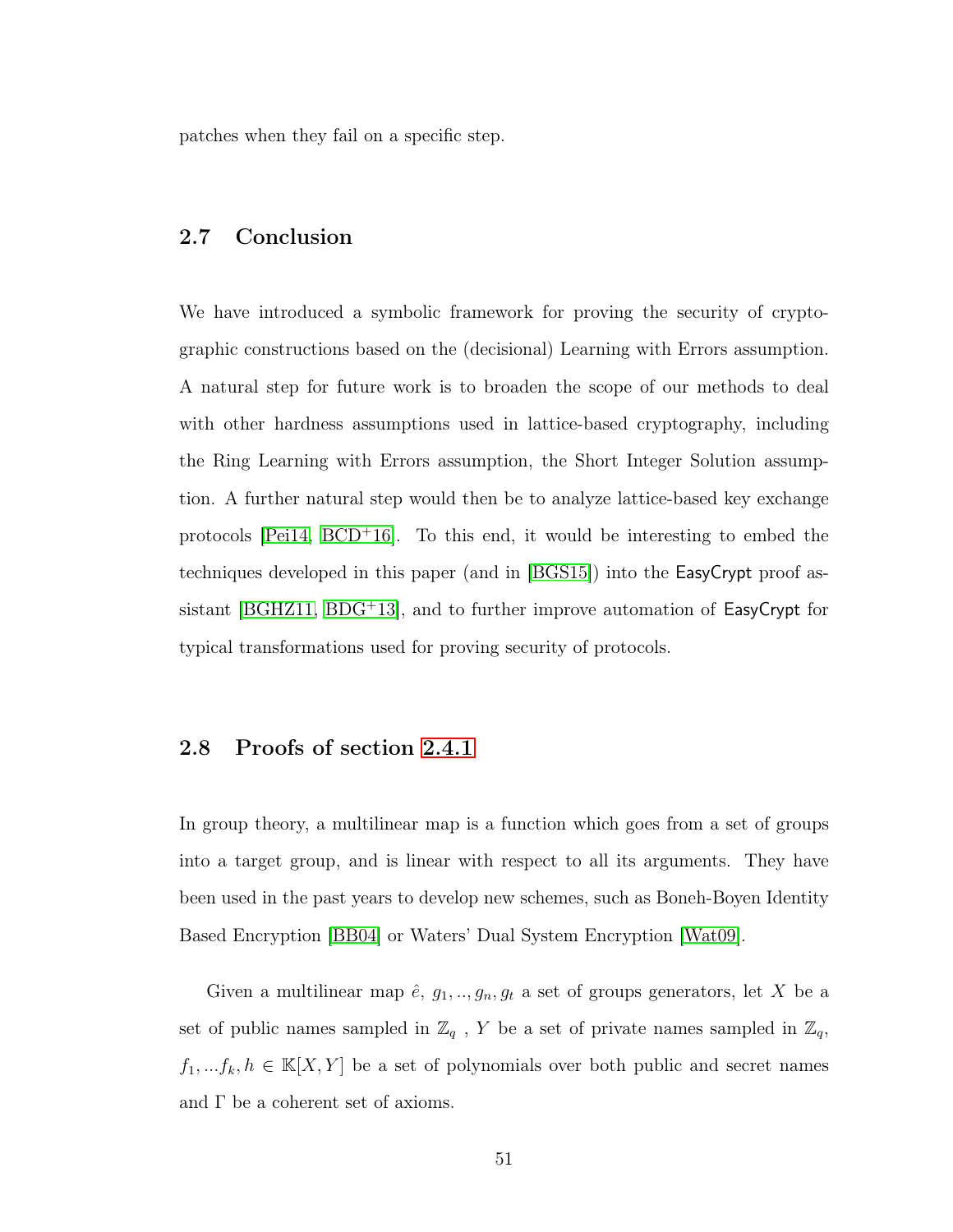patches when they fail on a specific step.

### 2.7 Conclusion

We have introduced a symbolic framework for proving the security of cryptographic constructions based on the (decisional) Learning with Errors assumption. A natural step for future work is to broaden the scope of our methods to deal with other hardness assumptions used in lattice-based cryptography, including the Ring Learning with Errors assumption, the Short Integer Solution assumption. A further natural step would then be to analyze lattice-based key exchange protocols  $[Pei14, BCD+16]$  $[Pei14, BCD+16]$  $[Pei14, BCD+16]$ . To this end, it would be interesting to embed the techniques developed in this paper (and in [\[BGS15\]](#page-140-0)) into the EasyCrypt proof assistant  $[BGHZ11, BDG<sup>+</sup>13]$  $[BGHZ11, BDG<sup>+</sup>13]$  $[BGHZ11, BDG<sup>+</sup>13]$ , and to further improve automation of EasyCrypt for typical transformations used for proving security of protocols.

### 2.8 Proofs of section [2.4.1](#page-42-0)

In group theory, a multilinear map is a function which goes from a set of groups into a target group, and is linear with respect to all its arguments. They have been used in the past years to develop new schemes, such as Boneh-Boyen Identity Based Encryption [\[BB04\]](#page-138-2) or Waters' Dual System Encryption [\[Wat09\]](#page-149-2).

Given a multilinear map  $\hat{e}$ ,  $g_1, ..., g_n$ ,  $g_t$  a set of groups generators, let X be a set of public names sampled in  $\mathbb{Z}_q$ , Y be a set of private names sampled in  $\mathbb{Z}_q$ ,  $f_1, \ldots, f_k, h \in \mathbb{K}[X, Y]$  be a set of polynomials over both public and secret names and  $\Gamma$  be a coherent set of axioms.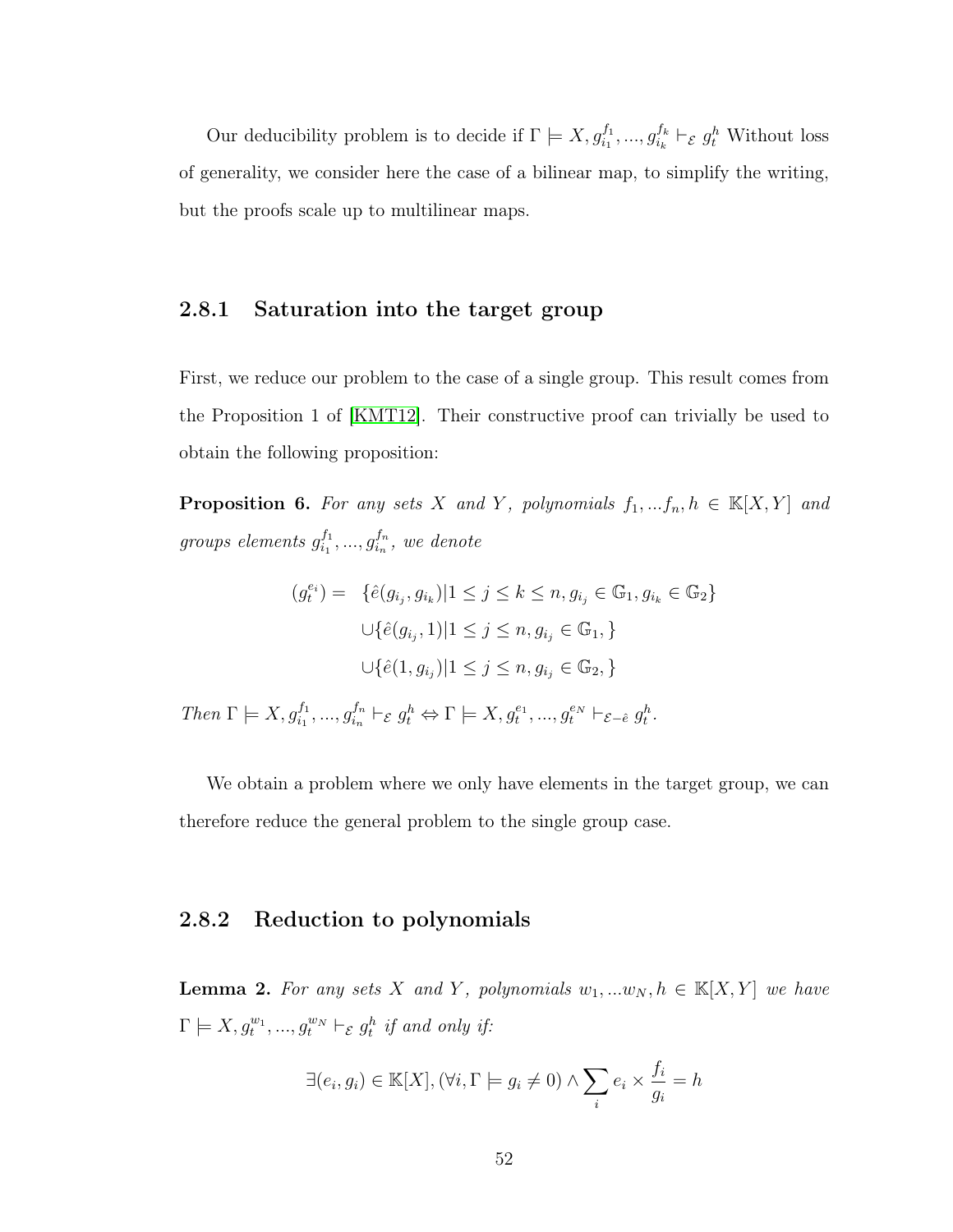Our deducibility problem is to decide if  $\Gamma \models X, g_{i_1}^{f_1}, ..., g_{i_k}^{f_k}$  $a_k^{f_k} \vdash_{\mathcal{E}} g_t^h$  Without loss of generality, we consider here the case of a bilinear map, to simplify the writing, but the proofs scale up to multilinear maps.

### 2.8.1 Saturation into the target group

First, we reduce our problem to the case of a single group. This result comes from the Proposition 1 of [\[KMT12\]](#page-145-0). Their constructive proof can trivially be used to obtain the following proposition:

**Proposition 6.** For any sets X and Y, polynomials  $f_1, ..., f_n, h \in \mathbb{K}[X, Y]$  and groups elements  $g_{i_1}^{f_1}$  $j_1^{f_1},...,j_{i_n}^{f_n}$  $_{i_{n}}^{f_{n}},\ we\ denote% \begin{equation} \left\vert i_{n}\right\rangle \left\vert j_{n}\right\rangle \left\langle j_{n}\right\rangle \left\langle j_{n}\right\rangle \left\langle j_{n}\right\rangle \left\langle j_{n}\right\rangle \left\langle j_{n}\right\rangle \left\langle j_{n}\right\rangle \left\langle j_{n}\right\rangle \left\langle j_{n}\right\rangle \left\langle j_{n}\right\rangle \left\langle j_{n}\right\rangle \left\langle j_{n}\right\rangle \left\langle j_{n}\right\rangle \left\langle j_{n}\right\rangle \left\langle j_{n}\right\rangle \left\langle j_{n}\right\rangle \left\langle j_{n}\right\rangle \$ 

$$
(g_i^{e_i}) = \{ \hat{e}(g_{i_j}, g_{i_k}) | 1 \le j \le k \le n, g_{i_j} \in \mathbb{G}_1, g_{i_k} \in \mathbb{G}_2 \}
$$

$$
\cup \{ \hat{e}(g_{i_j}, 1) | 1 \le j \le n, g_{i_j} \in \mathbb{G}_1, \}
$$

$$
\cup \{ \hat{e}(1, g_{i_j}) | 1 \le j \le n, g_{i_j} \in \mathbb{G}_2, \}
$$

Then  $\Gamma \models X, g_{i_1}^{f_1}, ..., g_{i_n}^{f_n}$  ${}_{i_n}^{f_n} \vdash_{\mathcal{E}} g_t^h \Leftrightarrow \Gamma \models X, g_t^{e_1}, ..., g_t^{e_N} \vdash_{\mathcal{E}-\hat{e}} g_t^h.$ 

We obtain a problem where we only have elements in the target group, we can therefore reduce the general problem to the single group case.

# 2.8.2 Reduction to polynomials

**Lemma 2.** For any sets X and Y, polynomials  $w_1, ... w_N, h \in \mathbb{K}[X, Y]$  we have  $\Gamma \models X, g_t^{w_1}, ..., g_t^{w_N} \vdash_{\mathcal{E}} g_t^h$  if and only if:

$$
\exists (e_i, g_i) \in \mathbb{K}[X], (\forall i, \Gamma \models g_i \neq 0) \land \sum_i e_i \times \frac{f_i}{g_i} = h
$$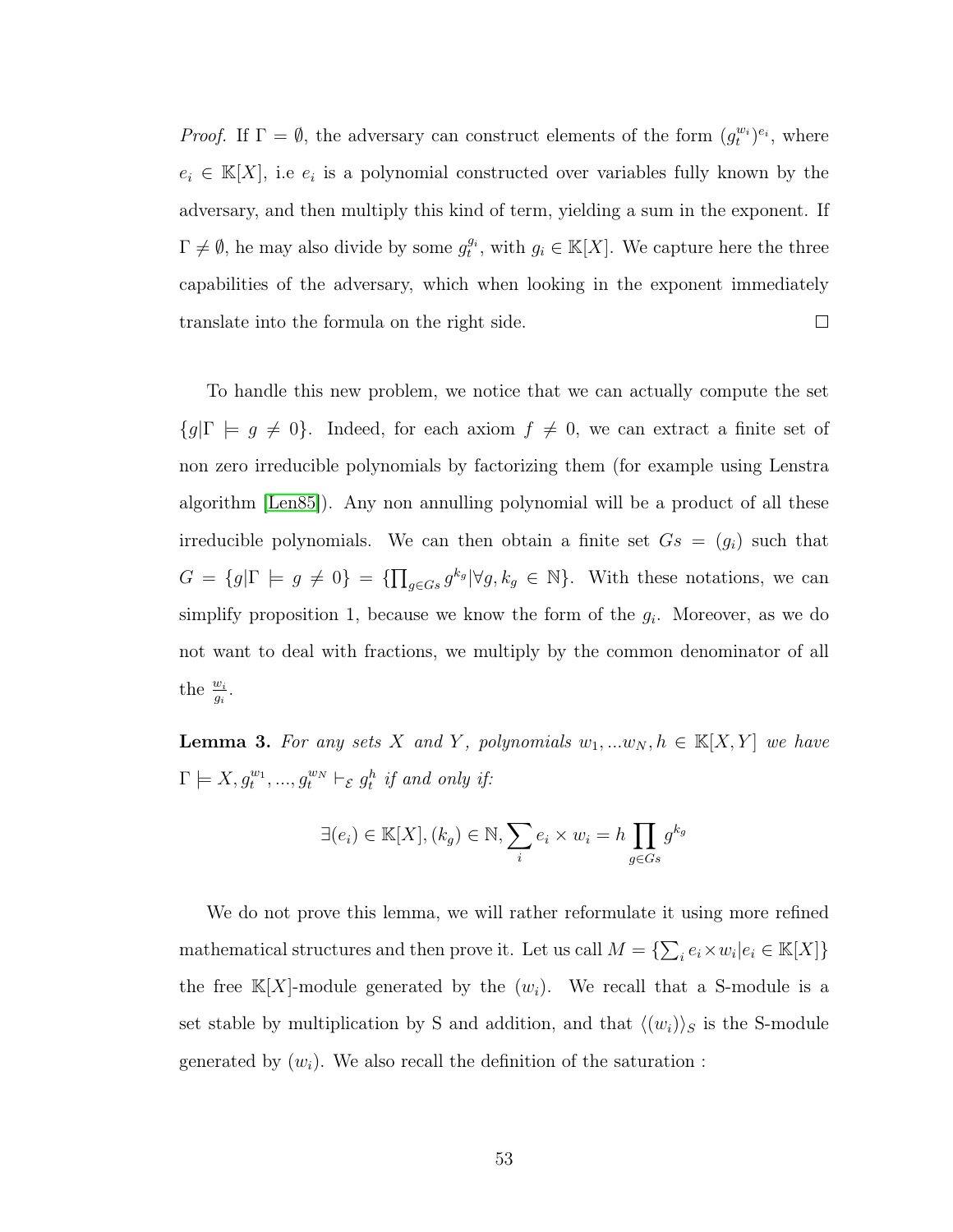*Proof.* If  $\Gamma = \emptyset$ , the adversary can construct elements of the form  $(g_t^{w_i})^{e_i}$ , where  $e_i \in K[X]$ , i.e  $e_i$  is a polynomial constructed over variables fully known by the adversary, and then multiply this kind of term, yielding a sum in the exponent. If  $\Gamma \neq \emptyset$ , he may also divide by some  $g_t^{g_i}$ , with  $g_i \in \mathbb{K}[X]$ . We capture here the three capabilities of the adversary, which when looking in the exponent immediately  $\Box$ translate into the formula on the right side.

To handle this new problem, we notice that we can actually compute the set  ${g|\Gamma \models g \neq 0}$ . Indeed, for each axiom  $f \neq 0$ , we can extract a finite set of non zero irreducible polynomials by factorizing them (for example using Lenstra algorithm [\[Len85\]](#page-145-1)). Any non annulling polynomial will be a product of all these irreducible polynomials. We can then obtain a finite set  $Gs = (g_i)$  such that  $G = \{g | \Gamma \models g \neq 0\} = \{\prod_{g \in G s} g^{k_g} | \forall g, k_g \in \mathbb{N}\}.$  With these notations, we can simplify proposition 1, because we know the form of the  $g_i$ . Moreover, as we do not want to deal with fractions, we multiply by the common denominator of all the  $\frac{w_i}{g_i}$ .

**Lemma 3.** For any sets X and Y, polynomials  $w_1, ... w_N, h \in \mathbb{K}[X, Y]$  we have  $\Gamma \models X, g_t^{w_1}, ..., g_t^{w_N} \vdash_{\mathcal{E}} g_t^h$  if and only if:

$$
\exists (e_i) \in \mathbb{K}[X], (k_g) \in \mathbb{N}, \sum_i e_i \times w_i = h \prod_{g \in Gs} g^{k_g}
$$

We do not prove this lemma, we will rather reformulate it using more refined mathematical structures and then prove it. Let us call  $M = \{\sum_i e_i \times w_i | e_i \in \mathbb{K}[X]\}$ the free  $\mathbb{K}[X]$ -module generated by the  $(w_i)$ . We recall that a S-module is a set stable by multiplication by S and addition, and that  $\langle (w_i) \rangle_S$  is the S-module generated by  $(w_i)$ . We also recall the definition of the saturation :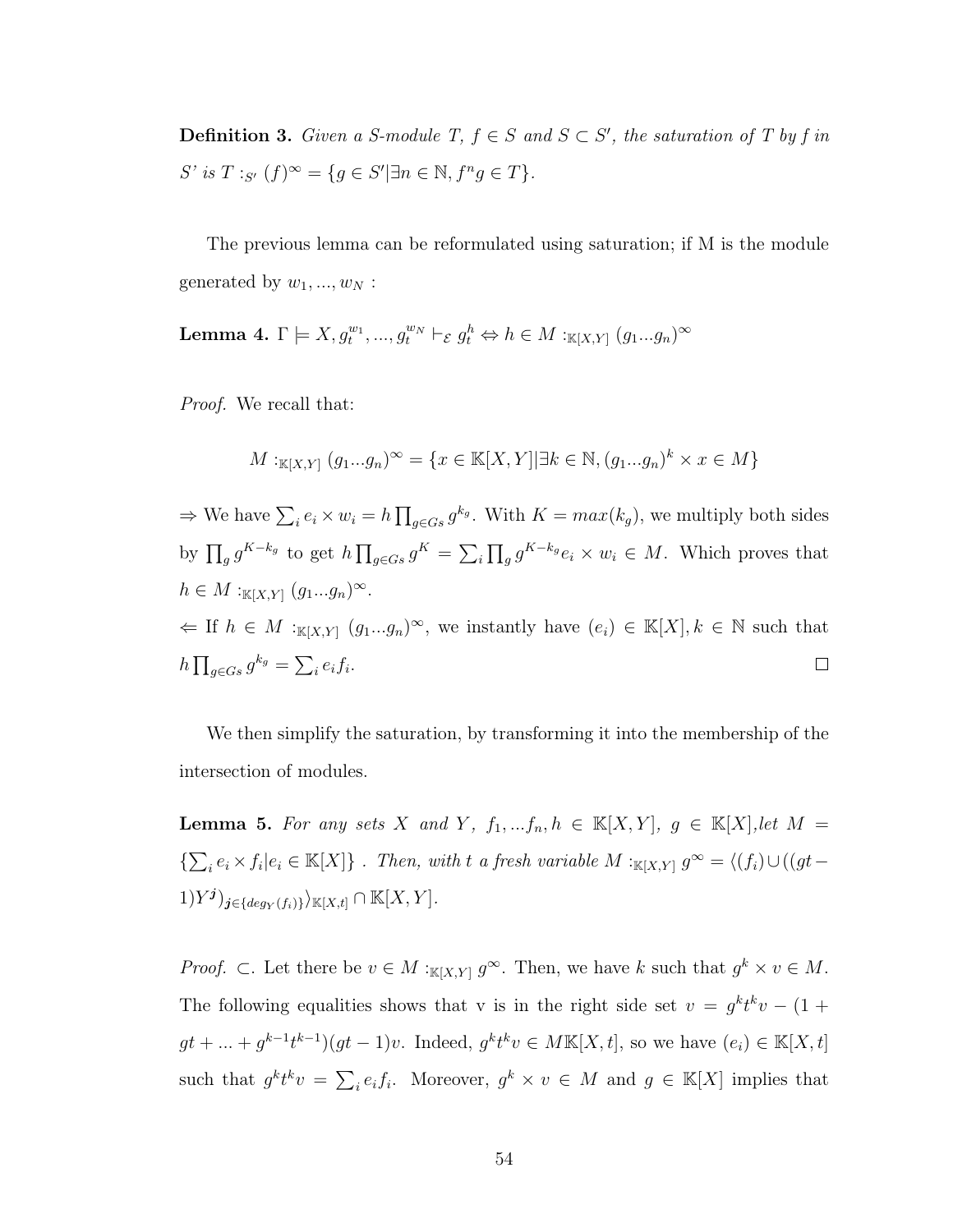**Definition 3.** Given a S-module T,  $f \in S$  and  $S \subset S'$ , the saturation of T by f in S' is  $T :_{S'} (f)^{\infty} = \{ g \in S' | \exists n \in \mathbb{N}, f^n g \in T \}.$ 

The previous lemma can be reformulated using saturation; if M is the module generated by  $w_1, ..., w_N$ :

<span id="page-62-0"></span>Lemma 4.  $\Gamma \models X, g_t^{w_1}, ..., g_t^{w_N} \vdash_{\mathcal{E}} g_t^h \Leftrightarrow h \in M :_{\mathbb{K}[X,Y]} (g_1...g_n)^{\infty}$ 

Proof. We recall that:

$$
M:_{\mathbb{K}[X,Y]}(g_1...g_n)^\infty = \{x \in \mathbb{K}[X,Y] | \exists k \in \mathbb{N}, (g_1...g_n)^k \times x \in M\}
$$

 $\Rightarrow$  We have  $\sum_i e_i \times w_i = h \prod_{g \in G_s} g^{k_g}$ . With  $K = max(k_g)$ , we multiply both sides by  $\prod_g g^{K-k_g}$  to get  $h \prod_{g \in G} g^K = \sum_i \prod_g g^{K-k_g} e_i \times w_i \in M$ . Which proves that  $h \in M :_{\mathbb{K}[X,Y]} (g_1...g_n)^\infty.$  $\Leftarrow$  If  $h \in M :_{\mathbb{K}[X,Y]} (g_1...g_n)^\infty$ , we instantly have  $(e_i) \in \mathbb{K}[X], k \in \mathbb{N}$  such that  $h \prod_{g \in Gs} g^{k_g} = \sum_i e_i f_i.$  $\Box$ 

We then simplify the saturation, by transforming it into the membership of the intersection of modules.

<span id="page-62-1"></span>**Lemma 5.** For any sets X and Y,  $f_1, ..., f_n, h \in \mathbb{K}[X, Y]$ ,  $g \in \mathbb{K}[X]$ , let  $M =$  $\{\sum_i e_i \times f_i | e_i \in \mathbb{K}[X]\}$ . Then, with t a fresh variable  $M :_{\mathbb{K}[X,Y]} g^{\infty} = \langle (f_i) \cup ((gt (1)Y^j)_{j\in\{deg_Y(f_i)\}}\rangle_{\mathbb{K}[X,t]}\cap\mathbb{K}[X,Y].$ 

*Proof.* ⊂. Let there be  $v \in M :_{\mathbb{K}[X,Y]} g^{\infty}$ . Then, we have k such that  $g^k \times v \in M$ . The following equalities shows that v is in the right side set  $v = g^k t^k v - (1 +$  $gt + ... + g^{k-1}t^{k-1}$   $(gt - 1)v$ . Indeed,  $g^k t^k v \in MK[X, t]$ , so we have  $(e_i) \in K[X, t]$ such that  $g^k t^k v = \sum_i e_i f_i$ . Moreover,  $g^k \times v \in M$  and  $g \in \mathbb{K}[X]$  implies that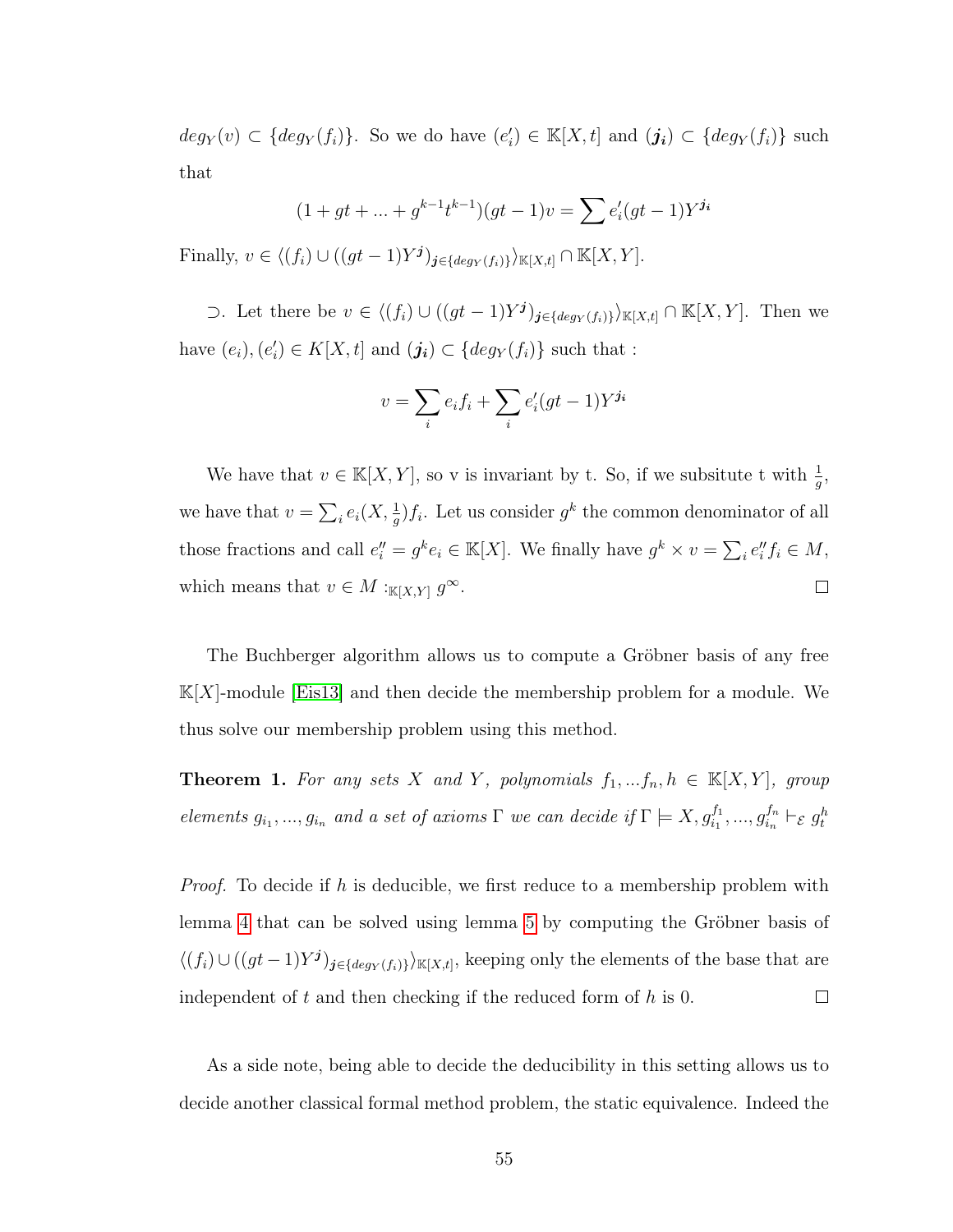$deg_Y(v) \subset \{deg_Y(f_i)\}\$ . So we do have  $(e'_i) \in \mathbb{K}[X, t]$  and  $(j_i) \subset \{deg_Y(f_i)\}\$  such that

$$
(1+gt+...+g^{k-1}t^{k-1})(gt-1)v = \sum e'_i(gt-1)Y^{j_i}
$$

Finally,  $v \in \langle (f_i) \cup ((gt-1)Y^j)_{j \in \{deg_Y(f_i)\}} \rangle_{\mathbb{K}[X,t]} \cap \mathbb{K}[X,Y].$ 

⊃. Let there be  $v \in \langle (f_i) \cup ((gt - 1)Y^j)_{j \in \{deg_Y(f_i)\}} \rangle_{\mathbb{K}[X,t]} \cap \mathbb{K}[X,Y]$ . Then we have  $(e_i)$ ,  $(e'_i) \in K[X, t]$  and  $(j_i) \subset \{deg_Y(f_i)\}$  such that :

$$
v = \sum_{i} e_i f_i + \sum_{i} e'_i (gt - 1) Y^{j_i}
$$

We have that  $v \in \mathbb{K}[X, Y]$ , so v is invariant by t. So, if we subsitute t with  $\frac{1}{g}$ , we have that  $v = \sum_i e_i(X, \frac{1}{g}) f_i$ . Let us consider  $g^k$  the common denominator of all those fractions and call  $e_i'' = g^k e_i \in \mathbb{K}[X]$ . We finally have  $g^k \times v = \sum_i e_i'' f_i \in M$ , which means that  $v \in M :_{\mathbb{K}[X,Y]} g^{\infty}$ .  $\Box$ 

The Buchberger algorithm allows us to compute a Gröbner basis of any free  $\mathbb{K}[X]$ -module [\[Eis13\]](#page-143-1) and then decide the membership problem for a module. We thus solve our membership problem using this method.

**Theorem 1.** For any sets X and Y, polynomials  $f_1, \ldots, f_n, h \in \mathbb{K}[X, Y]$ , group elements  $g_{i_1},..., g_{i_n}$  and a set of axioms  $\Gamma$  we can decide if  $\Gamma \models X, g_{i_1}^{f_1},..., g_{i_n}^{f_n}$  $_{i_{n}}^{f_{n}}\vdash_{\mathcal{E}}g_{t}^{h}$ 

*Proof.* To decide if h is deducible, we first reduce to a membership problem with lemma [4](#page-62-0) that can be solved using lemma [5](#page-62-1) by computing the Gröbner basis of  $\langle (f_i) \cup ((gt-1)Y^j)_{j \in \{deg_Y(f_i)\}} \rangle_{\mathbb{K}[X,t]},$  keeping only the elements of the base that are independent of  $t$  and then checking if the reduced form of  $h$  is 0.  $\Box$ 

As a side note, being able to decide the deducibility in this setting allows us to decide another classical formal method problem, the static equivalence. Indeed the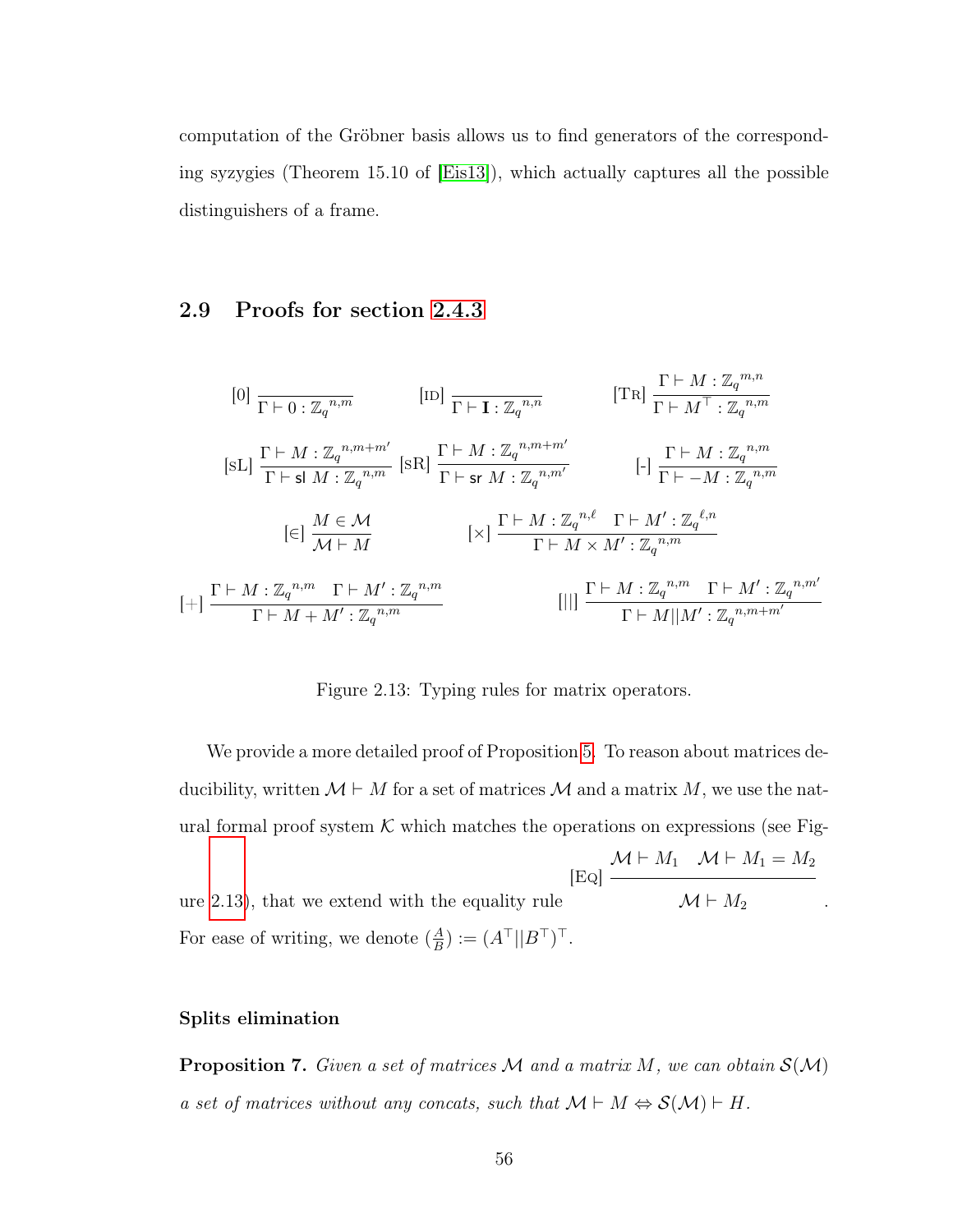computation of the Gröbner basis allows us to find generators of the corresponding syzygies (Theorem 15.10 of [\[Eis13\]](#page-143-1)), which actually captures all the possible distinguishers of a frame.

## 2.9 Proofs for section [2.4.3](#page-45-0)

<span id="page-64-0"></span>
$$
[0] \frac{\Gamma \vdash 0 : \mathbb{Z}_{q}^{n,m}}{\Gamma \vdash 0 : \mathbb{Z}_{q}^{n,m}} \qquad [ID] \frac{\Gamma \vdash I : \mathbb{Z}_{q}^{n,n}}{\Gamma \vdash M^{T} : \mathbb{Z}_{q}^{n,m}}
$$
\n
$$
[SL] \frac{\Gamma \vdash M : \mathbb{Z}_{q}^{n,m+m'}}{\Gamma \vdash sl M : \mathbb{Z}_{q}^{n,m}} \qquad [SR] \frac{\Gamma \vdash M : \mathbb{Z}_{q}^{n,m+m'}}{\Gamma \vdash sr M : \mathbb{Z}_{q}^{n,m'}} \qquad [-] \frac{\Gamma \vdash M : \mathbb{Z}_{q}^{n,m}}{\Gamma \vdash -M : \mathbb{Z}_{q}^{n,m}}
$$
\n
$$
[c] \frac{M \in \mathcal{M}}{\mathcal{M} \vdash M} \qquad [x] \frac{\Gamma \vdash M : \mathbb{Z}_{q}^{n,\ell} \quad \Gamma \vdash M' : \mathbb{Z}_{q}^{\ell,n}}{\Gamma \vdash M \times M' : \mathbb{Z}_{q}^{n,m}}
$$
\n
$$
[+] \frac{\Gamma \vdash M : \mathbb{Z}_{q}^{n,m} \quad \Gamma \vdash M' : \mathbb{Z}_{q}^{n,m}}{\Gamma \vdash M + M' : \mathbb{Z}_{q}^{n,m}} \qquad [||] \frac{\Gamma \vdash M : \mathbb{Z}_{q}^{n,m} \quad \Gamma \vdash M' : \mathbb{Z}_{q}^{n,m'}}{\Gamma \vdash M || M' : \mathbb{Z}_{q}^{n,m+m'}}
$$

Figure 2.13: Typing rules for matrix operators.

We provide a more detailed proof of Proposition [5.](#page-45-1) To reason about matrices deducibility, written  $\mathcal{M} \vdash M$  for a set of matrices  $\mathcal{M}$  and a matrix  $M$ , we use the natural formal proof system  $K$  which matches the operations on expressions (see Fig-

ure [2.13\)](#page-64-0), that we extend with the equality rule  $[E<sub>O</sub>]$  $\mathcal{M} \vdash M_1 \quad \mathcal{M} \vdash M_1 = M_2$  $\mathcal{M} \vdash M_2$  . For ease of writing, we denote  $(\frac{A}{B})$  $\frac{A}{B}$ ) :=  $(A^{\top}||B^{\top})^{\top}$ .

### <span id="page-64-1"></span>Splits elimination

**Proposition 7.** Given a set of matrices  $M$  and a matrix  $M$ , we can obtain  $S(M)$ a set of matrices without any concats, such that  $\mathcal{M} \vdash M \Leftrightarrow \mathcal{S}(\mathcal{M}) \vdash H$ .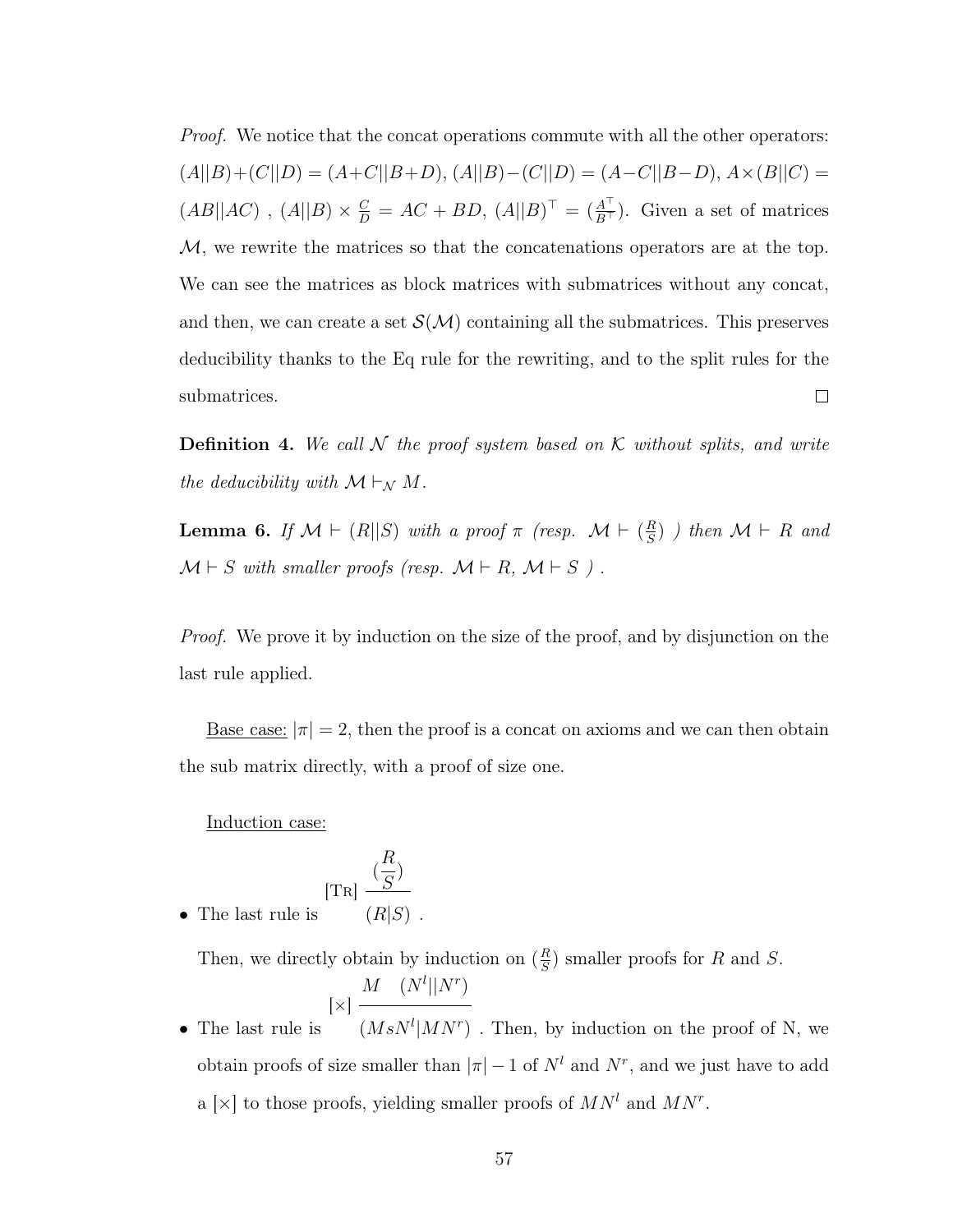*Proof.* We notice that the concat operations commute with all the other operators:  $(A||B)+(C||D) = (A+C||B+D), (A||B)-(C||D) = (A-C||B-D), A\times(B||C) =$  $(AB||AC)$ ,  $(A||B) \times \frac{C}{D} = AC + BD$ ,  $(A||B)^{\top} = (\frac{A^{\top}}{B^{\top}})$ . Given a set of matrices M, we rewrite the matrices so that the concatenations operators are at the top. We can see the matrices as block matrices with submatrices without any concat, and then, we can create a set  $\mathcal{S}(\mathcal{M})$  containing all the submatrices. This preserves deducibility thanks to the Eq rule for the rewriting, and to the split rules for the submatrices.  $\Box$ 

**Definition 4.** We call N the proof system based on K without splits, and write the deducibility with  $\mathcal{M} \vdash_{\mathcal{N}} M$ .

<span id="page-65-0"></span>**Lemma 6.** If  $\mathcal{M} \vdash (R||S)$  with a proof  $\pi$  (resp.  $\mathcal{M} \vdash (\frac{R}{S})$  $\frac{R}{S}$ ) ) then  $\mathcal{M} \vdash R$  and  $\mathcal{M} \vdash S$  with smaller proofs (resp.  $\mathcal{M} \vdash R$ ,  $\mathcal{M} \vdash S$ ).

*Proof.* We prove it by induction on the size of the proof, and by disjunction on the last rule applied.

<u>Base case:</u>  $|\pi| = 2$ , then the proof is a concat on axioms and we can then obtain the sub matrix directly, with a proof of size one.

Induction case:

$$
[\text{Tr}]\ \frac{(\frac{R}{S})}{\left(\text{Tr}|\mathcal{L}\right)^2}
$$

• The last rule is  $(R|S)$ .

Then, we directly obtain by induction on  $(\frac{R}{S})$  $\frac{R}{S}$ ) smaller proofs for R and S.

$$
[\times] \; \frac{M \quad (N^l || N^r)}{}
$$

• The last rule is  $(MsN^{l}|MN^{r})$ . Then, by induction on the proof of N, we obtain proofs of size smaller than  $|\pi| - 1$  of  $N<sup>l</sup>$  and  $N<sup>r</sup>$ , and we just have to add a [ $\times$ ] to those proofs, yielding smaller proofs of  $MN<sup>l</sup>$  and  $MN<sup>r</sup>$ .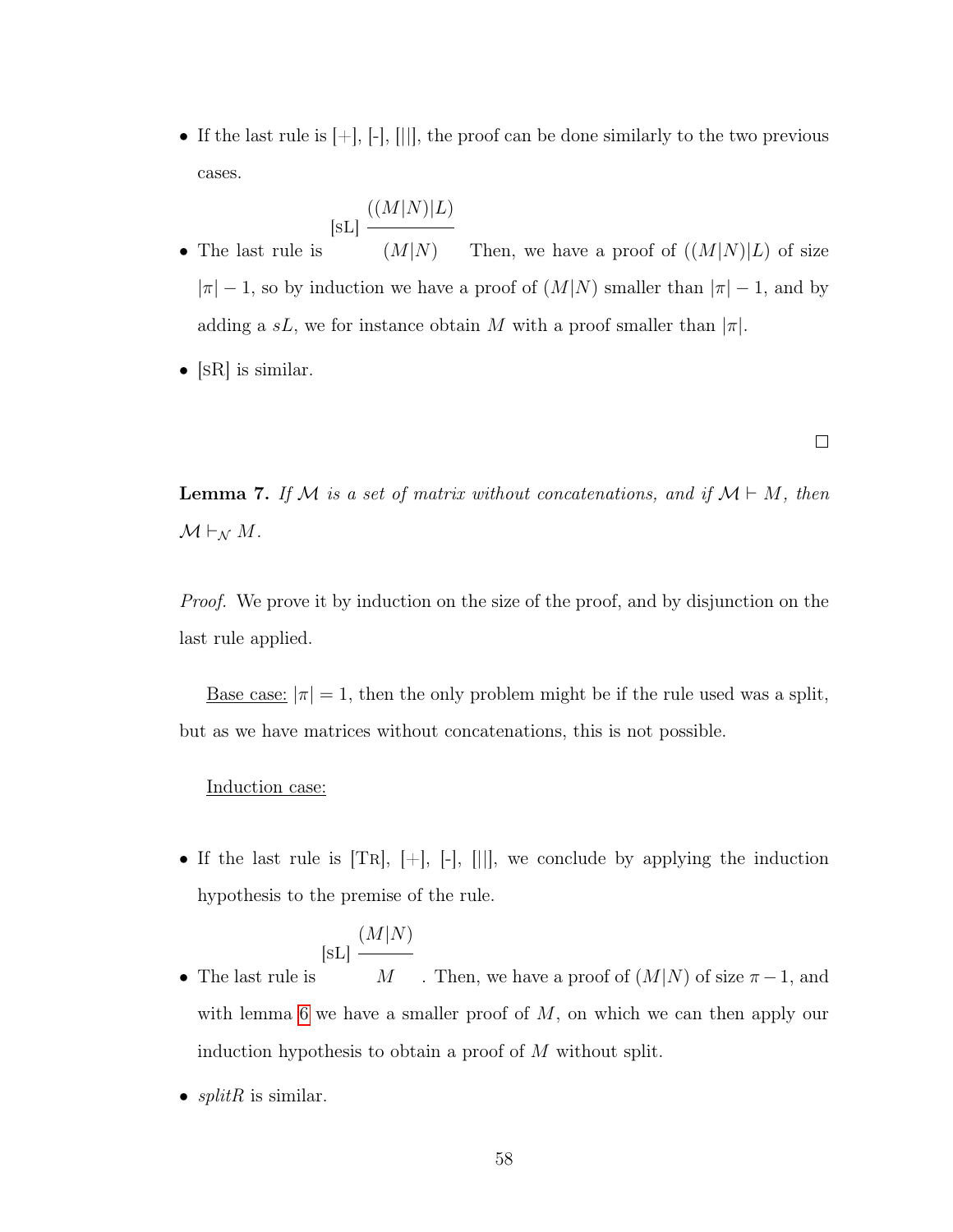• If the last rule is  $[+]$ ,  $[$ ],  $[$ ||], the proof can be done similarly to the two previous cases.

$$
[\mathrm{sL}]\ \frac{((M|N)|L)}{\ }
$$

- The last rule is  $(M|N)$  Then, we have a proof of  $((M|N)|L)$  of size  $|\pi| - 1$ , so by induction we have a proof of  $(M|N)$  smaller than  $|\pi| - 1$ , and by adding a sL, we for instance obtain M with a proof smaller than  $|\pi|$ .
- $[SR]$  is similar.

 $\Box$ 

<span id="page-66-0"></span>**Lemma 7.** If M is a set of matrix without concatenations, and if  $M \vdash M$ , then  $\mathcal{M} \vdash_{\mathcal{N}} M$ .

*Proof.* We prove it by induction on the size of the proof, and by disjunction on the last rule applied.

<u>Base case:</u>  $|\pi|=1$ , then the only problem might be if the rule used was a split, but as we have matrices without concatenations, this is not possible.

#### Induction case:

• If the last rule is  $[TR], [-], [||]$ , we conclude by applying the induction hypothesis to the premise of the rule.

$$
[\mathrm{sL}]\xrightarrow{(M|N)}
$$

- The last rule is M . Then, we have a proof of  $(M|N)$  of size  $\pi - 1$ , and with lemma [6](#page-65-0) we have a smaller proof of  $M$ , on which we can then apply our induction hypothesis to obtain a proof of M without split.
- $splitR$  is similar.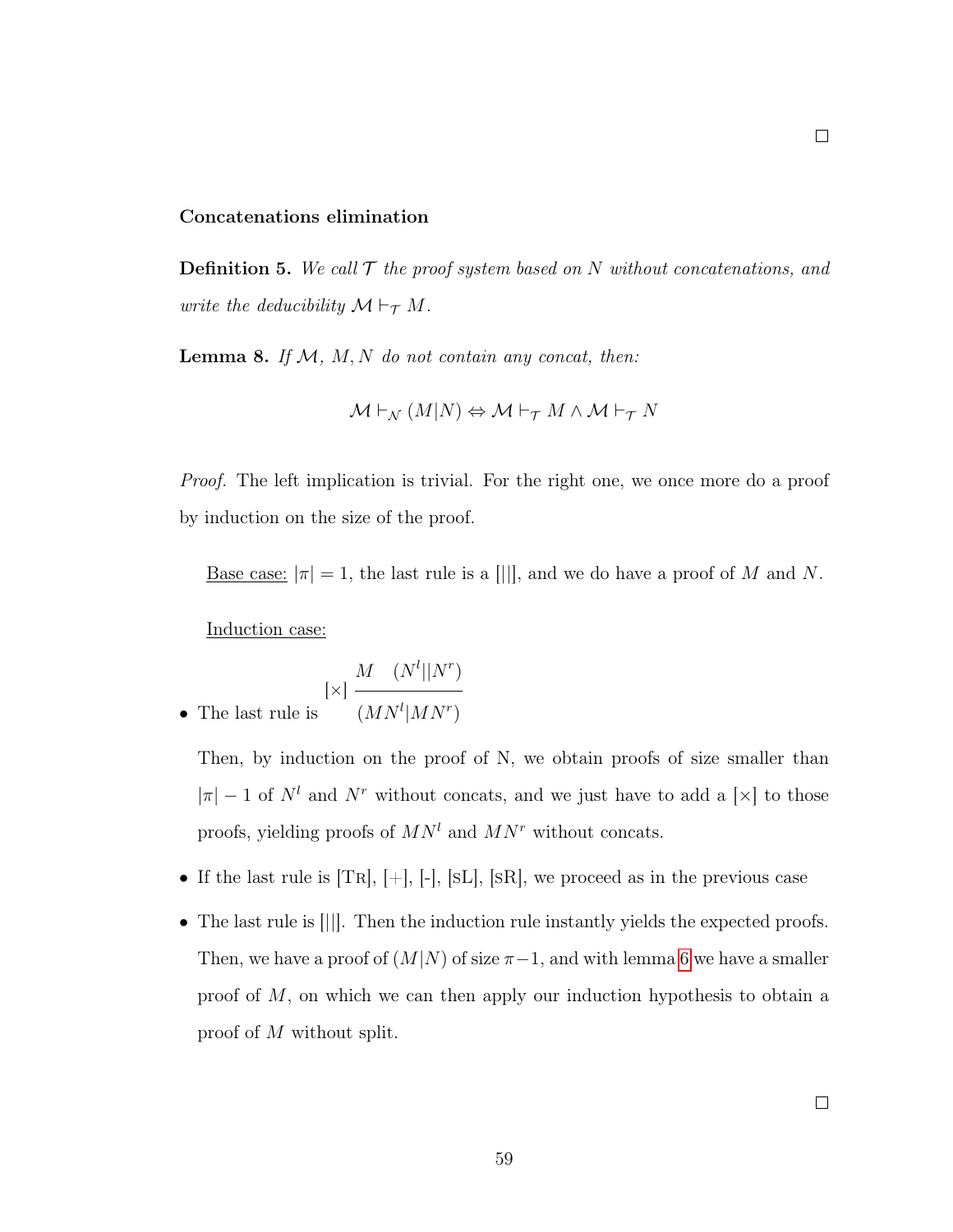#### Concatenations elimination

**Definition 5.** We call  $\mathcal T$  the proof system based on N without concatenations, and write the deducibility  $\mathcal{M} \vdash_{\mathcal{T}} M$ .

<span id="page-67-0"></span>Lemma 8. If  $M$ ,  $M$ ,  $N$  do not contain any concat, then:

$$
\mathcal{M}\vdash_{\mathcal{N}} (M|N) \Leftrightarrow \mathcal{M}\vdash_{\mathcal{T}} M\wedge \mathcal{M}\vdash_{\mathcal{T}} N
$$

*Proof.* The left implication is trivial. For the right one, we once more do a proof by induction on the size of the proof.

<u>Base case:</u>  $|\pi| = 1$ , the last rule is a  $||||$ , and we do have a proof of M and N.

Induction case:

$$
\bullet \ \ \text{The last rule is} \ \ \frac{M \quad (N^l||N^r)}{(MN^l|MN^r)}
$$

Then, by induction on the proof of N, we obtain proofs of size smaller than  $|\pi| - 1$  of  $N^l$  and  $N^r$  without concats, and we just have to add a [×] to those proofs, yielding proofs of  $MN<sup>l</sup>$  and  $MN<sup>r</sup>$  without concats.

- If the last rule is  $[TR], [+]$ ,  $[-]$ ,  $[SL], [SR]$ , we proceed as in the previous case
- <span id="page-67-1"></span>• The last rule is [[1]. Then the induction rule instantly yields the expected proofs. Then, we have a proof of  $(M|N)$  of size  $\pi-1$ , and with lemma [6](#page-65-0) we have a smaller proof of  $M$ , on which we can then apply our induction hypothesis to obtain a proof of M without split.

 $\Box$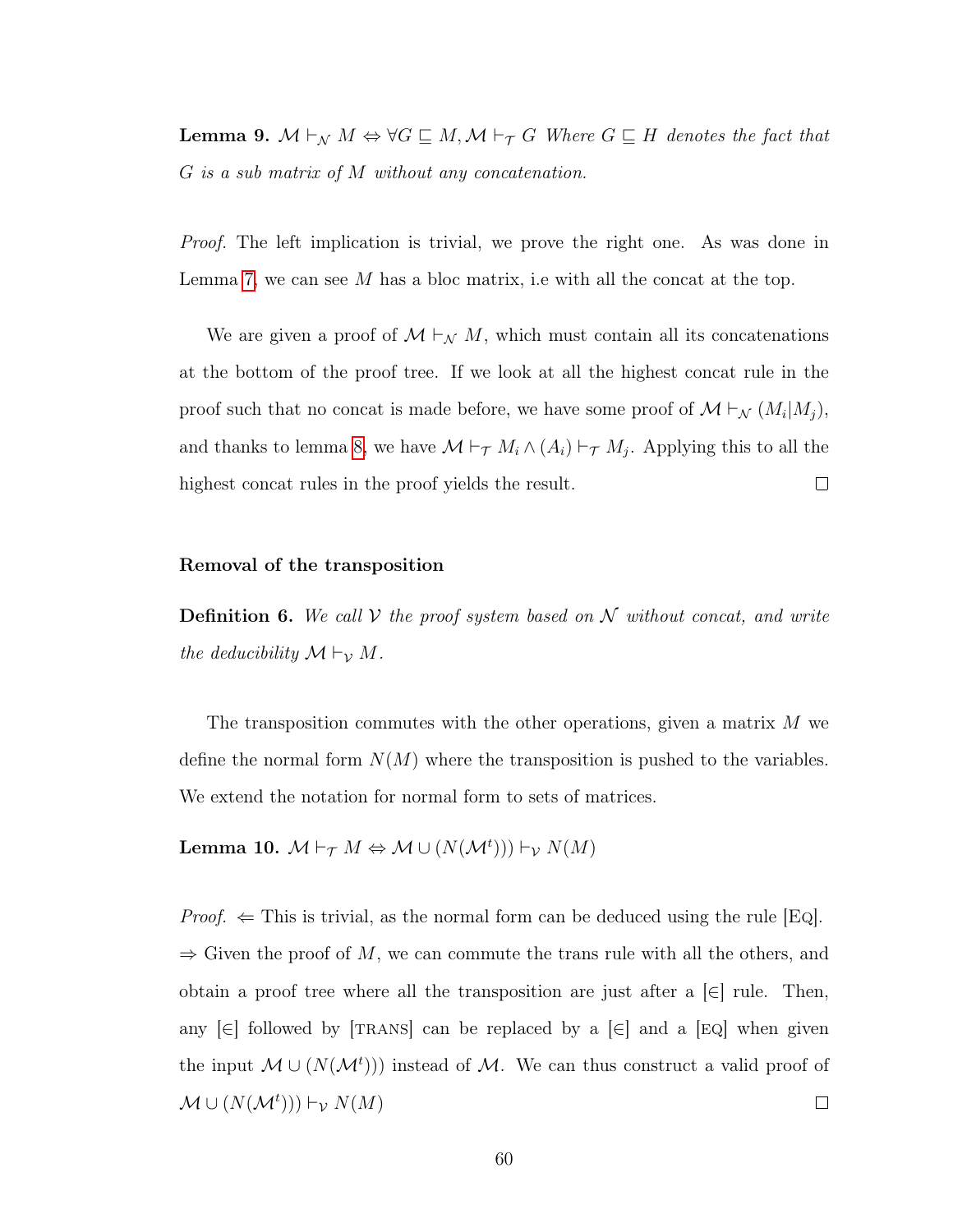**Lemma 9.**  $M \vdash_N M \Leftrightarrow \forall G \sqsubseteq M, M \vdash_T G \text{ Where } G \sqsubseteq H \text{ denotes the fact that }$ G is a sub matrix of M without any concatenation.

*Proof.* The left implication is trivial, we prove the right one. As was done in Lemma [7,](#page-64-1) we can see  $M$  has a bloc matrix, i.e with all the concat at the top.

We are given a proof of  $\mathcal{M} \vdash_{\mathcal{N}} M$ , which must contain all its concatenations at the bottom of the proof tree. If we look at all the highest concat rule in the proof such that no concat is made before, we have some proof of  $\mathcal{M} \vdash_{\mathcal{N}} (M_i | M_j)$ , and thanks to lemma [8,](#page-67-0) we have  $\mathcal{M} \vdash_{\mathcal{T}} M_i \wedge (A_i) \vdash_{\mathcal{T}} M_j$ . Applying this to all the highest concat rules in the proof yields the result.  $\Box$ 

### Removal of the transposition

**Definition 6.** We call  $V$  the proof system based on  $N$  without concat, and write the deducibility  $\mathcal{M} \vdash_{\mathcal{V}} M$ .

The transposition commutes with the other operations, given a matrix M we define the normal form  $N(M)$  where the transposition is pushed to the variables. We extend the notation for normal form to sets of matrices.

<span id="page-68-0"></span>Lemma 10.  $\mathcal{M} \vdash_{\mathcal{T}} M \Leftrightarrow \mathcal{M} \cup (N(\mathcal{M}^{t}))) \vdash_{\mathcal{V}} N(M)$ 

*Proof.*  $\Leftarrow$  This is trivial, as the normal form can be deduced using the rule [Eq].  $\Rightarrow$  Given the proof of M, we can commute the trans rule with all the others, and obtain a proof tree where all the transposition are just after a  $\epsilon$  | rule. Then, any  $\left|\epsilon\right|$  followed by  $\left|\text{TRANS}\right|$  can be replaced by a  $\left|\epsilon\right|$  and a  $\left|\text{EQ}\right|$  when given the input  $\mathcal{M} \cup (N(\mathcal{M}^t))$  instead of  $\mathcal{M}$ . We can thus construct a valid proof of  $\mathcal{M} \cup (N(\mathcal{M}^t))) \vdash_{\mathcal{V}} N(M)$  $\Box$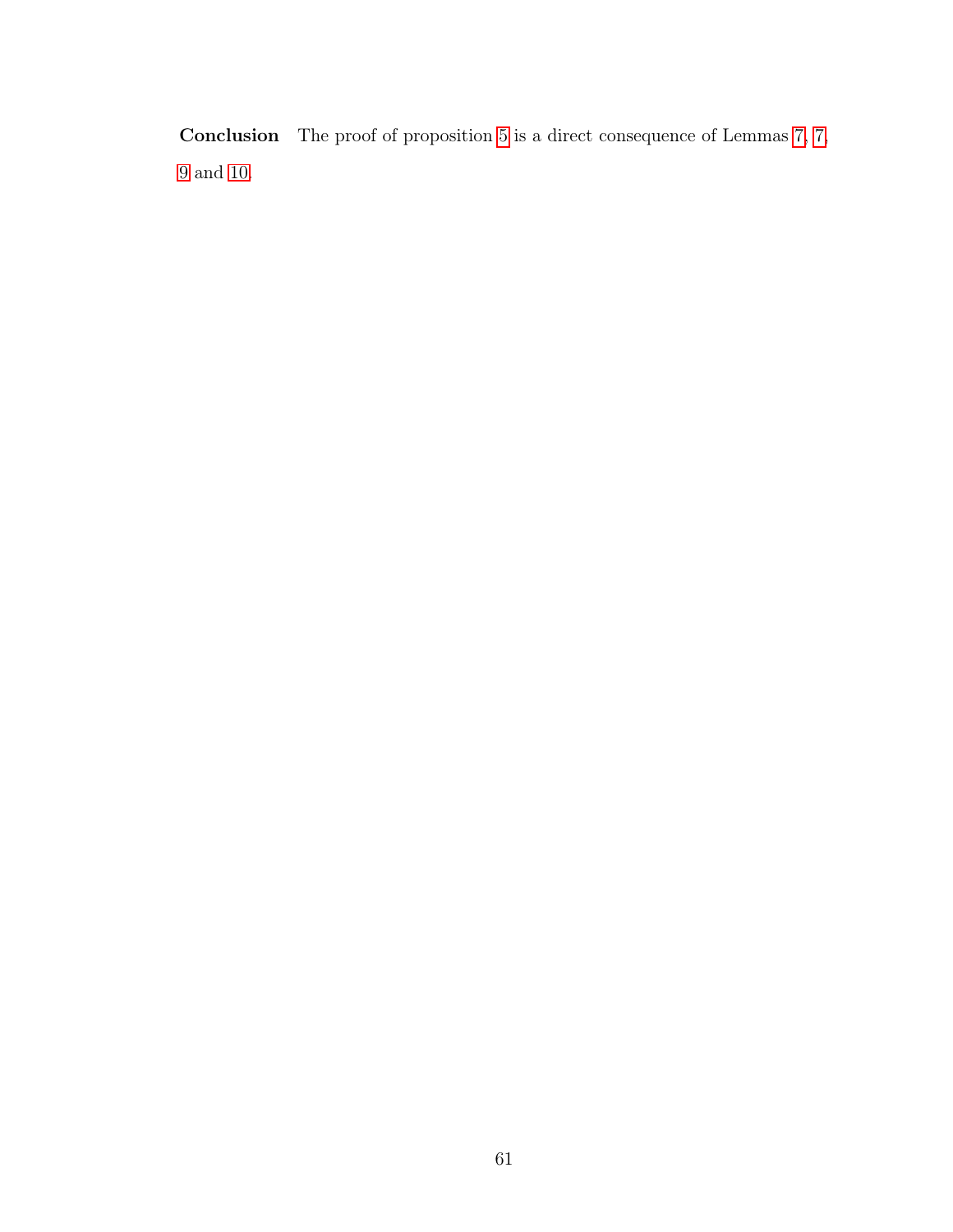Conclusion The proof of proposition [5](#page-45-1) is a direct consequence of Lemmas [7,](#page-64-1) [7,](#page-66-0) and [10.](#page-68-0)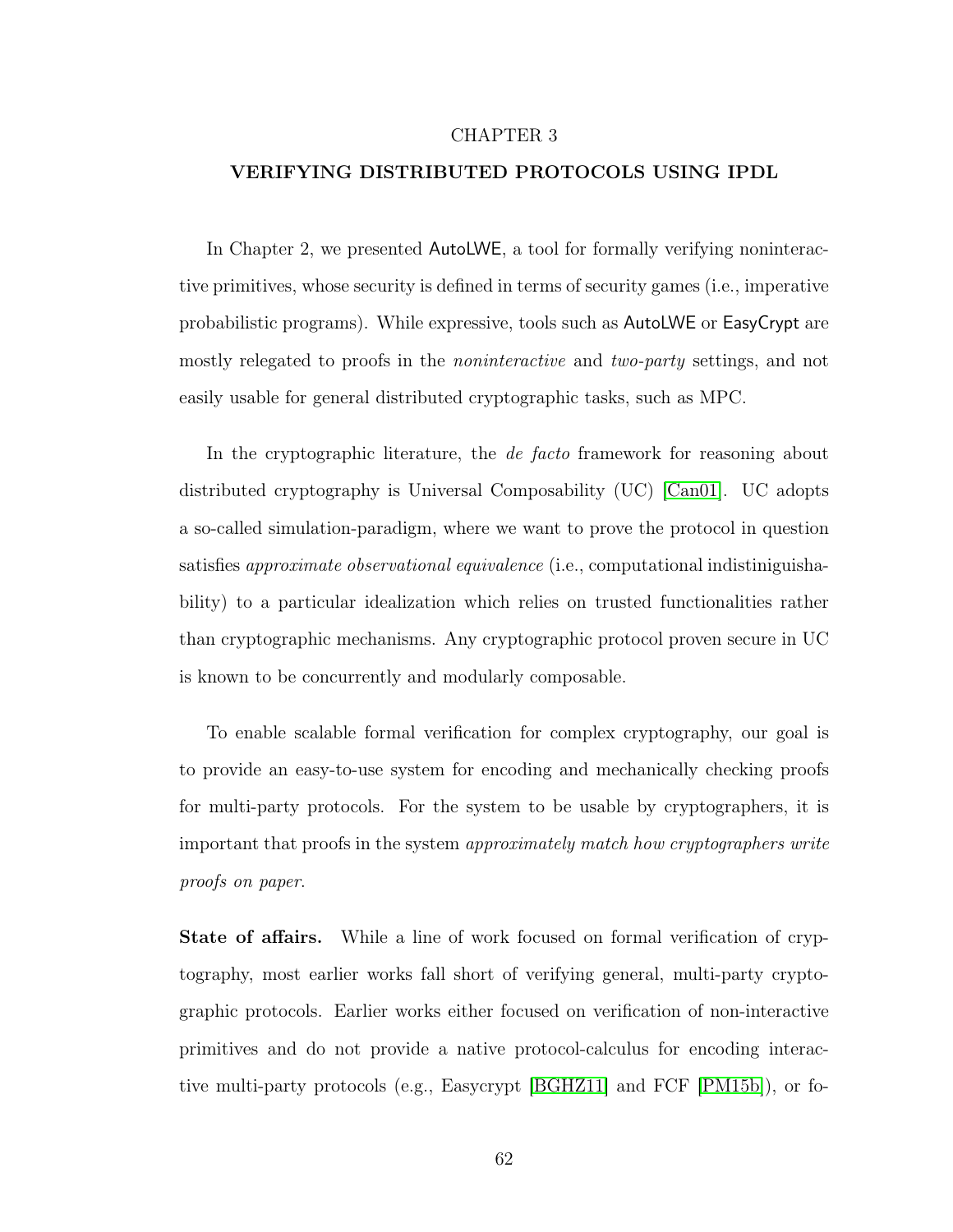### CHAPTER 3

#### VERIFYING DISTRIBUTED PROTOCOLS USING IPDL

In Chapter 2, we presented AutoLWE, a tool for formally verifying noninteractive primitives, whose security is defined in terms of security games (i.e., imperative probabilistic programs). While expressive, tools such as AutoLWE or EasyCrypt are mostly relegated to proofs in the noninteractive and two-party settings, and not easily usable for general distributed cryptographic tasks, such as MPC.

In the cryptographic literature, the *de facto* framework for reasoning about distributed cryptography is Universal Composability (UC) [\[Can01\]](#page-141-3). UC adopts a so-called simulation-paradigm, where we want to prove the protocol in question satisfies approximate observational equivalence (i.e., computational indistiniguishability) to a particular idealization which relies on trusted functionalities rather than cryptographic mechanisms. Any cryptographic protocol proven secure in UC is known to be concurrently and modularly composable.

To enable scalable formal verification for complex cryptography, our goal is to provide an easy-to-use system for encoding and mechanically checking proofs for multi-party protocols. For the system to be usable by cryptographers, it is important that proofs in the system approximately match how cryptographers write proofs on paper.

State of affairs. While a line of work focused on formal verification of cryptography, most earlier works fall short of verifying general, multi-party cryptographic protocols. Earlier works either focused on verification of non-interactive primitives and do not provide a native protocol-calculus for encoding interactive multi-party protocols (e.g., Easycrypt [\[BGHZ11\]](#page-139-2) and FCF [\[PM15b\]](#page-147-2)), or fo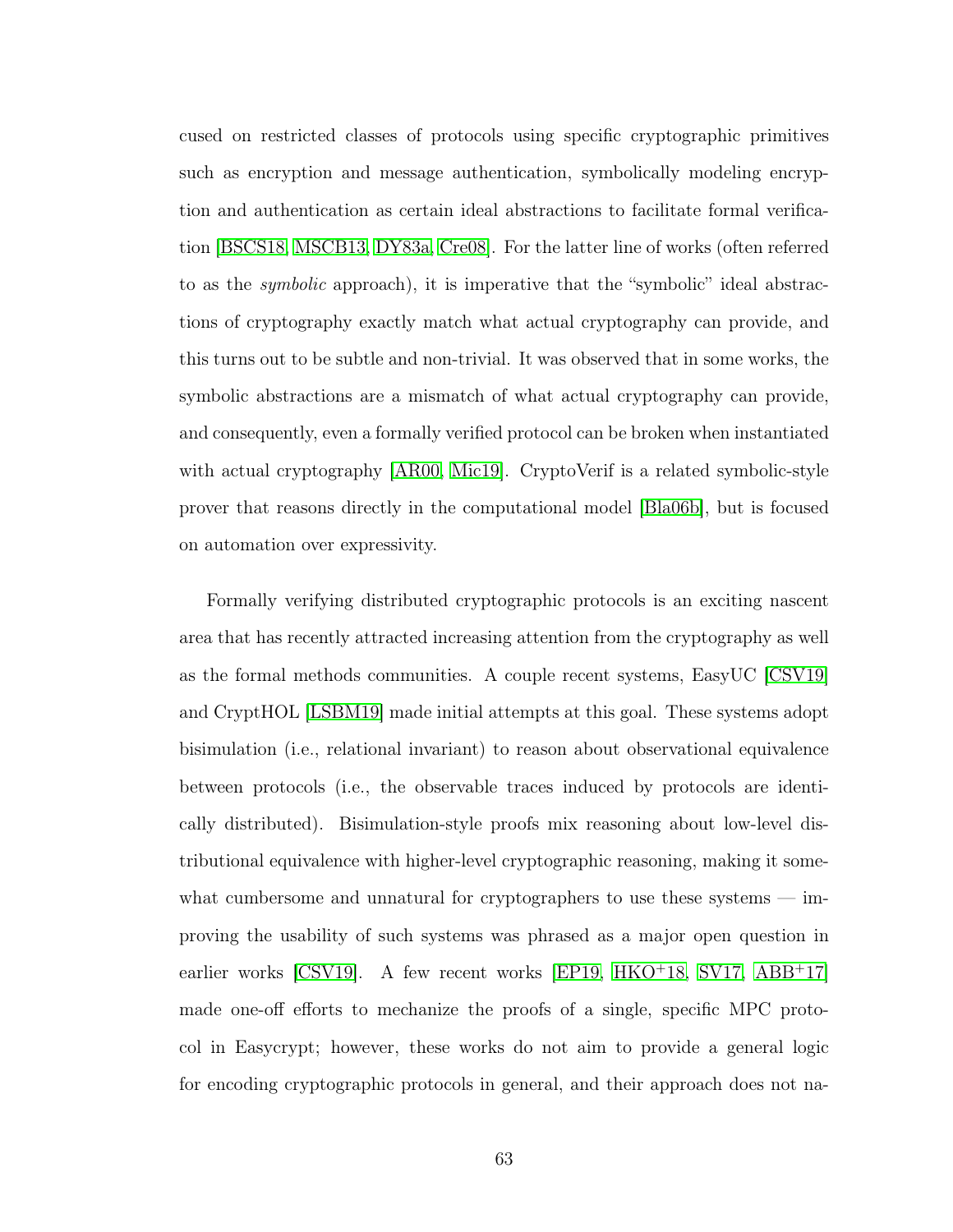cused on restricted classes of protocols using specific cryptographic primitives such as encryption and message authentication, symbolically modeling encryption and authentication as certain ideal abstractions to facilitate formal verification [\[BSCS18,](#page-141-4) [MSCB13,](#page-146-3) [DY83a,](#page-143-4) [Cre08\]](#page-142-2). For the latter line of works (often referred to as the symbolic approach), it is imperative that the "symbolic" ideal abstractions of cryptography exactly match what actual cryptography can provide, and this turns out to be subtle and non-trivial. It was observed that in some works, the symbolic abstractions are a mismatch of what actual cryptography can provide, and consequently, even a formally verified protocol can be broken when instantiated with actual cryptography [\[AR00,](#page-138-3) [Mic19\]](#page-146-4). CryptoVerif is a related symbolic-style prover that reasons directly in the computational model [\[Bla06b\]](#page-140-1), but is focused on automation over expressivity.

Formally verifying distributed cryptographic protocols is an exciting nascent area that has recently attracted increasing attention from the cryptography as well as the formal methods communities. A couple recent systems, EasyUC [\[CSV19\]](#page-142-3) and CryptHOL [\[LSBM19\]](#page-145-2) made initial attempts at this goal. These systems adopt bisimulation (i.e., relational invariant) to reason about observational equivalence between protocols (i.e., the observable traces induced by protocols are identically distributed). Bisimulation-style proofs mix reasoning about low-level distributional equivalence with higher-level cryptographic reasoning, making it somewhat cumbersome and unnatural for cryptographers to use these systems — improving the usability of such systems was phrased as a major open question in earlier works [\[CSV19\]](#page-142-3). A few recent works [\[EP19,](#page-143-5) [HKO](#page-144-2)<sup>+</sup>18, [SV17,](#page-149-3) [ABB](#page-137-2)<sup>+</sup>17] made one-off efforts to mechanize the proofs of a single, specific MPC protocol in Easycrypt; however, these works do not aim to provide a general logic for encoding cryptographic protocols in general, and their approach does not na-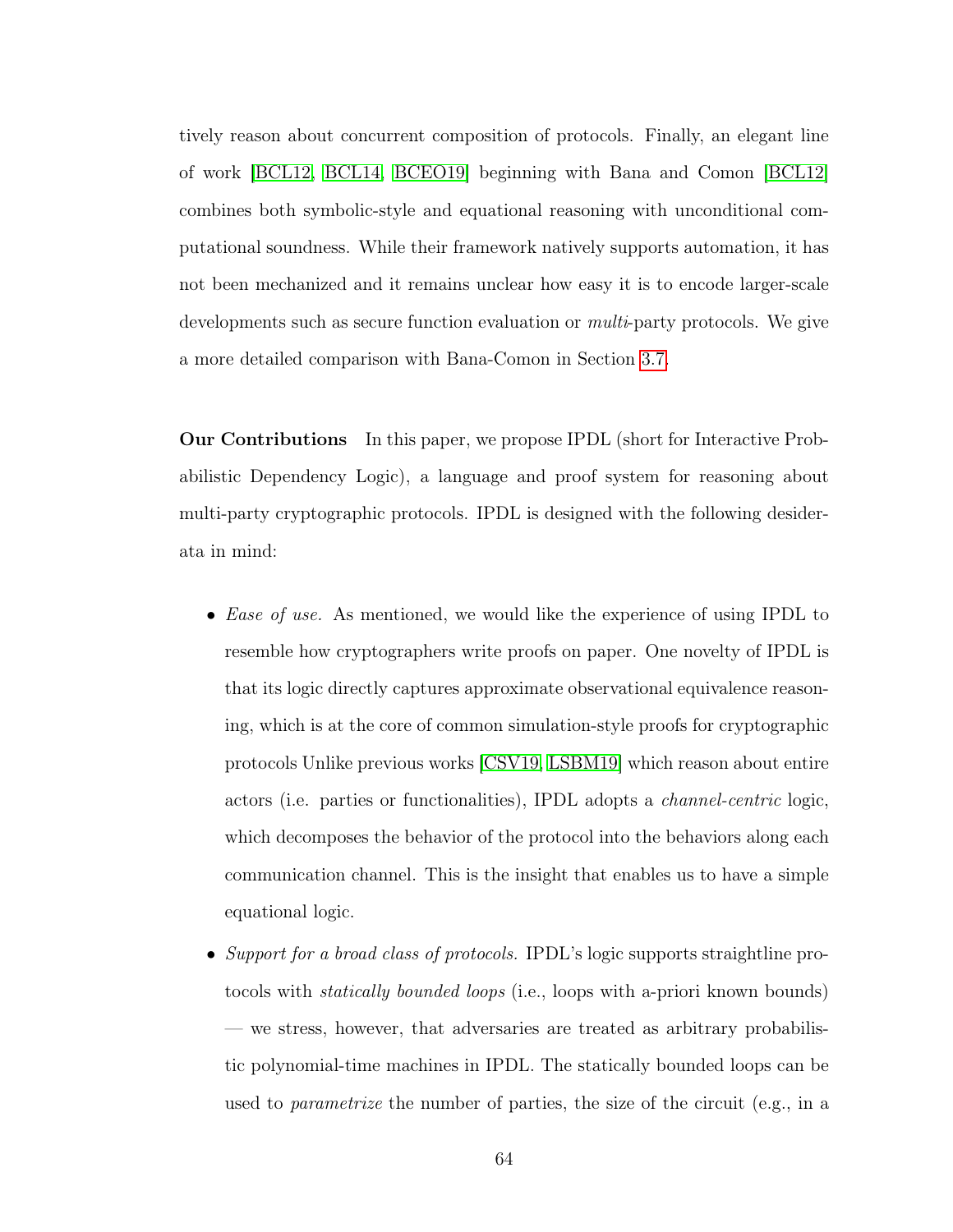tively reason about concurrent composition of protocols. Finally, an elegant line of work [\[BCL12,](#page-138-0) [BCL14,](#page-138-1) [BCEO19\]](#page-138-2) beginning with Bana and Comon [\[BCL12\]](#page-138-0) combines both symbolic-style and equational reasoning with unconditional computational soundness. While their framework natively supports automation, it has not been mechanized and it remains unclear how easy it is to encode larger-scale developments such as secure function evaluation or *multi-party* protocols. We give a more detailed comparison with Bana-Comon in Section [3.7.](#page-108-0)

Our Contributions In this paper, we propose IPDL (short for Interactive Probabilistic Dependency Logic), a language and proof system for reasoning about multi-party cryptographic protocols. IPDL is designed with the following desiderata in mind:

- *Ease of use.* As mentioned, we would like the experience of using IPDL to resemble how cryptographers write proofs on paper. One novelty of IPDL is that its logic directly captures approximate observational equivalence reasoning, which is at the core of common simulation-style proofs for cryptographic protocols Unlike previous works [\[CSV19,](#page-142-0) [LSBM19\]](#page-145-0) which reason about entire actors (i.e. parties or functionalities), IPDL adopts a channel-centric logic, which decomposes the behavior of the protocol into the behaviors along each communication channel. This is the insight that enables us to have a simple equational logic.
- Support for a broad class of protocols. IPDL's logic supports straightline protocols with statically bounded loops (i.e., loops with a-priori known bounds) — we stress, however, that adversaries are treated as arbitrary probabilistic polynomial-time machines in IPDL. The statically bounded loops can be used to parametrize the number of parties, the size of the circuit (e.g., in a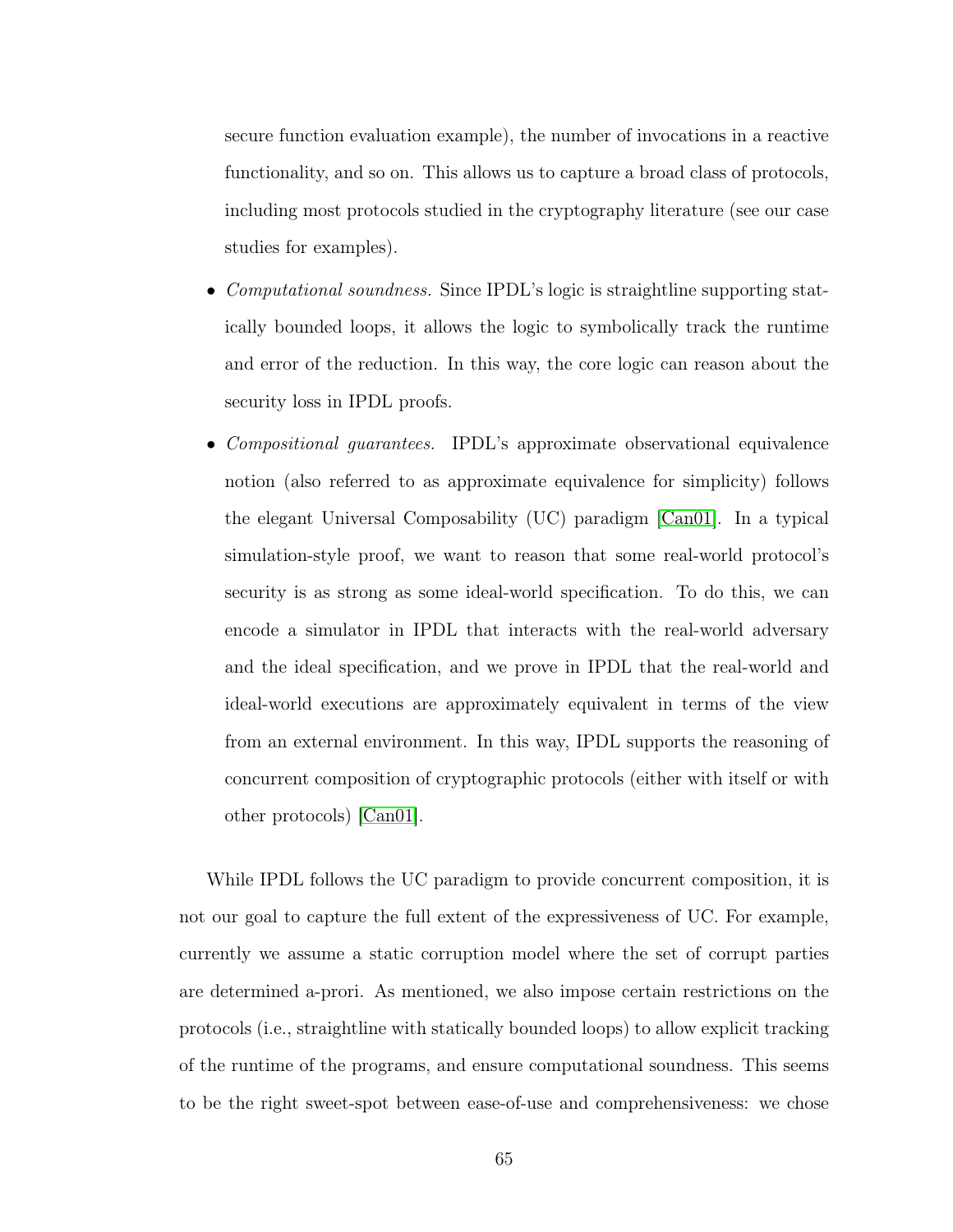secure function evaluation example), the number of invocations in a reactive functionality, and so on. This allows us to capture a broad class of protocols, including most protocols studied in the cryptography literature (see our case studies for examples).

- *Computational soundness.* Since IPDL's logic is straightline supporting statically bounded loops, it allows the logic to symbolically track the runtime and error of the reduction. In this way, the core logic can reason about the security loss in IPDL proofs.
- *Compositional guarantees.* IPDL's approximate observational equivalence notion (also referred to as approximate equivalence for simplicity) follows the elegant Universal Composability (UC) paradigm [\[Can01\]](#page-141-0). In a typical simulation-style proof, we want to reason that some real-world protocol's security is as strong as some ideal-world specification. To do this, we can encode a simulator in IPDL that interacts with the real-world adversary and the ideal specification, and we prove in IPDL that the real-world and ideal-world executions are approximately equivalent in terms of the view from an external environment. In this way, IPDL supports the reasoning of concurrent composition of cryptographic protocols (either with itself or with other protocols) [\[Can01\]](#page-141-0).

While IPDL follows the UC paradigm to provide concurrent composition, it is not our goal to capture the full extent of the expressiveness of UC. For example, currently we assume a static corruption model where the set of corrupt parties are determined a-prori. As mentioned, we also impose certain restrictions on the protocols (i.e., straightline with statically bounded loops) to allow explicit tracking of the runtime of the programs, and ensure computational soundness. This seems to be the right sweet-spot between ease-of-use and comprehensiveness: we chose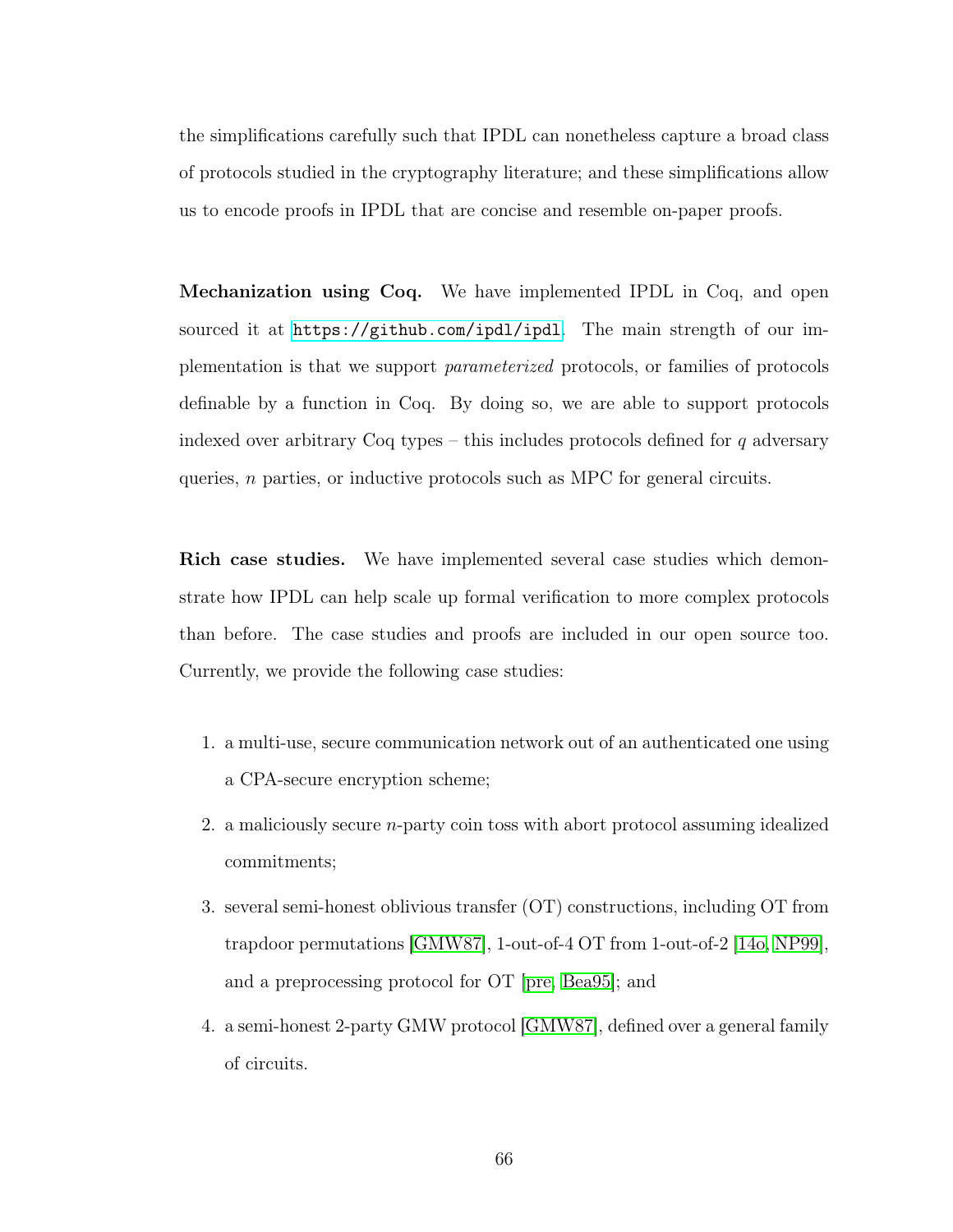the simplifications carefully such that IPDL can nonetheless capture a broad class of protocols studied in the cryptography literature; and these simplifications allow us to encode proofs in IPDL that are concise and resemble on-paper proofs.

Mechanization using Coq. We have implemented IPDL in Coq, and open sourced it at <https://github.com/ipdl/ipdl>. The main strength of our implementation is that we support parameterized protocols, or families of protocols definable by a function in Coq. By doing so, we are able to support protocols indexed over arbitrary Coq types – this includes protocols defined for  $q$  adversary queries, n parties, or inductive protocols such as MPC for general circuits.

Rich case studies. We have implemented several case studies which demonstrate how IPDL can help scale up formal verification to more complex protocols than before. The case studies and proofs are included in our open source too. Currently, we provide the following case studies:

- 1. a multi-use, secure communication network out of an authenticated one using a CPA-secure encryption scheme;
- 2. a maliciously secure n-party coin toss with abort protocol assuming idealized commitments;
- 3. several semi-honest oblivious transfer (OT) constructions, including OT from trapdoor permutations [\[GMW87\]](#page-144-0), 1-out-of-4 OT from 1-out-of-2 [\[14o,](#page-137-0) [NP99\]](#page-147-0), and a preprocessing protocol for OT [\[pre,](#page-147-1) [Bea95\]](#page-139-0); and
- 4. a semi-honest 2-party GMW protocol [\[GMW87\]](#page-144-0), defined over a general family of circuits.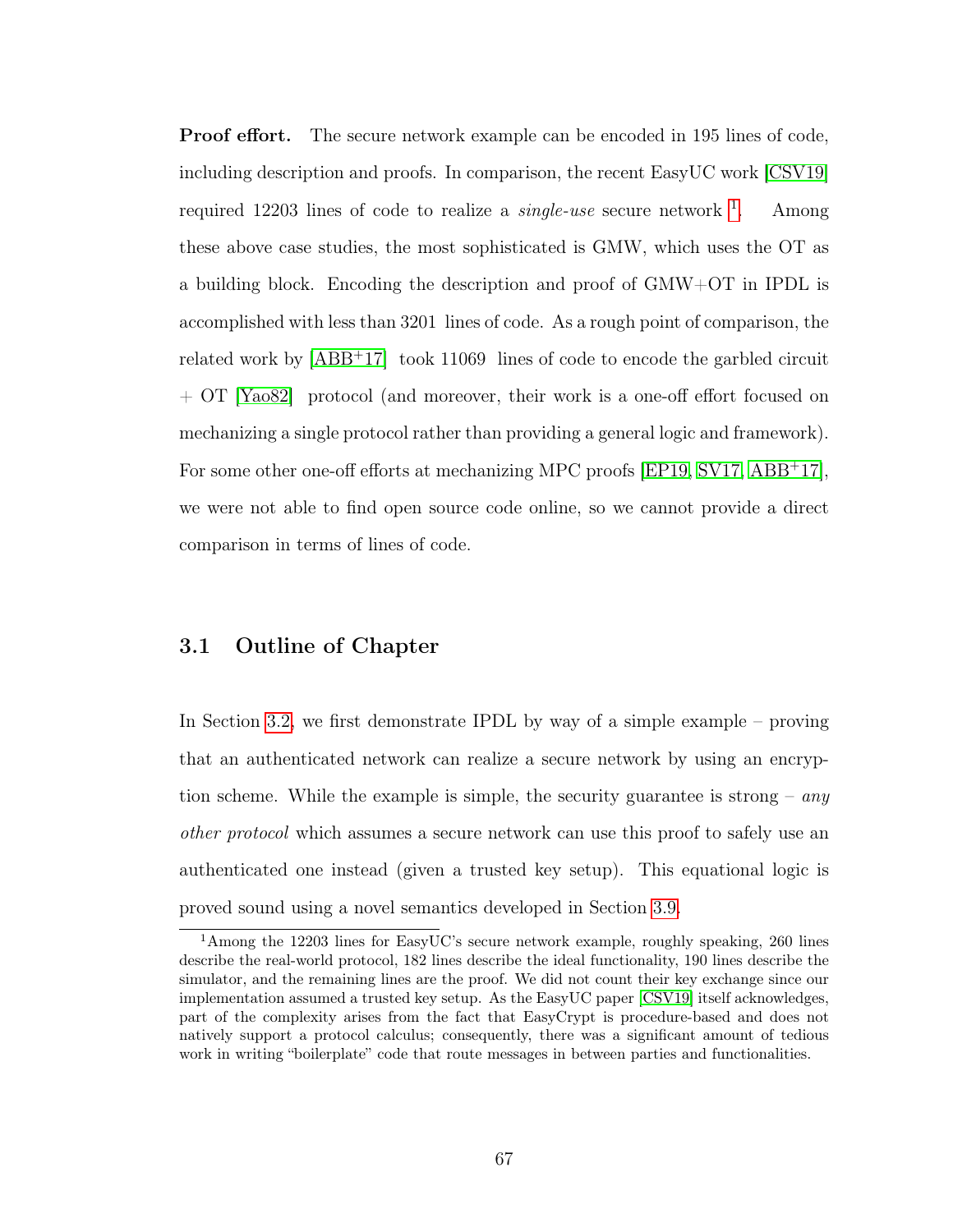Proof effort. The secure network example can be encoded in 195 lines of code, including description and proofs. In comparison, the recent EasyUC work [\[CSV19\]](#page-142-0) required [1](#page-75-0)2203 lines of code to realize a *single-use* secure network  $\frac{1}{1}$ . . Among these above case studies, the most sophisticated is GMW, which uses the OT as a building block. Encoding the description and proof of GMW+OT in IPDL is accomplished with less than 3201 lines of code. As a rough point of comparison, the related work by [\[ABB](#page-137-1)<sup>+</sup>17] took 11069 lines of code to encode the garbled circuit + OT [\[Yao82\]](#page-149-0) protocol (and moreover, their work is a one-off effort focused on mechanizing a single protocol rather than providing a general logic and framework). For some other one-off efforts at mechanizing MPC proofs [\[EP19,](#page-143-0) [SV17,](#page-149-1) [ABB](#page-137-1)<sup>+</sup>17], we were not able to find open source code online, so we cannot provide a direct comparison in terms of lines of code.

### 3.1 Outline of Chapter

In Section [3.2,](#page-76-0) we first demonstrate IPDL by way of a simple example – proving that an authenticated network can realize a secure network by using an encryption scheme. While the example is simple, the security guarantee is strong –  $any$ other protocol which assumes a secure network can use this proof to safely use an authenticated one instead (given a trusted key setup). This equational logic is proved sound using a novel semantics developed in Section [3.9.](#page-110-0)

<span id="page-75-0"></span><sup>1</sup>Among the 12203 lines for EasyUC's secure network example, roughly speaking, 260 lines describe the real-world protocol, 182 lines describe the ideal functionality, 190 lines describe the simulator, and the remaining lines are the proof. We did not count their key exchange since our implementation assumed a trusted key setup. As the EasyUC paper [\[CSV19\]](#page-142-0) itself acknowledges, part of the complexity arises from the fact that EasyCrypt is procedure-based and does not natively support a protocol calculus; consequently, there was a significant amount of tedious work in writing "boilerplate" code that route messages in between parties and functionalities.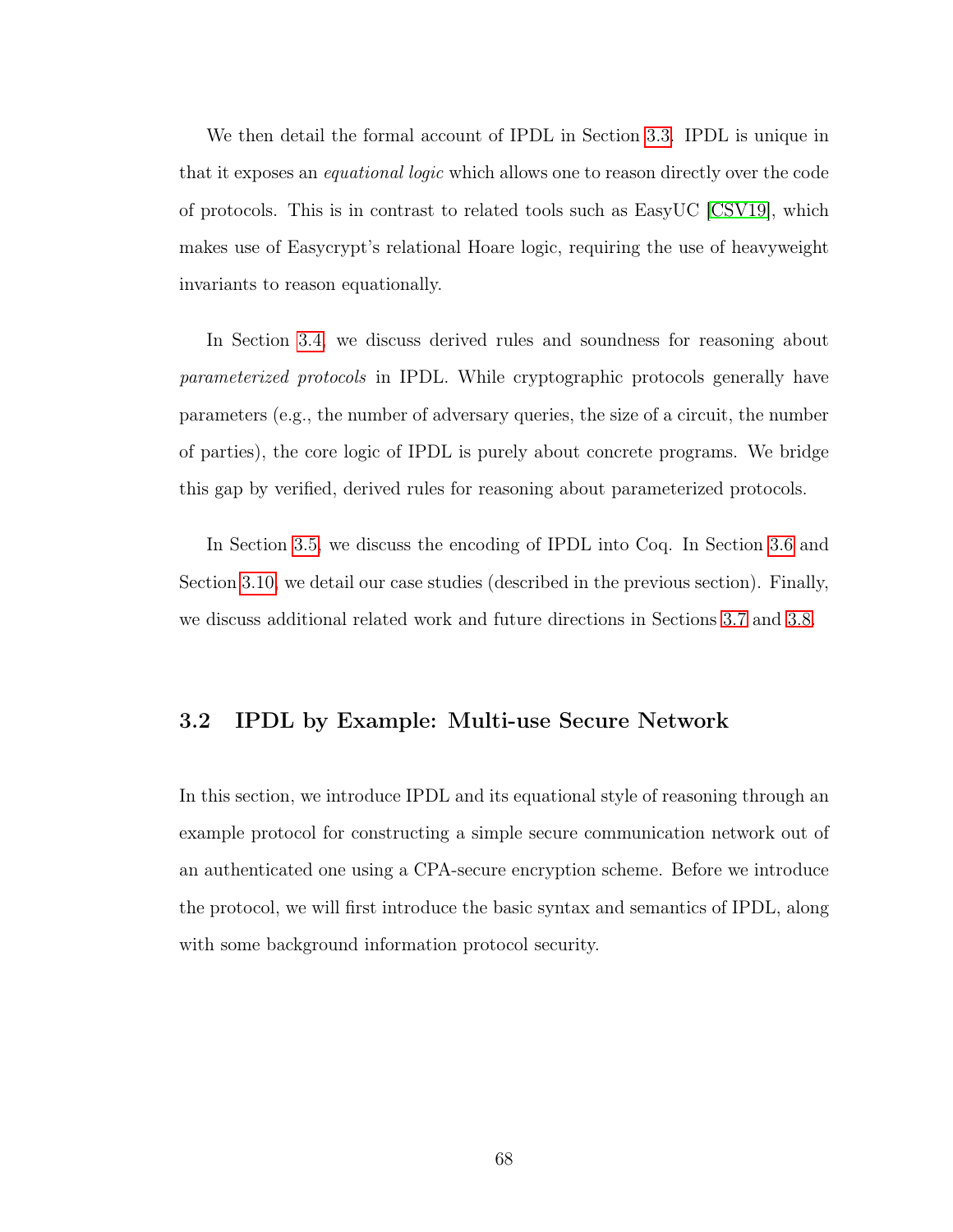We then detail the formal account of IPDL in Section [3.3.](#page-89-0) IPDL is unique in that it exposes an equational logic which allows one to reason directly over the code of protocols. This is in contrast to related tools such as EasyUC [\[CSV19\]](#page-142-0), which makes use of Easycrypt's relational Hoare logic, requiring the use of heavyweight invariants to reason equationally.

In Section [3.4,](#page-98-0) we discuss derived rules and soundness for reasoning about parameterized protocols in IPDL. While cryptographic protocols generally have parameters (e.g., the number of adversary queries, the size of a circuit, the number of parties), the core logic of IPDL is purely about concrete programs. We bridge this gap by verified, derived rules for reasoning about parameterized protocols.

In Section [3.5,](#page-101-0) we discuss the encoding of IPDL into Coq. In Section [3.6](#page-104-0) and Section [3.10,](#page-122-0) we detail our case studies (described in the previous section). Finally, we discuss additional related work and future directions in Sections [3.7](#page-108-0) and [3.8.](#page-109-0)

## <span id="page-76-0"></span>3.2 IPDL by Example: Multi-use Secure Network

In this section, we introduce IPDL and its equational style of reasoning through an example protocol for constructing a simple secure communication network out of an authenticated one using a CPA-secure encryption scheme. Before we introduce the protocol, we will first introduce the basic syntax and semantics of IPDL, along with some background information protocol security.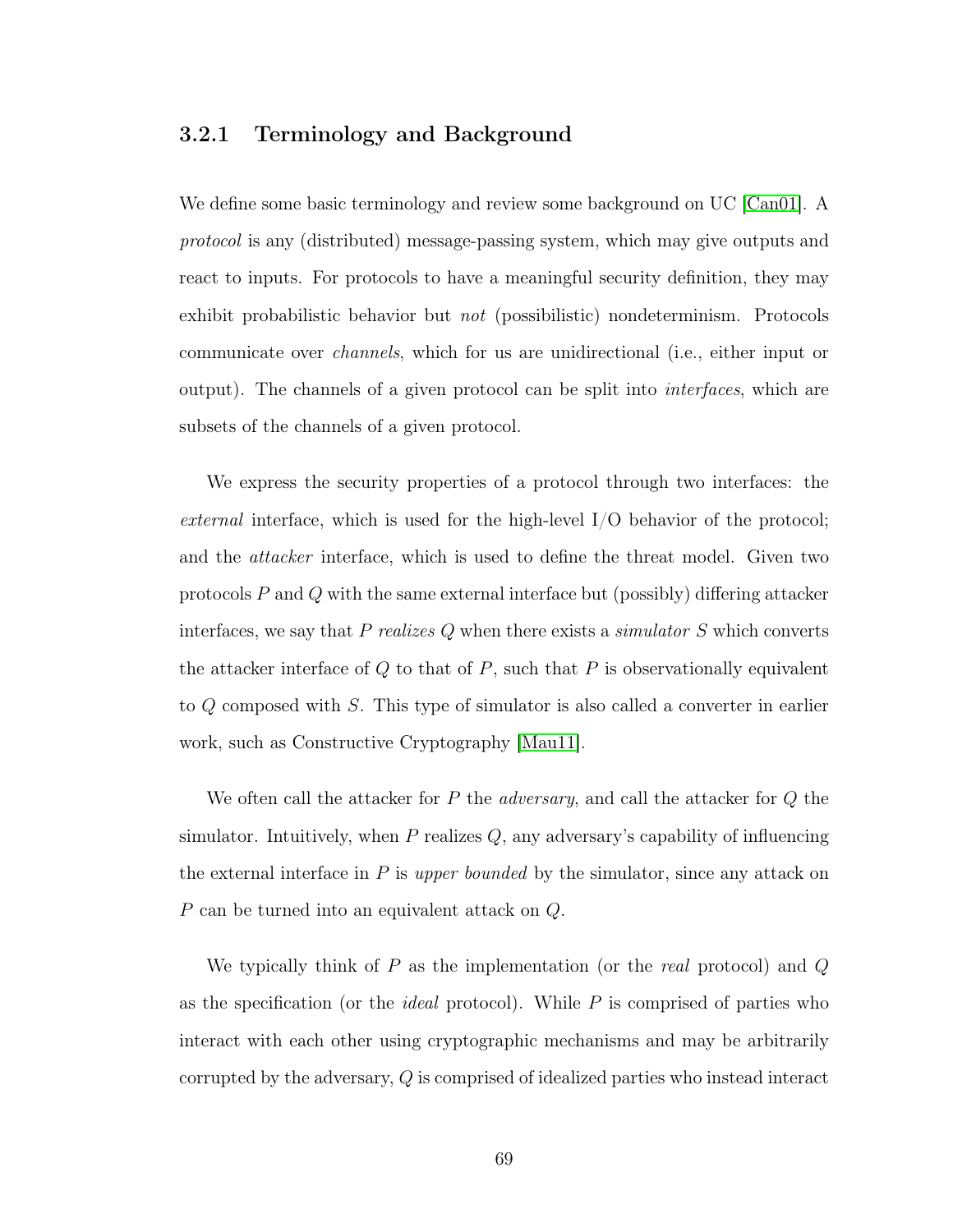### 3.2.1 Terminology and Background

We define some basic terminology and review some background on UC [\[Can01\]](#page-141-0). A protocol is any (distributed) message-passing system, which may give outputs and react to inputs. For protocols to have a meaningful security definition, they may exhibit probabilistic behavior but not (possibilistic) nondeterminism. Protocols communicate over channels, which for us are unidirectional (i.e., either input or output). The channels of a given protocol can be split into interfaces, which are subsets of the channels of a given protocol.

We express the security properties of a protocol through two interfaces: the *external* interface, which is used for the high-level  $I/O$  behavior of the protocol; and the attacker interface, which is used to define the threat model. Given two protocols  $P$  and  $Q$  with the same external interface but (possibly) differing attacker interfaces, we say that  $P$  realizes  $Q$  when there exists a simulator  $S$  which converts the attacker interface of  $Q$  to that of  $P$ , such that  $P$  is observationally equivalent to Q composed with S. This type of simulator is also called a converter in earlier work, such as Constructive Cryptography [\[Mau11\]](#page-145-1).

We often call the attacker for  $P$  the *adversary*, and call the attacker for  $Q$  the simulator. Intuitively, when  $P$  realizes  $Q$ , any adversary's capability of influencing the external interface in  $P$  is upper bounded by the simulator, since any attack on P can be turned into an equivalent attack on Q.

We typically think of  $P$  as the implementation (or the *real* protocol) and  $Q$ as the specification (or the *ideal* protocol). While  $P$  is comprised of parties who interact with each other using cryptographic mechanisms and may be arbitrarily corrupted by the adversary, Q is comprised of idealized parties who instead interact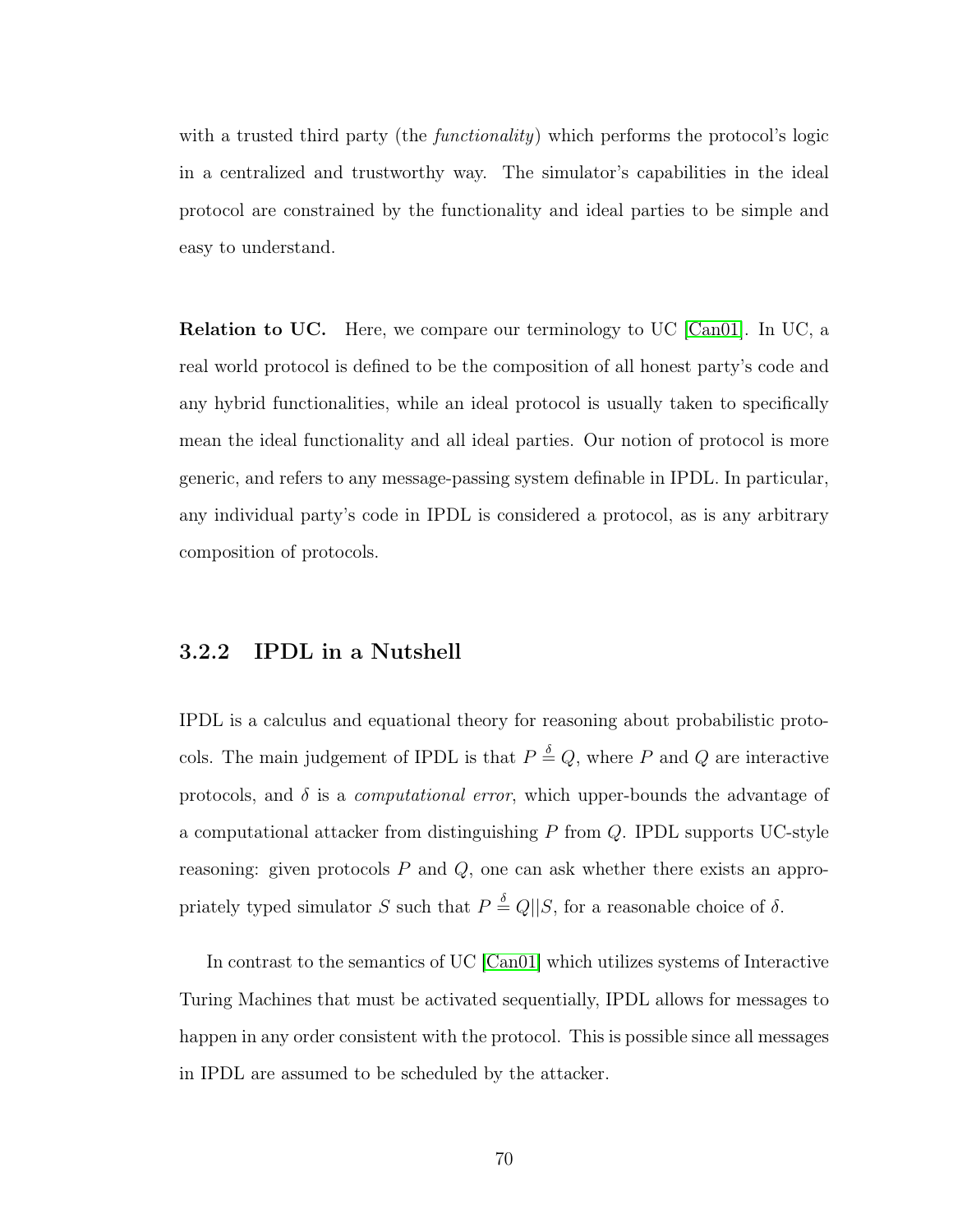with a trusted third party (the *functionality*) which performs the protocol's logic in a centralized and trustworthy way. The simulator's capabilities in the ideal protocol are constrained by the functionality and ideal parties to be simple and easy to understand.

Relation to UC. Here, we compare our terminology to UC [\[Can01\]](#page-141-0). In UC, a real world protocol is defined to be the composition of all honest party's code and any hybrid functionalities, while an ideal protocol is usually taken to specifically mean the ideal functionality and all ideal parties. Our notion of protocol is more generic, and refers to any message-passing system definable in IPDL. In particular, any individual party's code in IPDL is considered a protocol, as is any arbitrary composition of protocols.

# 3.2.2 IPDL in a Nutshell

IPDL is a calculus and equational theory for reasoning about probabilistic protocols. The main judgement of IPDL is that  $P \stackrel{\delta}{=} Q$ , where P and Q are interactive protocols, and  $\delta$  is a *computational error*, which upper-bounds the advantage of a computational attacker from distinguishing  $P$  from  $Q$ . IPDL supports UC-style reasoning: given protocols  $P$  and  $Q$ , one can ask whether there exists an appropriately typed simulator S such that  $P \stackrel{\delta}{=} Q||S$ , for a reasonable choice of  $\delta$ .

In contrast to the semantics of UC [\[Can01\]](#page-141-0) which utilizes systems of Interactive Turing Machines that must be activated sequentially, IPDL allows for messages to happen in any order consistent with the protocol. This is possible since all messages in IPDL are assumed to be scheduled by the attacker.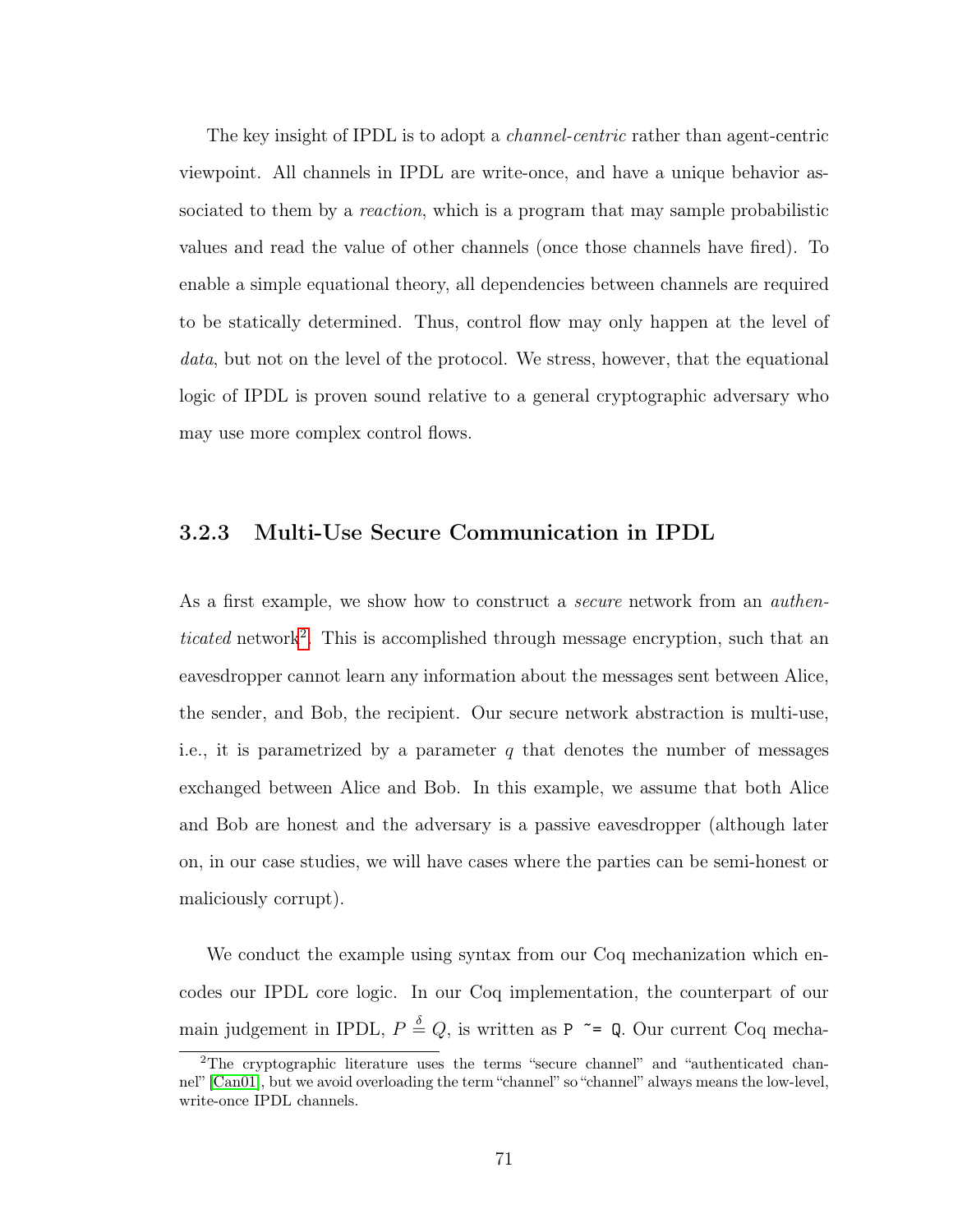The key insight of IPDL is to adopt a *channel-centric* rather than agent-centric viewpoint. All channels in IPDL are write-once, and have a unique behavior associated to them by a *reaction*, which is a program that may sample probabilistic values and read the value of other channels (once those channels have fired). To enable a simple equational theory, all dependencies between channels are required to be statically determined. Thus, control flow may only happen at the level of data, but not on the level of the protocol. We stress, however, that the equational logic of IPDL is proven sound relative to a general cryptographic adversary who may use more complex control flows.

# 3.2.3 Multi-Use Secure Communication in IPDL

As a first example, we show how to construct a *secure* network from an *authen*-ticated network<sup>[2](#page-79-0)</sup>. This is accomplished through message encryption, such that an eavesdropper cannot learn any information about the messages sent between Alice, the sender, and Bob, the recipient. Our secure network abstraction is multi-use, i.e., it is parametrized by a parameter  $q$  that denotes the number of messages exchanged between Alice and Bob. In this example, we assume that both Alice and Bob are honest and the adversary is a passive eavesdropper (although later on, in our case studies, we will have cases where the parties can be semi-honest or maliciously corrupt).

We conduct the example using syntax from our Coq mechanization which encodes our IPDL core logic. In our Coq implementation, the counterpart of our main judgement in IPDL,  $P \triangleq Q$ , is written as P  $\tilde{\phantom{a}}$  = Q. Our current Coq mecha-

<span id="page-79-0"></span><sup>2</sup>The cryptographic literature uses the terms "secure channel" and "authenticated channel" [\[Can01\]](#page-141-0), but we avoid overloading the term "channel" so "channel" always means the low-level, write-once IPDL channels.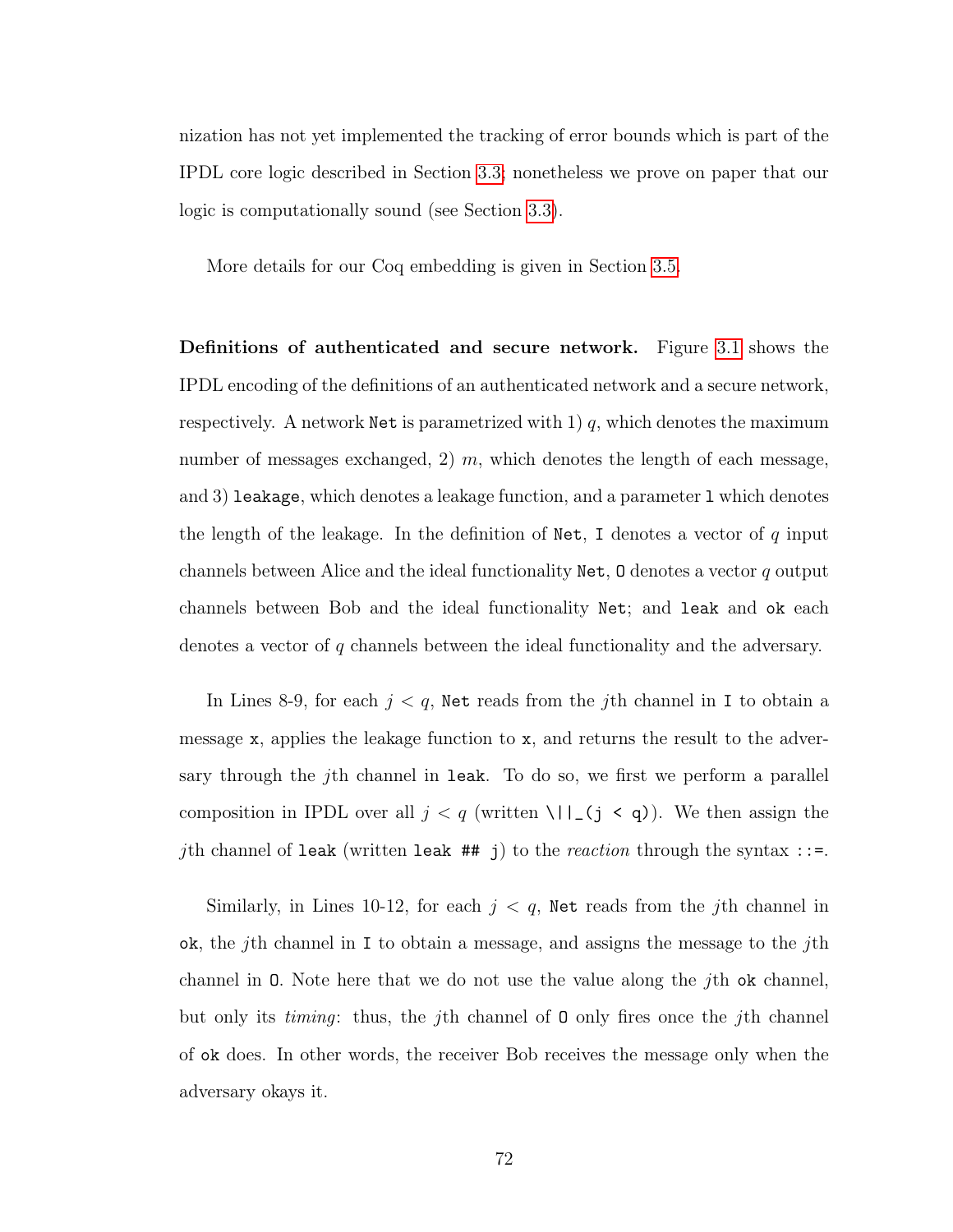nization has not yet implemented the tracking of error bounds which is part of the IPDL core logic described in Section [3.3;](#page-89-0) nonetheless we prove on paper that our logic is computationally sound (see Section [3.3\)](#page-89-0).

More details for our Coq embedding is given in Section [3.5.](#page-101-0)

Definitions of authenticated and secure network. Figure [3.1](#page-81-0) shows the IPDL encoding of the definitions of an authenticated network and a secure network, respectively. A network Net is parametrized with  $1$ ) q, which denotes the maximum number of messages exchanged, 2)  $m$ , which denotes the length of each message, and 3) leakage, which denotes a leakage function, and a parameter l which denotes the length of the leakage. In the definition of Net, I denotes a vector of  $q$  input channels between Alice and the ideal functionality  $\mathbb{N}$  et, 0 denotes a vector q output channels between Bob and the ideal functionality Net; and leak and ok each denotes a vector of q channels between the ideal functionality and the adversary.

In Lines 8-9, for each  $j < q$ , Net reads from the jth channel in I to obtain a message  $x$ , applies the leakage function to  $x$ , and returns the result to the adversary through the j<sup>th</sup> channel in leak. To do so, we first we perform a parallel composition in IPDL over all  $j < q$  (written \||\_(j < q)). We then assign the jth channel of leak (written leak  $#$  j) to the *reaction* through the syntax ::=.

Similarly, in Lines 10-12, for each  $j < q$ , Net reads from the jth channel in ok, the *j*th channel in I to obtain a message, and assigns the message to the *j*th channel in O. Note here that we do not use the value along the jth ok channel, but only its timing: thus, the jth channel of O only fires once the jth channel of ok does. In other words, the receiver Bob receives the message only when the adversary okays it.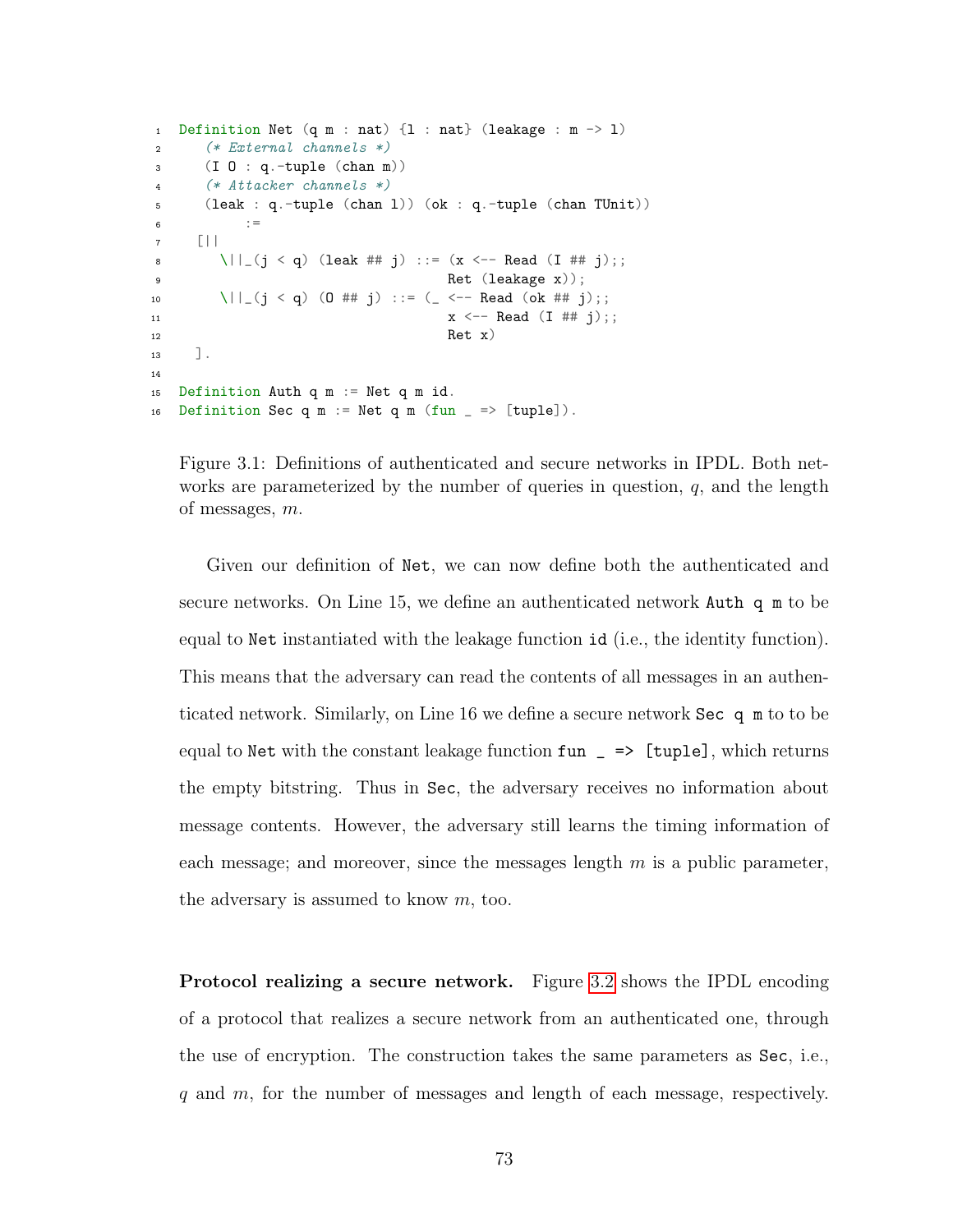```
1 Definition Net (q m : nat) \{1 : nat\} (leakage : m \rightarrow 1)
2 (* External channels *)
3 (I O : q.-tuple (chan m))
4 (* Attacker channels *)
5 (leak : q.-tuple (chan l)) (ok : q.-tuple (chan TUnit))
\epsilon =7 [||
8 \||_(j < q) (leak ## j) ::= (x <-- Read (I ## j);;
9 Ret (leakage x));
10 \||_(j < q) (0 ## j) ::= (_ <-- Read (ok ## j);;
11 x \leftarrow - Read (I \# \# j);
12 Ret x)
13 ].
14
15 Definition Auth q m := Net q m id.
16 Definition Sec q m := Net q m (fun = \ge [tuple]).
```
Figure 3.1: Definitions of authenticated and secure networks in IPDL. Both networks are parameterized by the number of queries in question,  $q$ , and the length of messages, m.

Given our definition of Net, we can now define both the authenticated and secure networks. On Line 15, we define an authenticated network Auth q m to be equal to Net instantiated with the leakage function id (i.e., the identity function). This means that the adversary can read the contents of all messages in an authenticated network. Similarly, on Line 16 we define a secure network Sec q m to to be equal to Net with the constant leakage function  $fun = \geq \lceil \text{tuple} \rceil$ , which returns the empty bitstring. Thus in Sec, the adversary receives no information about message contents. However, the adversary still learns the timing information of each message; and moreover, since the messages length  $m$  is a public parameter, the adversary is assumed to know m, too.

Protocol realizing a secure network. Figure [3.2](#page-83-0) shows the IPDL encoding of a protocol that realizes a secure network from an authenticated one, through the use of encryption. The construction takes the same parameters as Sec, i.e., q and m, for the number of messages and length of each message, respectively.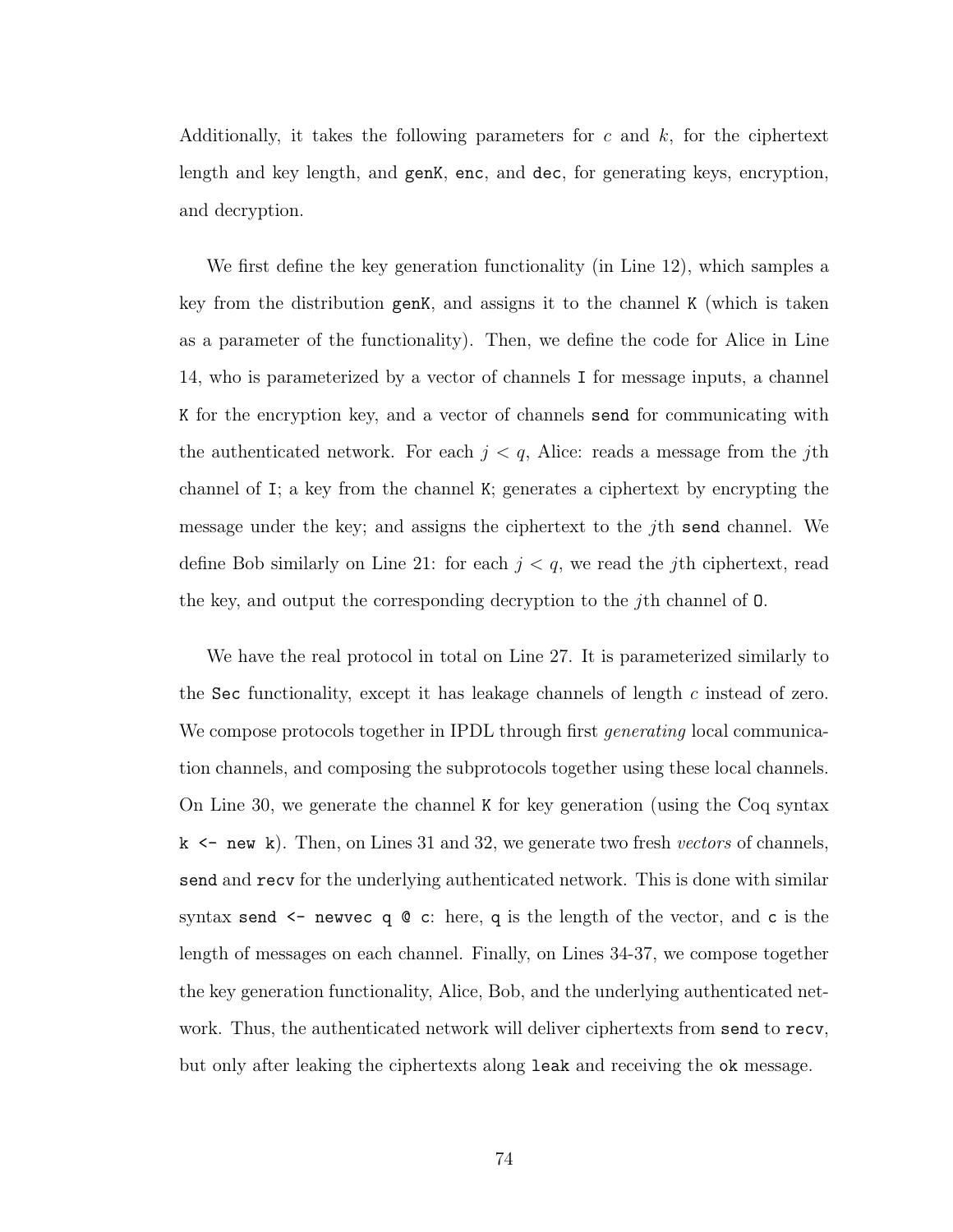Additionally, it takes the following parameters for  $c$  and  $k$ , for the ciphertext length and key length, and genK, enc, and dec, for generating keys, encryption, and decryption.

We first define the key generation functionality (in Line 12), which samples a key from the distribution genK, and assigns it to the channel K (which is taken as a parameter of the functionality). Then, we define the code for Alice in Line 14, who is parameterized by a vector of channels I for message inputs, a channel K for the encryption key, and a vector of channels send for communicating with the authenticated network. For each  $j < q$ , Alice: reads a message from the j<sup>th</sup> channel of I; a key from the channel K; generates a ciphertext by encrypting the message under the key; and assigns the ciphertext to the  $j$ th send channel. We define Bob similarly on Line 21: for each  $j < q$ , we read the jth ciphertext, read the key, and output the corresponding decryption to the jth channel of O.

We have the real protocol in total on Line 27. It is parameterized similarly to the Sec functionality, except it has leakage channels of length c instead of zero. We compose protocols together in IPDL through first *generating* local communication channels, and composing the subprotocols together using these local channels. On Line 30, we generate the channel K for key generation (using the Coq syntax  $k \leq$  new k). Then, on Lines 31 and 32, we generate two fresh *vectors* of channels, send and recv for the underlying authenticated network. This is done with similar syntax send  $\leq$  newvec q  $\circ$  c: here, q is the length of the vector, and c is the length of messages on each channel. Finally, on Lines 34-37, we compose together the key generation functionality, Alice, Bob, and the underlying authenticated network. Thus, the authenticated network will deliver ciphertexts from send to recv, but only after leaking the ciphertexts along leak and receiving the ok message.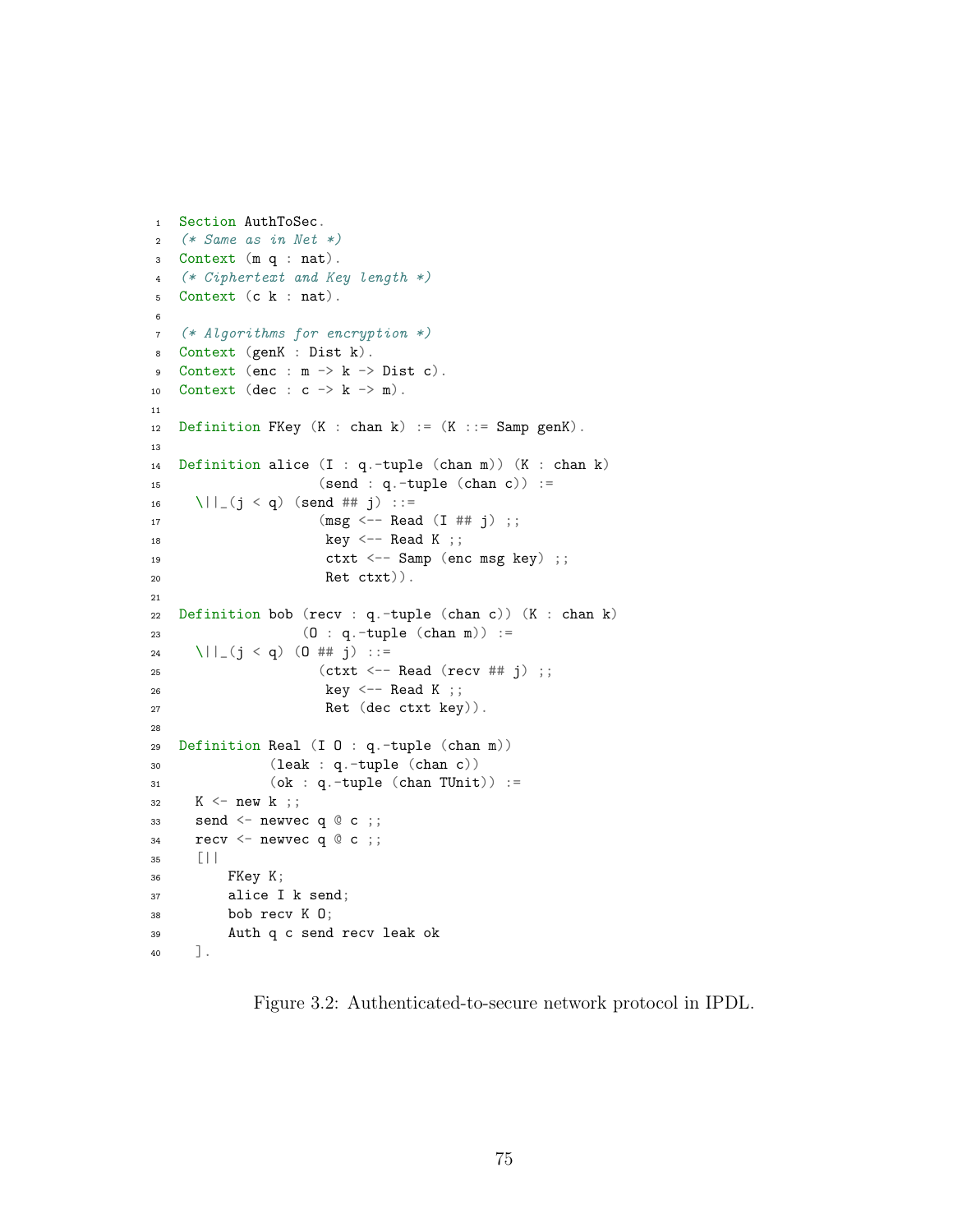```
1 Section AuthToSec.
2 (* Same as in Net *)
3 Context (m q : nat).
4 (* Ciphertext and Key length *)
5 Context (c k : nat).
6
7 (* Algorithms for encryption *)
8 Context (genK : Dist k).
9 Context (enc : m -> k -> Dist c).
10 Context (dec : c \rightarrow k \rightarrow m).
11
12 Definition FKey (K : chan k) := (K :: = Samp genK).
13
14 Definition alice (I : q.-tuple (chan m)) (K : chan k)
15 (send : q.-tuple (chan c)) :=16 \| | (j \lt q) (send ## j) ::=
17 (msg \leftarrow - Read (I \# \# j);
18 key \leftarrow Read K ;;
19 ctxt <-- Samp (enc msg key) ;;
20 Ret ctxt)).
21
22 Definition bob (recv : q.-tuple (chan c)) (K : chan k)
23 (O : q.-tuple (chan m)) :=
24 \| (j < q) (0 ## j) ::=
25 (ctxt <-- Read (recv ## j) ;;
26 key <- Read K ;;
27 Ret (dec ctxt key)).
28
29 Definition Real (I O : q.-tuple (chan m))
30 (leak : q.-tuple (chan c))
31 (ok : q.-tuple (chan TUnit)) :=
32 K \leq new k;;
33 send <- newvec q @ c ;;
34 recv \leq newvec q \circ c;;
35 [||
36 FKey K;
37 alice I k send;
38 bob recv K O;
39 Auth q c send recv leak ok
40 ].
```
Figure 3.2: Authenticated-to-secure network protocol in IPDL.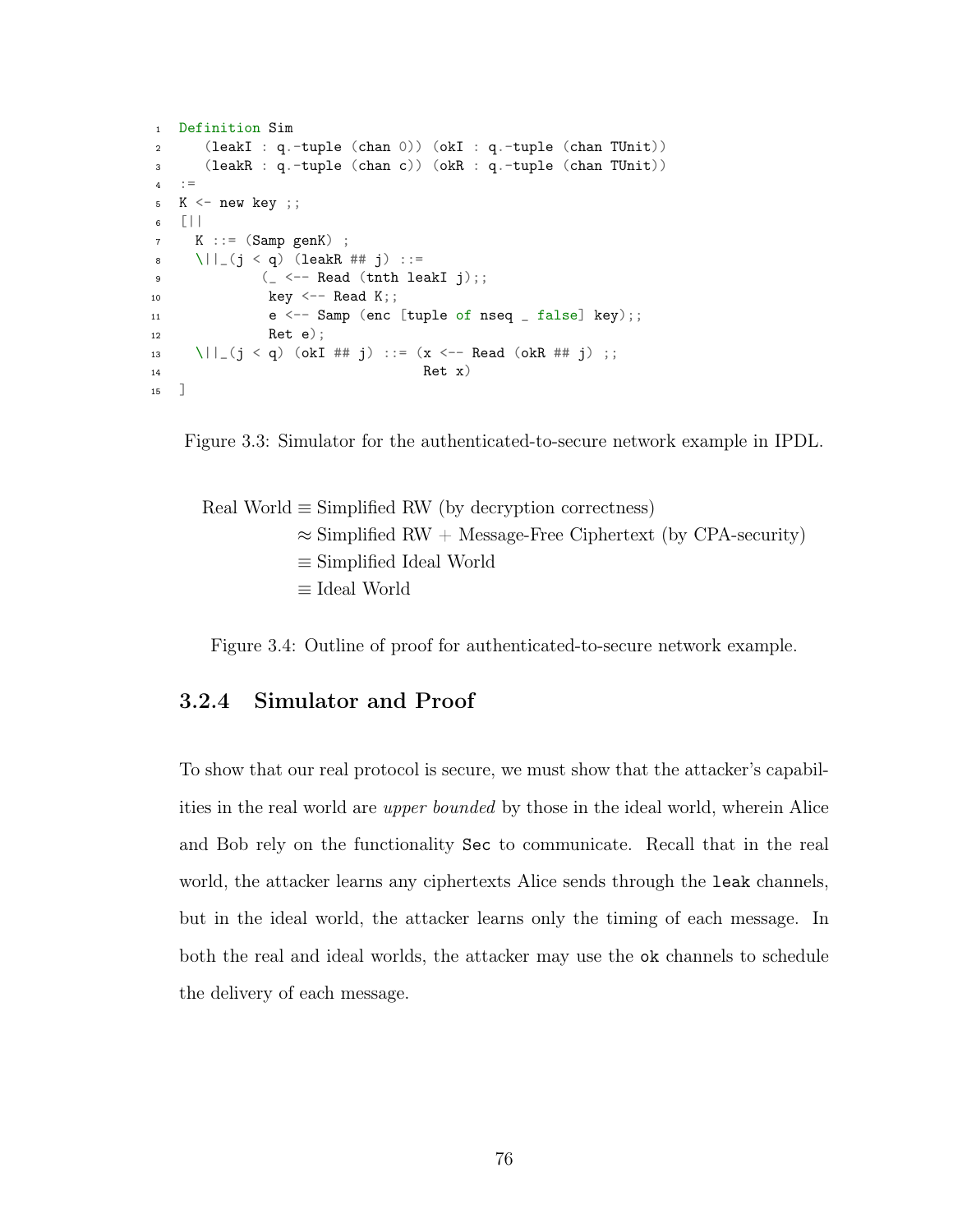```
1 Definition Sim
2 (leakI : q.-tuple (chan 0)) (okI : q.-tuple (chan TUnit))
3 (leakR : q.-tuple (chan c)) (okR : q.-tuple (chan TUnit))
4 : =5 K \leq new key ;;
6 [||
7 K ::= (Samp genK) ;
8 \| (j < q) (leakR ## j) ::=
9 ( <- Read (tnth leakI j);;
10 key \leftarrow Read K;;
11 e \leftarrow Samp (enc [tuple of nseq _{-} false] key);;
12 Ret e);
13 \||_(j < q) (okI ## j) ::= (x <-- Read (okR ## j) ;;
14 Ret x)
15 ]
```
<span id="page-84-1"></span>

Real World 
$$
\equiv
$$
 Simplified RW (by decryption correctness)  
\n $\approx$  Simplified RW + Message-Free Ciphertext (by CPA-security)  
\n $\equiv$  Simplified Ideal World  
\n $\equiv$  Ideal World

Figure 3.4: Outline of proof for authenticated-to-secure network example.

# 3.2.4 Simulator and Proof

To show that our real protocol is secure, we must show that the attacker's capabilities in the real world are upper bounded by those in the ideal world, wherein Alice and Bob rely on the functionality Sec to communicate. Recall that in the real world, the attacker learns any ciphertexts Alice sends through the leak channels, but in the ideal world, the attacker learns only the timing of each message. In both the real and ideal worlds, the attacker may use the ok channels to schedule the delivery of each message.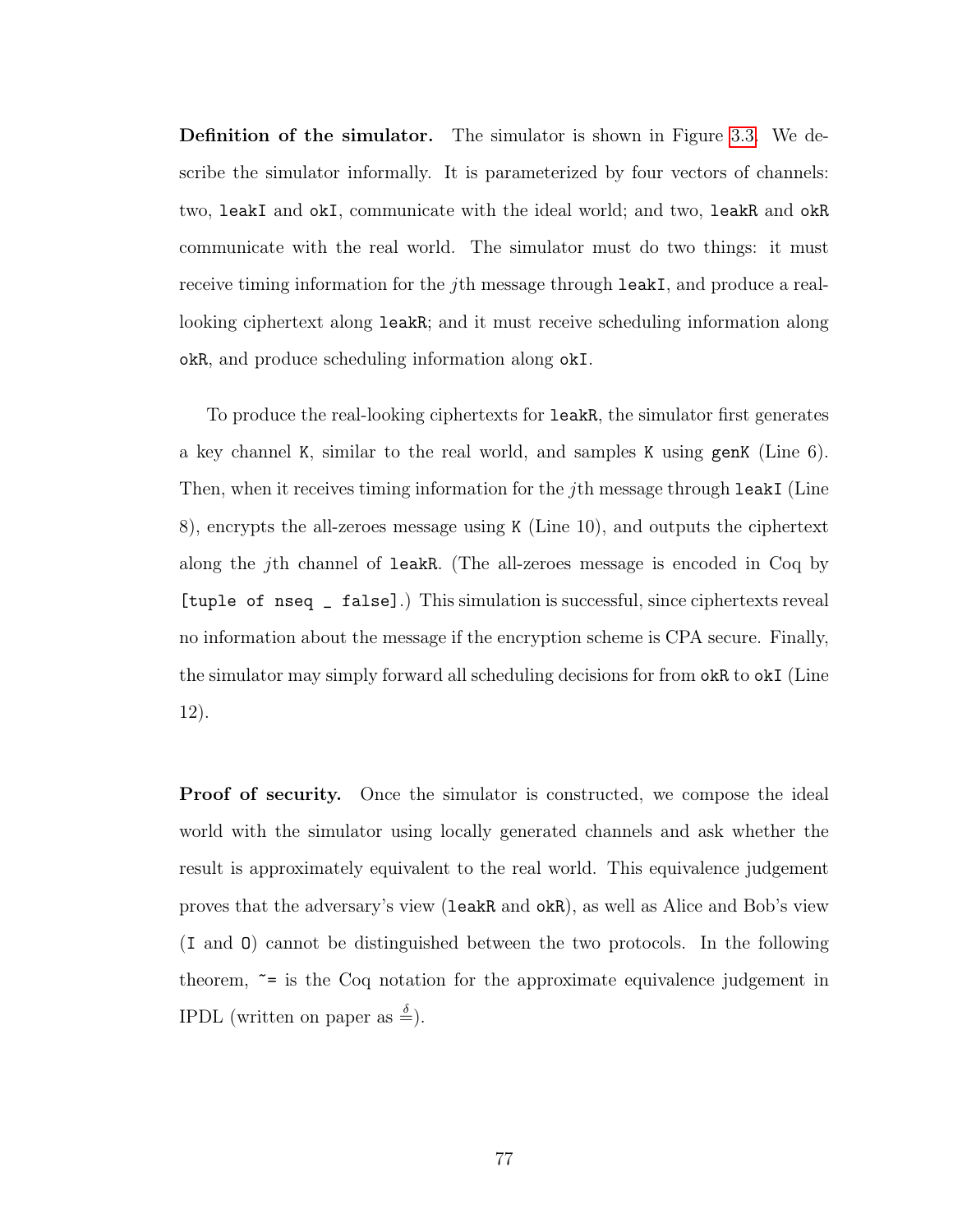Definition of the simulator. The simulator is shown in Figure [3.3.](#page-84-0) We describe the simulator informally. It is parameterized by four vectors of channels: two, leakI and okI, communicate with the ideal world; and two, leakR and okR communicate with the real world. The simulator must do two things: it must receive timing information for the jth message through leakI, and produce a reallooking ciphertext along leakR; and it must receive scheduling information along okR, and produce scheduling information along okI.

To produce the real-looking ciphertexts for leakR, the simulator first generates a key channel K, similar to the real world, and samples K using genK (Line 6). Then, when it receives timing information for the *j*th message through leakI (Line 8), encrypts the all-zeroes message using K (Line 10), and outputs the ciphertext along the jth channel of leakR. (The all-zeroes message is encoded in Coq by [tuple of nseq \_ false].) This simulation is successful, since ciphertexts reveal no information about the message if the encryption scheme is CPA secure. Finally, the simulator may simply forward all scheduling decisions for from okR to okI (Line 12).

**Proof of security.** Once the simulator is constructed, we compose the ideal world with the simulator using locally generated channels and ask whether the result is approximately equivalent to the real world. This equivalence judgement proves that the adversary's view (leakR and okR), as well as Alice and Bob's view (I and O) cannot be distinguished between the two protocols. In the following theorem,  $\tilde{=}$  is the Coq notation for the approximate equivalence judgement in IPDL (written on paper as  $\stackrel{\delta}{=}$ ).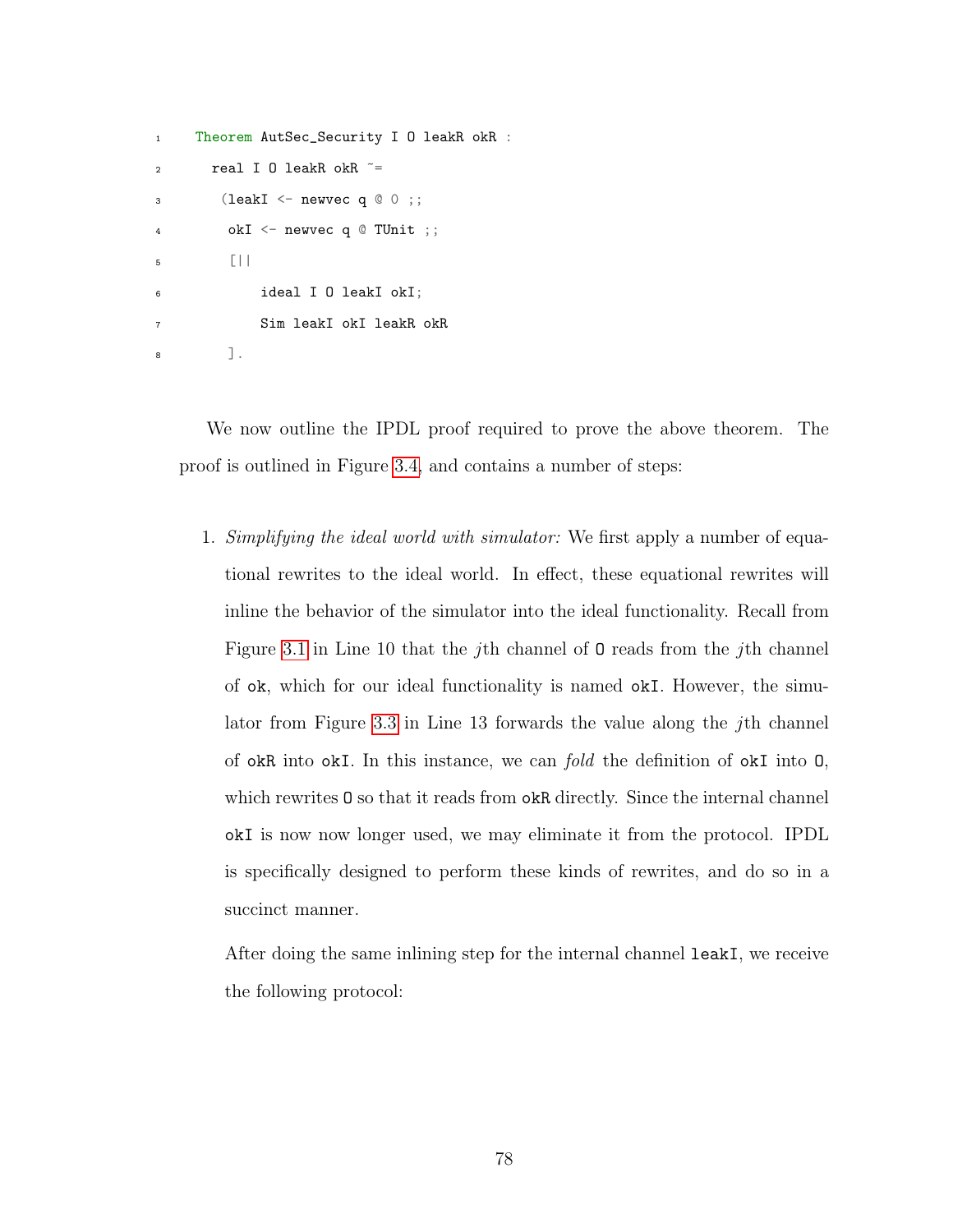```
1 Theorem AutSec_Security I O leakR okR :
2 real I O leakR okR z =3 (leakI \leq newvec q \circ 0 ;;
4 okI <- newvec q @ TUnit ;;
5 [||
6 ideal I O leakI okI;
           Sim leakI okI leakR okR
8 ].
```
We now outline the IPDL proof required to prove the above theorem. The proof is outlined in Figure [3.4,](#page-84-1) and contains a number of steps:

1. Simplifying the ideal world with simulator: We first apply a number of equational rewrites to the ideal world. In effect, these equational rewrites will inline the behavior of the simulator into the ideal functionality. Recall from Figure [3.1](#page-81-0) in Line 10 that the jth channel of O reads from the jth channel of ok, which for our ideal functionality is named okI. However, the simu-lator from Figure [3.3](#page-84-0) in Line 13 forwards the value along the *j*th channel of okR into okI. In this instance, we can fold the definition of okI into O, which rewrites  $0$  so that it reads from okR directly. Since the internal channel okI is now now longer used, we may eliminate it from the protocol. IPDL is specifically designed to perform these kinds of rewrites, and do so in a succinct manner.

After doing the same inlining step for the internal channel leakI, we receive the following protocol: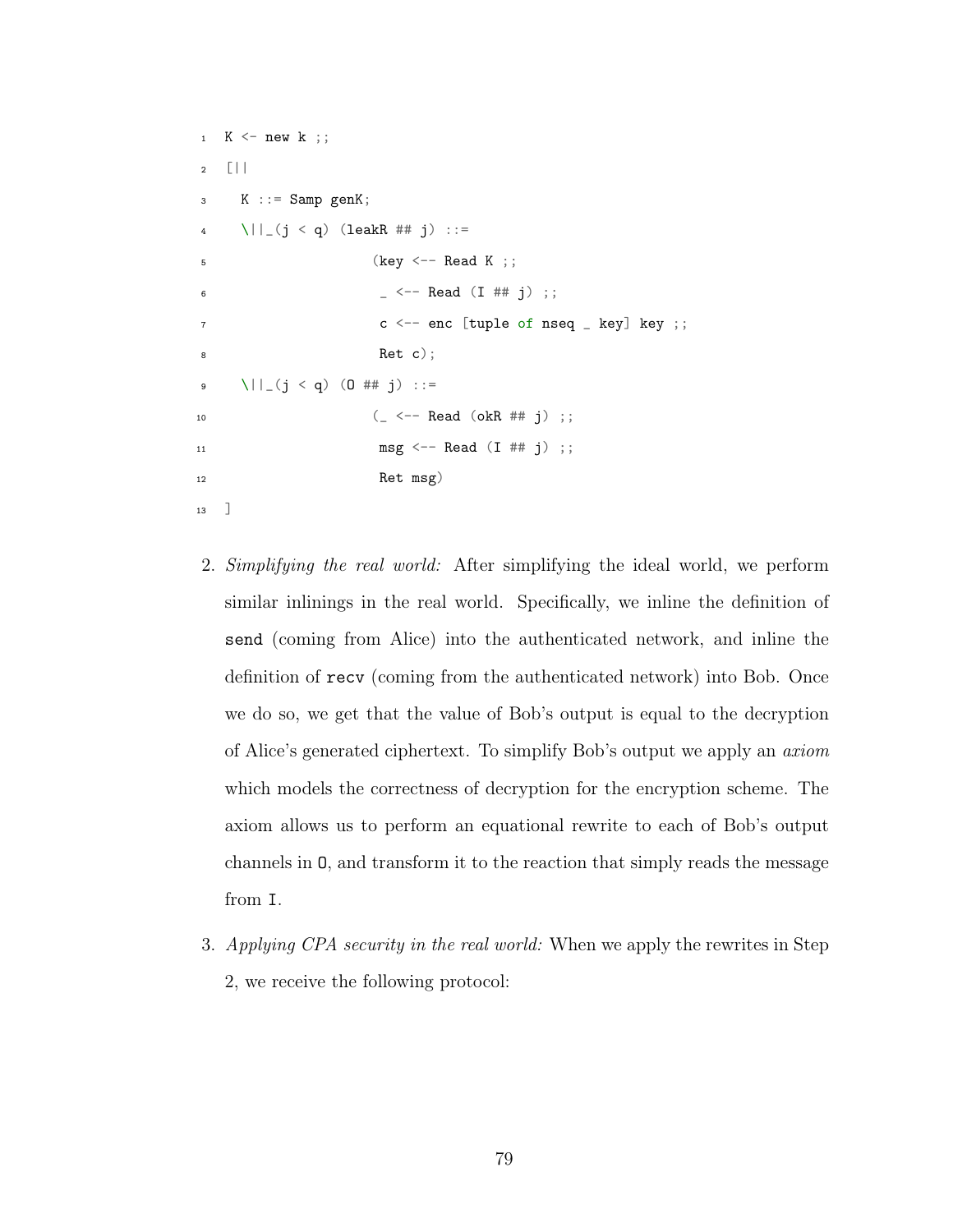```
1 K \leq new k ;;
2 [||
3 K ::= Samp genK;
4 \| (j < q) (leakR ## j) ::=
5 (key <- Read K ;;
6 - \leq - Read (I ## j) ;;
7 \t\t c \t\t <- enc [tuple of nseq _ key] key ;;
8 Ret c);
9 \||_(j < q) (O ## j) ::=
10 (- \leq - Read ( \text{okR} \# \# j );
11 \text{msg} \leq -\text{Read} (I \# \# j);
12 Ret msg)
13 ]
```
- 2. Simplifying the real world: After simplifying the ideal world, we perform similar inlinings in the real world. Specifically, we inline the definition of send (coming from Alice) into the authenticated network, and inline the definition of recv (coming from the authenticated network) into Bob. Once we do so, we get that the value of Bob's output is equal to the decryption of Alice's generated ciphertext. To simplify Bob's output we apply an axiom which models the correctness of decryption for the encryption scheme. The axiom allows us to perform an equational rewrite to each of Bob's output channels in O, and transform it to the reaction that simply reads the message from I.
- 3. Applying CPA security in the real world: When we apply the rewrites in Step 2, we receive the following protocol: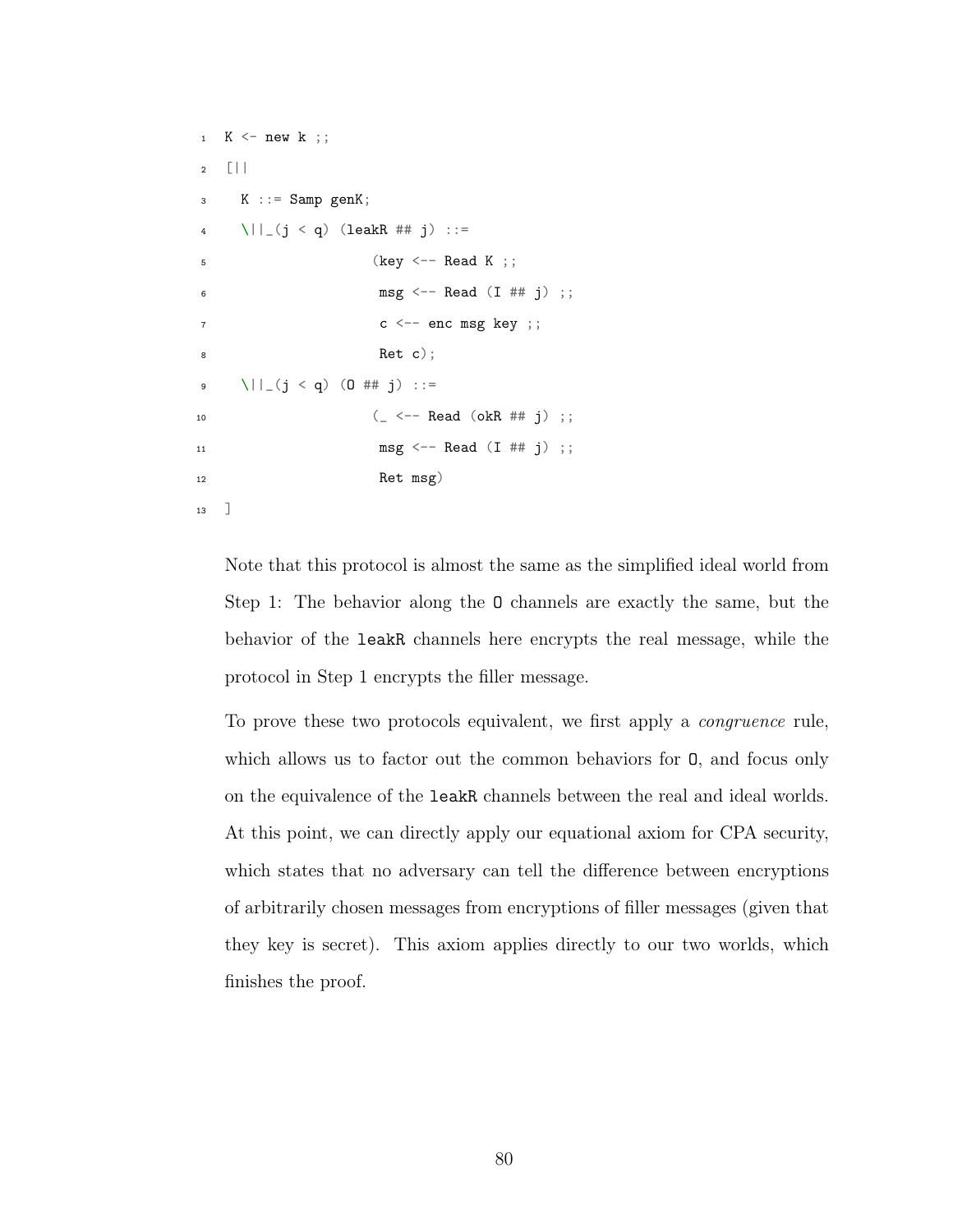```
1 K \leq new k ;;
2 [||
3 K ::= Samp genK;
4 \| (j < q) (leakR ## j) ::=
5 (key <- Read K ;;
6 msg \leftarrow Read (I \# \dagger j);
7 \t\t c \t\t < - enc msg key ;;
8 Ret c);
9 \||_(j < q) (O ## j) ::=
10 (- \leq - Read ( \text{okR} \# \# j );
11 \text{msg} \leftarrow \text{Read} (I \# 1);
12 Ret msg)
13 ]
```
Note that this protocol is almost the same as the simplified ideal world from Step 1: The behavior along the O channels are exactly the same, but the behavior of the leakR channels here encrypts the real message, while the protocol in Step 1 encrypts the filler message.

To prove these two protocols equivalent, we first apply a congruence rule, which allows us to factor out the common behaviors for O, and focus only on the equivalence of the leakR channels between the real and ideal worlds. At this point, we can directly apply our equational axiom for CPA security, which states that no adversary can tell the difference between encryptions of arbitrarily chosen messages from encryptions of filler messages (given that they key is secret). This axiom applies directly to our two worlds, which finishes the proof.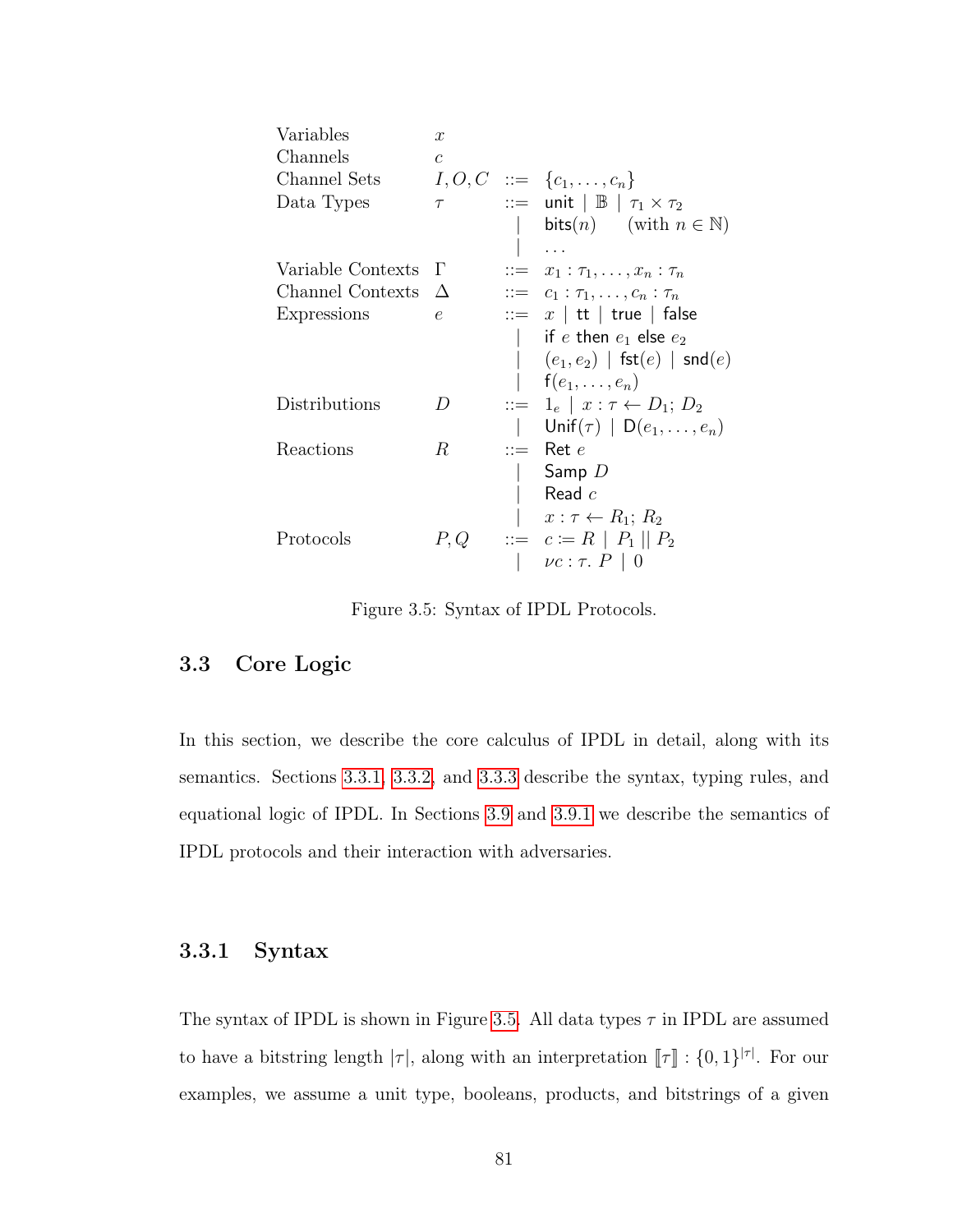<span id="page-89-2"></span>

| Variables         | $\boldsymbol{x}$ |                       |                                                               |
|-------------------|------------------|-----------------------|---------------------------------------------------------------|
| Channels          | $\overline{c}$   |                       |                                                               |
| Channel Sets      |                  |                       | $I, O, C \ ::= \ \{c_1, \ldots, c_n\}$                        |
| Data Types        | $\tau$           |                       | $\therefore$ unit $\mid \mathbb{B} \mid \tau_1 \times \tau_2$ |
|                   |                  |                       | bits( <i>n</i> ) (with $n \in \mathbb{N}$ )                   |
|                   |                  |                       |                                                               |
| Variable Contexts | $\Gamma$         | $\mathrel{\mathop:}=$ | $x_1 : \tau_1, \ldots, x_n : \tau_n$                          |
| Channel Contexts  | $\Delta$         |                       | $::= c_1 : \tau_1, \ldots, c_n : \tau_n$                      |
| Expressions       | e                |                       | $ ::= x  $ it   true   false                                  |
|                   |                  |                       | $\vert$ if e then $e_1$ else $e_2$                            |
|                   |                  |                       | $(e_1, e_2)$   fst $(e)$   snd $(e)$                          |
|                   |                  |                       | $f(e_1,\ldots,e_n)$                                           |
| Distributions     | D                |                       | $\therefore = 1_e \mid x : \tau \leftarrow D_1; D_2$          |
|                   |                  |                       | Unif $(\tau)$   D $(e_1, \ldots, e_n)$                        |
| Reactions         | $R_{\rm}$        |                       | $ ::=$ Ret e                                                  |
|                   |                  |                       | Samp $D$                                                      |
|                   |                  |                       | Read $c$                                                      |
|                   |                  |                       | $x:\tau\leftarrow R_1; R_2$                                   |
| Protocols         | P,Q              |                       | $\therefore = c := R   P_1   P_2$                             |
|                   |                  |                       | $  \nu c : \tau. P   0$                                       |

Figure 3.5: Syntax of IPDL Protocols.

# <span id="page-89-0"></span>3.3 Core Logic

In this section, we describe the core calculus of IPDL in detail, along with its semantics. Sections [3.3.1,](#page-89-1) [3.3.2,](#page-91-0) and [3.3.3](#page-94-0) describe the syntax, typing rules, and equational logic of IPDL. In Sections [3.9](#page-110-0) and [3.9.1](#page-115-0) we describe the semantics of IPDL protocols and their interaction with adversaries.

# <span id="page-89-1"></span>3.3.1 Syntax

The syntax of IPDL is shown in Figure [3.5.](#page-89-2) All data types  $\tau$  in IPDL are assumed to have a bitstring length  $|\tau|$ , along with an interpretation  $[\![\tau]\!] : \{0,1\}^{|\tau|}$ . For our examples, we assume a unit type, booleans, products, and bitstrings of a given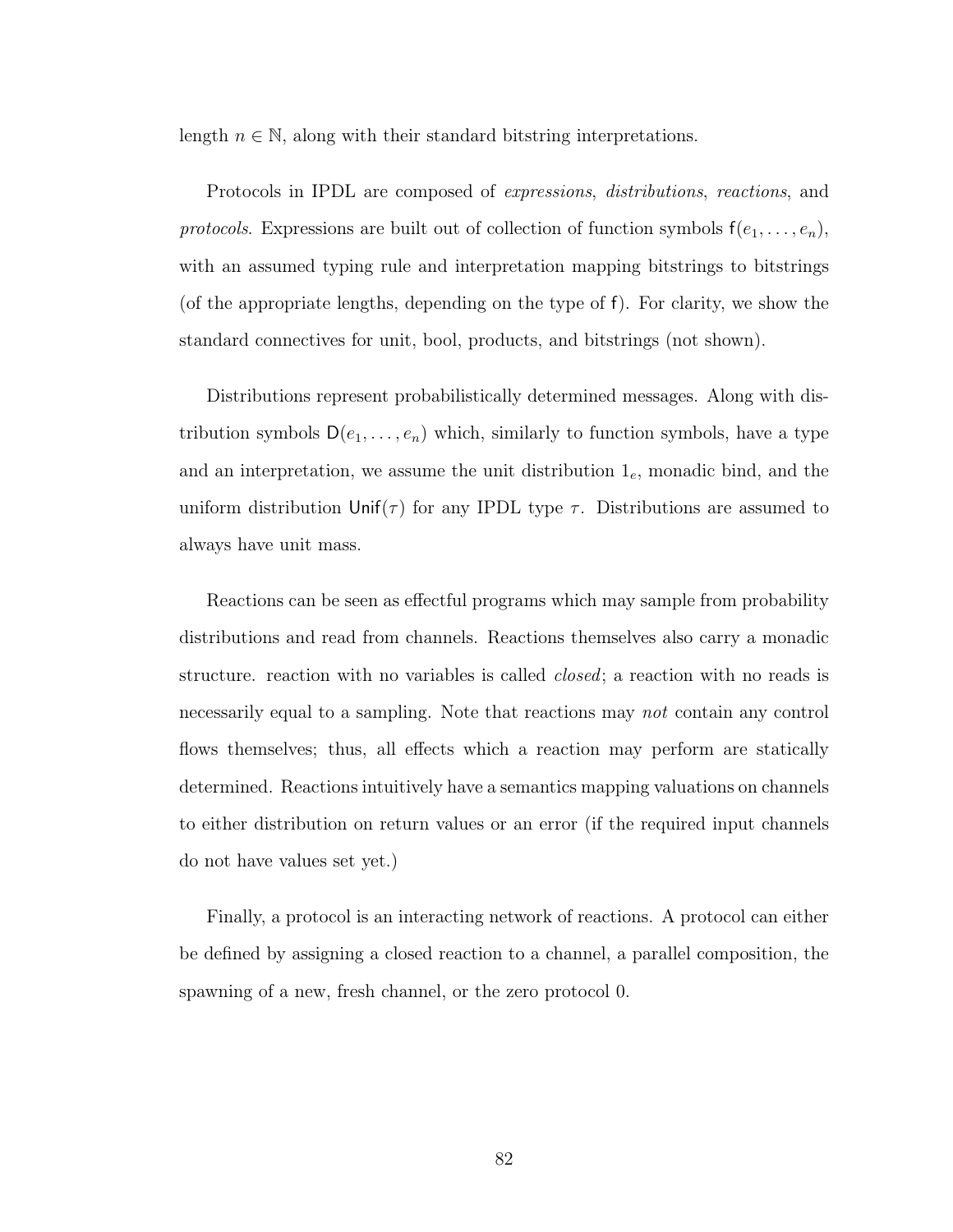length  $n \in \mathbb{N}$ , along with their standard bitstring interpretations.

Protocols in IPDL are composed of expressions, distributions, reactions, and protocols. Expressions are built out of collection of function symbols  $f(e_1, \ldots, e_n)$ , with an assumed typing rule and interpretation mapping bitstrings to bitstrings (of the appropriate lengths, depending on the type of f). For clarity, we show the standard connectives for unit, bool, products, and bitstrings (not shown).

Distributions represent probabilistically determined messages. Along with distribution symbols  $D(e_1, \ldots, e_n)$  which, similarly to function symbols, have a type and an interpretation, we assume the unit distribution  $1_e$ , monadic bind, and the uniform distribution  $\text{Unif}(\tau)$  for any IPDL type  $\tau$ . Distributions are assumed to always have unit mass.

Reactions can be seen as effectful programs which may sample from probability distributions and read from channels. Reactions themselves also carry a monadic structure. reaction with no variables is called *closed*; a reaction with no reads is necessarily equal to a sampling. Note that reactions may not contain any control flows themselves; thus, all effects which a reaction may perform are statically determined. Reactions intuitively have a semantics mapping valuations on channels to either distribution on return values or an error (if the required input channels do not have values set yet.)

Finally, a protocol is an interacting network of reactions. A protocol can either be defined by assigning a closed reaction to a channel, a parallel composition, the spawning of a new, fresh channel, or the zero protocol 0.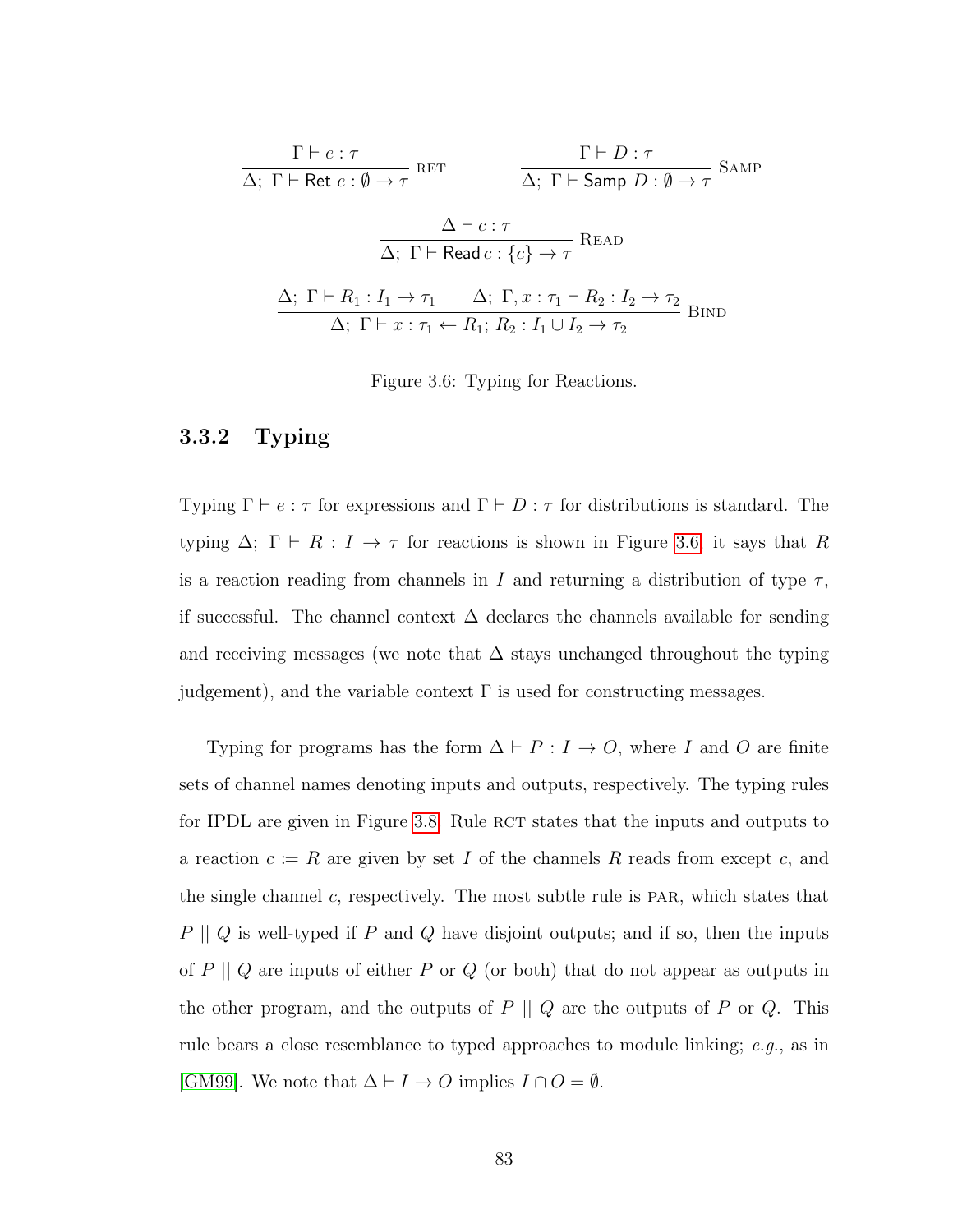<span id="page-91-1"></span>
$$
\frac{\Gamma \vdash e : \tau}{\Delta; \ \Gamma \vdash \text{Ret } e : \emptyset \to \tau} \text{RET} \qquad \frac{\Gamma \vdash D : \tau}{\Delta; \ \Gamma \vdash \text{Samp } D : \emptyset \to \tau} \text{SAMP}
$$
\n
$$
\frac{\Delta \vdash c : \tau}{\Delta; \ \Gamma \vdash \text{Read } c : \{c\} \to \tau} \text{READ}
$$
\n
$$
\frac{\Delta; \ \Gamma \vdash R_1 : I_1 \to \tau_1 \qquad \Delta; \ \Gamma, x : \tau_1 \vdash R_2 : I_2 \to \tau_2}{\Delta; \ \Gamma \vdash x : \tau_1 \leftarrow R_1; \ R_2 : I_1 \cup I_2 \to \tau_2} \text{BIND}
$$

Figure 3.6: Typing for Reactions.

# <span id="page-91-0"></span>3.3.2 Typing

Typing  $\Gamma \vdash e : \tau$  for expressions and  $\Gamma \vdash D : \tau$  for distributions is standard. The typing  $\Delta$ ;  $\Gamma \vdash R : I \to \tau$  for reactions is shown in Figure [3.6;](#page-91-1) it says that R is a reaction reading from channels in I and returning a distribution of type  $\tau$ , if successful. The channel context  $\Delta$  declares the channels available for sending and receiving messages (we note that  $\Delta$  stays unchanged throughout the typing judgement), and the variable context  $\Gamma$  is used for constructing messages.

Typing for programs has the form  $\Delta \vdash P : I \to O$ , where I and O are finite sets of channel names denoting inputs and outputs, respectively. The typing rules for IPDL are given in Figure [3.8.](#page-93-0) Rule RCT states that the inputs and outputs to a reaction  $c := R$  are given by set I of the channels R reads from except c, and the single channel  $c$ , respectively. The most subtle rule is PAR, which states that  $P \parallel Q$  is well-typed if  $P$  and  $Q$  have disjoint outputs; and if so, then the inputs of  $P \parallel Q$  are inputs of either  $P$  or  $Q$  (or both) that do not appear as outputs in the other program, and the outputs of  $P \parallel Q$  are the outputs of  $P$  or  $Q$ . This rule bears a close resemblance to typed approaches to module linking; e.g., as in [\[GM99\]](#page-144-1). We note that  $\Delta \vdash I \to O$  implies  $I \cap O = \emptyset$ .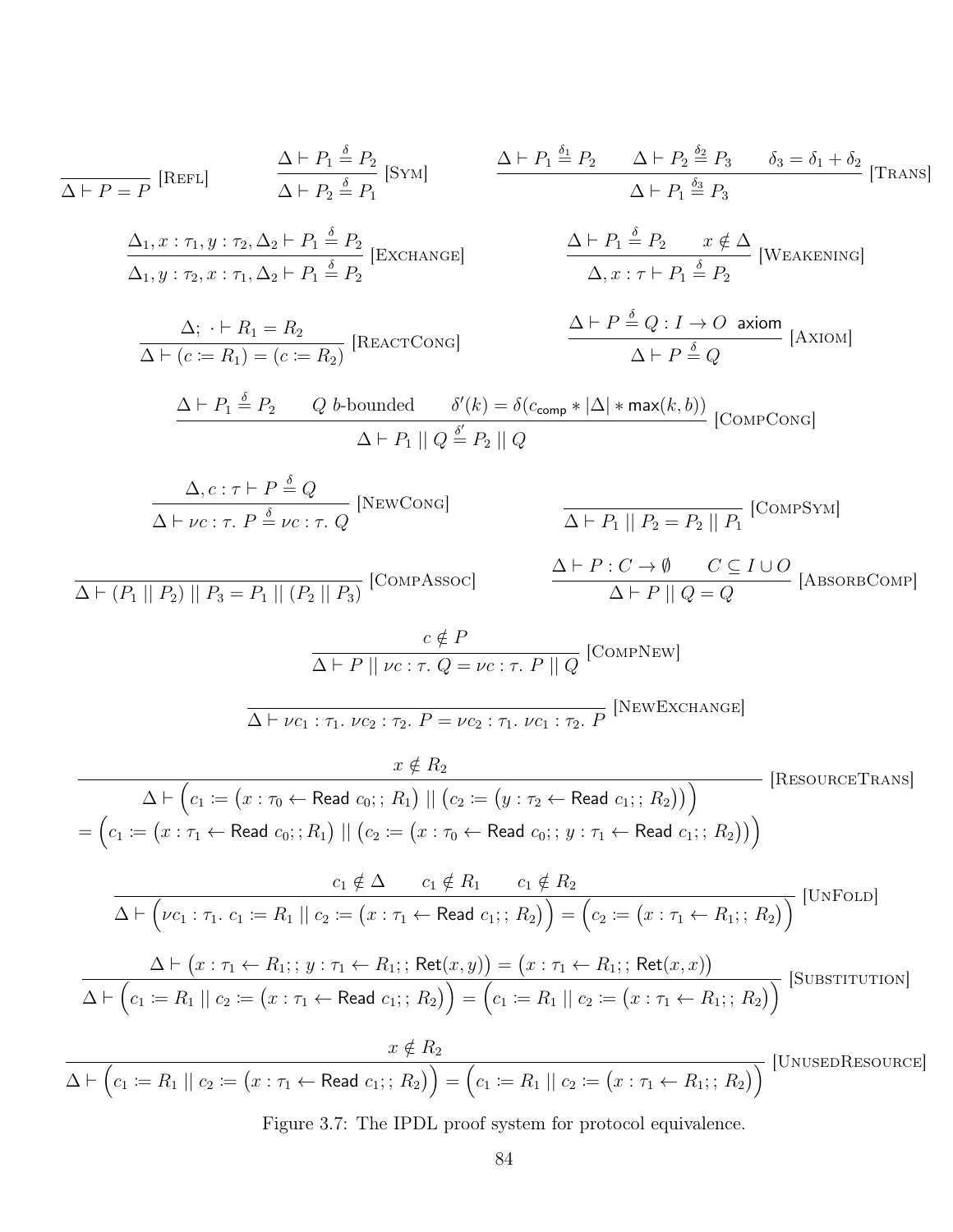<span id="page-92-0"></span>
$$
\frac{\Delta \vdash P_1 \leq P_2}{\Delta \vdash P_1 \vdash P_2} \text{ [RSET,]} \qquad \frac{\Delta \vdash P_1 \leq P_2}{\Delta \vdash P_2 \leq P_3} \qquad \frac{\Delta \vdash P_1 \leq P_3}{\Delta \vdash P_4} \qquad \frac{\Delta \vdash P_1 \leq P_2}{\Delta \vdash P_3} \qquad \frac{\Delta \vdash P_1 \leq P_3}{\Delta \vdash P_4} \qquad \frac{\delta}{\Delta \vdash P_3} \qquad \frac{\delta}{\Delta \vdash P_4} \qquad \frac{\delta}{\Delta \vdash P_4} \qquad \frac{\delta}{\Delta \vdash P_4} \qquad \frac{\delta}{\Delta \vdash P_4} \qquad \frac{\delta}{\Delta \vdash P_4} \qquad \frac{\delta}{\Delta \vdash P_4} \qquad \frac{\delta}{\Delta \vdash P_4} \qquad \frac{\delta}{\Delta \vdash P_4} \qquad \frac{\delta}{\Delta \vdash P_4} \qquad \frac{\delta}{\Delta \vdash P_4} \qquad \frac{\delta}{\Delta \vdash P_4} \qquad \frac{\delta}{\Delta \vdash P_4} \qquad \frac{\delta}{\Delta \vdash P_4} \qquad \frac{\delta}{\Delta \vdash P_4} \qquad \frac{\delta}{\Delta \vdash P_4} \qquad \frac{\delta}{\Delta \vdash P_4} \qquad \frac{\delta}{\Delta \vdash P_4} \qquad \frac{\delta}{\Delta \vdash P_4} \qquad \frac{\delta}{\Delta \vdash P_4} \qquad \frac{\delta}{\Delta \vdash P_4} \qquad \frac{\delta}{\Delta \vdash P_4} \qquad \frac{\delta}{\Delta \vdash P_4} \qquad \frac{\delta}{\Delta \vdash P_4} \qquad \frac{\delta}{\Delta \vdash P_4} \qquad \frac{\delta}{\Delta \vdash P_4} \qquad \frac{\delta}{\Delta \vdash P_4} \qquad \frac{\delta}{\Delta \vdash P_4} \qquad \frac{\delta}{\Delta \vdash P_4} \qquad \frac{\delta}{\Delta \vdash P_4} \qquad \frac{\delta}{\Delta \vdash P_4} \qquad \frac{\delta}{\Delta \vdash P_4} \qquad \frac{\delta}{\Delta \vdash P_4} \qquad \frac{\delta}{\Delta \vdash P_4} \qquad \frac{\delta}{\Delta \vdash P_4} \qquad
$$

Figure 3.7: The IPDL proof system for protocol equivalence.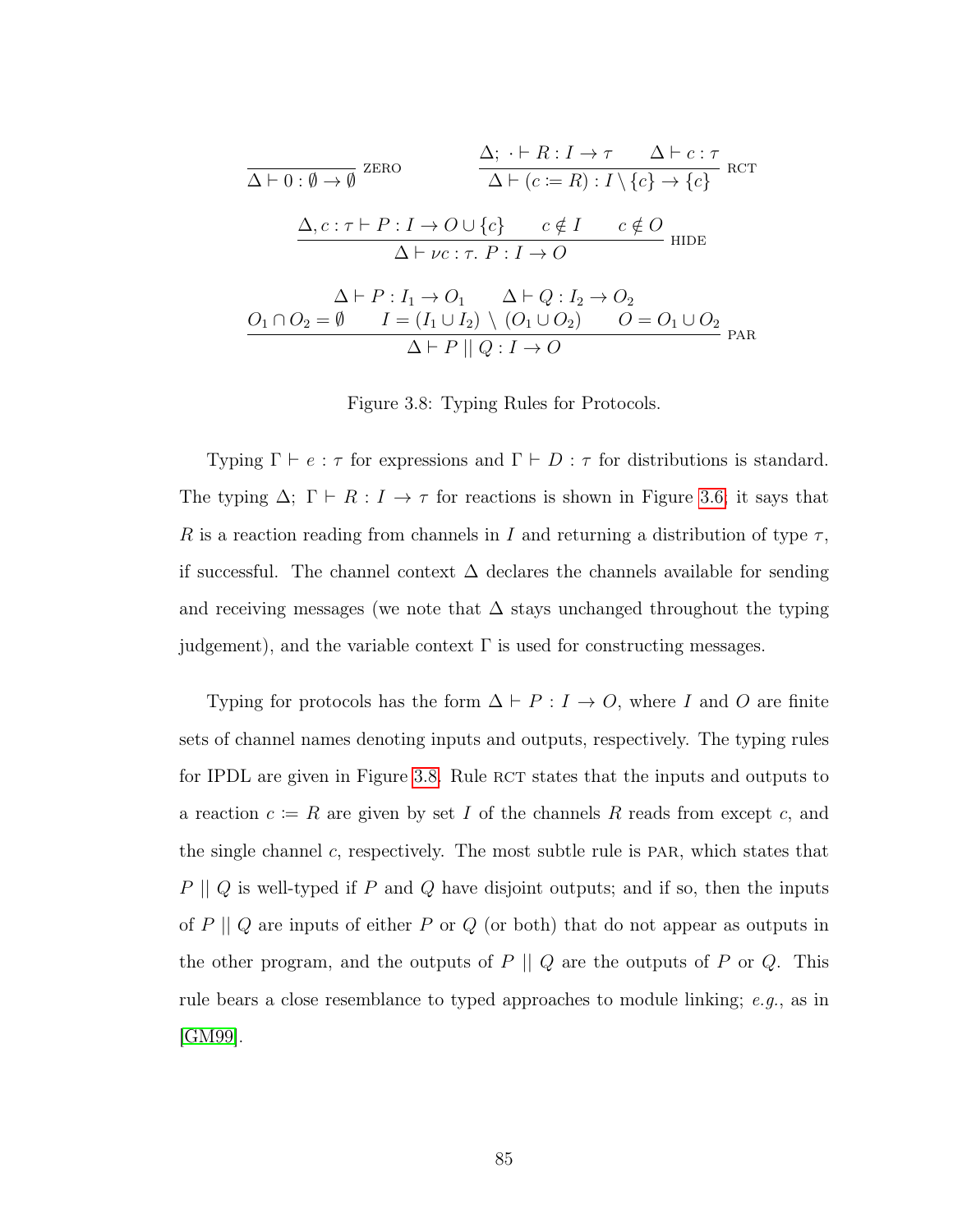<span id="page-93-0"></span>
$$
\frac{\Delta; \cdot \vdash R : I \to \tau \quad \Delta \vdash c : \tau}{\Delta \vdash (c := R) : I \setminus \{c\} \to \{c\}} \text{ RCT}
$$
\n
$$
\frac{\Delta, c : \tau \vdash P : I \to O \cup \{c\} \quad c \notin I \quad c \notin O}{\Delta \vdash \nu c : \tau. \quad P : I \to O}
$$
\n
$$
\frac{\Delta \vdash P : I_1 \to O_1 \quad \Delta \vdash Q : I_2 \to O_2}{\Delta \vdash P : I_1 \to O_1 \quad \Delta \vdash Q : I_2 \to O_2}
$$
\n
$$
\frac{O_1 \cap O_2 = \emptyset \quad I = (I_1 \cup I_2) \setminus (O_1 \cup O_2) \quad O = O_1 \cup O_2}{\Delta \vdash P \parallel Q : I \to O} \text{ PAR}
$$

Figure 3.8: Typing Rules for Protocols.

Typing  $\Gamma \vdash e : \tau$  for expressions and  $\Gamma \vdash D : \tau$  for distributions is standard. The typing  $\Delta$ ;  $\Gamma \vdash R : I \to \tau$  for reactions is shown in Figure [3.6;](#page-91-1) it says that R is a reaction reading from channels in I and returning a distribution of type  $\tau$ , if successful. The channel context  $\Delta$  declares the channels available for sending and receiving messages (we note that  $\Delta$  stays unchanged throughout the typing judgement), and the variable context  $\Gamma$  is used for constructing messages.

Typing for protocols has the form  $\Delta \vdash P : I \to O$ , where I and O are finite sets of channel names denoting inputs and outputs, respectively. The typing rules for IPDL are given in Figure [3.8.](#page-93-0) Rule RCT states that the inputs and outputs to a reaction  $c := R$  are given by set I of the channels R reads from except c, and the single channel  $c$ , respectively. The most subtle rule is PAR, which states that  $P \parallel Q$  is well-typed if  $P$  and  $Q$  have disjoint outputs; and if so, then the inputs of  $P\mid\mid Q$  are inputs of either  $P$  or  $Q$  (or both) that do not appear as outputs in the other program, and the outputs of  $P \parallel Q$  are the outputs of  $P$  or  $Q$ . This rule bears a close resemblance to typed approaches to module linking; e.g., as in [\[GM99\]](#page-144-1).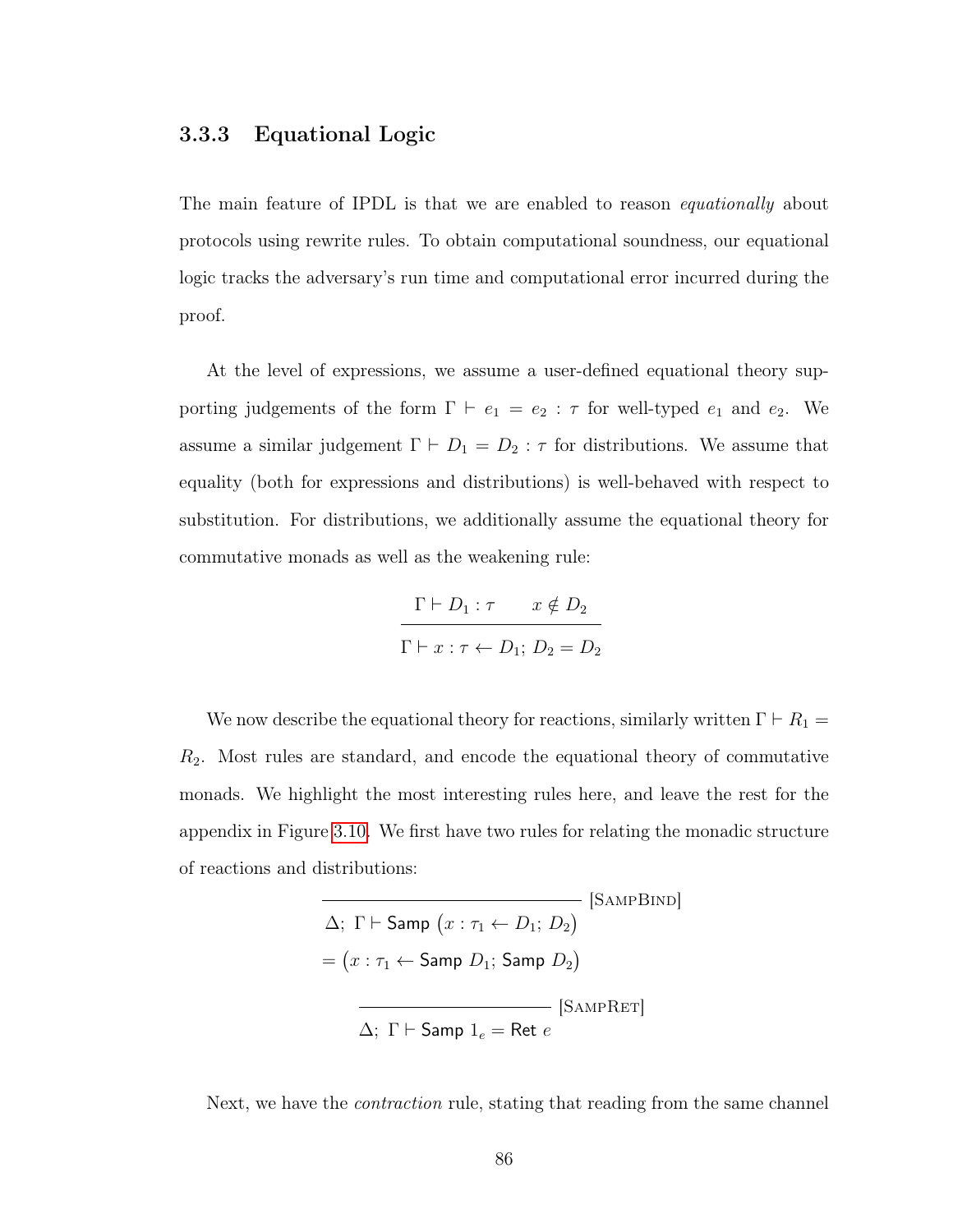### <span id="page-94-0"></span>3.3.3 Equational Logic

The main feature of IPDL is that we are enabled to reason *equationally* about protocols using rewrite rules. To obtain computational soundness, our equational logic tracks the adversary's run time and computational error incurred during the proof.

At the level of expressions, we assume a user-defined equational theory supporting judgements of the form  $\Gamma \vdash e_1 = e_2 : \tau$  for well-typed  $e_1$  and  $e_2$ . We assume a similar judgement  $\Gamma \vdash D_1 = D_2 : \tau$  for distributions. We assume that equality (both for expressions and distributions) is well-behaved with respect to substitution. For distributions, we additionally assume the equational theory for commutative monads as well as the weakening rule:

$$
\frac{\Gamma \vdash D_1 : \tau \qquad x \notin D_2}{\Gamma \vdash x : \tau \leftarrow D_1; \ D_2 = D_2}
$$

We now describe the equational theory for reactions, similarly written  $\Gamma \vdash R_1 =$  $R<sub>2</sub>$ . Most rules are standard, and encode the equational theory of commutative monads. We highlight the most interesting rules here, and leave the rest for the appendix in Figure [3.10.](#page-117-0) We first have two rules for relating the monadic structure of reactions and distributions:

$$
\Delta; \Gamma \vdash \text{Samp } (x : \tau_1 \leftarrow D_1; D_2)
$$
\n
$$
= (x : \tau_1 \leftarrow \text{Samp } D_1; \text{Samp } D_2)
$$
\n
$$
\overline{\Delta; \Gamma \vdash \text{Samp } 1_e} = \text{Ret } e
$$
\n[
$$
\text{Samp}{\text{Ramp } 1_e} = \text{Ret } e
$$

Next, we have the *contraction* rule, stating that reading from the same channel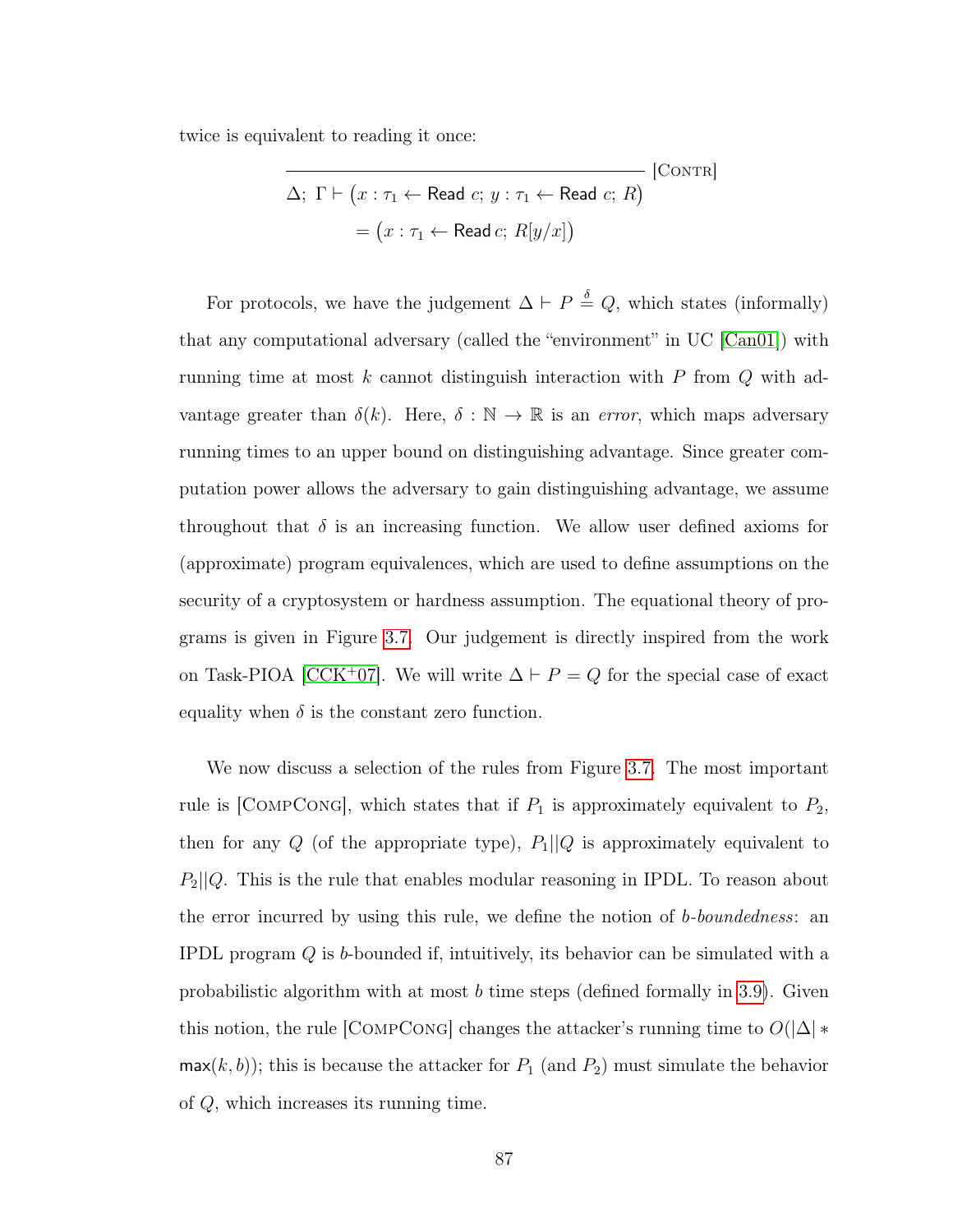twice is equivalent to reading it once:

$$
\overline{\Delta; \Gamma \vdash (x : \tau_1 \leftarrow \text{Read } c; y : \tau_1 \leftarrow \text{Read } c; R)}
$$
 [CONTR]  
=  $(x : \tau_1 \leftarrow \text{Read } c; R[y/x])$ 

For protocols, we have the judgement  $\Delta \vdash P \stackrel{\delta}{=} Q$ , which states (informally) that any computational adversary (called the "environment" in UC [\[Can01\]](#page-141-0)) with running time at most  $k$  cannot distinguish interaction with  $P$  from  $Q$  with advantage greater than  $\delta(k)$ . Here,  $\delta : \mathbb{N} \to \mathbb{R}$  is an *error*, which maps adversary running times to an upper bound on distinguishing advantage. Since greater computation power allows the adversary to gain distinguishing advantage, we assume throughout that  $\delta$  is an increasing function. We allow user defined axioms for (approximate) program equivalences, which are used to define assumptions on the security of a cryptosystem or hardness assumption. The equational theory of programs is given in Figure [3.7.](#page-92-0) Our judgement is directly inspired from the work on Task-PIOA [\[CCK](#page-141-1)<sup>+</sup>07]. We will write  $\Delta \vdash P = Q$  for the special case of exact equality when  $\delta$  is the constant zero function.

We now discuss a selection of the rules from Figure [3.7.](#page-92-0) The most important rule is [COMPCONG], which states that if  $P_1$  is approximately equivalent to  $P_2$ , then for any  $Q$  (of the appropriate type),  $P_1||Q$  is approximately equivalent to  $P_2||Q$ . This is the rule that enables modular reasoning in IPDL. To reason about the error incurred by using this rule, we define the notion of b-boundedness: an IPDL program Q is b-bounded if, intuitively, its behavior can be simulated with a probabilistic algorithm with at most b time steps (defined formally in [3.9\)](#page-110-0). Given this notion, the rule [COMPCONG] changes the attacker's running time to  $O(|\Delta| *$  $max(k, b)$ ; this is because the attacker for  $P_1$  (and  $P_2$ ) must simulate the behavior of Q, which increases its running time.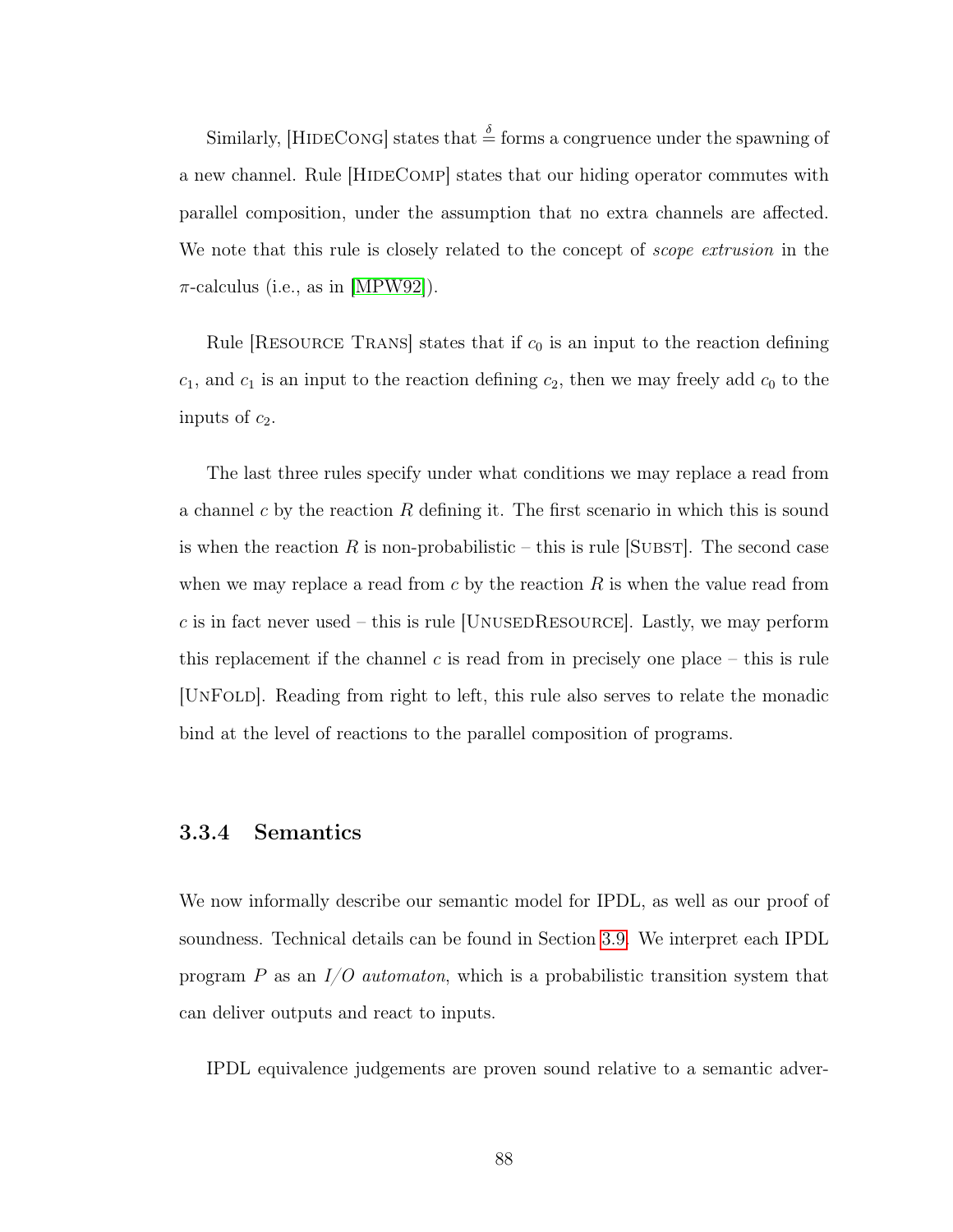Similarly, [HIDECONG] states that  $\frac{\delta}{\epsilon}$  forms a congruence under the spawning of a new channel. Rule [HIDECOMP] states that our hiding operator commutes with parallel composition, under the assumption that no extra channels are affected. We note that this rule is closely related to the concept of *scope extrusion* in the  $\pi$ -calculus (i.e., as in [\[MPW92\]](#page-146-0)).

Rule RESOURCE TRANS states that if  $c_0$  is an input to the reaction defining  $c_1$ , and  $c_1$  is an input to the reaction defining  $c_2$ , then we may freely add  $c_0$  to the inputs of  $c_2$ .

The last three rules specify under what conditions we may replace a read from a channel c by the reaction  $R$  defining it. The first scenario in which this is sound is when the reaction R is non-probabilistic – this is rule [SUBST]. The second case when we may replace a read from  $c$  by the reaction  $R$  is when the value read from c is in fact never used – this is rule [UNUSEDRESOURCE]. Lastly, we may perform this replacement if the channel  $c$  is read from in precisely one place – this is rule [UnFold]. Reading from right to left, this rule also serves to relate the monadic bind at the level of reactions to the parallel composition of programs.

# 3.3.4 Semantics

We now informally describe our semantic model for IPDL, as well as our proof of soundness. Technical details can be found in Section [3.9.](#page-110-0) We interpret each IPDL program P as an  $I/O$  *automaton*, which is a probabilistic transition system that can deliver outputs and react to inputs.

IPDL equivalence judgements are proven sound relative to a semantic adver-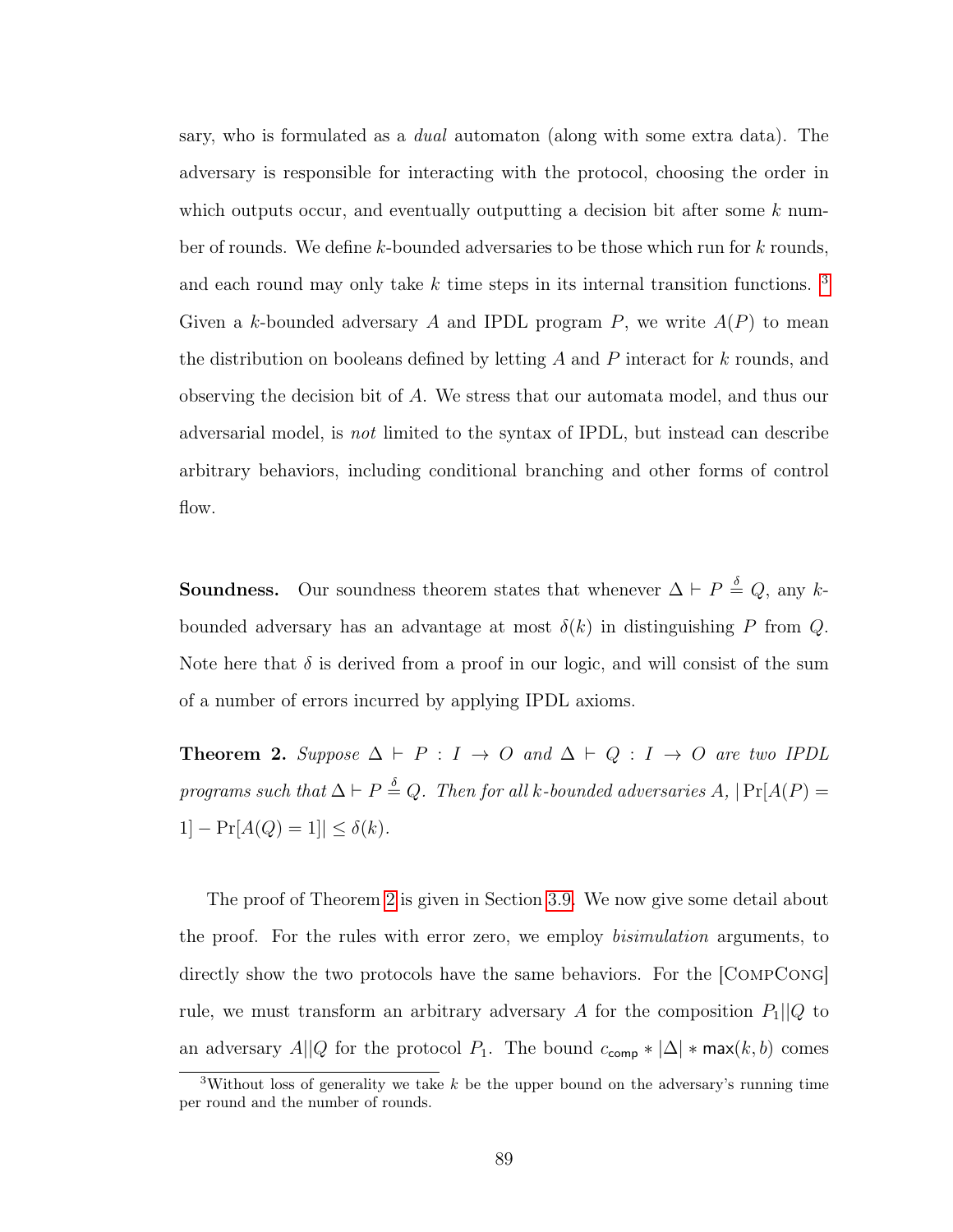sary, who is formulated as a dual automaton (along with some extra data). The adversary is responsible for interacting with the protocol, choosing the order in which outputs occur, and eventually outputting a decision bit after some  $k$  number of rounds. We define k-bounded adversaries to be those which run for k rounds, and each round may only take  $k$  time steps in its internal transition functions.  $3$ Given a k-bounded adversary A and IPDL program  $P$ , we write  $A(P)$  to mean the distribution on booleans defined by letting  $A$  and  $P$  interact for  $k$  rounds, and observing the decision bit of A. We stress that our automata model, and thus our adversarial model, is not limited to the syntax of IPDL, but instead can describe arbitrary behaviors, including conditional branching and other forms of control flow.

**Soundness.** Our soundness theorem states that whenever  $\Delta \vdash P \stackrel{\delta}{=} Q$ , any kbounded adversary has an advantage at most  $\delta(k)$  in distinguishing P from Q. Note here that  $\delta$  is derived from a proof in our logic, and will consist of the sum of a number of errors incurred by applying IPDL axioms.

<span id="page-97-1"></span>**Theorem 2.** Suppose  $\Delta \vdash P : I \rightarrow O$  and  $\Delta \vdash Q : I \rightarrow O$  are two IPDL programs such that  $\Delta \vdash P \stackrel{\delta}{=} Q$ . Then for all k-bounded adversaries  $A, \, | \Pr[A(P) =$ 1]  $- \Pr[A(Q) = 1] \le \delta(k)$ .

The proof of Theorem [2](#page-97-1) is given in Section [3.9.](#page-110-0) We now give some detail about the proof. For the rules with error zero, we employ bisimulation arguments, to directly show the two protocols have the same behaviors. For the [CompCong] rule, we must transform an arbitrary adversary A for the composition  $P_1||Q$  to an adversary  $A||Q$  for the protocol  $P_1$ . The bound  $c_{\text{comp}} * |\Delta| * \text{max}(k, b)$  comes

<span id="page-97-0"></span><sup>&</sup>lt;sup>3</sup>Without loss of generality we take  $k$  be the upper bound on the adversary's running time per round and the number of rounds.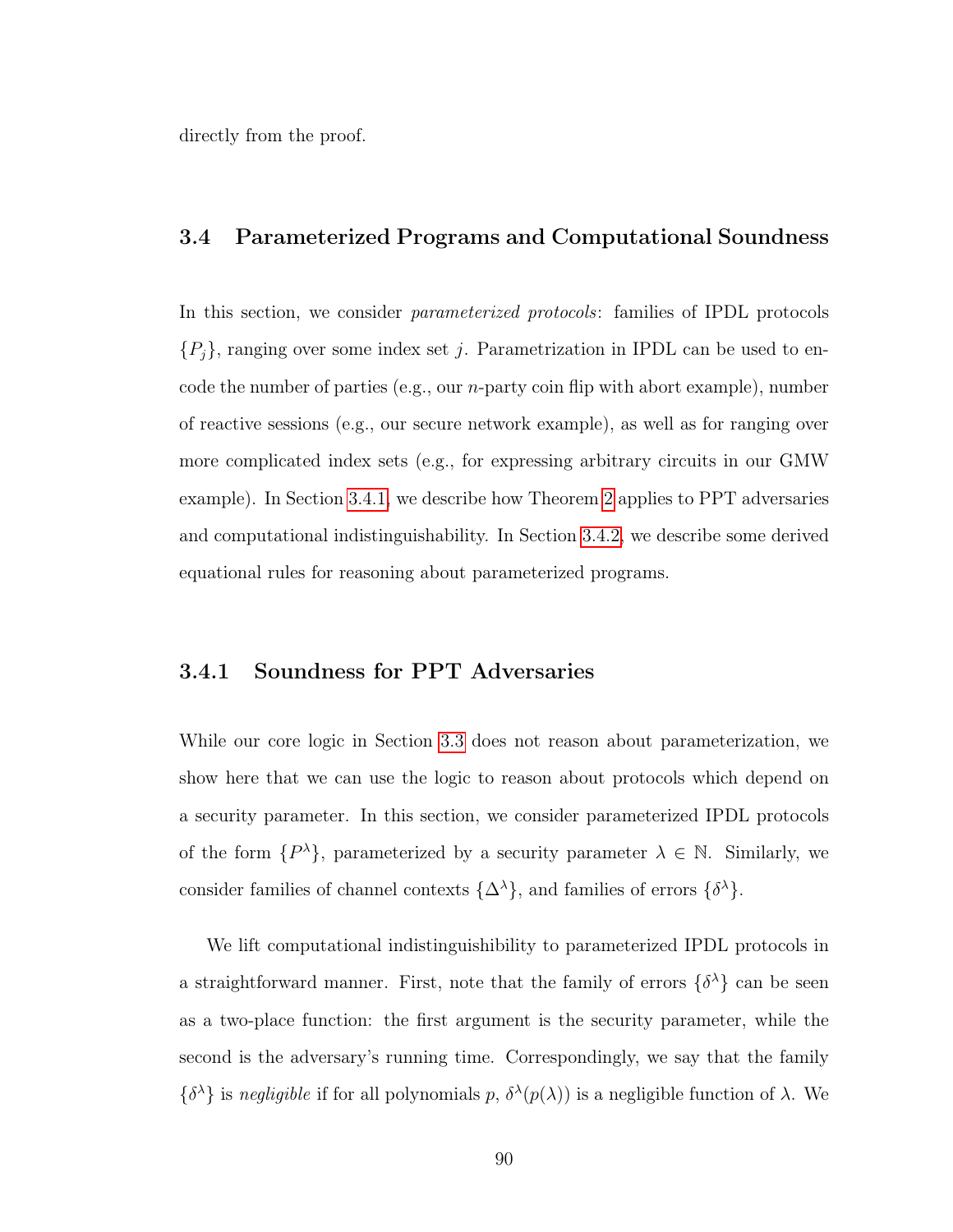<span id="page-98-0"></span>directly from the proof.

#### 3.4 Parameterized Programs and Computational Soundness

In this section, we consider parameterized protocols: families of IPDL protocols  ${P_j}$ , ranging over some index set j. Parametrization in IPDL can be used to encode the number of parties (e.g., our n-party coin flip with abort example), number of reactive sessions (e.g., our secure network example), as well as for ranging over more complicated index sets (e.g., for expressing arbitrary circuits in our GMW example). In Section [3.4.1,](#page-98-1) we describe how Theorem [2](#page-97-1) applies to PPT adversaries and computational indistinguishability. In Section [3.4.2,](#page-99-0) we describe some derived equational rules for reasoning about parameterized programs.

#### <span id="page-98-1"></span>3.4.1 Soundness for PPT Adversaries

While our core logic in Section [3.3](#page-89-0) does not reason about parameterization, we show here that we can use the logic to reason about protocols which depend on a security parameter. In this section, we consider parameterized IPDL protocols of the form  $\{P^{\lambda}\},$  parameterized by a security parameter  $\lambda \in \mathbb{N}$ . Similarly, we consider families of channel contexts  $\{\Delta^{\lambda}\}\$ , and families of errors  $\{\delta^{\lambda}\}\$ .

We lift computational indistinguishibility to parameterized IPDL protocols in a straightforward manner. First, note that the family of errors  $\{\delta^{\lambda}\}\$ can be seen as a two-place function: the first argument is the security parameter, while the second is the adversary's running time. Correspondingly, we say that the family  $\{\delta^{\lambda}\}\$ is negligible if for all polynomials p,  $\delta^{\lambda}(p(\lambda))$  is a negligible function of  $\lambda$ . We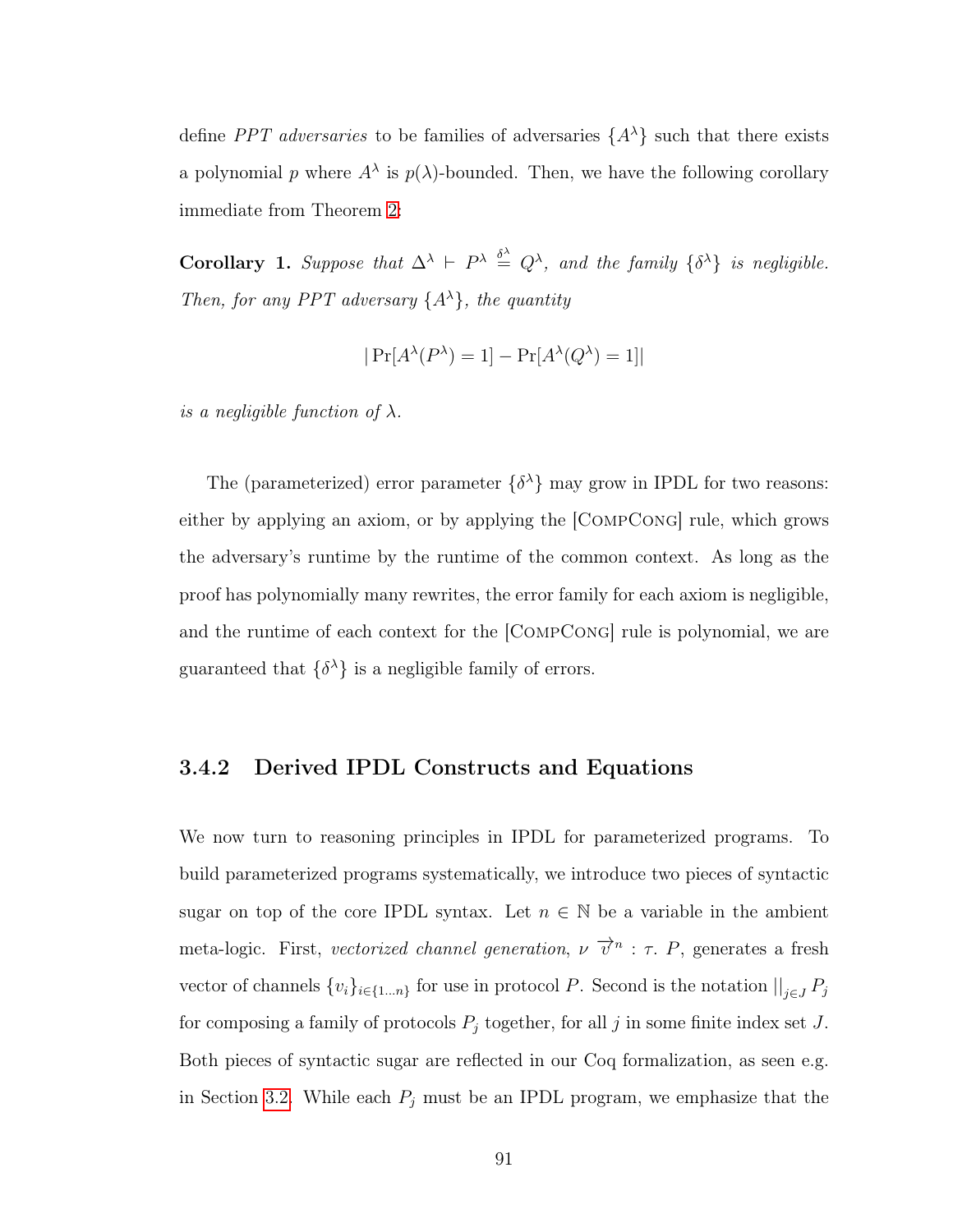define *PPT adversaries* to be families of adversaries  $\{A^{\lambda}\}\$  such that there exists a polynomial p where  $A^{\lambda}$  is  $p(\lambda)$ -bounded. Then, we have the following corollary immediate from Theorem [2:](#page-97-1)

**Corollary 1.** Suppose that  $\Delta^{\lambda}$   $\vdash$   $P^{\lambda} \stackrel{\delta^{\lambda}}{=} Q^{\lambda}$ , and the family  $\{\delta^{\lambda}\}\$ is negligible. Then, for any PPT adversary  $\{A^{\lambda}\}\$ , the quantity

$$
|\Pr[A^{\lambda}(P^{\lambda})=1] - \Pr[A^{\lambda}(Q^{\lambda})=1]|
$$

is a negligible function of  $\lambda$ .

The (parameterized) error parameter  $\{\delta^{\lambda}\}\$  may grow in IPDL for two reasons: either by applying an axiom, or by applying the [CompCong] rule, which grows the adversary's runtime by the runtime of the common context. As long as the proof has polynomially many rewrites, the error family for each axiom is negligible, and the runtime of each context for the [CompCong] rule is polynomial, we are guaranteed that  $\{\delta^{\lambda}\}\$ is a negligible family of errors.

### <span id="page-99-0"></span>3.4.2 Derived IPDL Constructs and Equations

We now turn to reasoning principles in IPDL for parameterized programs. To build parameterized programs systematically, we introduce two pieces of syntactic sugar on top of the core IPDL syntax. Let  $n \in \mathbb{N}$  be a variable in the ambient meta-logic. First, vectorized channel generation,  $\nu \vec{v}^n : \tau$ . P, generates a fresh vector of channels  $\{v_i\}_{i\in\{1...n\}}$  for use in protocol P. Second is the notation  $\big|\big|_{j\in J} P_j$ for composing a family of protocols  $P_j$  together, for all j in some finite index set J. Both pieces of syntactic sugar are reflected in our Coq formalization, as seen e.g. in Section [3.2.](#page-76-0) While each  $P_j$  must be an IPDL program, we emphasize that the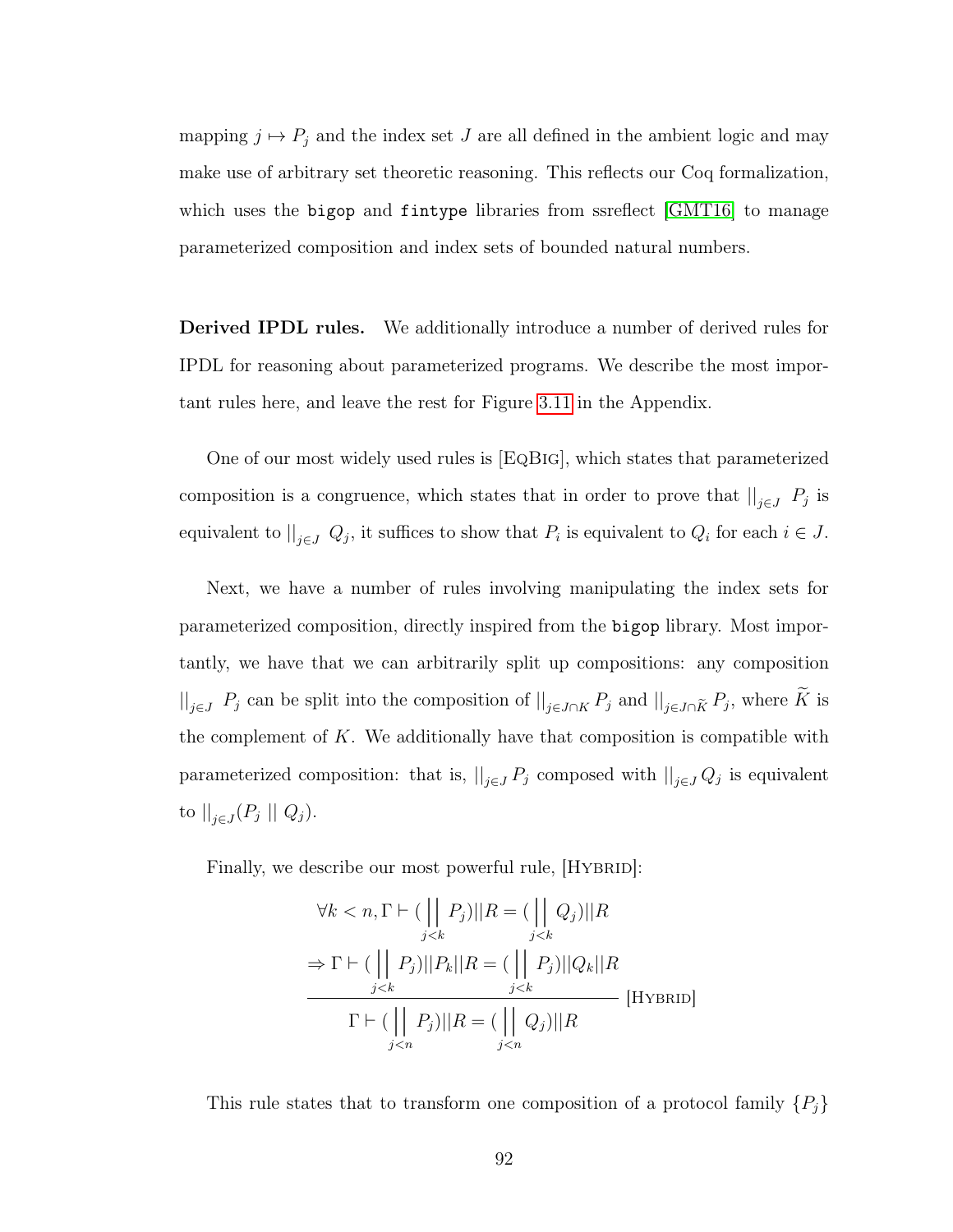mapping  $j \mapsto P_j$  and the index set J are all defined in the ambient logic and may make use of arbitrary set theoretic reasoning. This reflects our Coq formalization, which uses the bigop and fintype libraries from ssreflect [\[GMT16\]](#page-144-2) to manage parameterized composition and index sets of bounded natural numbers.

Derived IPDL rules. We additionally introduce a number of derived rules for IPDL for reasoning about parameterized programs. We describe the most important rules here, and leave the rest for Figure [3.11](#page-132-0) in the Appendix.

One of our most widely used rules is [EqBig], which states that parameterized composition is a congruence, which states that in order to prove that  $\big|_{j\in J}$   $P_j$  is equivalent to  $\big|_{j\in J} Q_j$ , it suffices to show that  $P_i$  is equivalent to  $Q_i$  for each  $i \in J$ .

Next, we have a number of rules involving manipulating the index sets for parameterized composition, directly inspired from the bigop library. Most importantly, we have that we can arbitrarily split up compositions: any composition  $||_{j\in J}$   $P_j$  can be split into the composition of  $||_{j\in J\cap K} P_j$  and  $||_{j\in J\cap \tilde{K}} P_j$ , where K is the complement of  $K$ . We additionally have that composition is compatible with parameterized composition: that is,  $\|_{j\in J} P_j$  composed with  $\|_{j\in J} Q_j$  is equivalent to  $||_{j\in J}(P_j || Q_j)$ .

Finally, we describe our most powerful rule,  $[HYBRID]$ :

$$
\forall k < n, \Gamma \vdash (\bigsqcup_{j < k} P_j) || R = (\bigsqcup_{j < k} Q_j) || R
$$
\n
$$
\Rightarrow \Gamma \vdash (\bigsqcup_{j < k} P_j) || P_k || R = (\bigsqcup_{j < k} P_j) || Q_k || R
$$
\n
$$
\Gamma \vdash (\bigsqcup_{j < n} P_j) || R = (\bigsqcup_{j < n} Q_j) || R
$$
\n[HYBRID]

This rule states that to transform one composition of a protocol family  $\{P_j\}$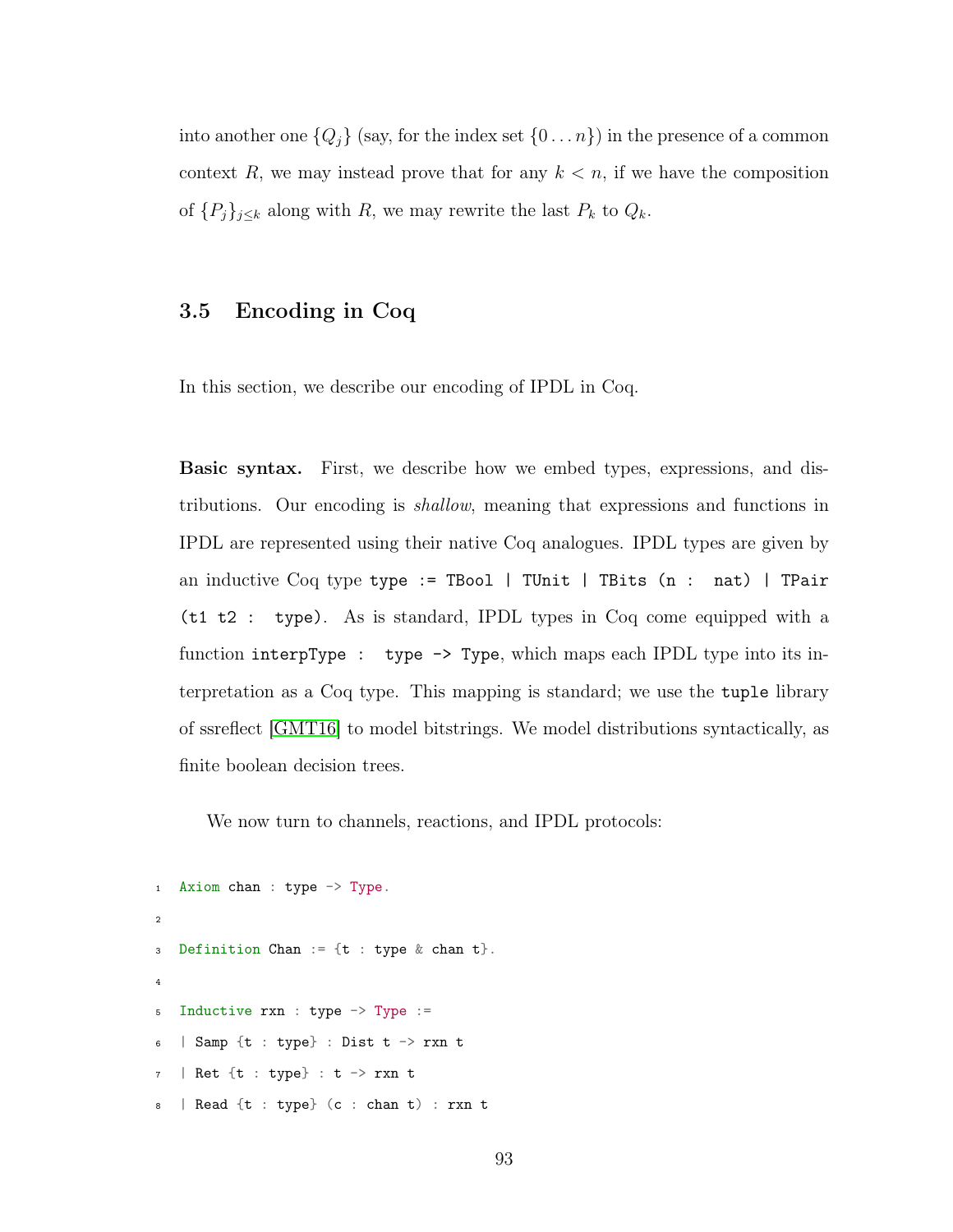into another one  ${Q_j}$  (say, for the index set  ${0...n}$ ) in the presence of a common context R, we may instead prove that for any  $k < n$ , if we have the composition of  $\{P_j\}_{j\leq k}$  along with R, we may rewrite the last  $P_k$  to  $Q_k$ .

# <span id="page-101-0"></span>3.5 Encoding in Coq

In this section, we describe our encoding of IPDL in Coq.

Basic syntax. First, we describe how we embed types, expressions, and distributions. Our encoding is shallow, meaning that expressions and functions in IPDL are represented using their native Coq analogues. IPDL types are given by an inductive Coq type type := TBool | TUnit | TBits (n : nat) | TPair (t1 t2 : type). As is standard, IPDL types in Coq come equipped with a function interpType : type -> Type, which maps each IPDL type into its interpretation as a Coq type. This mapping is standard; we use the tuple library of ssreflect [\[GMT16\]](#page-144-2) to model bitstrings. We model distributions syntactically, as finite boolean decision trees.

We now turn to channels, reactions, and IPDL protocols:

```
1 Axiom chan : type -> Type.
2
3 Definition Chan := {t : type & chan &}.
4
5 Inductive rxn : type -> Type :=
6 | Samp {t : type} : Dist t \rightarrow rxn t
7 | Ret {t : type} : t -> rxn t
8 | Read {t : type} (c : chan t) : rxn t
```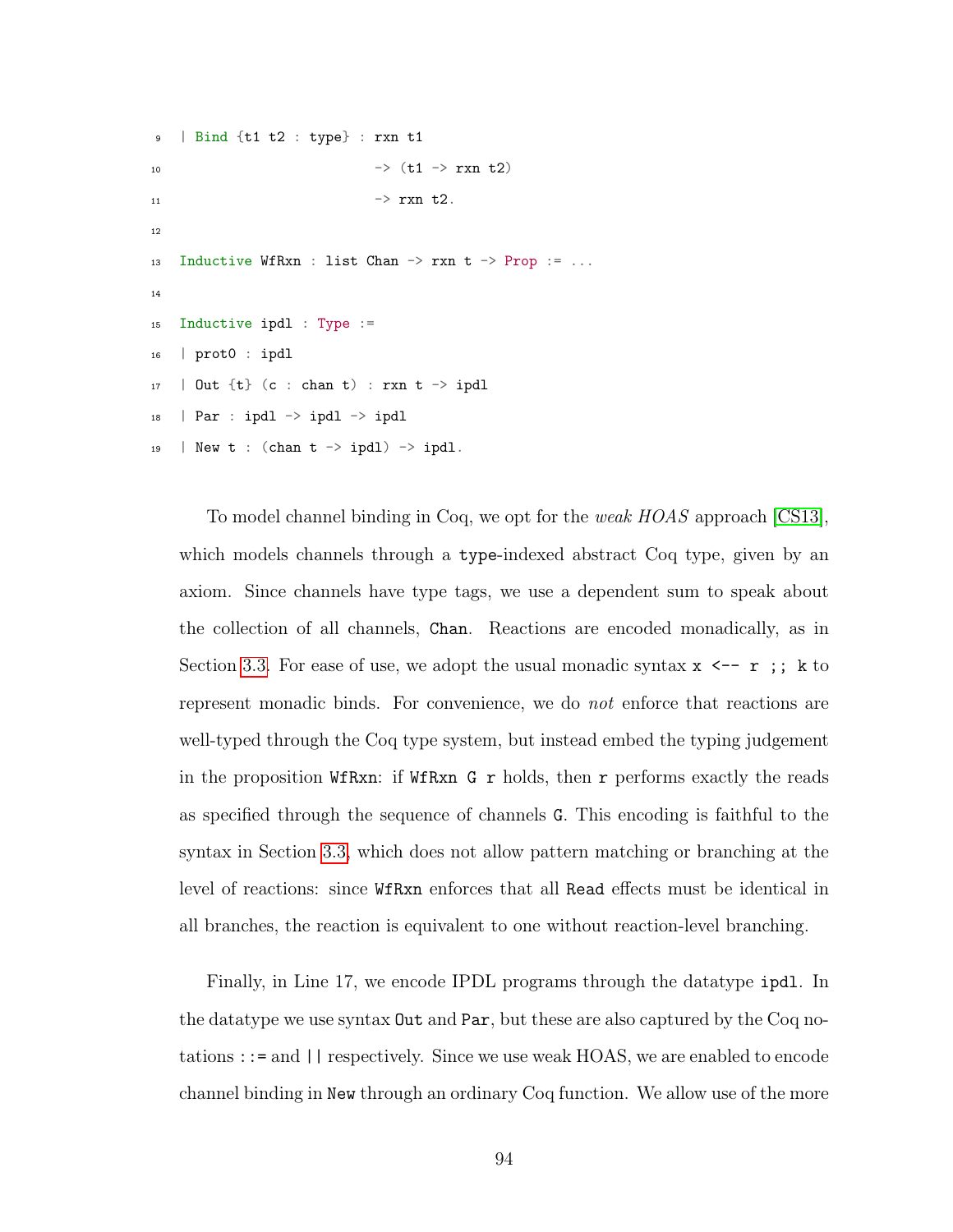```
9 | Bind {t1 t2 : type} : rxn t1
10 - (1 - \sqrt{x^2 + 2})11 \rightarrow rxn t2.
12
13 Inductive WfRxn : list Chan \rightarrow rxn t \rightarrow Prop := ...
14
15 Inductive ipdl : Type :=
16 | prot0 : ipdl
17 | Out {t} (c : chan t) : rxn t -> ipdl
18 | Par : ipdl \rightarrow ipdl \rightarrow ipdl
19 | New t : (chan t \rightarrow ipdl) \rightarrow ipdl.
```
To model channel binding in Coq, we opt for the *weak HOAS* approach [\[CS13\]](#page-142-1), which models channels through a type-indexed abstract Coq type, given by an axiom. Since channels have type tags, we use a dependent sum to speak about the collection of all channels, Chan. Reactions are encoded monadically, as in Section [3.3.](#page-89-0) For ease of use, we adopt the usual monadic syntax  $x \leftarrow -r$ ; k to represent monadic binds. For convenience, we do not enforce that reactions are well-typed through the Coq type system, but instead embed the typing judgement in the proposition WfRxn: if WfRxn G r holds, then r performs exactly the reads as specified through the sequence of channels G. This encoding is faithful to the syntax in Section [3.3,](#page-89-0) which does not allow pattern matching or branching at the level of reactions: since WfRxn enforces that all Read effects must be identical in all branches, the reaction is equivalent to one without reaction-level branching.

Finally, in Line 17, we encode IPDL programs through the datatype ipdl. In the datatype we use syntax Out and Par, but these are also captured by the Coq notations ::= and || respectively. Since we use weak HOAS, we are enabled to encode channel binding in New through an ordinary Coq function. We allow use of the more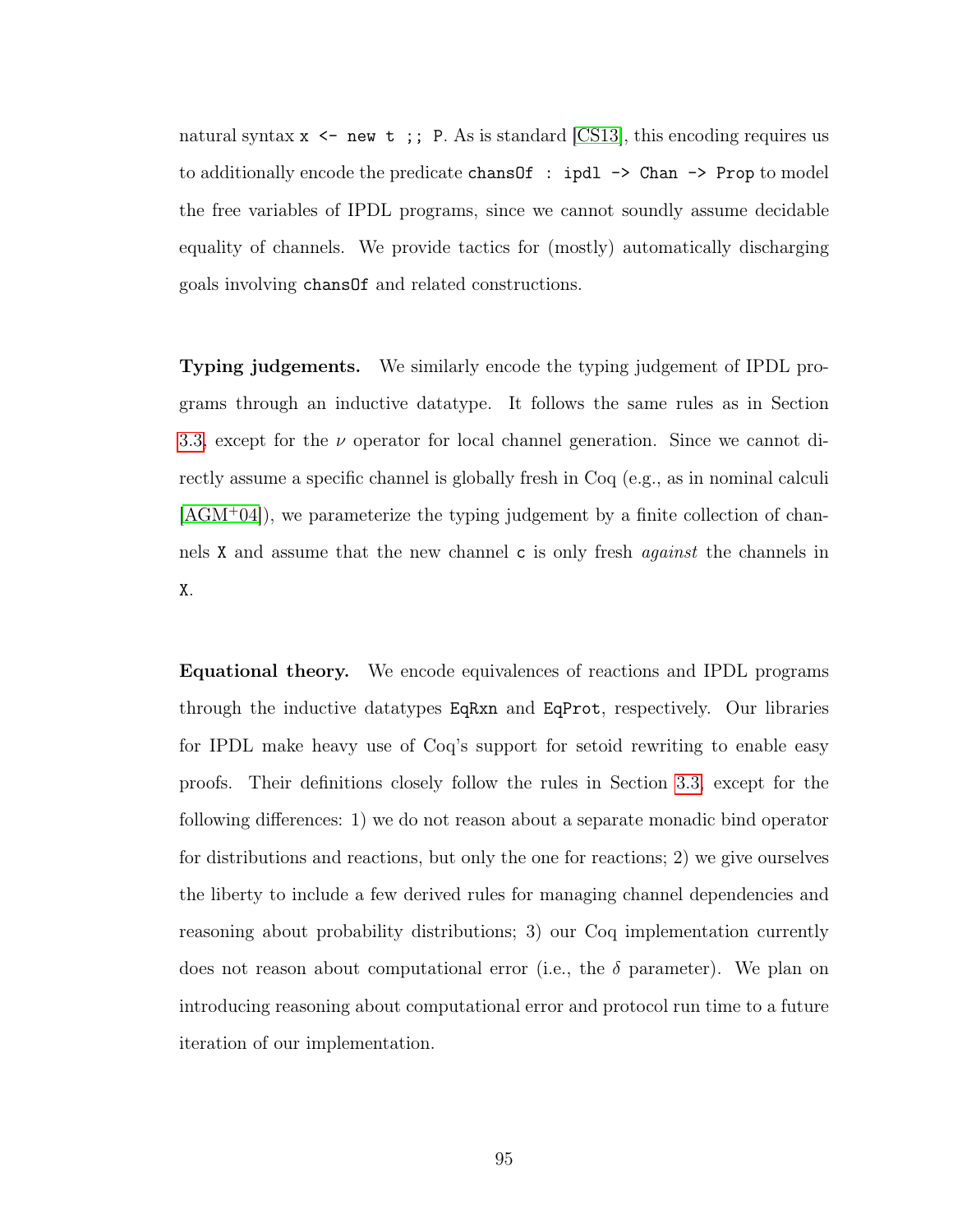natural syntax  $x \le -$  new  $t$ ; P. As is standard [\[CS13\]](#page-142-1), this encoding requires us to additionally encode the predicate chansOf : ipdl -> Chan -> Prop to model the free variables of IPDL programs, since we cannot soundly assume decidable equality of channels. We provide tactics for (mostly) automatically discharging goals involving chansOf and related constructions.

Typing judgements. We similarly encode the typing judgement of IPDL programs through an inductive datatype. It follows the same rules as in Section [3.3,](#page-89-0) except for the  $\nu$  operator for local channel generation. Since we cannot directly assume a specific channel is globally fresh in Coq (e.g., as in nominal calculi  $|AGM^+04|$ , we parameterize the typing judgement by a finite collection of channels X and assume that the new channel c is only fresh *against* the channels in X.

Equational theory. We encode equivalences of reactions and IPDL programs through the inductive datatypes EqRxn and EqProt, respectively. Our libraries for IPDL make heavy use of Coq's support for setoid rewriting to enable easy proofs. Their definitions closely follow the rules in Section [3.3,](#page-89-0) except for the following differences: 1) we do not reason about a separate monadic bind operator for distributions and reactions, but only the one for reactions; 2) we give ourselves the liberty to include a few derived rules for managing channel dependencies and reasoning about probability distributions; 3) our Coq implementation currently does not reason about computational error (i.e., the  $\delta$  parameter). We plan on introducing reasoning about computational error and protocol run time to a future iteration of our implementation.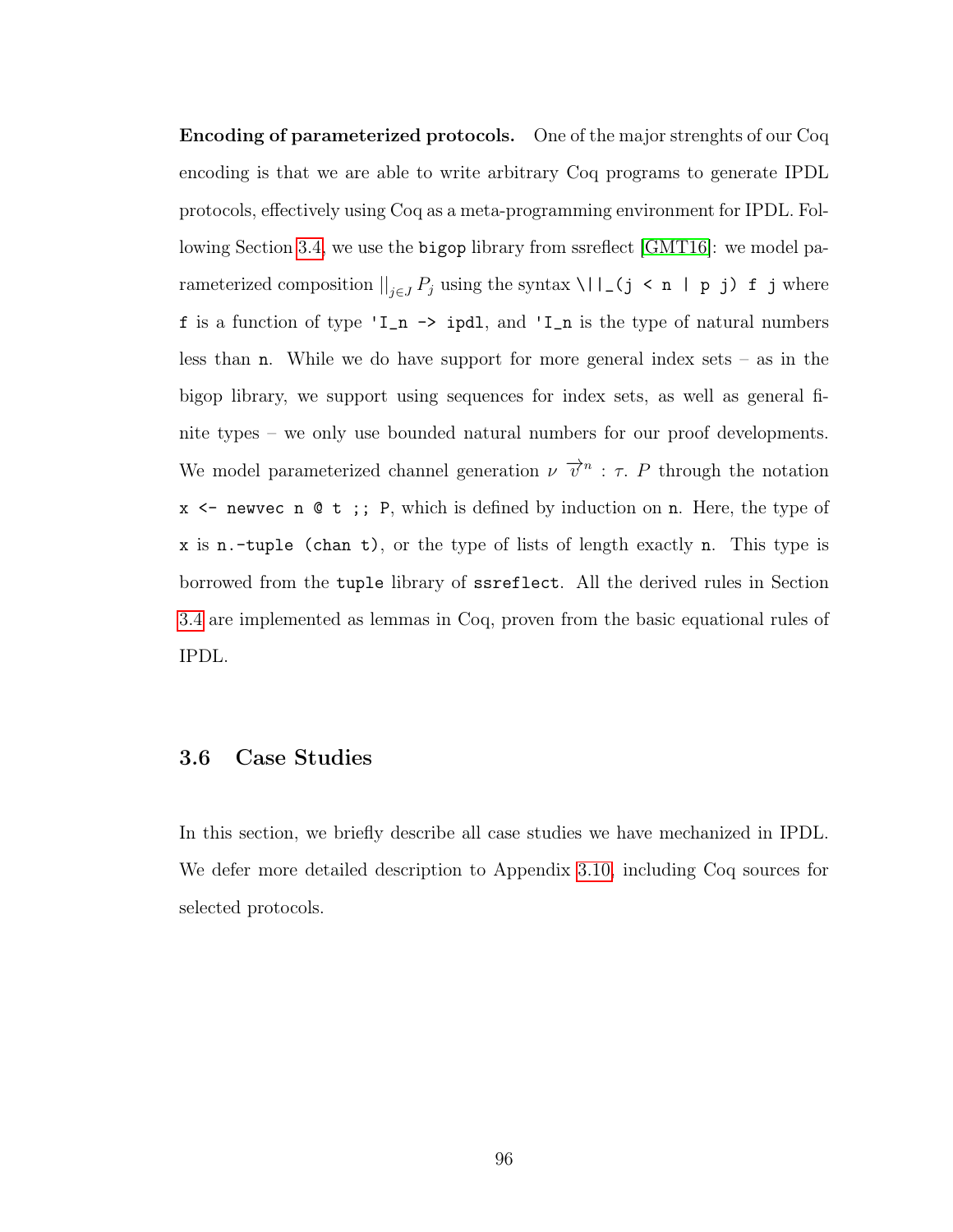Encoding of parameterized protocols. One of the major strenghts of our Coq encoding is that we are able to write arbitrary Coq programs to generate IPDL protocols, effectively using Coq as a meta-programming environment for IPDL. Following Section [3.4,](#page-98-0) we use the bigop library from ssreflect [\[GMT16\]](#page-144-2): we model parameterized composition  $\|_{j\in J} P_j$  using the syntax \||\_(j < n | p j) f j where f is a function of type 'I\_n -> ipdl, and 'I\_n is the type of natural numbers less than **n**. While we do have support for more general index sets  $-$  as in the bigop library, we support using sequences for index sets, as well as general finite types – we only use bounded natural numbers for our proof developments. We model parameterized channel generation  $\nu \vec{v}^n : \tau$ . P through the notation x <- newvec n @ t ;; P, which is defined by induction on n. Here, the type of x is n.-tuple (chan t), or the type of lists of length exactly n. This type is borrowed from the tuple library of ssreflect. All the derived rules in Section [3.4](#page-98-0) are implemented as lemmas in Coq, proven from the basic equational rules of IPDL.

#### <span id="page-104-0"></span>3.6 Case Studies

In this section, we briefly describe all case studies we have mechanized in IPDL. We defer more detailed description to Appendix [3.10,](#page-122-0) including Coq sources for selected protocols.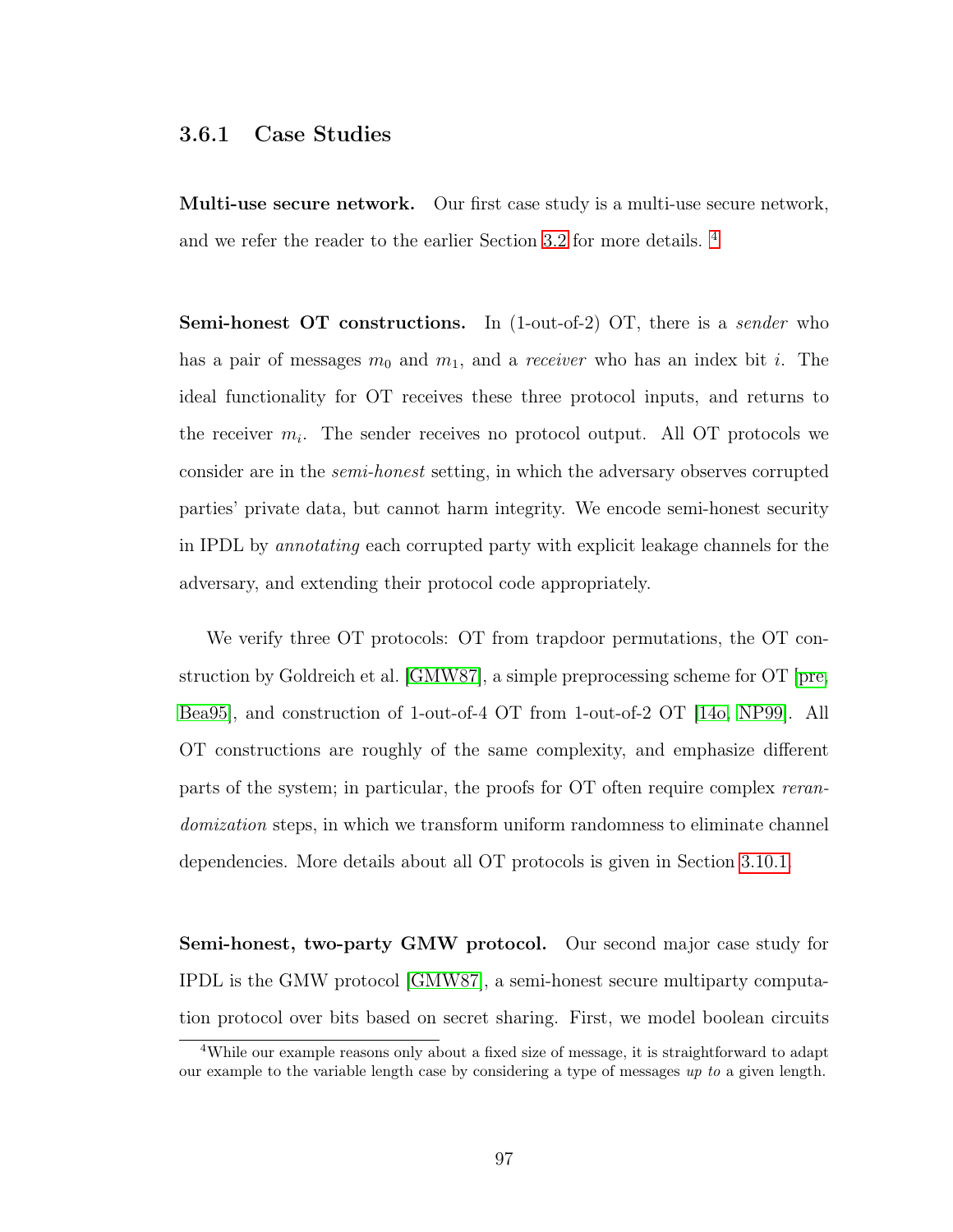#### 3.6.1 Case Studies

Multi-use secure network. Our first case study is a multi-use secure network, and we refer the reader to the earlier Section [3.2](#page-76-0) for more details. [4](#page-105-0)

Semi-honest OT constructions. In (1-out-of-2) OT, there is a *sender* who has a pair of messages  $m_0$  and  $m_1$ , and a *receiver* who has an index bit i. The ideal functionality for OT receives these three protocol inputs, and returns to the receiver  $m_i$ . The sender receives no protocol output. All OT protocols we consider are in the semi-honest setting, in which the adversary observes corrupted parties' private data, but cannot harm integrity. We encode semi-honest security in IPDL by annotating each corrupted party with explicit leakage channels for the adversary, and extending their protocol code appropriately.

We verify three OT protocols: OT from trapdoor permutations, the OT construction by Goldreich et al. [\[GMW87\]](#page-144-0), a simple preprocessing scheme for OT [\[pre,](#page-147-1) [Bea95\]](#page-139-0), and construction of 1-out-of-4 OT from 1-out-of-2 OT [\[14o,](#page-137-0) [NP99\]](#page-147-0). All OT constructions are roughly of the same complexity, and emphasize different parts of the system; in particular, the proofs for OT often require complex rerandomization steps, in which we transform uniform randomness to eliminate channel dependencies. More details about all OT protocols is given in Section [3.10.1.](#page-122-1)

Semi-honest, two-party GMW protocol. Our second major case study for IPDL is the GMW protocol [\[GMW87\]](#page-144-0), a semi-honest secure multiparty computation protocol over bits based on secret sharing. First, we model boolean circuits

<span id="page-105-0"></span><sup>&</sup>lt;sup>4</sup>While our example reasons only about a fixed size of message, it is straightforward to adapt our example to the variable length case by considering a type of messages  $up to a given length$ .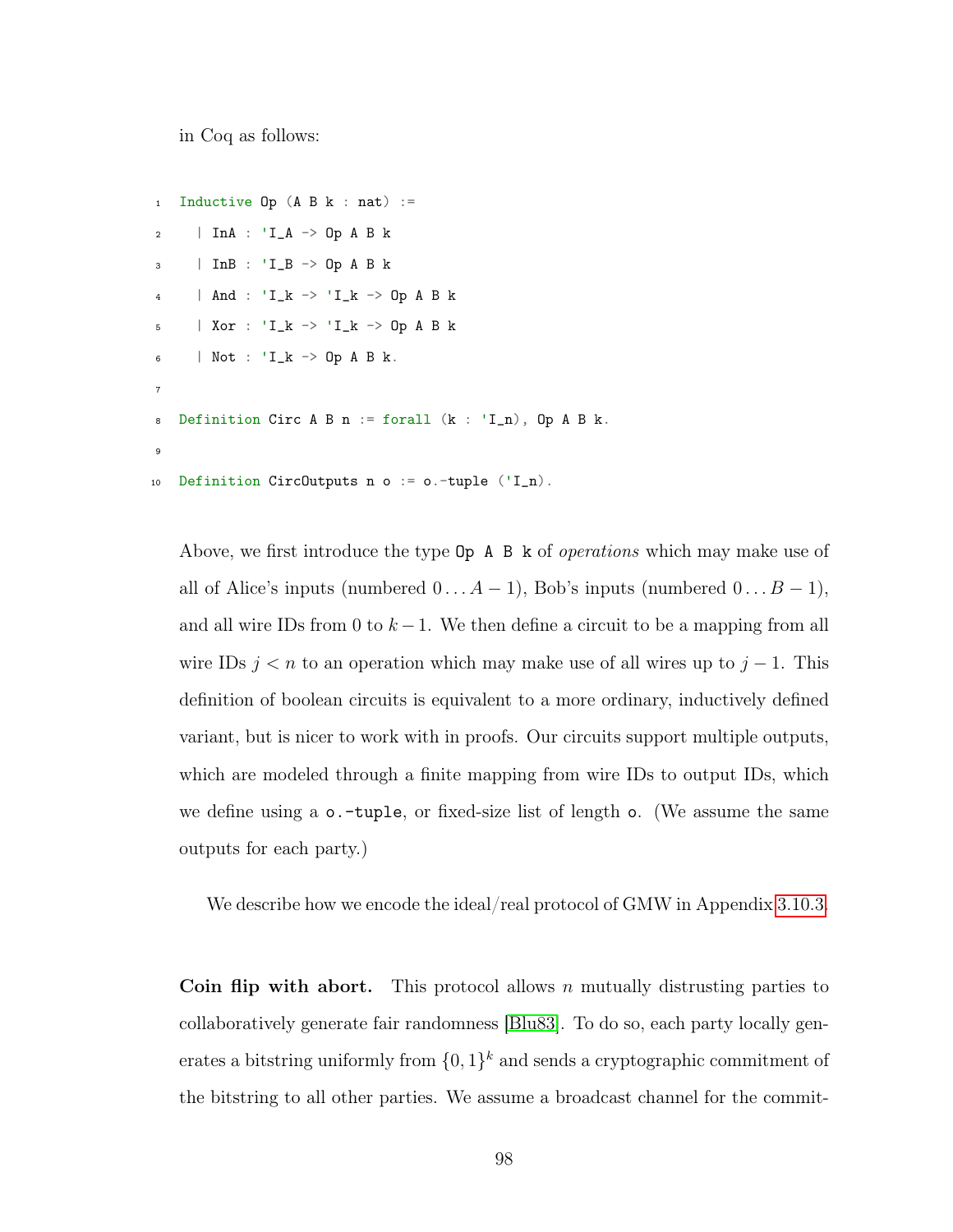in Coq as follows:

```
1 Inductive 0p(A B k : nat) :=2 | InA : 'I_A -> Op A B k
3 | InB : 'I_B -> Op A B k
4 | And : 'I_k -> 'I_k -> Op A B k
5 | Xor : 'I_k -> 'I_k -> Op A B k
6 | Not : 'L_k \rightarrow 0p A B k.
7
8 Definition Circ A B n := forall (k : 'I_n), Op A B k.
9
10 Definition CircOutputs n o := o.-tuple ('I_n).
```
Above, we first introduce the type  $\mathsf{Op}$  A B k of *operations* which may make use of all of Alice's inputs (numbered  $0 \ldots A-1$ ), Bob's inputs (numbered  $0 \ldots B-1$ ), and all wire IDs from 0 to  $k-1$ . We then define a circuit to be a mapping from all wire IDs  $j < n$  to an operation which may make use of all wires up to  $j - 1$ . This definition of boolean circuits is equivalent to a more ordinary, inductively defined variant, but is nicer to work with in proofs. Our circuits support multiple outputs, which are modeled through a finite mapping from wire IDs to output IDs, which we define using a o.-tuple, or fixed-size list of length o. (We assume the same outputs for each party.)

We describe how we encode the ideal/real protocol of GMW in Appendix [3.10.3.](#page-124-0)

Coin flip with abort. This protocol allows n mutually distrusting parties to collaboratively generate fair randomness [\[Blu83\]](#page-140-0). To do so, each party locally generates a bitstring uniformly from  $\{0,1\}^k$  and sends a cryptographic commitment of the bitstring to all other parties. We assume a broadcast channel for the commit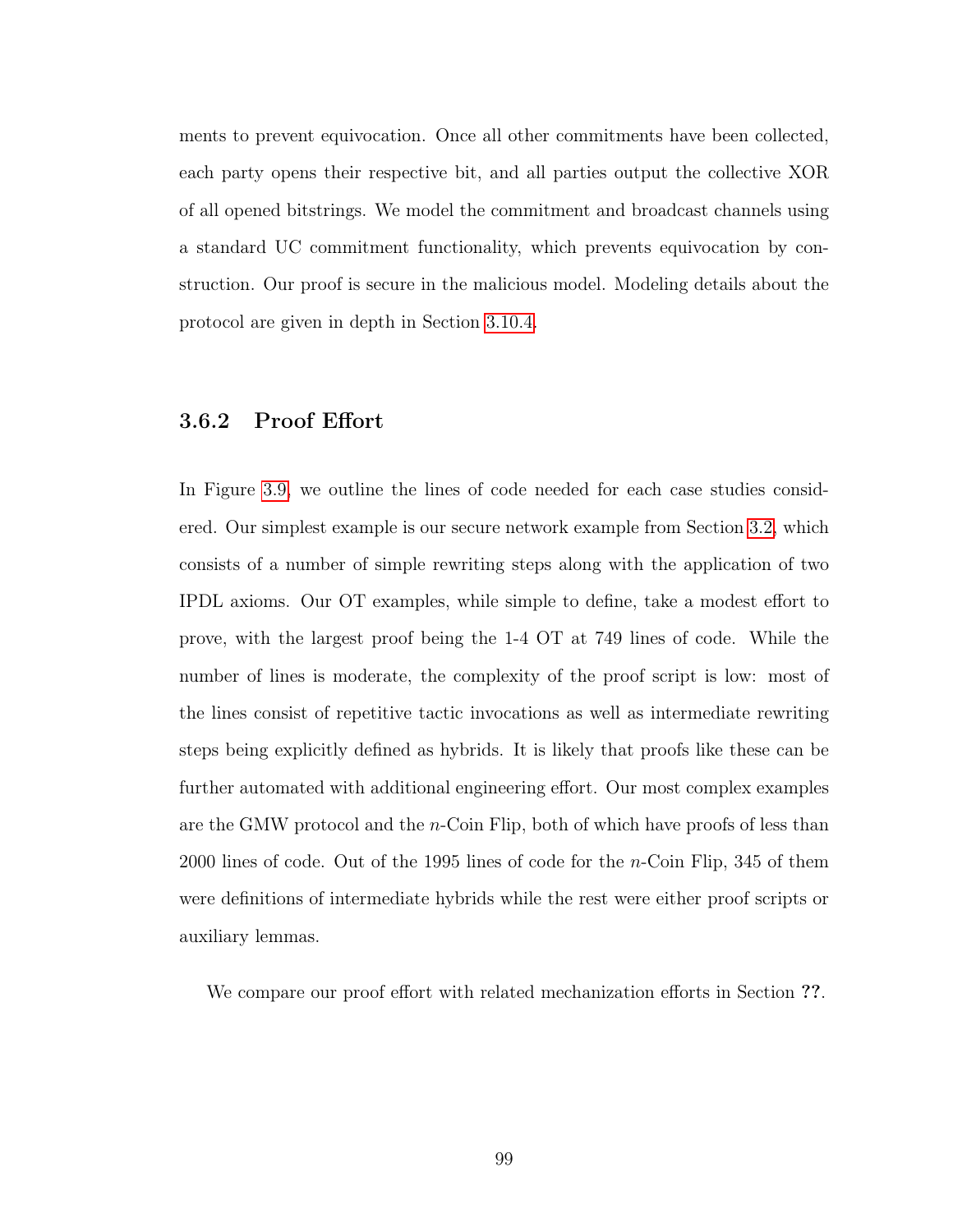ments to prevent equivocation. Once all other commitments have been collected, each party opens their respective bit, and all parties output the collective XOR of all opened bitstrings. We model the commitment and broadcast channels using a standard UC commitment functionality, which prevents equivocation by construction. Our proof is secure in the malicious model. Modeling details about the protocol are given in depth in Section [3.10.4.](#page-126-0)

# 3.6.2 Proof Effort

In Figure [3.9,](#page-108-1) we outline the lines of code needed for each case studies considered. Our simplest example is our secure network example from Section [3.2,](#page-76-0) which consists of a number of simple rewriting steps along with the application of two IPDL axioms. Our OT examples, while simple to define, take a modest effort to prove, with the largest proof being the 1-4 OT at 749 lines of code. While the number of lines is moderate, the complexity of the proof script is low: most of the lines consist of repetitive tactic invocations as well as intermediate rewriting steps being explicitly defined as hybrids. It is likely that proofs like these can be further automated with additional engineering effort. Our most complex examples are the GMW protocol and the n-Coin Flip, both of which have proofs of less than 2000 lines of code. Out of the 1995 lines of code for the n-Coin Flip, 345 of them were definitions of intermediate hybrids while the rest were either proof scripts or auxiliary lemmas.

We compare our proof effort with related mechanization efforts in Section ??.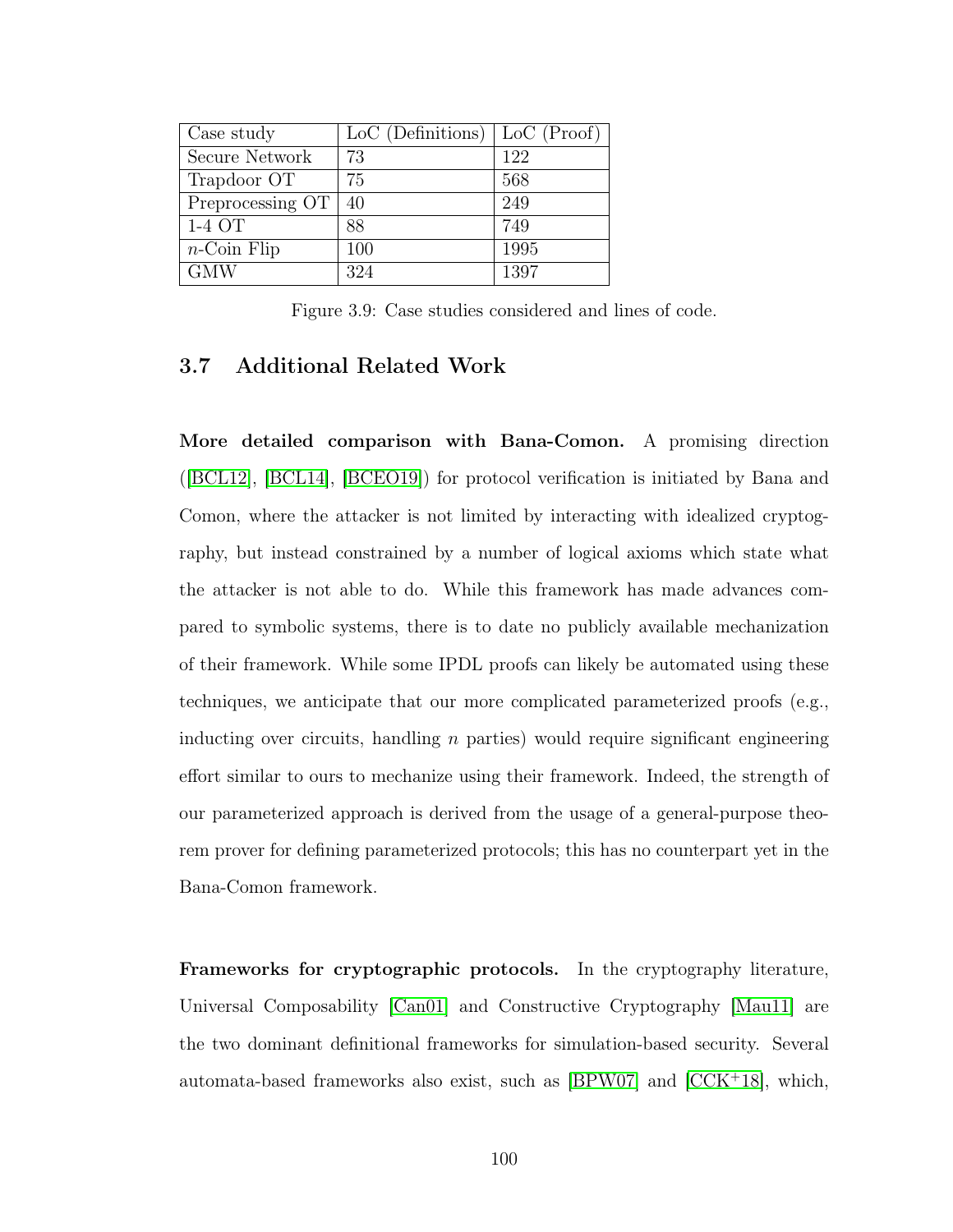| Case study                    | LoC (Definitions) | $LoC$ (Proof) |
|-------------------------------|-------------------|---------------|
| Secure Network                | 73                | 122           |
| Trapdoor OT                   | 75                | 568           |
| Preprocessing OT              | 40                | 249           |
| 1-4 OT                        | 88                | 749           |
| $n\text{-}\mathrm{Coin}$ Flip | 100               | 1995          |
| <b>GMW</b>                    | 324               | 1397          |

Figure 3.9: Case studies considered and lines of code.

## 3.7 Additional Related Work

More detailed comparison with Bana-Comon. A promising direction ([\[BCL12\]](#page-138-0), [\[BCL14\]](#page-138-1), [\[BCEO19\]](#page-138-2)) for protocol verification is initiated by Bana and Comon, where the attacker is not limited by interacting with idealized cryptography, but instead constrained by a number of logical axioms which state what the attacker is not able to do. While this framework has made advances compared to symbolic systems, there is to date no publicly available mechanization of their framework. While some IPDL proofs can likely be automated using these techniques, we anticipate that our more complicated parameterized proofs (e.g., inducting over circuits, handling  $n$  parties) would require significant engineering effort similar to ours to mechanize using their framework. Indeed, the strength of our parameterized approach is derived from the usage of a general-purpose theorem prover for defining parameterized protocols; this has no counterpart yet in the Bana-Comon framework.

Frameworks for cryptographic protocols. In the cryptography literature, Universal Composability [\[Can01\]](#page-141-0) and Constructive Cryptography [\[Mau11\]](#page-145-0) are the two dominant definitional frameworks for simulation-based security. Several automata-based frameworks also exist, such as [\[BPW07\]](#page-140-0) and [\[CCK](#page-141-1)<sup>+</sup>18], which,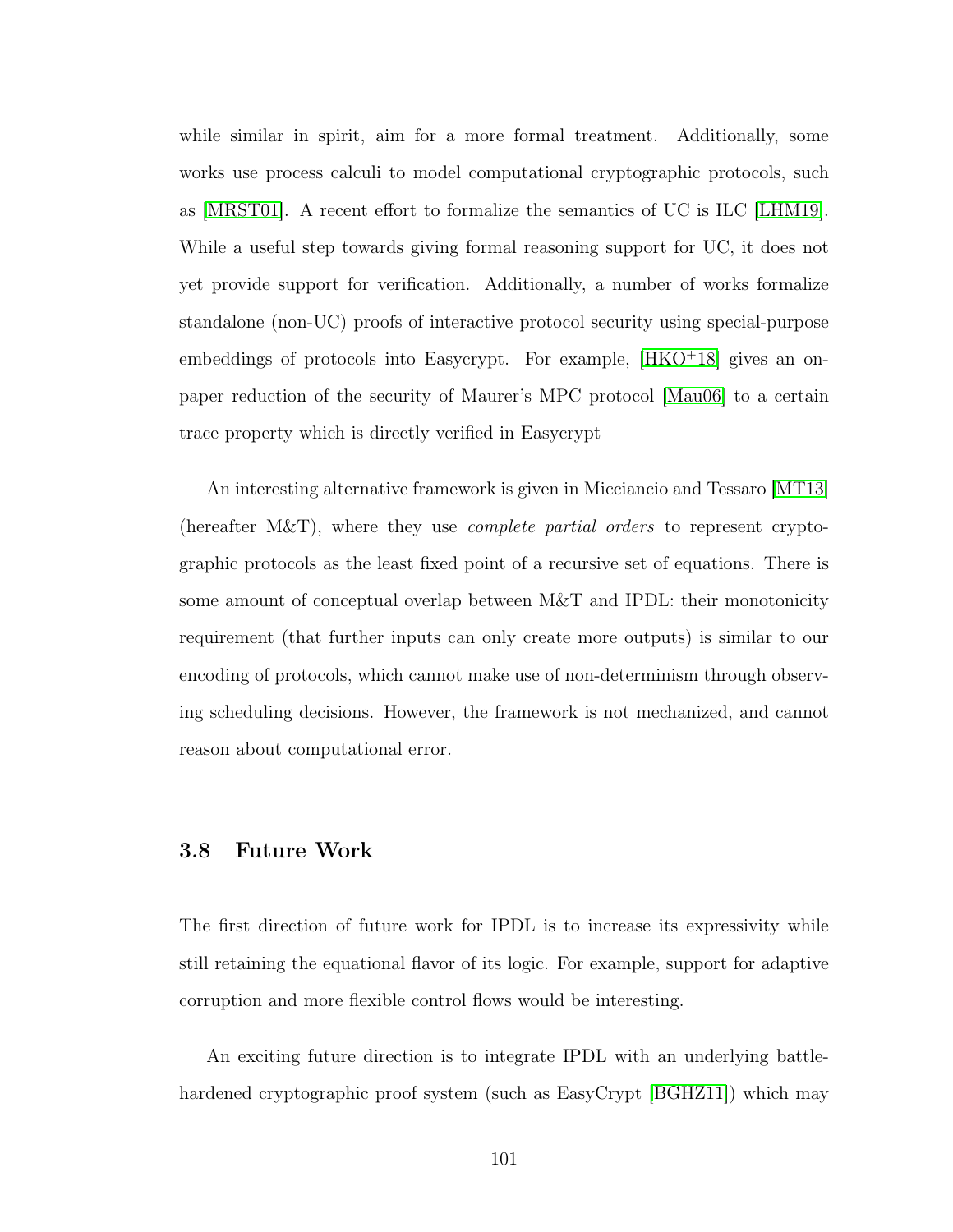while similar in spirit, aim for a more formal treatment. Additionally, some works use process calculi to model computational cryptographic protocols, such as [\[MRST01\]](#page-146-0). A recent effort to formalize the semantics of UC is ILC [\[LHM19\]](#page-145-1). While a useful step towards giving formal reasoning support for UC, it does not yet provide support for verification. Additionally, a number of works formalize standalone (non-UC) proofs of interactive protocol security using special-purpose embeddings of protocols into Easycrypt. For example,  $[HKO+18]$  $[HKO+18]$  gives an onpaper reduction of the security of Maurer's MPC protocol [\[Mau06\]](#page-145-2) to a certain trace property which is directly verified in Easycrypt

An interesting alternative framework is given in Micciancio and Tessaro [\[MT13\]](#page-146-1) (hereafter  $M&T$ ), where they use *complete partial orders* to represent cryptographic protocols as the least fixed point of a recursive set of equations. There is some amount of conceptual overlap between M&T and IPDL: their monotonicity requirement (that further inputs can only create more outputs) is similar to our encoding of protocols, which cannot make use of non-determinism through observing scheduling decisions. However, the framework is not mechanized, and cannot reason about computational error.

#### 3.8 Future Work

The first direction of future work for IPDL is to increase its expressivity while still retaining the equational flavor of its logic. For example, support for adaptive corruption and more flexible control flows would be interesting.

An exciting future direction is to integrate IPDL with an underlying battlehardened cryptographic proof system (such as EasyCrypt [\[BGHZ11\]](#page-139-0)) which may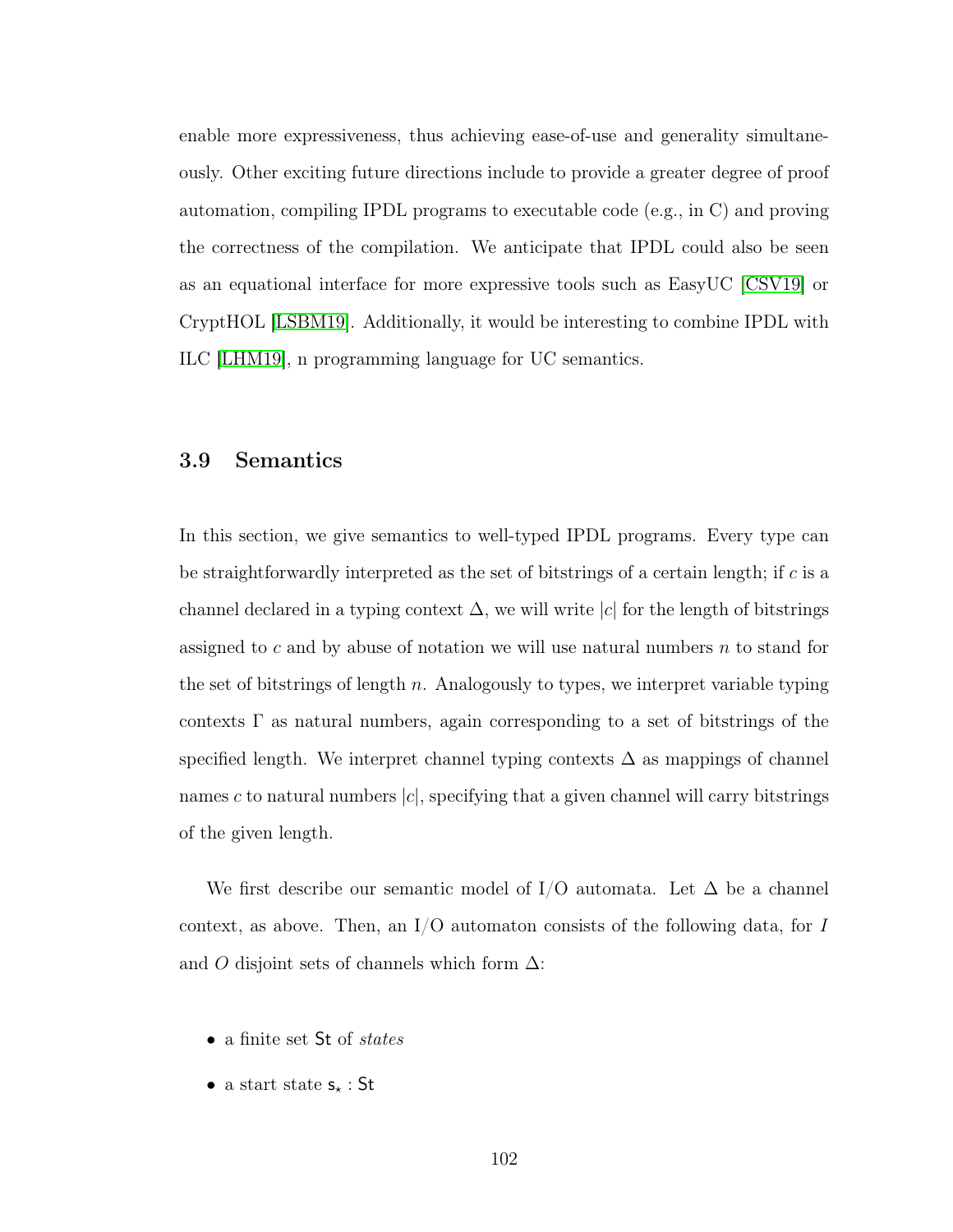enable more expressiveness, thus achieving ease-of-use and generality simultaneously. Other exciting future directions include to provide a greater degree of proof automation, compiling IPDL programs to executable code (e.g., in C) and proving the correctness of the compilation. We anticipate that IPDL could also be seen as an equational interface for more expressive tools such as EasyUC [\[CSV19\]](#page-142-0) or CryptHOL [\[LSBM19\]](#page-145-3). Additionally, it would be interesting to combine IPDL with ILC [\[LHM19\]](#page-145-1), n programming language for UC semantics.

#### 3.9 Semantics

In this section, we give semantics to well-typed IPDL programs. Every type can be straightforwardly interpreted as the set of bitstrings of a certain length; if c is a channel declared in a typing context  $\Delta$ , we will write |c| for the length of bitstrings assigned to c and by abuse of notation we will use natural numbers  $n$  to stand for the set of bitstrings of length  $n$ . Analogously to types, we interpret variable typing contexts  $\Gamma$  as natural numbers, again corresponding to a set of bitstrings of the specified length. We interpret channel typing contexts  $\Delta$  as mappings of channel names c to natural numbers  $|c|$ , specifying that a given channel will carry bitstrings of the given length.

We first describe our semantic model of I/O automata. Let  $\Delta$  be a channel context, as above. Then, an  $I/O$  automaton consists of the following data, for I and O disjoint sets of channels which form  $\Delta$ :

- a finite set St of *states*
- a start state  $s_{\star}$  : St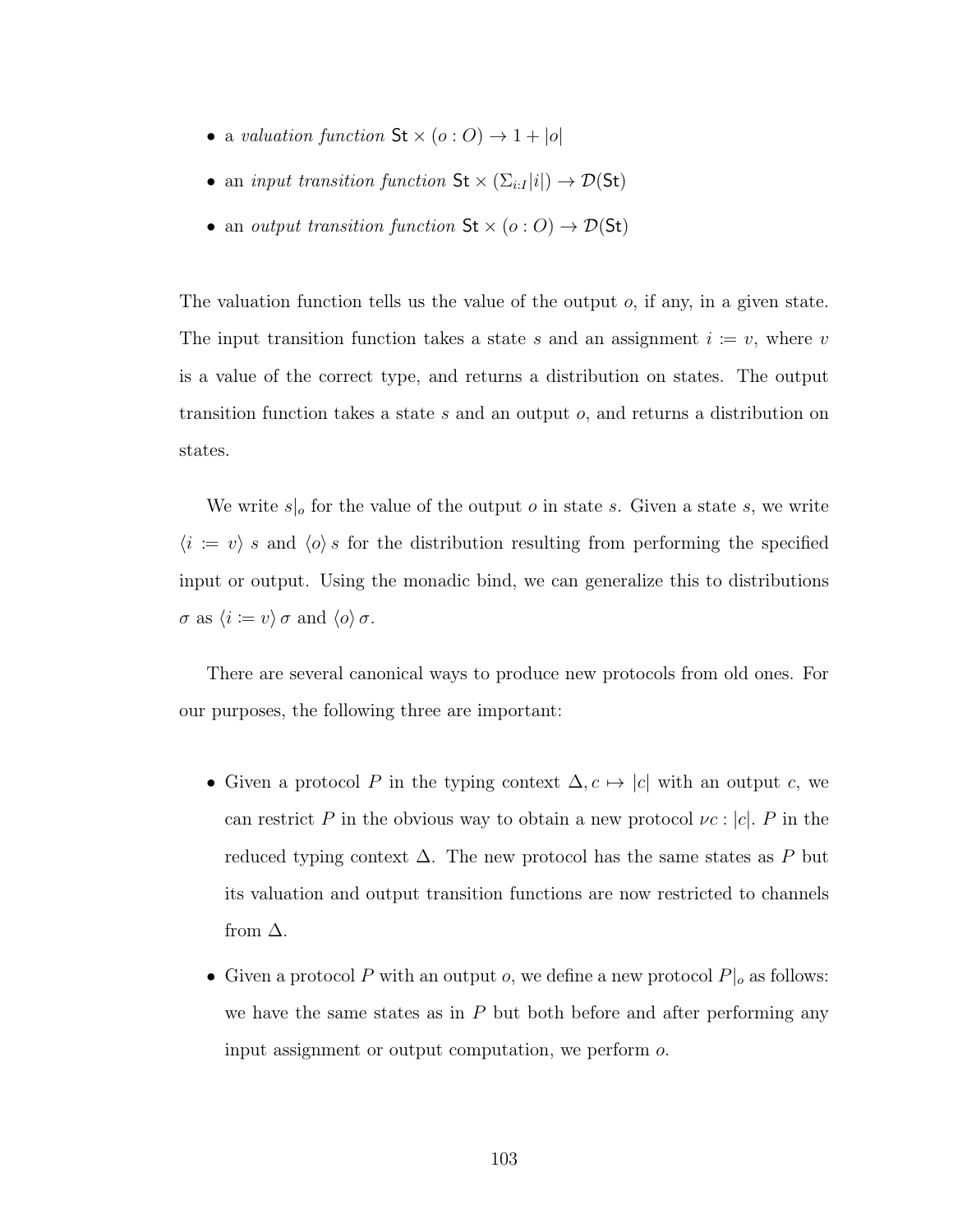- a valuation function  $\text{St} \times (o:O) \rightarrow 1 + |o|$
- an *input transition function*  $\mathsf{St} \times (\Sigma_{i:I} |i|) \to \mathcal{D}(\mathsf{St})$
- an output transition function  $St \times (o: O) \rightarrow \mathcal{D}(St)$

The valuation function tells us the value of the output  $o$ , if any, in a given state. The input transition function takes a state s and an assignment  $i = v$ , where v is a value of the correct type, and returns a distribution on states. The output transition function takes a state s and an output o, and returns a distribution on states.

We write  $s|_o$  for the value of the output *o* in state *s*. Given a state *s*, we write  $\langle i := v \rangle$  s and  $\langle o \rangle$  s for the distribution resulting from performing the specified input or output. Using the monadic bind, we can generalize this to distributions  $\sigma$  as  $\langle i \coloneqq v \rangle \sigma$  and  $\langle o \rangle \sigma$ .

There are several canonical ways to produce new protocols from old ones. For our purposes, the following three are important:

- Given a protocol P in the typing context  $\Delta, c \mapsto |c|$  with an output c, we can restrict P in the obvious way to obtain a new protocol  $\nu c$  :  $|c|$ . P in the reduced typing context  $\Delta$ . The new protocol has the same states as P but its valuation and output transition functions are now restricted to channels from  $\Delta$ .
- Given a protocol P with an output  $o$ , we define a new protocol  $P|_o$  as follows: we have the same states as in  $P$  but both before and after performing any input assignment or output computation, we perform o.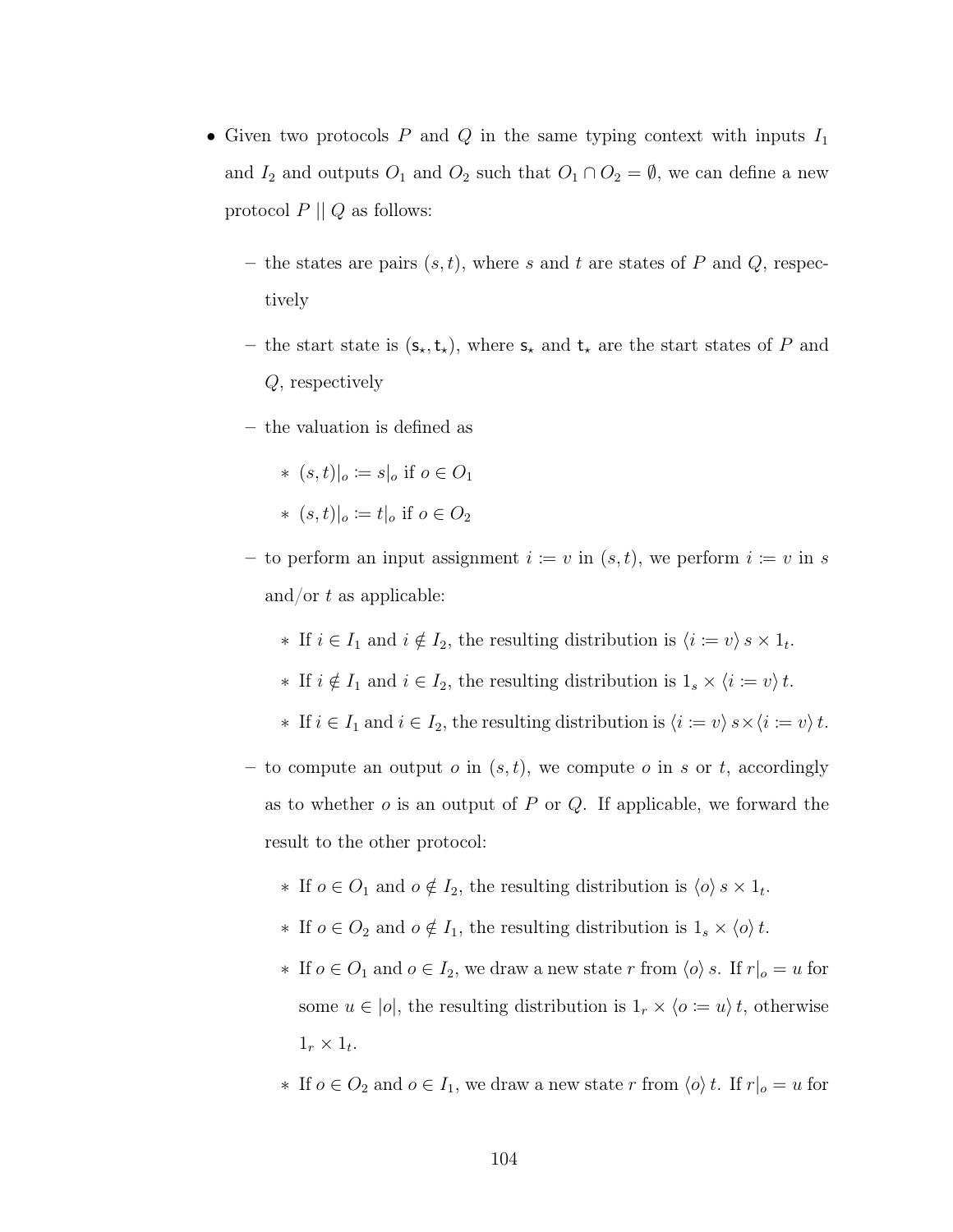- Given two protocols P and Q in the same typing context with inputs  $I_1$ and  $I_2$  and outputs  $O_1$  and  $O_2$  such that  $O_1 \cap O_2 = \emptyset$ , we can define a new protocol  $P \parallel Q$  as follows:
	- the states are pairs  $(s, t)$ , where s and t are states of P and Q, respectively
	- the start state is  $(s_{\star},t_{\star})$ , where  $s_{\star}$  and  $t_{\star}$  are the start states of P and Q, respectively
	- the valuation is defined as

$$
\ast \ (s,t)|_o \coloneqq s|_o \text{ if } o \in O_1
$$

- \*  $(s,t)|_o \coloneqq t|_o$  if  $o \in O_2$
- to perform an input assignment  $i = v$  in  $(s, t)$ , we perform  $i = v$  in s and/or  $t$  as applicable:
	- ∗ If  $i \in I_1$  and  $i \notin I_2$ , the resulting distribution is  $\langle i := v \rangle s \times 1_t$ .
	- ∗ If  $i \notin I_1$  and  $i \in I_2$ , the resulting distribution is  $1_s \times \langle i := v \rangle t$ .
	- ∗ If  $i \in I_1$  and  $i \in I_2$ , the resulting distribution is  $\langle i \coloneqq v \rangle s \times \langle i \coloneqq v \rangle t$ .
- to compute an output  $o$  in  $(s, t)$ , we compute  $o$  in  $s$  or  $t$ , accordingly as to whether  $o$  is an output of  $P$  or  $Q$ . If applicable, we forward the result to the other protocol:
	- ∗ If  $o \in O_1$  and  $o \notin I_2$ , the resulting distribution is  $\langle o \rangle$  s  $\times 1_t$ .
	- ∗ If  $o \in O_2$  and  $o \notin I_1$ , the resulting distribution is  $1_s \times \langle o \rangle t$ .
	- ∗ If  $o \in O_1$  and  $o \in I_2$ , we draw a new state r from  $\langle o \rangle$  s. If  $r|_o = u$  for some  $u \in |o|$ , the resulting distribution is  $1_r \times \langle o \coloneqq u \rangle t$ , otherwise  $1_r \times 1_t$ .
	- ∗ If  $o \in O_2$  and  $o \in I_1$ , we draw a new state r from  $\langle o \rangle t$ . If  $r|_o = u$  for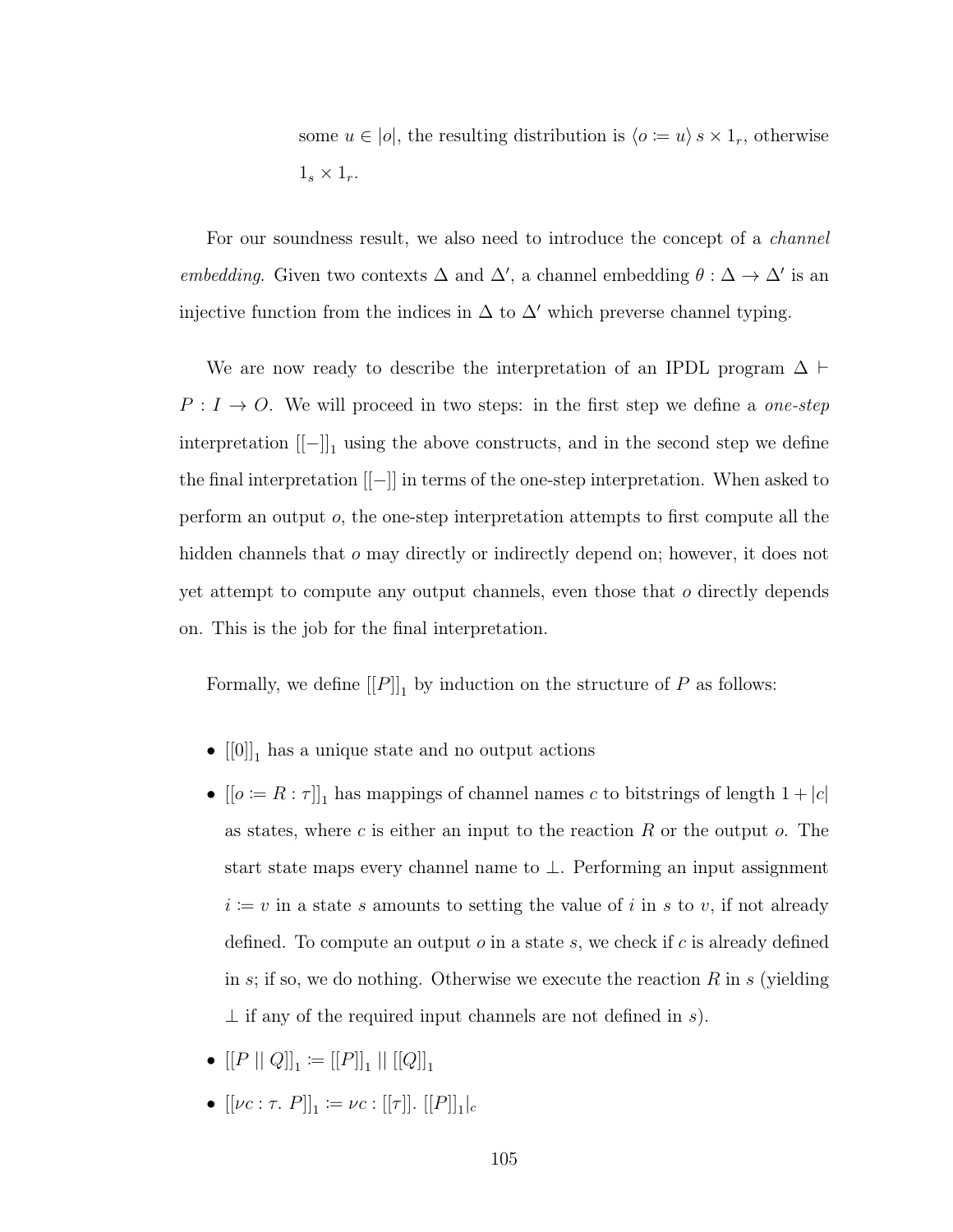some  $u \in |o|$ , the resulting distribution is  $\langle o \coloneqq u \rangle s \times 1_r$ , otherwise  $1_s \times 1_r$ .

For our soundness result, we also need to introduce the concept of a *channel* embedding. Given two contexts  $\Delta$  and  $\Delta'$ , a channel embedding  $\theta : \Delta \to \Delta'$  is an injective function from the indices in  $\Delta$  to  $\Delta'$  which preverse channel typing.

We are now ready to describe the interpretation of an IPDL program  $\Delta \vdash$  $P: I \rightarrow O$ . We will proceed in two steps: in the first step we define a *one-step*  $\text{interpretation } [[-]]_1$  using the above constructs, and in the second step we define the final interpretation [[−]] in terms of the one-step interpretation. When asked to perform an output  $o$ , the one-step interpretation attempts to first compute all the hidden channels that o may directly or indirectly depend on; however, it does not yet attempt to compute any output channels, even those that o directly depends on. This is the job for the final interpretation.

Formally, we define  $[[P]]_1$  by induction on the structure of P as follows:

- $[[0]]_1$  has a unique state and no output actions
- $[[o := R : \tau]]_1$  has mappings of channel names c to bitstrings of length  $1 + |c|$ as states, where c is either an input to the reaction  $R$  or the output  $o$ . The start state maps every channel name to ⊥. Performing an input assignment  $i = v$  in a state s amounts to setting the value of i in s to v, if not already defined. To compute an output  $\sigma$  in a state s, we check if  $c$  is already defined in s; if so, we do nothing. Otherwise we execute the reaction R in s (yielding  $\perp$  if any of the required input channels are not defined in s).
- $\bullet \: [[P \: || \: Q]]_1 \coloneqq [[P]]_1 \: || \: [[Q]]_1$
- $[[\nu c: \tau. P]]_1 \coloneqq \nu c : [[\tau]]. [[P]]_1|_c$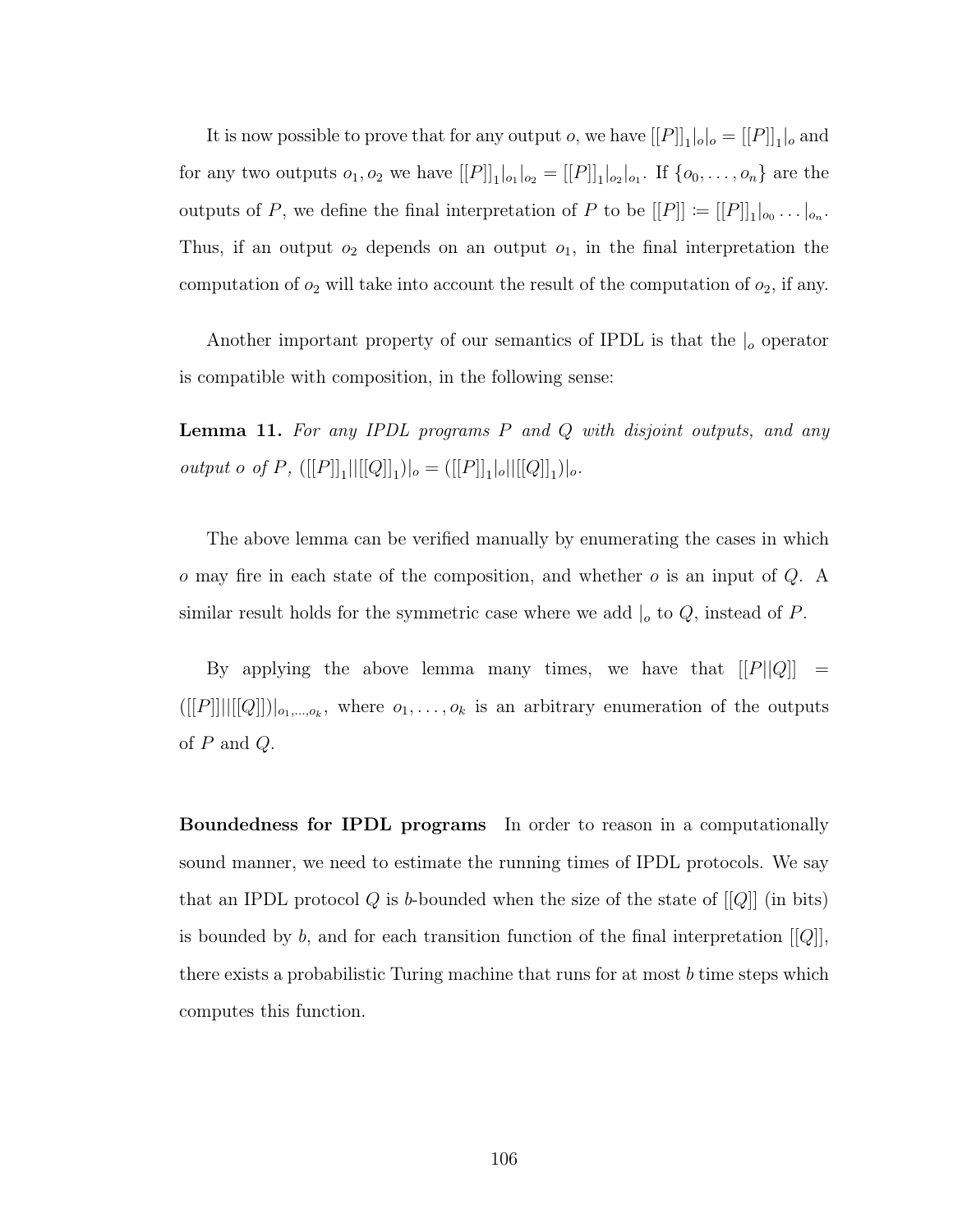It is now possible to prove that for any output *o*, we have  $[[P]]_1|_o|_o = [[P]]_1|_o$  and for any two outputs  $o_1, o_2$  we have  $[[P]]_1|_{o_1}|_{o_2} = [[P]]_1|_{o_2}|_{o_1}$ . If  $\{o_0, \ldots, o_n\}$  are the outputs of P, we define the final interpretation of P to be  $[[P]] := [[P]]_1|_{o_0} \ldots |_{o_n}$ . Thus, if an output  $o_2$  depends on an output  $o_1$ , in the final interpretation the computation of  $o_2$  will take into account the result of the computation of  $o_2$ , if any.

Another important property of our semantics of IPDL is that the  $\vert_{o}$  operator is compatible with composition, in the following sense:

<span id="page-114-0"></span>Lemma 11. For any IPDL programs P and Q with disjoint outputs, and any output o of P,  $([[P]]_1||[[Q]]_1)|_o =([[P]]_1|_o||[[Q]]_1)|_o.$ 

The above lemma can be verified manually by enumerating the cases in which  $\sigma$  may fire in each state of the composition, and whether  $\sigma$  is an input of  $Q$ . A similar result holds for the symmetric case where we add  $|_o$  to  $Q$ , instead of  $P$ .

By applying the above lemma many times, we have that  $[[P||Q]] =$  $([[P]]||[[Q]])|_{o_1,...,o_k}$ , where  $o_1,...,o_k$  is an arbitrary enumeration of the outputs of  $P$  and  $Q$ .

Boundedness for IPDL programs In order to reason in a computationally sound manner, we need to estimate the running times of IPDL protocols. We say that an IPDL protocol  $Q$  is b-bounded when the size of the state of  $[[Q]]$  (in bits) is bounded by b, and for each transition function of the final interpretation  $[[Q]]$ , there exists a probabilistic Turing machine that runs for at most  $b$  time steps which computes this function.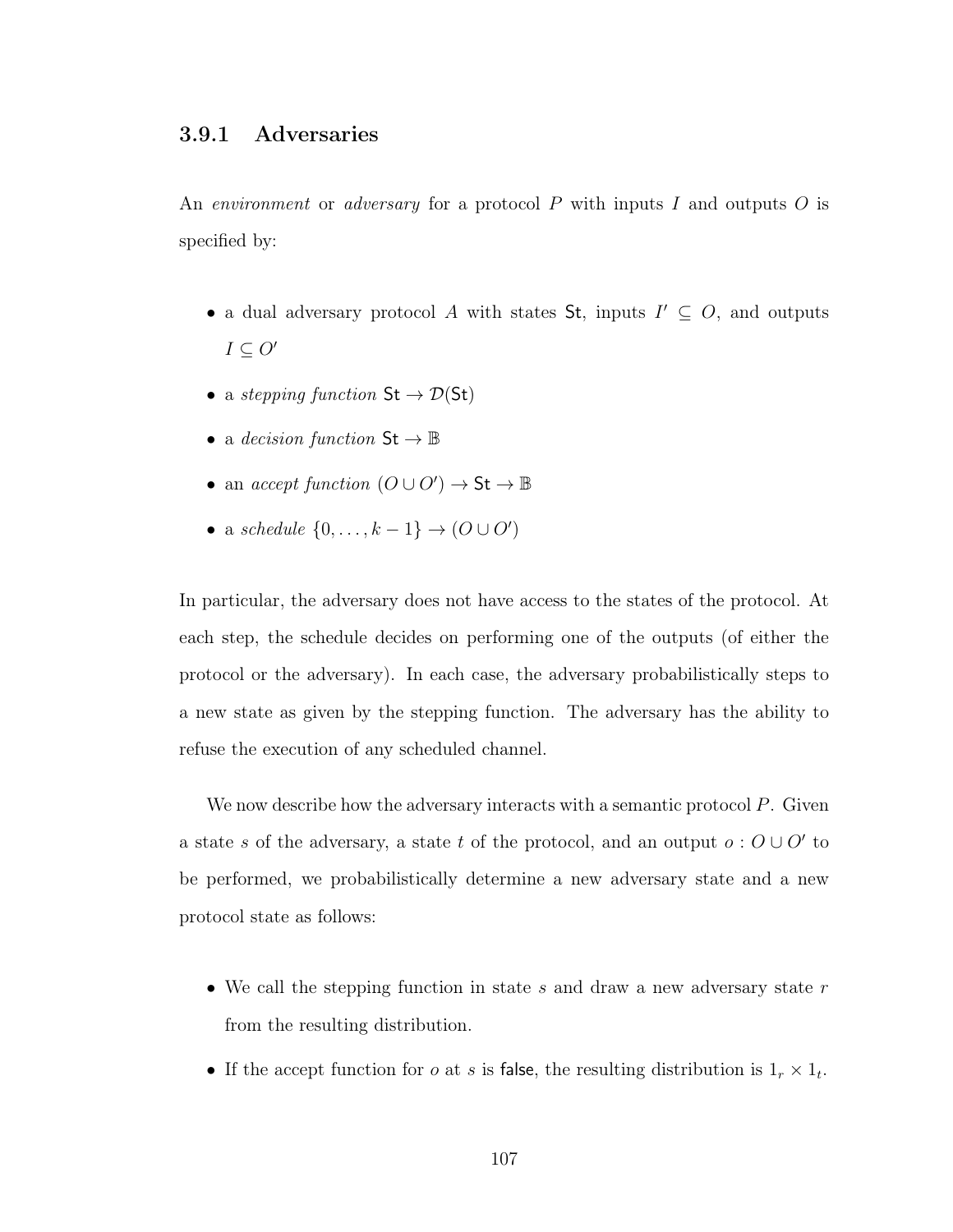# 3.9.1 Adversaries

An *environment* or *adversary* for a protocol  $P$  with inputs  $I$  and outputs  $O$  is specified by:

- a dual adversary protocol A with states St, inputs  $I' \subseteq O$ , and outputs  $I \subseteq O'$
- a stepping function  $St \to \mathcal{D}(St)$
- a decision function  $\mathsf{St} \to \mathbb{B}$
- an *accept function*  $(O \cup O') \rightarrow St \rightarrow \mathbb{B}$
- a schedule  $\{0, \ldots, k-1\} \rightarrow (O \cup O')$

In particular, the adversary does not have access to the states of the protocol. At each step, the schedule decides on performing one of the outputs (of either the protocol or the adversary). In each case, the adversary probabilistically steps to a new state as given by the stepping function. The adversary has the ability to refuse the execution of any scheduled channel.

We now describe how the adversary interacts with a semantic protocol P. Given a state s of the adversary, a state t of the protocol, and an output  $o: O\cup O'$  to be performed, we probabilistically determine a new adversary state and a new protocol state as follows:

- We call the stepping function in state  $s$  and draw a new adversary state  $r$ from the resulting distribution.
- If the accept function for *o* at *s* is false, the resulting distribution is  $1_r \times 1_t$ .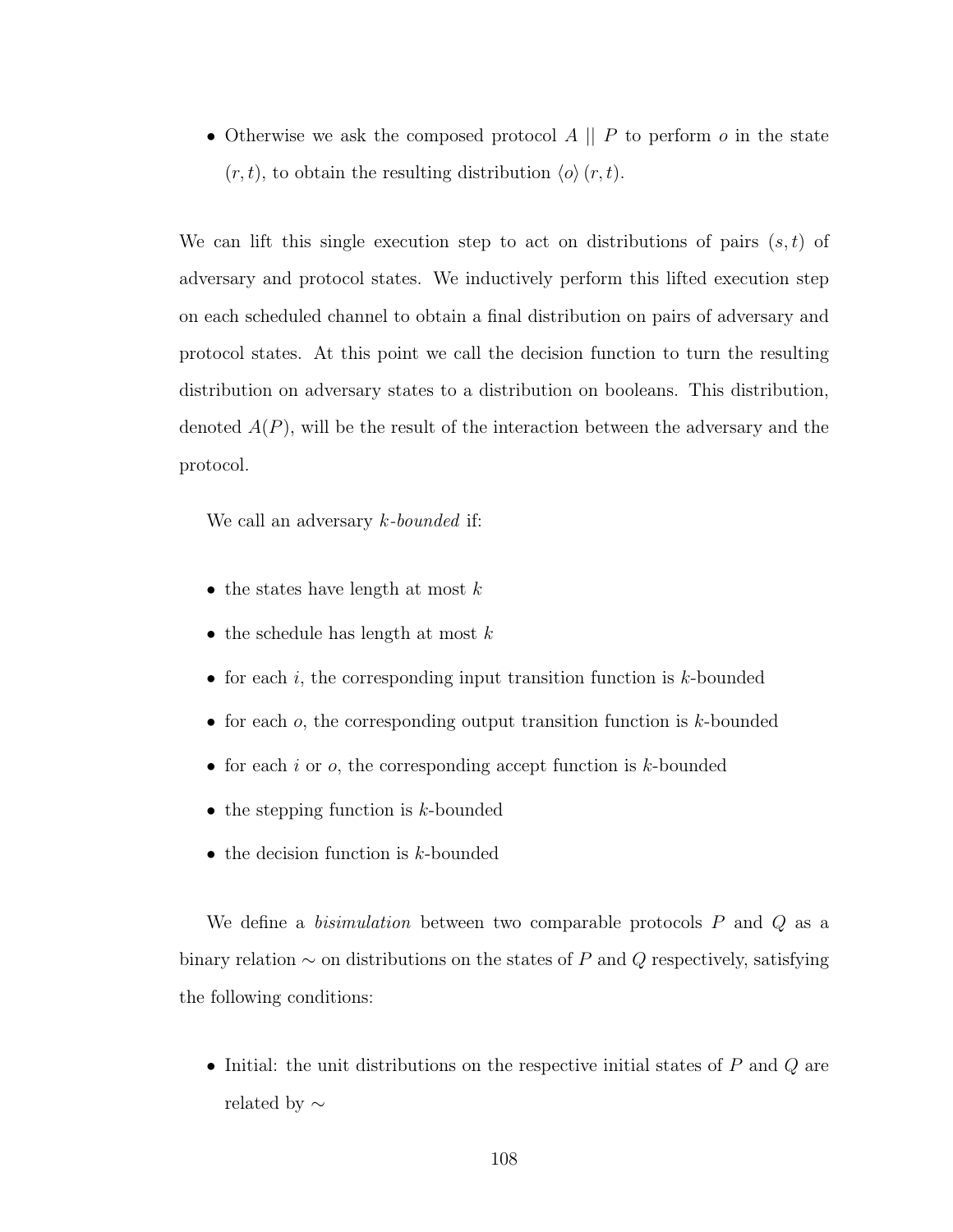• Otherwise we ask the composed protocol  $A \parallel P$  to perform  $o$  in the state  $(r, t)$ , to obtain the resulting distribution  $\langle o \rangle(r, t)$ .

We can lift this single execution step to act on distributions of pairs  $(s, t)$  of adversary and protocol states. We inductively perform this lifted execution step on each scheduled channel to obtain a final distribution on pairs of adversary and protocol states. At this point we call the decision function to turn the resulting distribution on adversary states to a distribution on booleans. This distribution, denoted  $A(P)$ , will be the result of the interaction between the adversary and the protocol.

We call an adversary *k*-bounded if:

- the states have length at most  $k$
- the schedule has length at most  $k$
- for each i, the corresponding input transition function is  $k$ -bounded
- for each  $o$ , the corresponding output transition function is  $k$ -bounded
- for each i or  $o$ , the corresponding accept function is  $k$ -bounded
- the stepping function is  $k$ -bounded
- the decision function is  $k$ -bounded

We define a *bisimulation* between two comparable protocols  $P$  and  $Q$  as a binary relation  $\sim$  on distributions on the states of P and Q respectively, satisfying the following conditions:

• Initial: the unit distributions on the respective initial states of  $P$  and  $Q$  are related by ∼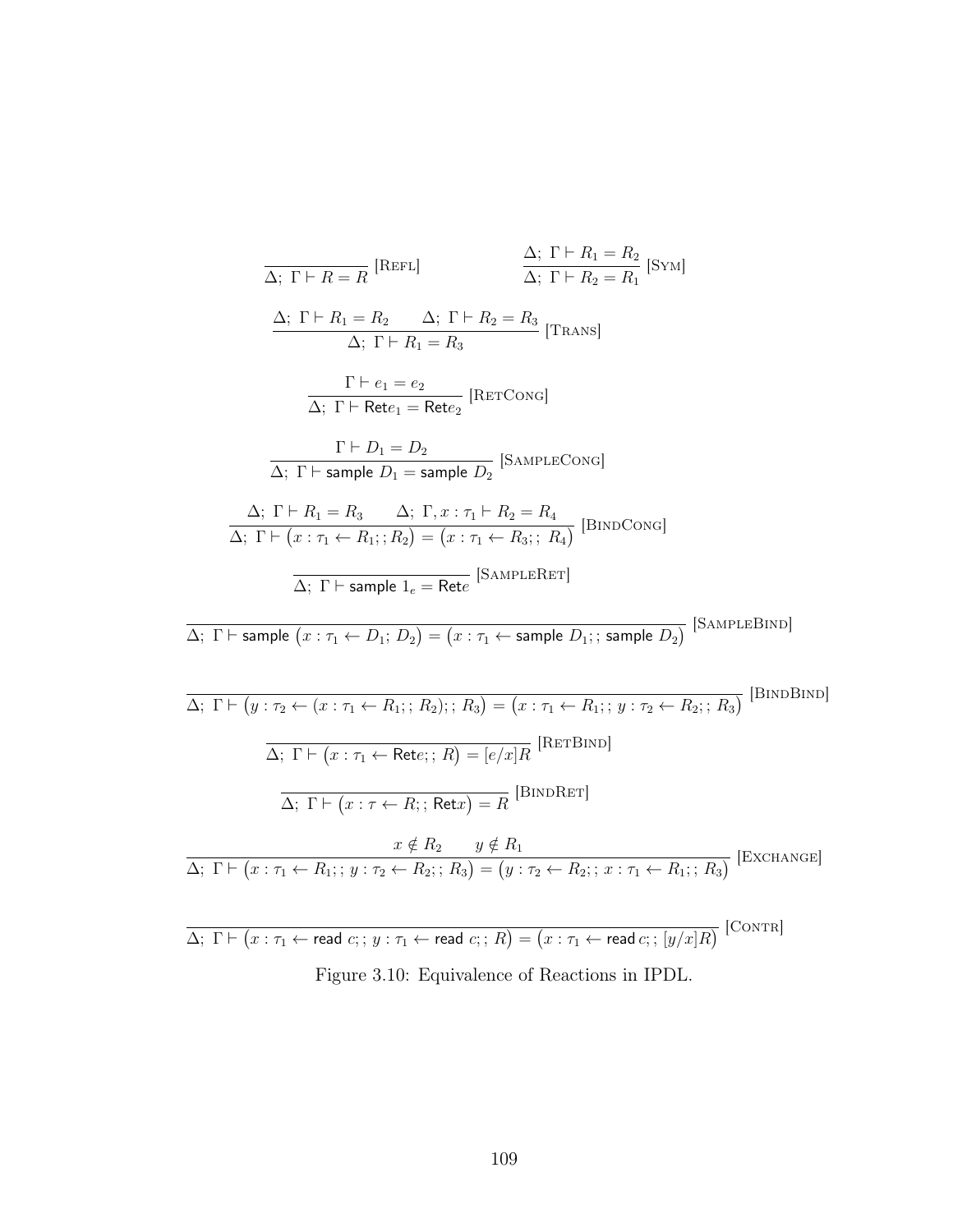$$
\frac{\Delta; \Gamma \vdash R_1 = R_2}{\Delta; \Gamma \vdash R_1 = R_2} \qquad \frac{\Delta; \Gamma \vdash R_1 = R_2}{\Delta; \Gamma \vdash R_2 = R_1} \text{ [SYM]}
$$
\n
$$
\frac{\Delta; \Gamma \vdash R_1 = R_2 \qquad \Delta; \Gamma \vdash R_2 = R_3}{\Delta; \Gamma \vdash R_1 = R_3} \text{ [Transs]}
$$
\n
$$
\frac{\Gamma \vdash e_1 = e_2}{\Delta; \Gamma \vdash \text{Rete}_1 = \text{Rete}_2} \text{ [RerCoxG]}
$$
\n
$$
\frac{\Gamma \vdash D_1 = D_2}{\Delta; \Gamma \vdash \text{sample } D_1 = \text{sample } D_2} \text{ [SAMPLECoxG]}
$$
\n
$$
\frac{\Delta; \Gamma \vdash R_1 = R_3 \qquad \Delta; \Gamma, x : \tau_1 \vdash R_2 = R_4}{\Delta; \Gamma \vdash (x : \tau_1 \leftarrow R_1; ; R_2) = (x : \tau_1 \leftarrow R_3; ; R_4)} \text{ [BINDCoxG]}
$$
\n
$$
\frac{\Delta; \Gamma \vdash \text{sample } l_c = \text{Rete} \text{ [SAMPLERET]}
$$
\n
$$
\Delta; \Gamma \vdash \text{sample } (x : \tau_1 \leftarrow D_1; D_2) = (x : \tau_1 \leftarrow \text{sample } D_1; ; \text{sample } D_2) \text{ [SAMPLEBIND]}
$$
\n
$$
\frac{\Delta; \Gamma \vdash (y : \tau_2 \leftarrow (x : \tau_1 \leftarrow R_1; ; R_2); ; R_3) = (x : \tau_1 \leftarrow R_1; y : \tau_2 \leftarrow R_2; ; R_3 \text{ [BINDBIND]}
$$
\n
$$
\frac{x}{\Delta; \Gamma \vdash (x : \tau_1 \leftarrow \text{Rete}; R) = [e/x]R} \text{ [RETBIND]}
$$
\n
$$
\frac{x}{\Delta; \Gamma \vdash (x : \tau_1 \leftarrow R_1; ; y : \tau_2 \leftarrow R_2; ; R_3) = (y : \tau_2 \leftarrow R_2; ; x : \tau_1 \leftarrow R_1; ; R_3 \text{ ] } \text{ [EXCHANGE]}
$$
\n
$$
\frac{x}{\Delta; \Gamma \vdash (x
$$

Figure 3.10: Equivalence of Reactions in IPDL.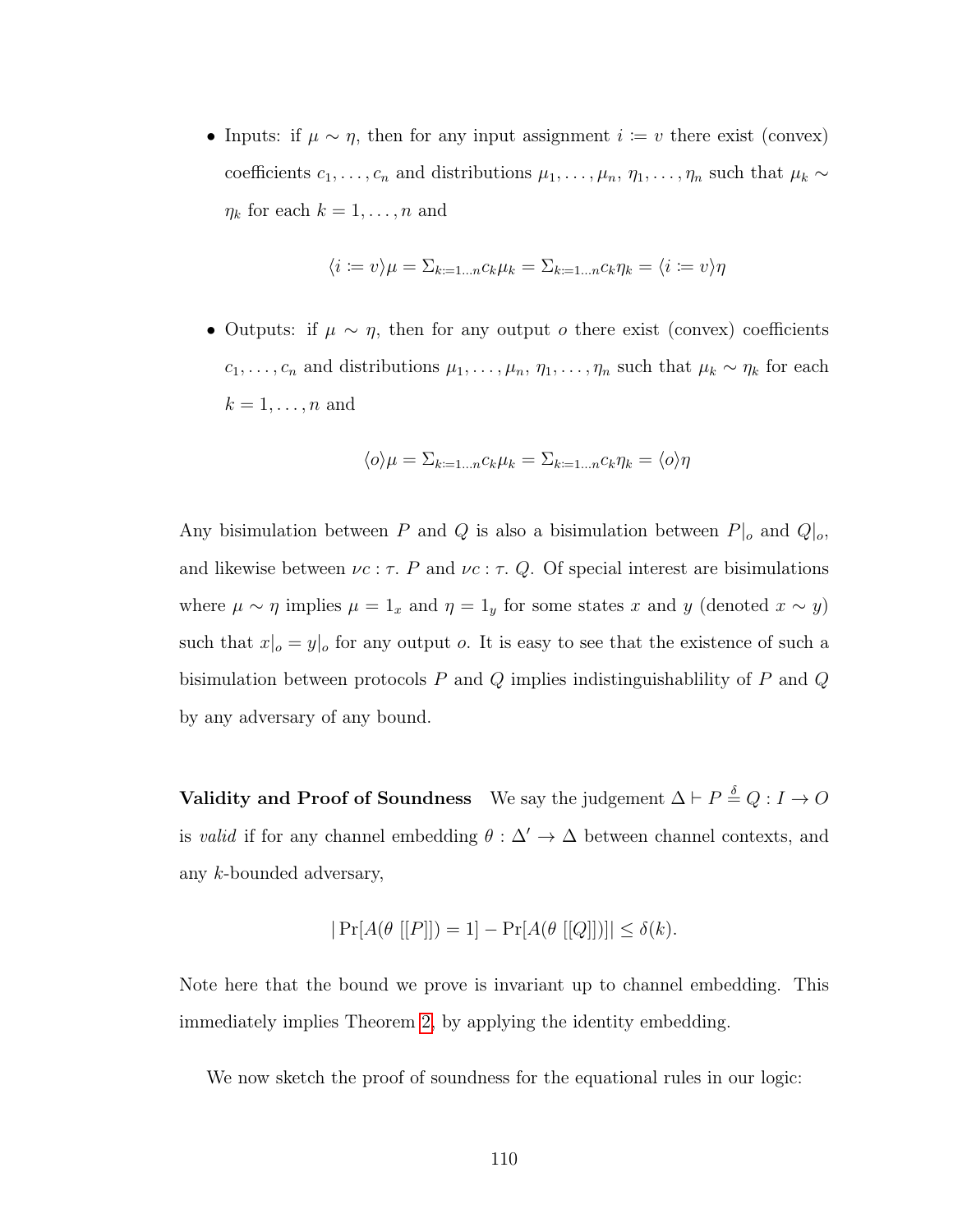• Inputs: if  $\mu \sim \eta$ , then for any input assignment  $i := v$  there exist (convex) coefficients  $c_1, \ldots, c_n$  and distributions  $\mu_1, \ldots, \mu_n, \eta_1, \ldots, \eta_n$  such that  $\mu_k \sim$  $\eta_k$  for each  $k = 1, \ldots, n$  and

$$
\langle i := v \rangle \mu = \sum_{k=1...n} c_k \mu_k = \sum_{k=1...n} c_k \eta_k = \langle i := v \rangle \eta
$$

• Outputs: if  $\mu \sim \eta$ , then for any output *o* there exist (convex) coefficients  $c_1, \ldots, c_n$  and distributions  $\mu_1, \ldots, \mu_n, \eta_1, \ldots, \eta_n$  such that  $\mu_k \sim \eta_k$  for each  $k = 1, \ldots, n$  and

$$
\langle o \rangle \mu = \Sigma_{k=1...n} c_k \mu_k = \Sigma_{k=1...n} c_k \eta_k = \langle o \rangle \eta
$$

Any bisimulation between P and Q is also a bisimulation between  $P|_o$  and  $Q|_o$ , and likewise between  $\nu c : \tau$ . P and  $\nu c : \tau$ . Q. Of special interest are bisimulations where  $\mu \sim \eta$  implies  $\mu = 1_x$  and  $\eta = 1_y$  for some states x and y (denoted  $x \sim y$ ) such that  $x|_o = y|_o$  for any output o. It is easy to see that the existence of such a bisimulation between protocols  $P$  and  $Q$  implies indistinguishablility of  $P$  and  $Q$ by any adversary of any bound.

Validity and Proof of Soundness We say the judgement  $\Delta \vdash P \stackrel{\delta}{=} Q : I \to O$ is valid if for any channel embedding  $\theta : \Delta' \to \Delta$  between channel contexts, and any k-bounded adversary,

$$
|\Pr[A(\theta[[P]]) = 1] - \Pr[A(\theta[[Q]])]| \le \delta(k).
$$

Note here that the bound we prove is invariant up to channel embedding. This immediately implies Theorem [2,](#page-97-0) by applying the identity embedding.

We now sketch the proof of soundness for the equational rules in our logic: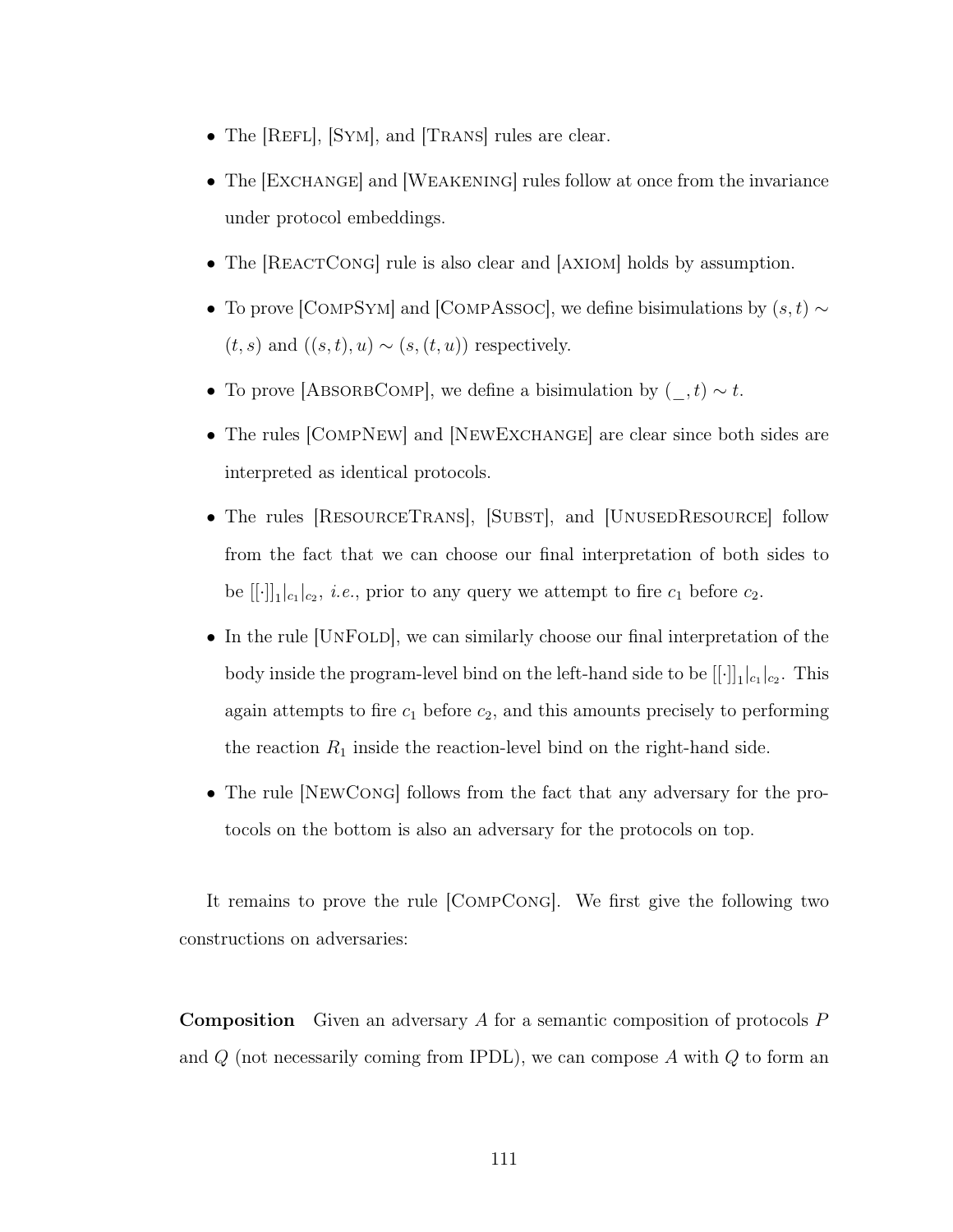- The [REFL], [SYM], and [TRANS] rules are clear.
- The [EXCHANGE] and [WEAKENING] rules follow at once from the invariance under protocol embeddings.
- The [REACTCONG] rule is also clear and [AXIOM] holds by assumption.
- To prove [COMPSYM] and [COMPASSOC], we define bisimulations by  $(s, t) \sim$  $(t, s)$  and  $((s, t), u) \sim (s, (t, u))$  respectively.
- To prove [ABSORBCOMP], we define a bisimulation by  $($ ,  $t$ ) ∼ t.
- The rules [COMPNEW] and [NEWEXCHANGE] are clear since both sides are interpreted as identical protocols.
- The rules [RESOURCETRANS], [SUBST], and [UNUSEDRESOURCE] follow from the fact that we can choose our final interpretation of both sides to be  $[[\cdot]]_1|_{c_1}|_{c_2}$ , *i.e.*, prior to any query we attempt to fire  $c_1$  before  $c_2$ .
- In the rule |UNFOLD|, we can similarly choose our final interpretation of the body inside the program-level bind on the left-hand side to be  $[[\cdot]]_1|_{c_1}|_{c_2}$ . This again attempts to fire  $c_1$  before  $c_2$ , and this amounts precisely to performing the reaction  $R_1$  inside the reaction-level bind on the right-hand side.
- The rule [NEWCONG] follows from the fact that any adversary for the protocols on the bottom is also an adversary for the protocols on top.

It remains to prove the rule [CompCong]. We first give the following two constructions on adversaries:

Composition Given an adversary A for a semantic composition of protocols P and  $Q$  (not necessarily coming from IPDL), we can compose  $A$  with  $Q$  to form an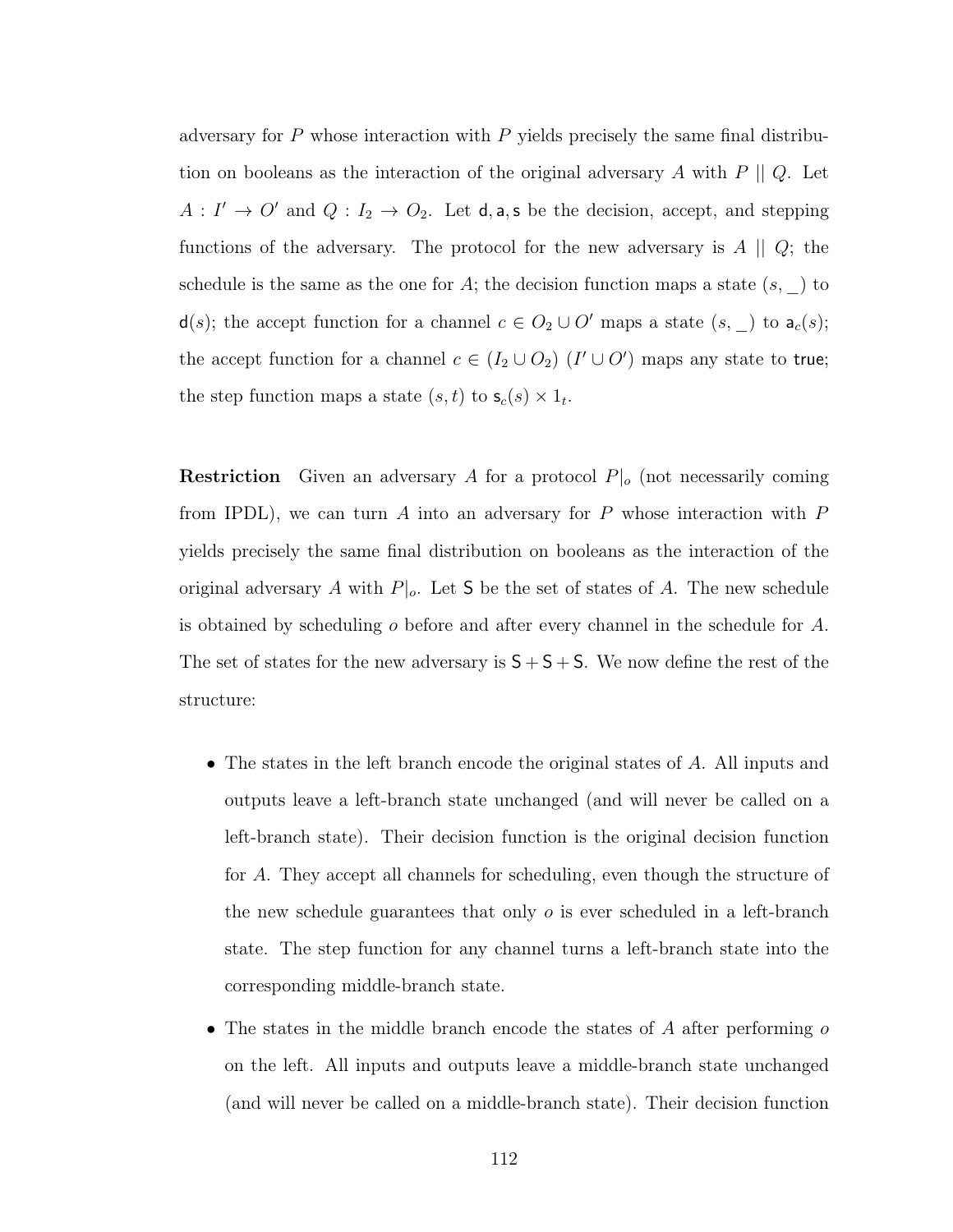adversary for  $P$  whose interaction with  $P$  yields precisely the same final distribution on booleans as the interaction of the original adversary  $A$  with  $P \parallel Q$ . Let  $A: I' \to O'$  and  $Q: I_2 \to O_2$ . Let **d**, **a**, **s** be the decision, accept, and stepping functions of the adversary. The protocol for the new adversary is  $A \parallel Q$ ; the schedule is the same as the one for A; the decision function maps a state  $(s, \_)$  to d(s); the accept function for a channel  $c \in O_2 \cup O'$  maps a state  $(s, \_)$  to  $a_c(s)$ ; the accept function for a channel  $c \in (I_2 \cup O_2)$   $(I' \cup O')$  maps any state to true; the step function maps a state  $(s, t)$  to  $\mathsf{s}_c(s) \times 1_t$ .

**Restriction** Given an adversary A for a protocol  $P|_o$  (not necessarily coming from IPDL), we can turn  $A$  into an adversary for  $P$  whose interaction with  $P$ yields precisely the same final distribution on booleans as the interaction of the original adversary A with  $P|_o$ . Let S be the set of states of A. The new schedule is obtained by scheduling  $\sigma$  before and after every channel in the schedule for  $A$ . The set of states for the new adversary is  $S + S + S$ . We now define the rest of the structure:

- The states in the left branch encode the original states of A. All inputs and outputs leave a left-branch state unchanged (and will never be called on a left-branch state). Their decision function is the original decision function for A. They accept all channels for scheduling, even though the structure of the new schedule guarantees that only  $\sigma$  is ever scheduled in a left-branch state. The step function for any channel turns a left-branch state into the corresponding middle-branch state.
- The states in the middle branch encode the states of  $A$  after performing  $o$ on the left. All inputs and outputs leave a middle-branch state unchanged (and will never be called on a middle-branch state). Their decision function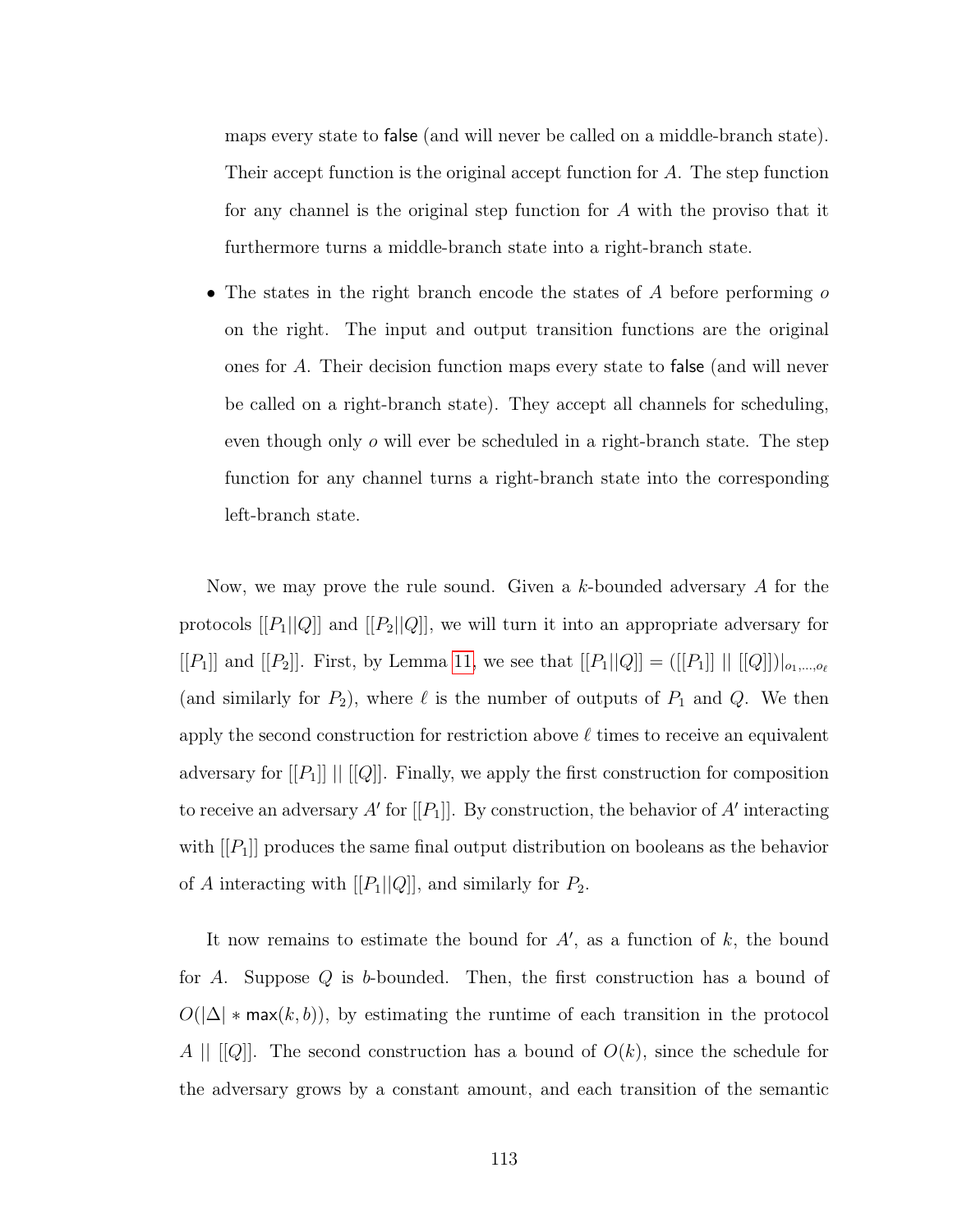maps every state to false (and will never be called on a middle-branch state). Their accept function is the original accept function for A. The step function for any channel is the original step function for A with the proviso that it furthermore turns a middle-branch state into a right-branch state.

• The states in the right branch encode the states of  $A$  before performing  $\sigma$ on the right. The input and output transition functions are the original ones for A. Their decision function maps every state to false (and will never be called on a right-branch state). They accept all channels for scheduling, even though only  $\sigma$  will ever be scheduled in a right-branch state. The step function for any channel turns a right-branch state into the corresponding left-branch state.

Now, we may prove the rule sound. Given a k-bounded adversary A for the protocols  $[[P_1||Q]]$  and  $[[P_2||Q]]$ , we will turn it into an appropriate adversary for [[P<sub>1</sub>]] and [[P<sub>2</sub>]]. First, by Lemma [11,](#page-114-0) we see that  $[[P_1||Q]] = ([[P_1]] || [[Q]])|_{o_1,...,o_\ell}$ (and similarly for  $P_2$ ), where  $\ell$  is the number of outputs of  $P_1$  and  $Q$ . We then apply the second construction for restriction above  $\ell$  times to receive an equivalent adversary for  $[[P_1]]$   $[[[Q]]$ . Finally, we apply the first construction for composition to receive an adversary  $A'$  for  $[[P_1]]$ . By construction, the behavior of  $A'$  interacting with  $[[P_1]]$  produces the same final output distribution on booleans as the behavior of A interacting with  $[[P_1||Q]],$  and similarly for  $P_2$ .

It now remains to estimate the bound for  $A'$ , as a function of  $k$ , the bound for  $A$ . Suppose  $Q$  is  $b$ -bounded. Then, the first construction has a bound of  $O(|\Delta| * \max(k, b))$ , by estimating the runtime of each transition in the protocol  $A \parallel [[Q]]$ . The second construction has a bound of  $O(k)$ , since the schedule for the adversary grows by a constant amount, and each transition of the semantic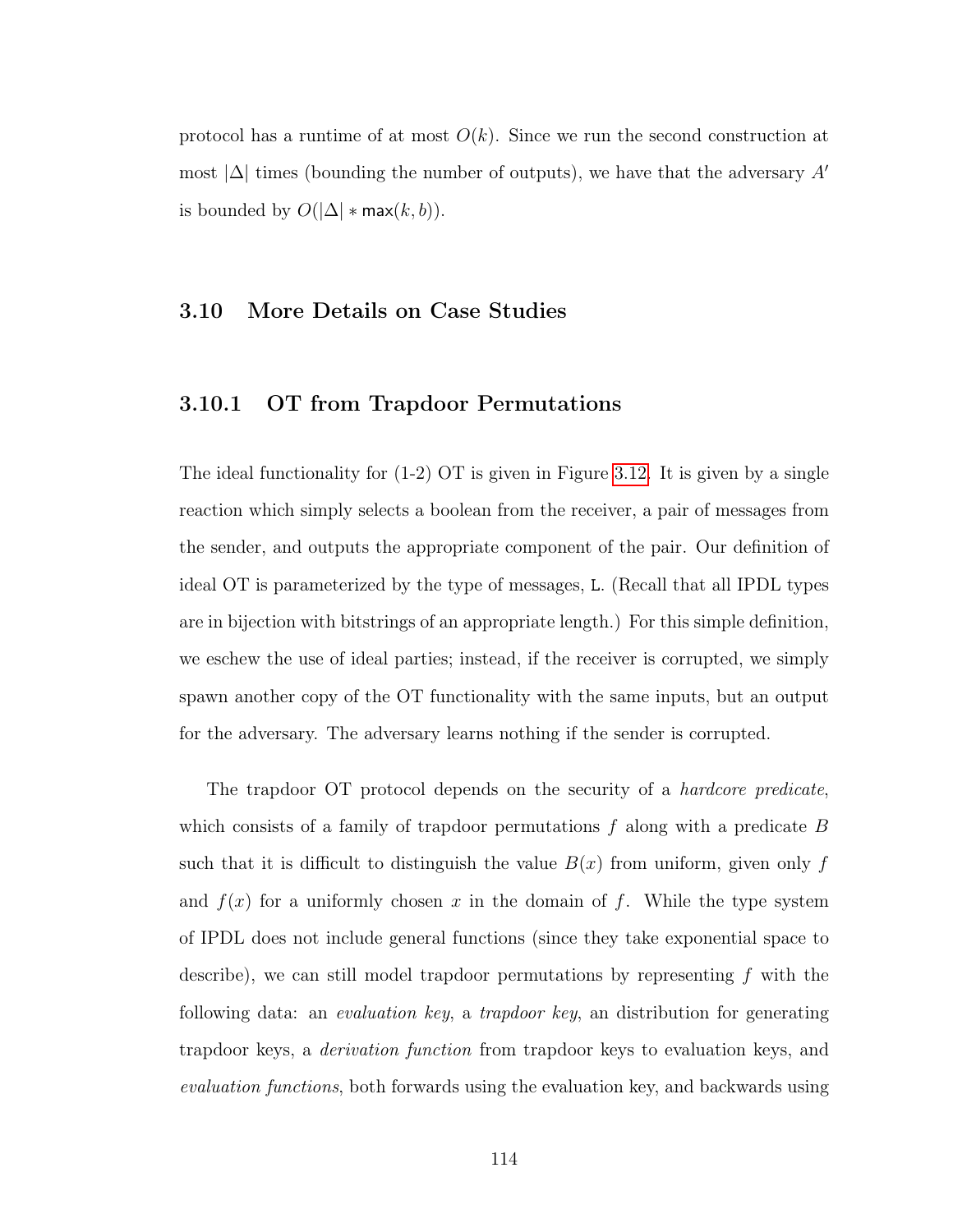protocol has a runtime of at most  $O(k)$ . Since we run the second construction at most  $|\Delta|$  times (bounding the number of outputs), we have that the adversary A<sup> $\prime$ </sup> is bounded by  $O(|\Delta| * max(k, b)).$ 

#### <span id="page-122-0"></span>3.10 More Details on Case Studies

## 3.10.1 OT from Trapdoor Permutations

The ideal functionality for (1-2) OT is given in Figure [3.12.](#page-133-0) It is given by a single reaction which simply selects a boolean from the receiver, a pair of messages from the sender, and outputs the appropriate component of the pair. Our definition of ideal OT is parameterized by the type of messages, L. (Recall that all IPDL types are in bijection with bitstrings of an appropriate length.) For this simple definition, we eschew the use of ideal parties; instead, if the receiver is corrupted, we simply spawn another copy of the OT functionality with the same inputs, but an output for the adversary. The adversary learns nothing if the sender is corrupted.

The trapdoor OT protocol depends on the security of a *hardcore predicate*, which consists of a family of trapdoor permutations  $f$  along with a predicate  $B$ such that it is difficult to distinguish the value  $B(x)$  from uniform, given only f and  $f(x)$  for a uniformly chosen x in the domain of f. While the type system of IPDL does not include general functions (since they take exponential space to describe), we can still model trapdoor permutations by representing  $f$  with the following data: an *evaluation key*, a *trapdoor key*, an distribution for generating trapdoor keys, a derivation function from trapdoor keys to evaluation keys, and evaluation functions, both forwards using the evaluation key, and backwards using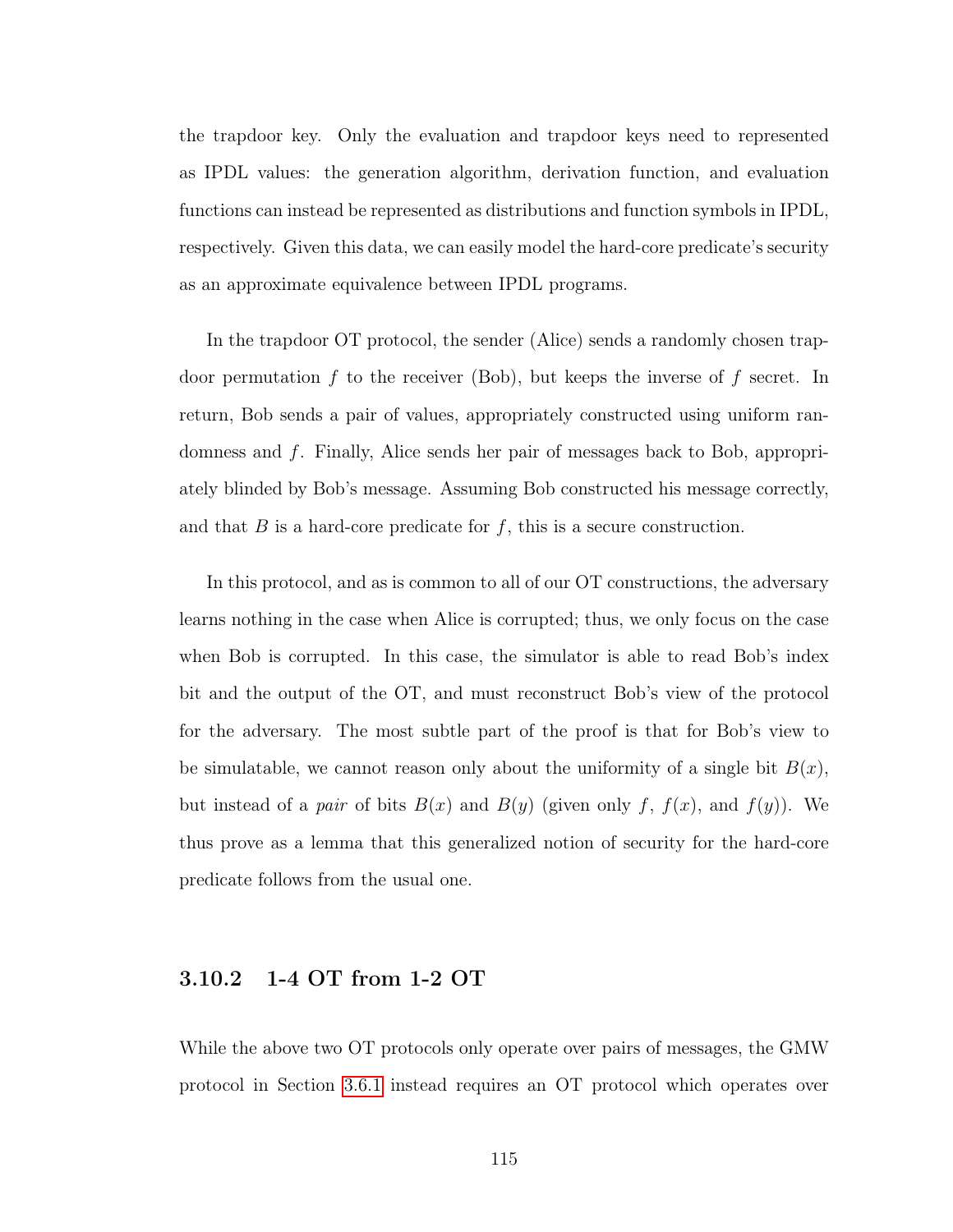the trapdoor key. Only the evaluation and trapdoor keys need to represented as IPDL values: the generation algorithm, derivation function, and evaluation functions can instead be represented as distributions and function symbols in IPDL, respectively. Given this data, we can easily model the hard-core predicate's security as an approximate equivalence between IPDL programs.

In the trapdoor OT protocol, the sender (Alice) sends a randomly chosen trapdoor permutation f to the receiver (Bob), but keeps the inverse of f secret. In return, Bob sends a pair of values, appropriately constructed using uniform randomness and f. Finally, Alice sends her pair of messages back to Bob, appropriately blinded by Bob's message. Assuming Bob constructed his message correctly, and that  $B$  is a hard-core predicate for  $f$ , this is a secure construction.

In this protocol, and as is common to all of our OT constructions, the adversary learns nothing in the case when Alice is corrupted; thus, we only focus on the case when Bob is corrupted. In this case, the simulator is able to read Bob's index bit and the output of the OT, and must reconstruct Bob's view of the protocol for the adversary. The most subtle part of the proof is that for Bob's view to be simulatable, we cannot reason only about the uniformity of a single bit  $B(x)$ , but instead of a pair of bits  $B(x)$  and  $B(y)$  (given only f,  $f(x)$ , and  $f(y)$ ). We thus prove as a lemma that this generalized notion of security for the hard-core predicate follows from the usual one.

# 3.10.2 1-4 OT from 1-2 OT

While the above two OT protocols only operate over pairs of messages, the GMW protocol in Section [3.6.1](#page-105-0) instead requires an OT protocol which operates over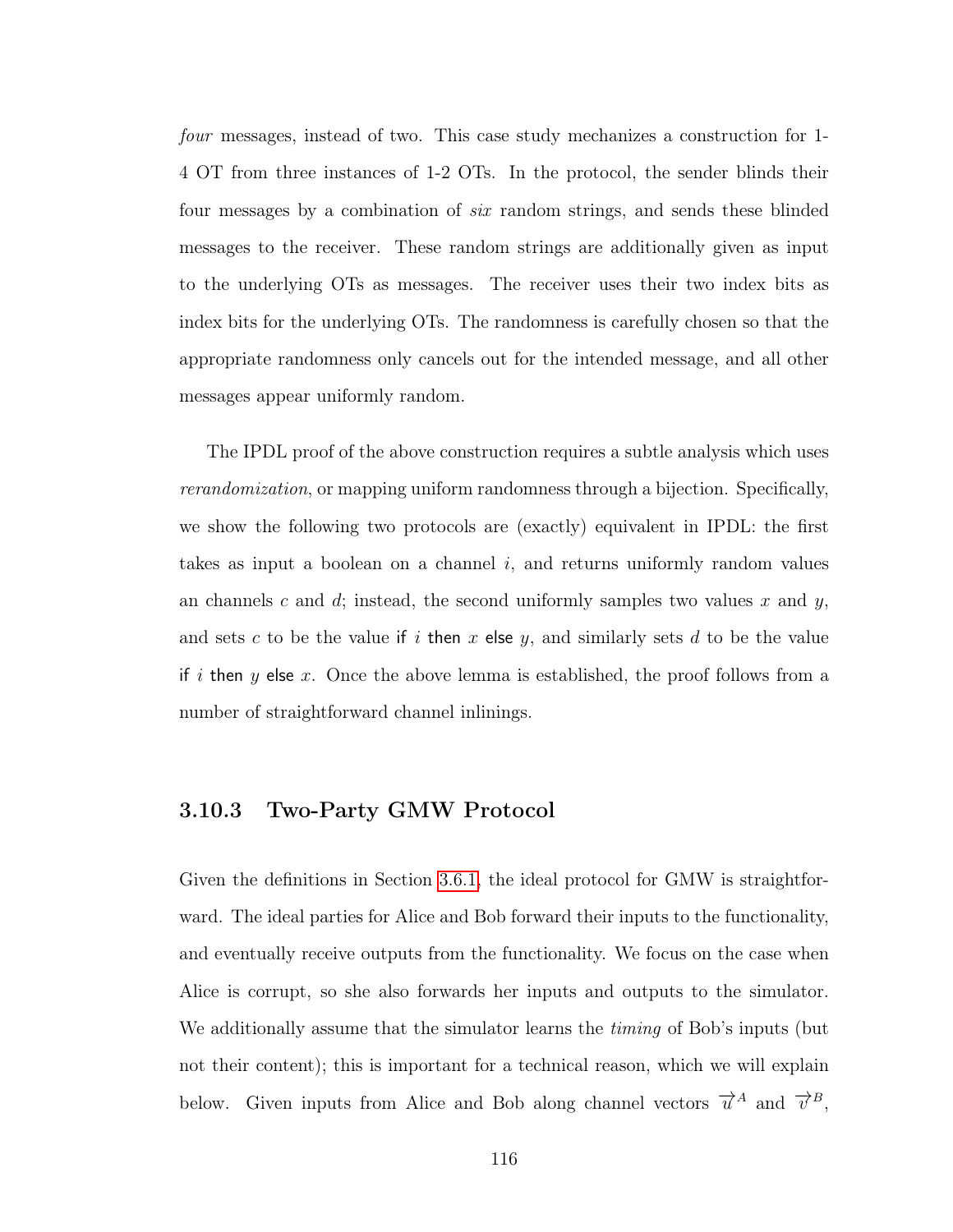four messages, instead of two. This case study mechanizes a construction for 1- 4 OT from three instances of 1-2 OTs. In the protocol, the sender blinds their four messages by a combination of six random strings, and sends these blinded messages to the receiver. These random strings are additionally given as input to the underlying OTs as messages. The receiver uses their two index bits as index bits for the underlying OTs. The randomness is carefully chosen so that the appropriate randomness only cancels out for the intended message, and all other messages appear uniformly random.

The IPDL proof of the above construction requires a subtle analysis which uses rerandomization, or mapping uniform randomness through a bijection. Specifically, we show the following two protocols are (exactly) equivalent in IPDL: the first takes as input a boolean on a channel  $i$ , and returns uniformly random values an channels c and d; instead, the second uniformly samples two values x and y, and sets c to be the value if i then x else y, and similarly sets d to be the value if i then y else x. Once the above lemma is established, the proof follows from a number of straightforward channel inlinings.

#### 3.10.3 Two-Party GMW Protocol

Given the definitions in Section [3.6.1,](#page-105-0) the ideal protocol for GMW is straightforward. The ideal parties for Alice and Bob forward their inputs to the functionality, and eventually receive outputs from the functionality. We focus on the case when Alice is corrupt, so she also forwards her inputs and outputs to the simulator. We additionally assume that the simulator learns the *timing* of Bob's inputs (but not their content); this is important for a technical reason, which we will explain below. Given inputs from Alice and Bob along channel vectors  $\vec{u}^A$  and  $\vec{v}^B$ ,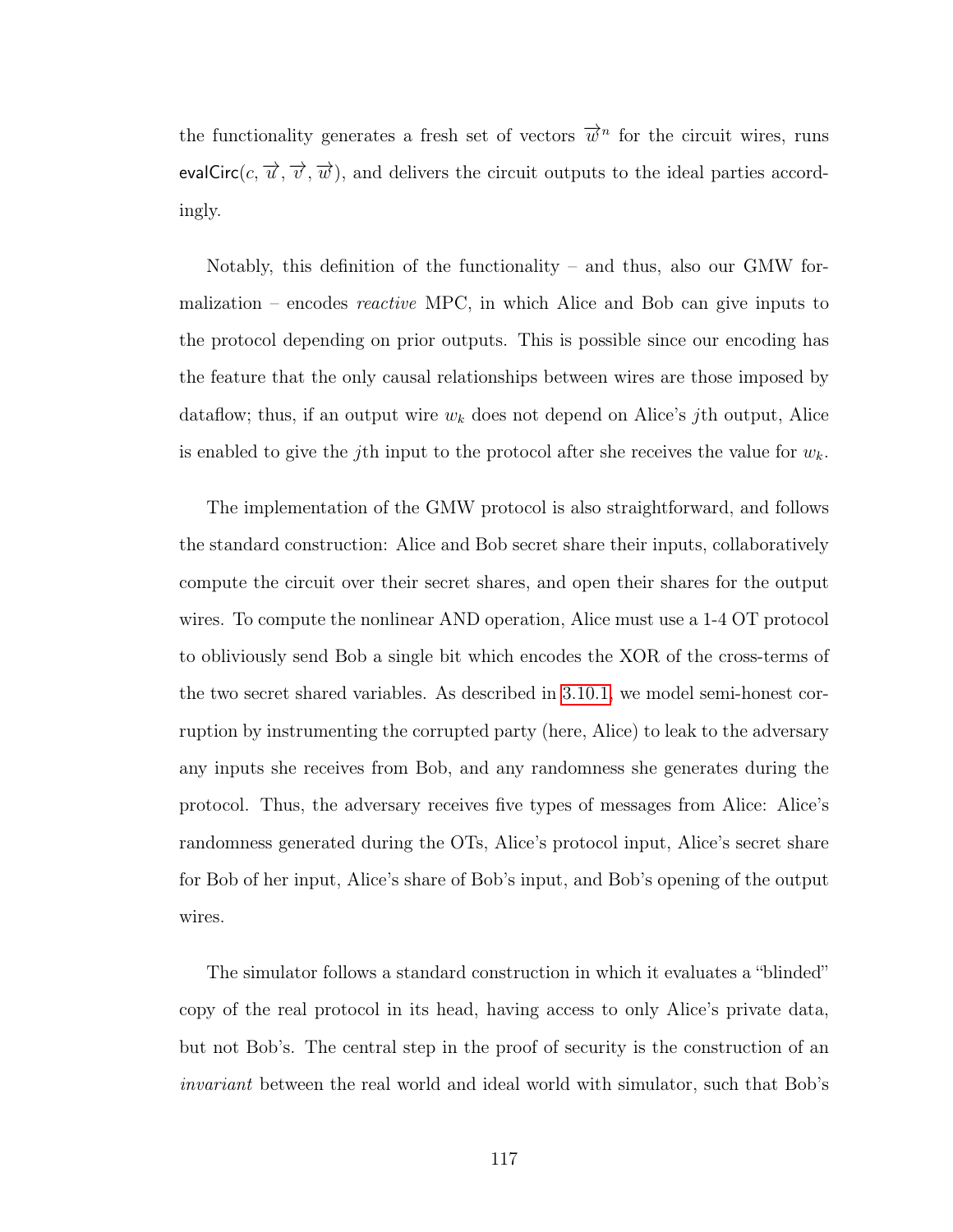the functionality generates a fresh set of vectors  $\vec{w}^n$  for the circuit wires, runs evalCirc(c,  $\overrightarrow{u}$ ,  $\overrightarrow{v}$ ,  $\overrightarrow{w}$ ), and delivers the circuit outputs to the ideal parties accordingly.

Notably, this definition of the functionality – and thus, also our GMW formalization – encodes reactive MPC, in which Alice and Bob can give inputs to the protocol depending on prior outputs. This is possible since our encoding has the feature that the only causal relationships between wires are those imposed by dataflow; thus, if an output wire  $w_k$  does not depend on Alice's jth output, Alice is enabled to give the j<sup>th</sup> input to the protocol after she receives the value for  $w_k$ .

The implementation of the GMW protocol is also straightforward, and follows the standard construction: Alice and Bob secret share their inputs, collaboratively compute the circuit over their secret shares, and open their shares for the output wires. To compute the nonlinear AND operation, Alice must use a 1-4 OT protocol to obliviously send Bob a single bit which encodes the XOR of the cross-terms of the two secret shared variables. As described in [3.10.1,](#page-122-0) we model semi-honest corruption by instrumenting the corrupted party (here, Alice) to leak to the adversary any inputs she receives from Bob, and any randomness she generates during the protocol. Thus, the adversary receives five types of messages from Alice: Alice's randomness generated during the OTs, Alice's protocol input, Alice's secret share for Bob of her input, Alice's share of Bob's input, and Bob's opening of the output wires.

The simulator follows a standard construction in which it evaluates a "blinded" copy of the real protocol in its head, having access to only Alice's private data, but not Bob's. The central step in the proof of security is the construction of an invariant between the real world and ideal world with simulator, such that Bob's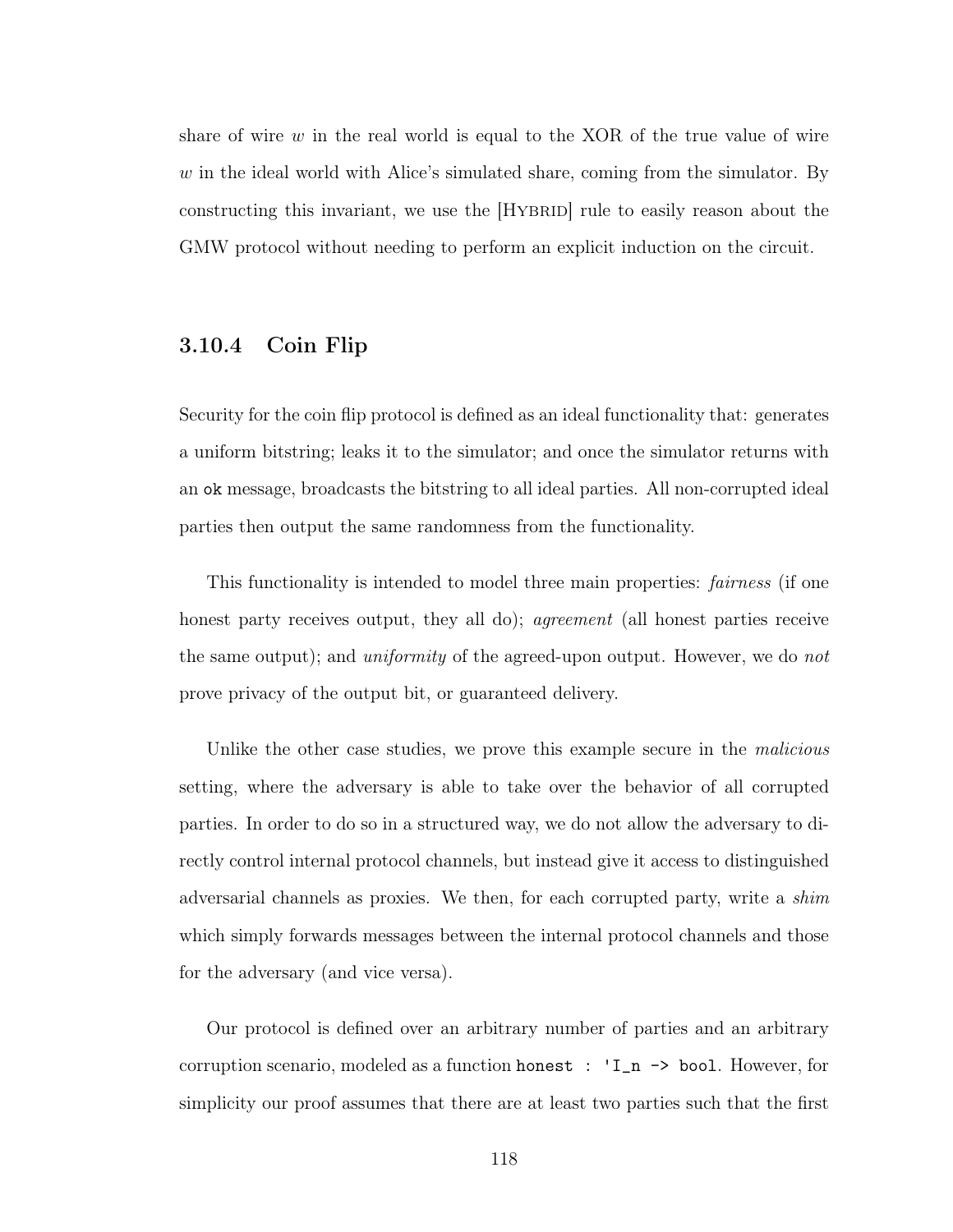share of wire  $w$  in the real world is equal to the XOR of the true value of wire  $w$  in the ideal world with Alice's simulated share, coming from the simulator. By constructing this invariant, we use the [HYBRID] rule to easily reason about the GMW protocol without needing to perform an explicit induction on the circuit.

# 3.10.4 Coin Flip

Security for the coin flip protocol is defined as an ideal functionality that: generates a uniform bitstring; leaks it to the simulator; and once the simulator returns with an ok message, broadcasts the bitstring to all ideal parties. All non-corrupted ideal parties then output the same randomness from the functionality.

This functionality is intended to model three main properties: *fairness* (if one honest party receives output, they all do); *agreement* (all honest parties receive the same output); and *uniformity* of the agreed-upon output. However, we do not prove privacy of the output bit, or guaranteed delivery.

Unlike the other case studies, we prove this example secure in the *malicious* setting, where the adversary is able to take over the behavior of all corrupted parties. In order to do so in a structured way, we do not allow the adversary to directly control internal protocol channels, but instead give it access to distinguished adversarial channels as proxies. We then, for each corrupted party, write a shim which simply forwards messages between the internal protocol channels and those for the adversary (and vice versa).

Our protocol is defined over an arbitrary number of parties and an arbitrary corruption scenario, modeled as a function honest : 'I\_n -> bool. However, for simplicity our proof assumes that there are at least two parties such that the first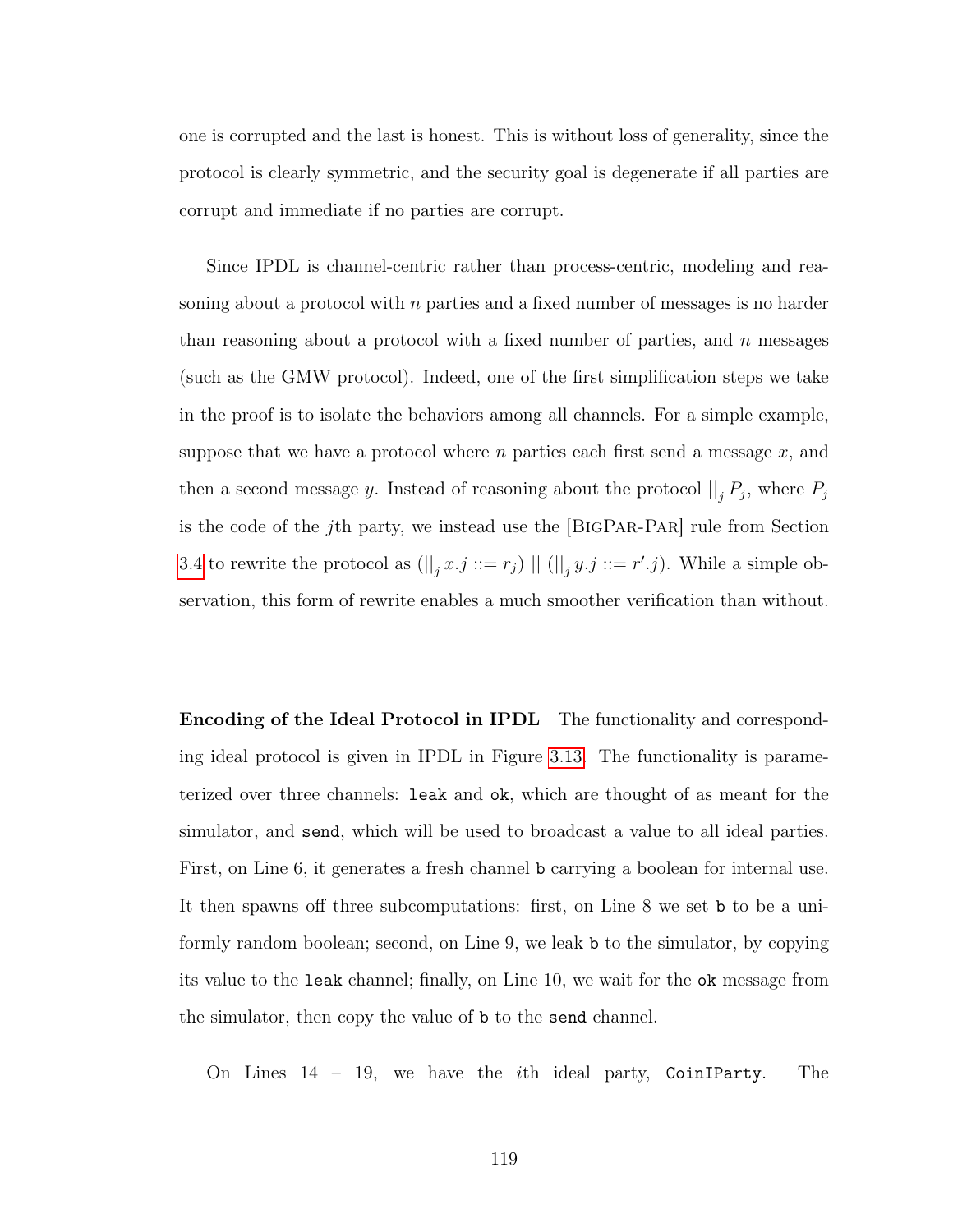one is corrupted and the last is honest. This is without loss of generality, since the protocol is clearly symmetric, and the security goal is degenerate if all parties are corrupt and immediate if no parties are corrupt.

Since IPDL is channel-centric rather than process-centric, modeling and reasoning about a protocol with n parties and a fixed number of messages is no harder than reasoning about a protocol with a fixed number of parties, and  $n$  messages (such as the GMW protocol). Indeed, one of the first simplification steps we take in the proof is to isolate the behaviors among all channels. For a simple example, suppose that we have a protocol where  $n$  parties each first send a message  $x$ , and then a second message y. Instead of reasoning about the protocol  $||_j P_j$ , where  $P_j$ is the code of the jth party, we instead use the [BigPar-Par] rule from Section [3.4](#page-98-0) to rewrite the protocol as  $(||_j x.j ::= r_j) || (||_j y.j ::= r'.j)$ . While a simple observation, this form of rewrite enables a much smoother verification than without.

Encoding of the Ideal Protocol in IPDL The functionality and corresponding ideal protocol is given in IPDL in Figure [3.13.](#page-133-1) The functionality is parameterized over three channels: leak and ok, which are thought of as meant for the simulator, and send, which will be used to broadcast a value to all ideal parties. First, on Line 6, it generates a fresh channel b carrying a boolean for internal use. It then spawns off three subcomputations: first, on Line 8 we set b to be a uniformly random boolean; second, on Line 9, we leak b to the simulator, by copying its value to the leak channel; finally, on Line 10, we wait for the ok message from the simulator, then copy the value of b to the send channel.

On Lines 14 – 19, we have the ith ideal party, CoinIParty. The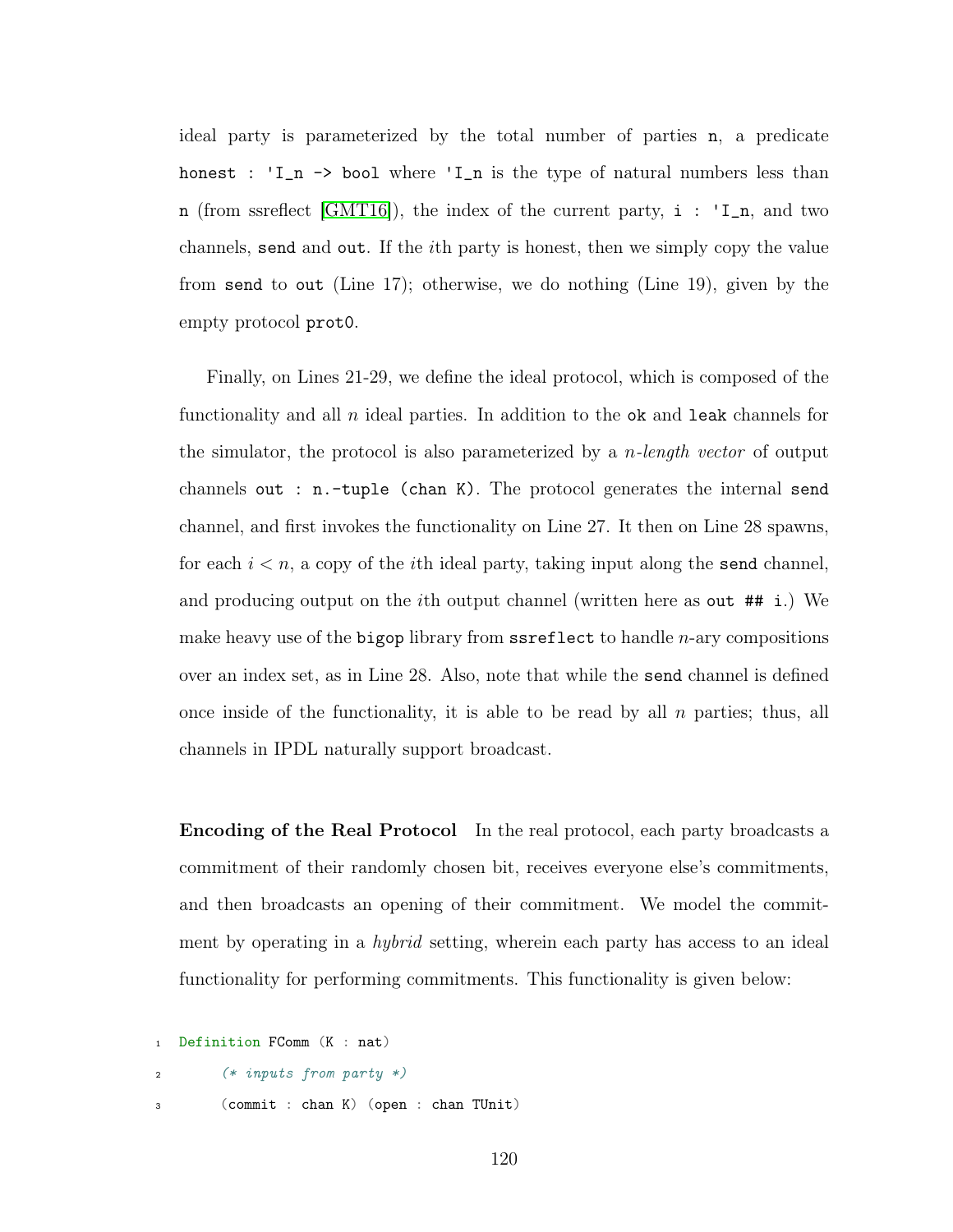ideal party is parameterized by the total number of parties n, a predicate honest : 'I\_n -> bool where 'I\_n is the type of natural numbers less than n (from ssreflect [\[GMT16\]](#page-144-1)), the index of the current party,  $i : 'I_n$ , and two channels, send and out. If the ith party is honest, then we simply copy the value from send to out (Line 17); otherwise, we do nothing (Line 19), given by the empty protocol prot0.

Finally, on Lines 21-29, we define the ideal protocol, which is composed of the functionality and all  $n$  ideal parties. In addition to the ok and leak channels for the simulator, the protocol is also parameterized by a *n*-length vector of output channels out : n.-tuple (chan K). The protocol generates the internal send channel, and first invokes the functionality on Line 27. It then on Line 28 spawns, for each  $i < n$ , a copy of the *i*th ideal party, taking input along the send channel, and producing output on the ith output channel (written here as out ## i.) We make heavy use of the bigop library from  $s$  sreflect to handle *n*-ary compositions over an index set, as in Line 28. Also, note that while the send channel is defined once inside of the functionality, it is able to be read by all  $n$  parties; thus, all channels in IPDL naturally support broadcast.

Encoding of the Real Protocol In the real protocol, each party broadcasts a commitment of their randomly chosen bit, receives everyone else's commitments, and then broadcasts an opening of their commitment. We model the commitment by operating in a hybrid setting, wherein each party has access to an ideal functionality for performing commitments. This functionality is given below:

```
Definition FComm (K : nat)
2 (* inputs from party *)
3 (commit : chan K) (open : chan TUnit)
```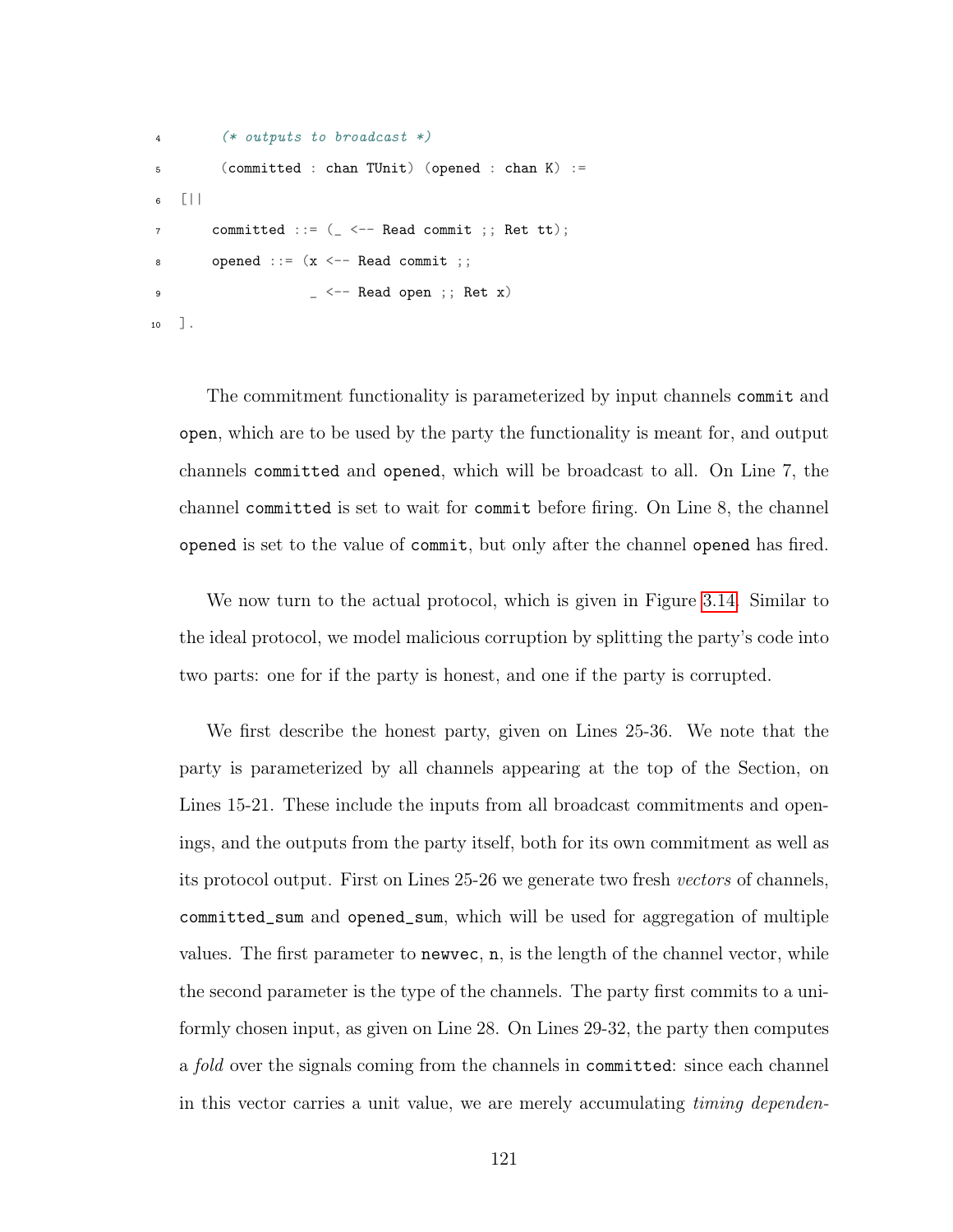```
4 (* outputs to broadcast *)
5 (committed : chan TUnit) (opened : chan K) :=
6 [||
7 committed ::= ( <-- Read commit ;; Ret tt);
\text{8} opened ::= (x \leq - Read commit ;;
9 - <- Read open ;; Ret x)
10 ].
```
The commitment functionality is parameterized by input channels commit and open, which are to be used by the party the functionality is meant for, and output channels committed and opened, which will be broadcast to all. On Line 7, the channel committed is set to wait for commit before firing. On Line 8, the channel opened is set to the value of commit, but only after the channel opened has fired.

We now turn to the actual protocol, which is given in Figure [3.14.](#page-134-0) Similar to the ideal protocol, we model malicious corruption by splitting the party's code into two parts: one for if the party is honest, and one if the party is corrupted.

We first describe the honest party, given on Lines 25-36. We note that the party is parameterized by all channels appearing at the top of the Section, on Lines 15-21. These include the inputs from all broadcast commitments and openings, and the outputs from the party itself, both for its own commitment as well as its protocol output. First on Lines 25-26 we generate two fresh vectors of channels, committed\_sum and opened\_sum, which will be used for aggregation of multiple values. The first parameter to newvec, n, is the length of the channel vector, while the second parameter is the type of the channels. The party first commits to a uniformly chosen input, as given on Line 28. On Lines 29-32, the party then computes a fold over the signals coming from the channels in committed: since each channel in this vector carries a unit value, we are merely accumulating timing dependen-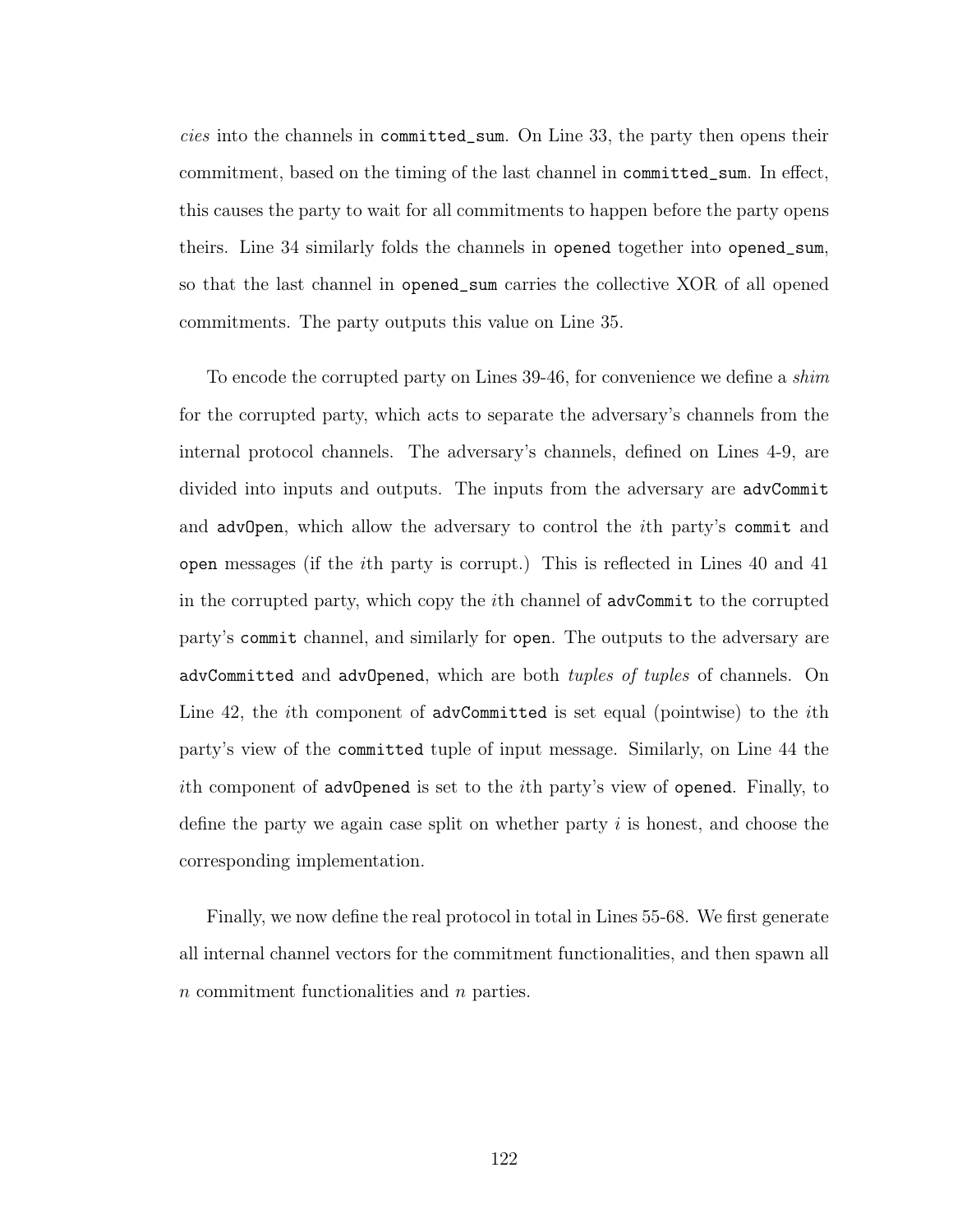cies into the channels in committed\_sum. On Line 33, the party then opens their commitment, based on the timing of the last channel in committed\_sum. In effect, this causes the party to wait for all commitments to happen before the party opens theirs. Line 34 similarly folds the channels in opened together into opened\_sum, so that the last channel in opened\_sum carries the collective XOR of all opened commitments. The party outputs this value on Line 35.

To encode the corrupted party on Lines 39-46, for convenience we define a shim for the corrupted party, which acts to separate the adversary's channels from the internal protocol channels. The adversary's channels, defined on Lines 4-9, are divided into inputs and outputs. The inputs from the adversary are advCommit and advOpen, which allow the adversary to control the *i*th party's commit and open messages (if the ith party is corrupt.) This is reflected in Lines 40 and 41 in the corrupted party, which copy the ith channel of advCommit to the corrupted party's commit channel, and similarly for open. The outputs to the adversary are advCommitted and advOpened, which are both tuples of tuples of channels. On Line 42, the *i*th component of advCommitted is set equal (pointwise) to the *i*th party's view of the committed tuple of input message. Similarly, on Line 44 the ith component of advOpened is set to the ith party's view of opened. Finally, to define the party we again case split on whether party  $i$  is honest, and choose the corresponding implementation.

Finally, we now define the real protocol in total in Lines 55-68. We first generate all internal channel vectors for the commitment functionalities, and then spawn all n commitment functionalities and n parties.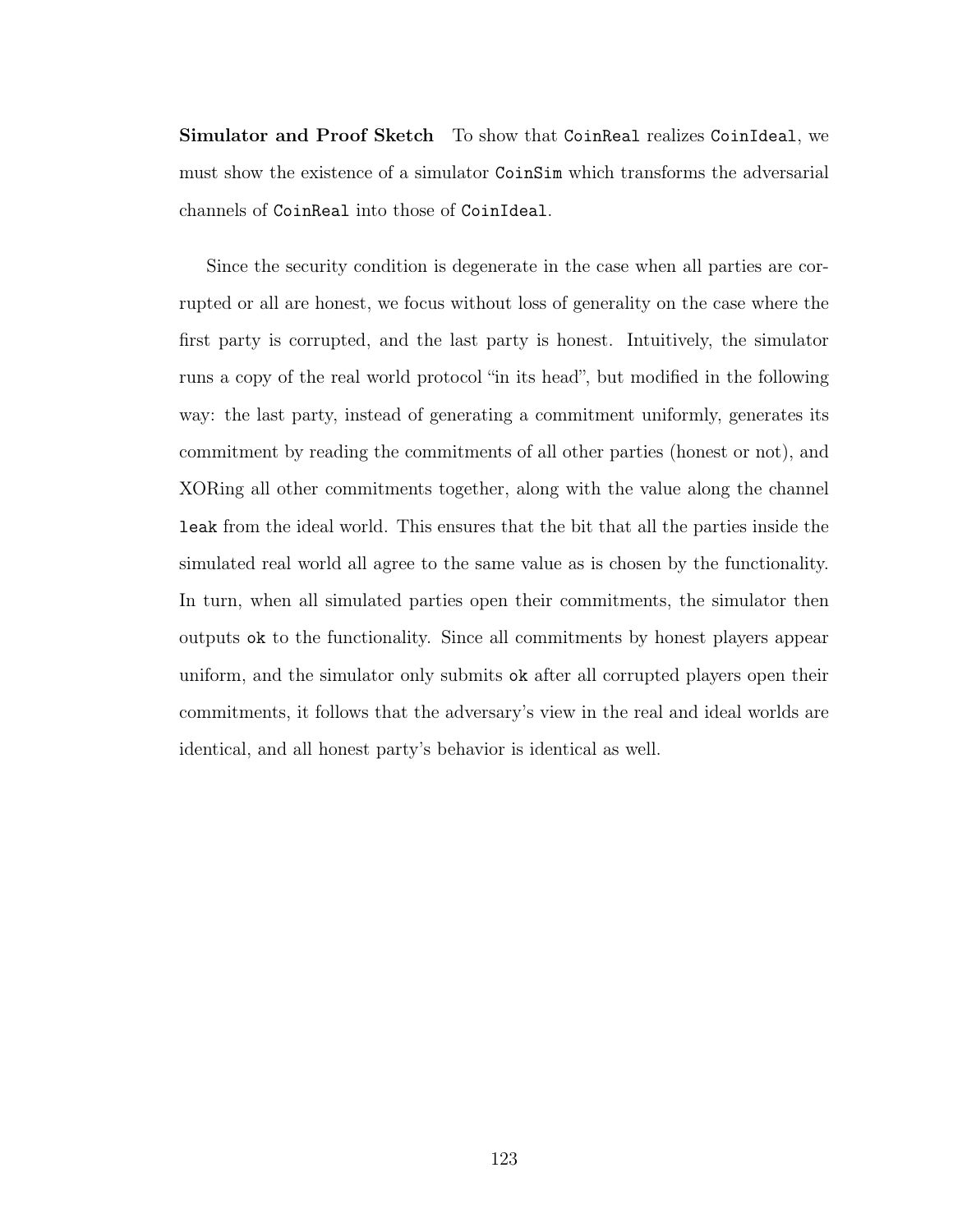Simulator and Proof Sketch To show that CoinReal realizes CoinIdeal, we must show the existence of a simulator CoinSim which transforms the adversarial channels of CoinReal into those of CoinIdeal.

Since the security condition is degenerate in the case when all parties are corrupted or all are honest, we focus without loss of generality on the case where the first party is corrupted, and the last party is honest. Intuitively, the simulator runs a copy of the real world protocol "in its head", but modified in the following way: the last party, instead of generating a commitment uniformly, generates its commitment by reading the commitments of all other parties (honest or not), and XORing all other commitments together, along with the value along the channel leak from the ideal world. This ensures that the bit that all the parties inside the simulated real world all agree to the same value as is chosen by the functionality. In turn, when all simulated parties open their commitments, the simulator then outputs ok to the functionality. Since all commitments by honest players appear uniform, and the simulator only submits ok after all corrupted players open their commitments, it follows that the adversary's view in the real and ideal worlds are identical, and all honest party's behavior is identical as well.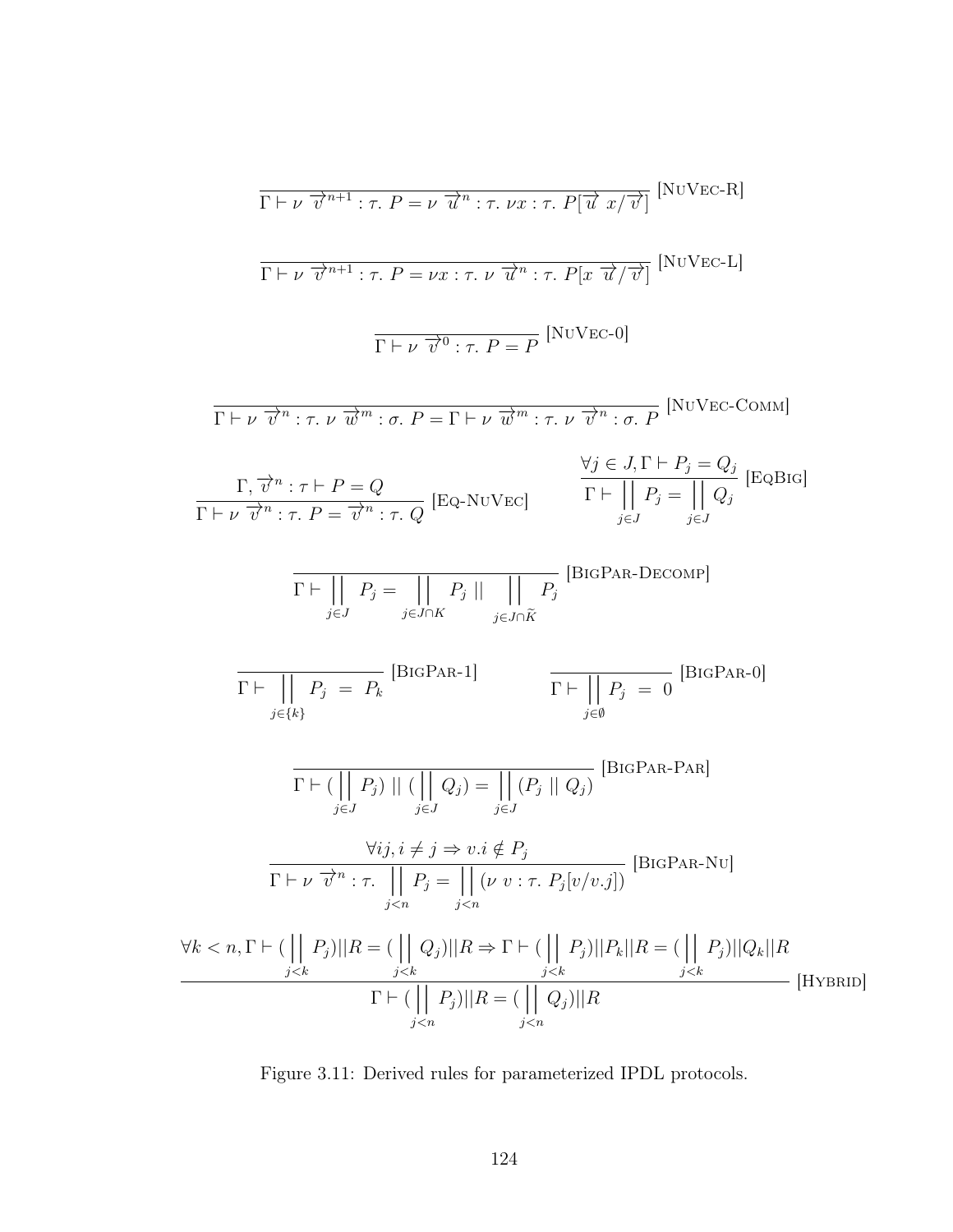$$
\frac{\Gamma \vdash \nu \ \overrightarrow{v}^{n+1} : \tau. \ P = \nu \ \overrightarrow{u}^{n} : \tau. \ \nu x : \tau. \ P[\overrightarrow{u} \ x/\overrightarrow{v}] \ [N\text{U} \text{VEC-R}]
$$
\n
$$
\frac{\Gamma \vdash \nu \ \overrightarrow{v}^{n+1} : \tau. \ P = \nu x : \tau. \ \nu \ \overrightarrow{u}^{n} : \tau. \ P[x \ \overrightarrow{u}/\overrightarrow{v}] \ [N\text{U} \text{VEC-L}]}
$$
\n
$$
\frac{\Gamma \vdash \nu \ \overrightarrow{v}^{n} : \tau. \ \nu \ \overrightarrow{w}^{n} : \sigma. \ P = \Gamma \vdash \nu \ \overrightarrow{w}^{m} : \tau. \ \nu \ \overrightarrow{v}^{n} : \sigma. \ P \ [N\text{U} \text{VEC-COMM}]}
$$
\n
$$
\frac{\Gamma, \overrightarrow{v}^{n} : \tau \vdash P = Q}{\Gamma \vdash \nu \ \overrightarrow{v}^{n} : \tau. \ P = \overrightarrow{v}^{n} : \tau. \ Q} \ [EQ\text{-NU} \text{EC}] \qquad \frac{\forall j \in J, \Gamma \vdash P_{j} = Q_{j}}{\Gamma \vdash || P_{j} = || Q_{j} \ [EQR \text{Id}]}
$$
\n
$$
\frac{\Gamma \vdash || P_{j} = || P_{j} = || P_{j} || P_{j} = || Q_{j} \ [EQR \text{KL}]}{\Gamma \vdash || P_{j} = \tau. \ P_{j} = \tau. \ P_{j} \ [EQ \text{KL}]} \ \frac{\Gamma \vdash || P_{j} = || P_{j} = || Q_{j} \ [EQ \text{KL}]}{\Gamma \vdash || P_{j} = \tau. \ P_{j} = \tau. \ P_{j} = \tau. \ P_{j} = \tau. \ P_{j} = \tau. \ P_{j} = \tau. \ P_{j} = \tau. \ P_{j} = \tau. \ P_{j} = \tau. \ P_{j} = \tau. \ P_{j} = \tau. \ P_{j} = \tau. \ P_{j} = \tau. \ P_{j} = \tau. \ P_{j} = \tau. \ P_{j} = \tau. \ P_{j} = \tau. \ P_{j} = \tau. \ P_{j} = \tau. \ P_{j} = \tau. \ P_{j} = \tau. \ P_{j} = \tau. \ P_{j} = \tau
$$

Figure 3.11: Derived rules for parameterized IPDL protocols.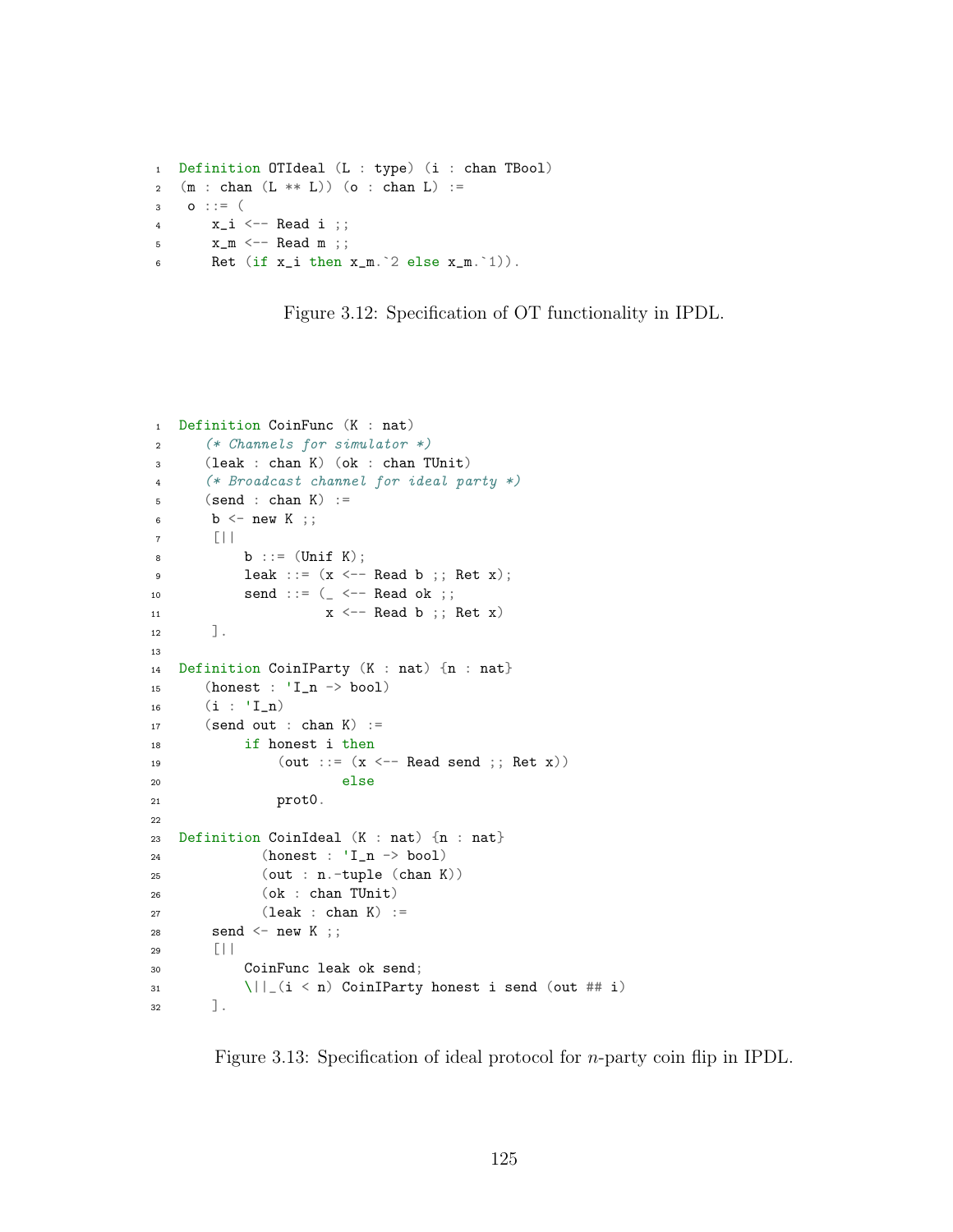```
1 Definition OTIdeal (L : type) (i : chan TBool)
2 (m : chan (L ** L) (o : chan L) :=3 O ::= (4 x_i \leq - Read i ;;
5 \times_m \leftarrow Read m;;
6 Ret (if x_i then x_m.^2 else x_m.^1)).
```
Figure 3.12: Specification of OT functionality in IPDL.

```
1 Definition CoinFunc (K : nat)
2 (* Channels for simulator *)
3 (leak : chan K) (ok : chan TUnit)
4 (* Broadcast channel for ideal party *)
5 (send : chan K) :=6 b \leftarrow new K ;;
7 [||
8 b ::= (Unif K);9 1eak ::= (x \leftarrow -Read b ;; Ret x);
10 send ::= ( \langle \sim - Read ok ;;
11 x \leftarrow Read b ;; Ret x)
12 ].
13
14 Definition CoinIParty (K : nat) {n : nat}
15 (honest : 'I_n -> bool)
16 (i : 'I_n)17 (send out : chan K) :=
18 if honest i then
19 (out ::= (x \leq - Read send ;; Ret x))
20 else
21 prot0.
22
23 Definition CoinIdeal (K : nat) {n : nat}
24 (honest : 'I_n -> bool)
25 (out : n.-tuple (chan K))
26 (ok : chan TUnit)
27 (leak : chan K) :=
28 send \leq new K ; ;
29 [||
30 CoinFunc leak ok send;
31 \|\cdot\|_2 (i < n) CoinIParty honest i send (out ## i)
32 \quad \boxed{\phantom{1}}.
```
Figure 3.13: Specification of ideal protocol for n-party coin flip in IPDL.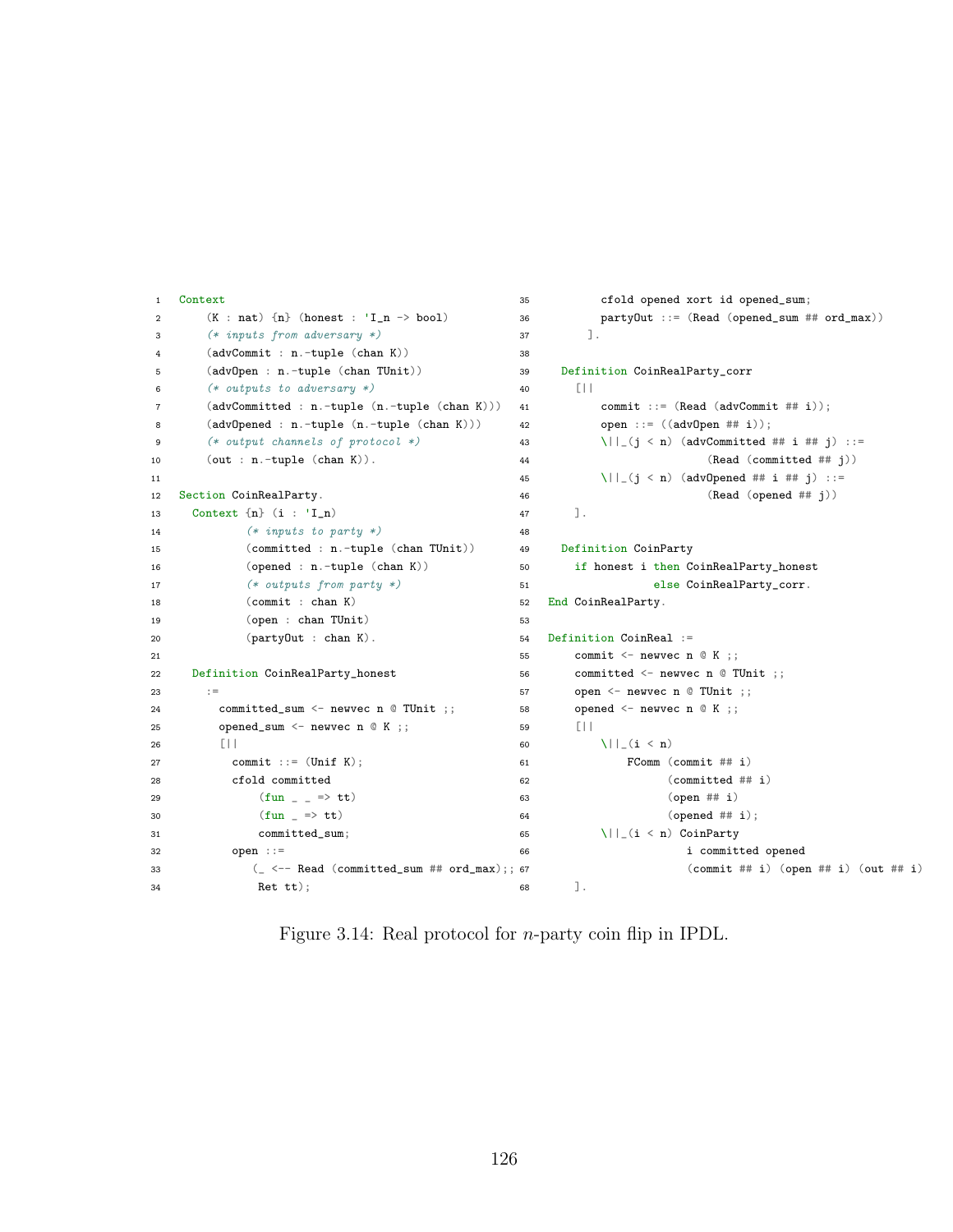```
1 Context
2 (K : nat) \{n\} (honest : 'I_n -> bool)
3 (* inputs from adversary *)
4 (advCommit : n.-tuple (chan K))
5 (advOpen : n.-tuple (chan TUnit))
6 (* outputs to adversary *)
7 (advCommitted : n.-tuple (n.-tuple (chan K)))
8 (advOpened : n.-tuple (n.-tuple (chan K)))
9 (* output channels of protocol *)
10 (out : n.-tuple (chan K)).
11
12 Section CoinRealParty.
13 Context {n} (i : 'I_n)
14 (* inputs to party *)
15 (committed : n.-tuple (chan TUnit))
16 (opened : n.-tuple (chan K))
17 (* outputs from party *)
18 (commit : chan K)
19 (open : chan TUnit)
20 (partyOut : chan K).
21
22 Definition CoinRealParty_honest
23 :=
24 committed_sum <- newvec n @ TUnit ;;
25 opened_sum <- newvec n @ K ;;
26 [||
27 commit ::= (Unif K);
28 cfold committed
29 (fun _{-} => tt)
30 (fun = > tt)31 committed_sum;
32 open ::=
33 (- \leftarrow \text{Read ( committed\_sum # ord\_max)};; 67
34 Ret tt);
                                           35 cfold opened xort id opened_sum;
                                           36 partyOut ::= (Read (opened_sum ## ord_max))
                                           37 ].
                                           38
                                           39 Definition CoinRealParty_corr
                                           40 [||
                                           41 commit ::= (Read (advCommit # i));42 open ::= ((advOpen #i));43 \|\cdot\|_{(j} < n) (advCommitted ## i ## j) ::=
                                            44 (Read (committed ## j))
                                            45 \||_(j < n) (advOpened ## i ## j) ::=
                                            46 (Read (opened ## j))
                                           47 ] .
                                           48
                                           49 Definition CoinParty
                                           50 if honest i then CoinRealParty_honest
                                           51 else CoinRealParty_corr.
                                           52 End CoinRealParty.
                                           53
                                           54 Definition CoinReal :=
                                           55 commit \leq newvec n \mathbb{Q} K ;;
                                           56 committed <- newvec n @ TUnit ;;
                                           57 open <- newvec n @ TUnit ;;
                                           58 opened \leq newvec n @ K ;;
                                           59 [||
                                           60 \|\cdot\|_{(i < n)}61 FComm (commit ## i)
                                           62 (committed ## i)
                                           63 (open ## i)
                                           64 (opened ## i);
                                           65 \|\cdot\|_-(i \le n) CoinParty
                                           66 i committed opened
                                                               (commit ## i) (open ## i) (out ## i)68 ].
```
Figure 3.14: Real protocol for *n*-party coin flip in IPDL.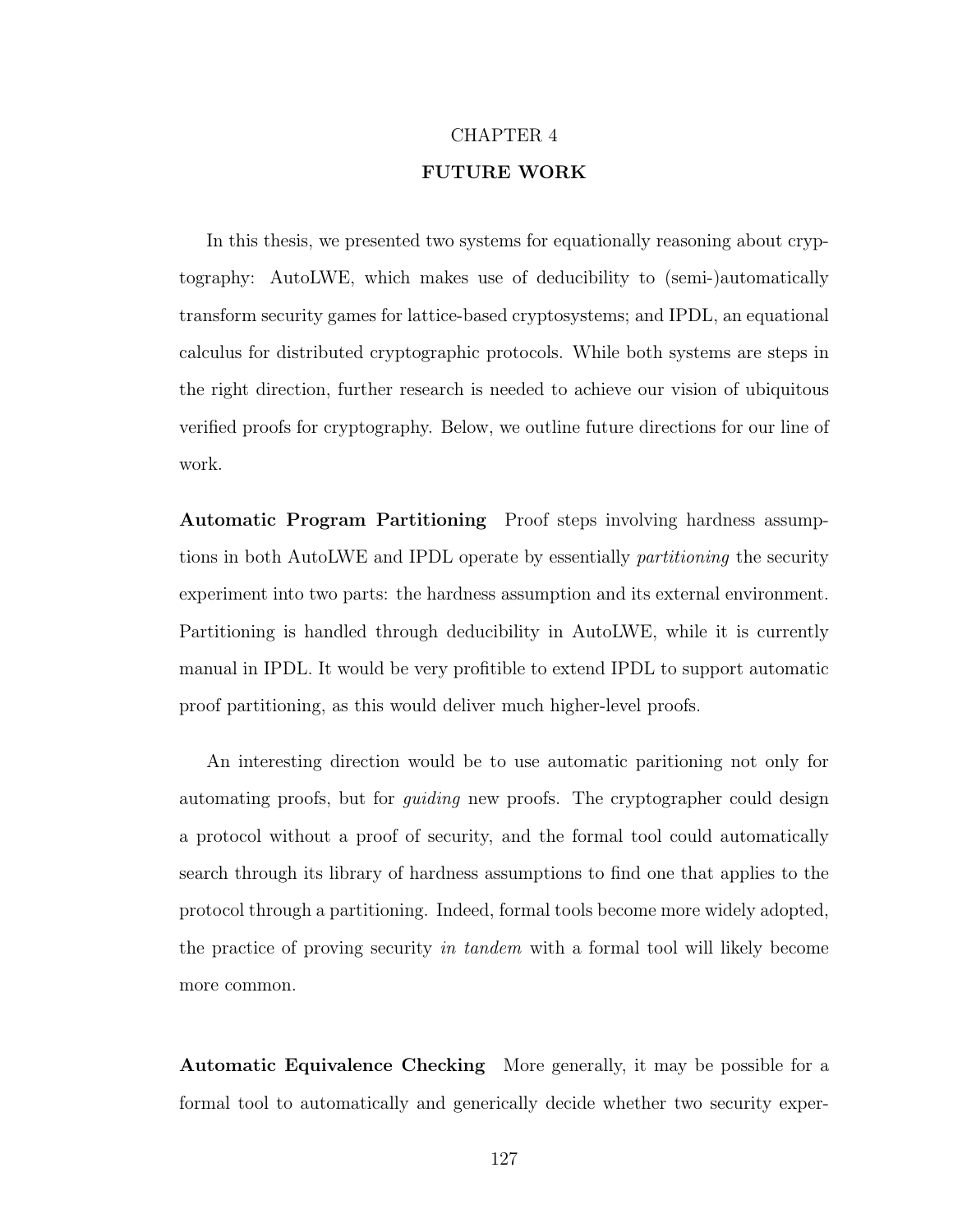# CHAPTER 4 FUTURE WORK

In this thesis, we presented two systems for equationally reasoning about cryptography: AutoLWE, which makes use of deducibility to (semi-)automatically transform security games for lattice-based cryptosystems; and IPDL, an equational calculus for distributed cryptographic protocols. While both systems are steps in the right direction, further research is needed to achieve our vision of ubiquitous verified proofs for cryptography. Below, we outline future directions for our line of work.

Automatic Program Partitioning Proof steps involving hardness assumptions in both AutoLWE and IPDL operate by essentially partitioning the security experiment into two parts: the hardness assumption and its external environment. Partitioning is handled through deducibility in AutoLWE, while it is currently manual in IPDL. It would be very profitible to extend IPDL to support automatic proof partitioning, as this would deliver much higher-level proofs.

An interesting direction would be to use automatic paritioning not only for automating proofs, but for guiding new proofs. The cryptographer could design a protocol without a proof of security, and the formal tool could automatically search through its library of hardness assumptions to find one that applies to the protocol through a partitioning. Indeed, formal tools become more widely adopted, the practice of proving security in tandem with a formal tool will likely become more common.

Automatic Equivalence Checking More generally, it may be possible for a formal tool to automatically and generically decide whether two security exper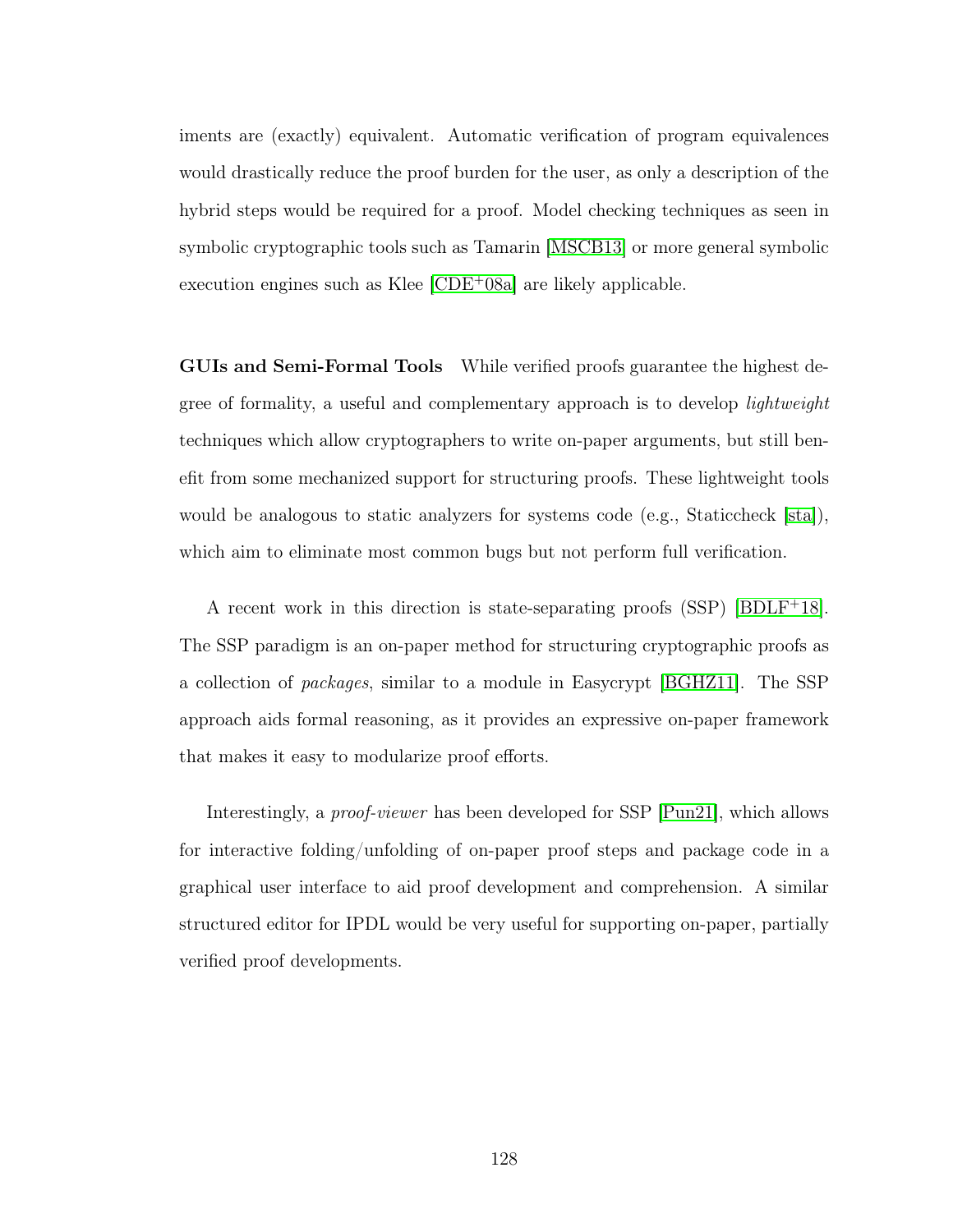iments are (exactly) equivalent. Automatic verification of program equivalences would drastically reduce the proof burden for the user, as only a description of the hybrid steps would be required for a proof. Model checking techniques as seen in symbolic cryptographic tools such as Tamarin [\[MSCB13\]](#page-146-2) or more general symbolic execution engines such as Klee [\[CDE](#page-141-2)<sup>+</sup>08a] are likely applicable.

GUIs and Semi-Formal Tools While verified proofs guarantee the highest degree of formality, a useful and complementary approach is to develop lightweight techniques which allow cryptographers to write on-paper arguments, but still benefit from some mechanized support for structuring proofs. These lightweight tools would be analogous to static analyzers for systems code (e.g., Staticcheck  $|sta|$ ), which aim to eliminate most common bugs but not perform full verification.

A recent work in this direction is state-separating proofs  $(SSP)$  [\[BDLF](#page-139-1)<sup>+</sup>18]. The SSP paradigm is an on-paper method for structuring cryptographic proofs as a collection of packages, similar to a module in Easycrypt [\[BGHZ11\]](#page-139-0). The SSP approach aids formal reasoning, as it provides an expressive on-paper framework that makes it easy to modularize proof efforts.

Interestingly, a proof-viewer has been developed for SSP [\[Pun21\]](#page-148-0), which allows for interactive folding/unfolding of on-paper proof steps and package code in a graphical user interface to aid proof development and comprehension. A similar structured editor for IPDL would be very useful for supporting on-paper, partially verified proof developments.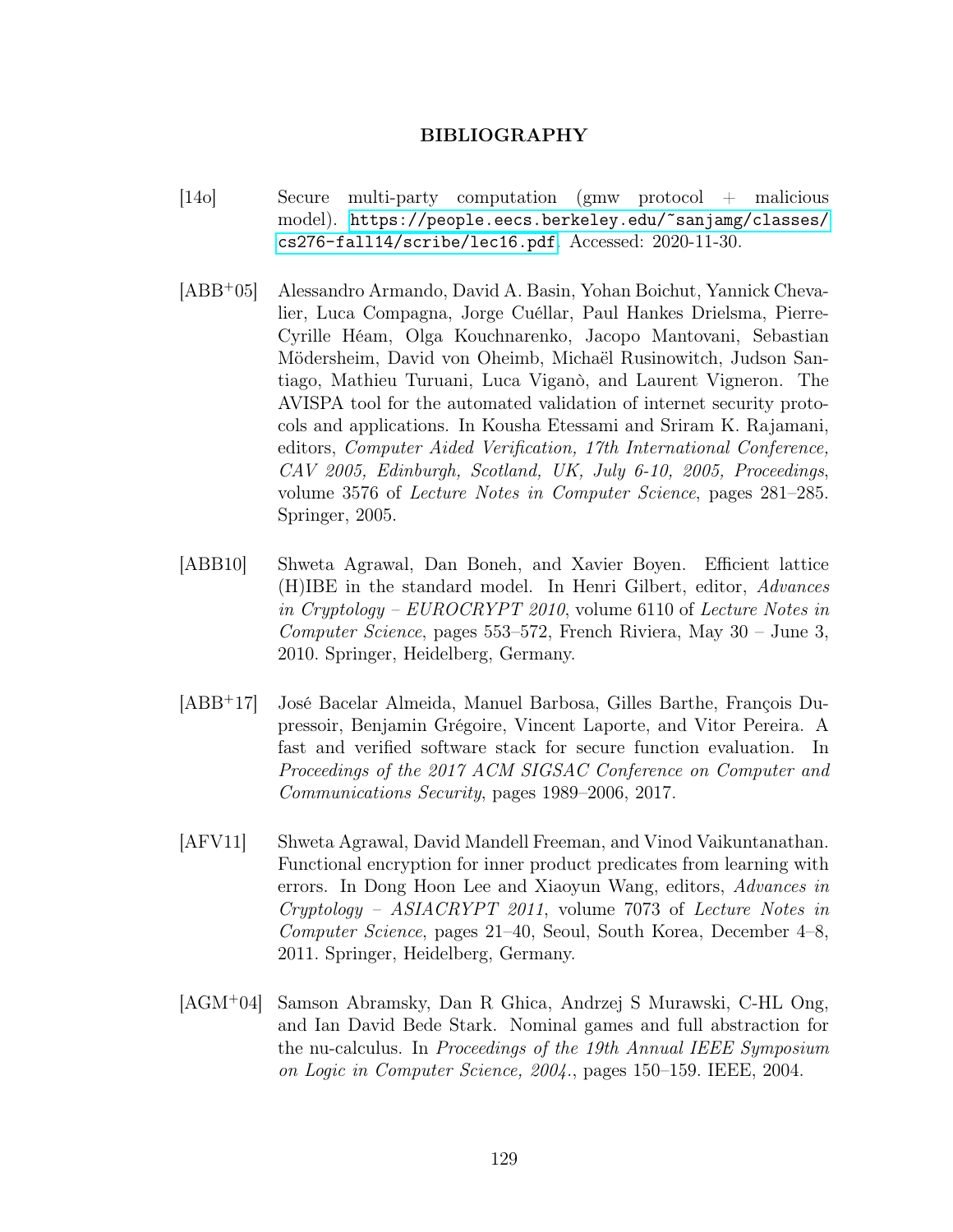#### BIBLIOGRAPHY

- [14o] Secure multi-party computation (gmw protocol + malicious model). [https://people.eecs.berkeley.edu/~sanjamg/classes/](https://people.eecs.berkeley.edu/~sanjamg/classes/cs276-fall14/scribe/lec16.pdf) [cs276-fall14/scribe/lec16.pdf](https://people.eecs.berkeley.edu/~sanjamg/classes/cs276-fall14/scribe/lec16.pdf). Accessed: 2020-11-30.
- [ABB<sup>+</sup>05] Alessandro Armando, David A. Basin, Yohan Boichut, Yannick Chevalier, Luca Compagna, Jorge Cuéllar, Paul Hankes Drielsma, Pierre-Cyrille Héam, Olga Kouchnarenko, Jacopo Mantovani, Sebastian Mödersheim, David von Oheimb, Michaël Rusinowitch, Judson Santiago, Mathieu Turuani, Luca Viganò, and Laurent Vigneron. The AVISPA tool for the automated validation of internet security protocols and applications. In Kousha Etessami and Sriram K. Rajamani, editors, Computer Aided Verification, 17th International Conference, CAV 2005, Edinburgh, Scotland, UK, July 6-10, 2005, Proceedings, volume 3576 of Lecture Notes in Computer Science, pages 281–285. Springer, 2005.
- [ABB10] Shweta Agrawal, Dan Boneh, and Xavier Boyen. Efficient lattice (H)IBE in the standard model. In Henri Gilbert, editor, Advances in Cryptology – EUROCRYPT 2010, volume 6110 of Lecture Notes in Computer Science, pages 553–572, French Riviera, May 30 – June 3, 2010. Springer, Heidelberg, Germany.
- [ABB<sup>+</sup>17] José Bacelar Almeida, Manuel Barbosa, Gilles Barthe, François Dupressoir, Benjamin Grégoire, Vincent Laporte, and Vitor Pereira. A fast and verified software stack for secure function evaluation. In Proceedings of the 2017 ACM SIGSAC Conference on Computer and Communications Security, pages 1989–2006, 2017.
- [AFV11] Shweta Agrawal, David Mandell Freeman, and Vinod Vaikuntanathan. Functional encryption for inner product predicates from learning with errors. In Dong Hoon Lee and Xiaoyun Wang, editors, Advances in Cryptology – ASIACRYPT 2011, volume 7073 of Lecture Notes in Computer Science, pages 21–40, Seoul, South Korea, December 4–8, 2011. Springer, Heidelberg, Germany.
- [AGM<sup>+</sup>04] Samson Abramsky, Dan R Ghica, Andrzej S Murawski, C-HL Ong, and Ian David Bede Stark. Nominal games and full abstraction for the nu-calculus. In Proceedings of the 19th Annual IEEE Symposium on Logic in Computer Science, 2004., pages 150–159. IEEE, 2004.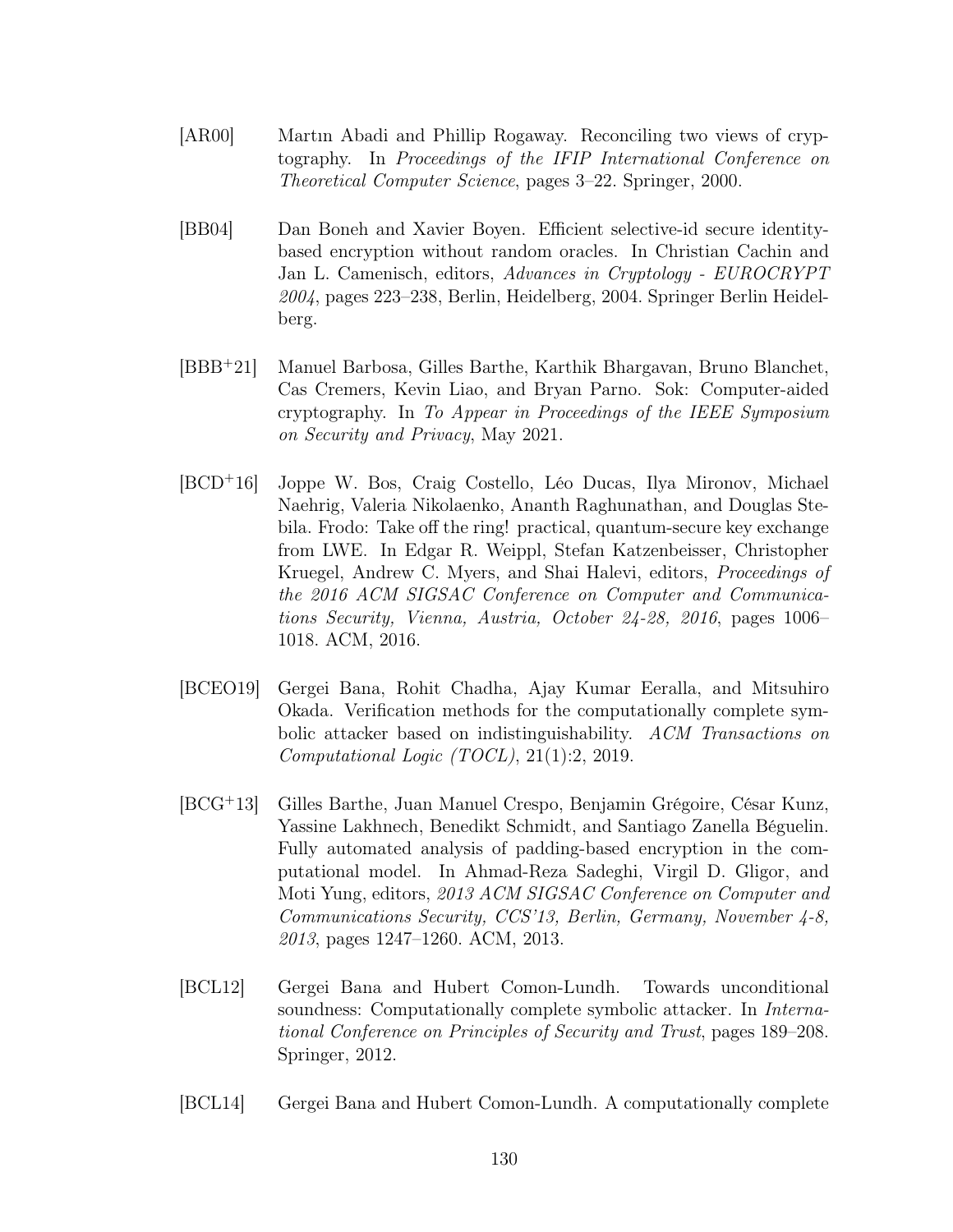- [AR00] Martın Abadi and Phillip Rogaway. Reconciling two views of cryptography. In Proceedings of the IFIP International Conference on Theoretical Computer Science, pages 3–22. Springer, 2000.
- [BB04] Dan Boneh and Xavier Boyen. Efficient selective-id secure identitybased encryption without random oracles. In Christian Cachin and Jan L. Camenisch, editors, Advances in Cryptology - EUROCRYPT 2004, pages 223–238, Berlin, Heidelberg, 2004. Springer Berlin Heidelberg.
- [BBB<sup>+</sup>21] Manuel Barbosa, Gilles Barthe, Karthik Bhargavan, Bruno Blanchet, Cas Cremers, Kevin Liao, and Bryan Parno. Sok: Computer-aided cryptography. In To Appear in Proceedings of the IEEE Symposium on Security and Privacy, May 2021.
- [BCD<sup>+</sup>16] Joppe W. Bos, Craig Costello, Léo Ducas, Ilya Mironov, Michael Naehrig, Valeria Nikolaenko, Ananth Raghunathan, and Douglas Stebila. Frodo: Take off the ring! practical, quantum-secure key exchange from LWE. In Edgar R. Weippl, Stefan Katzenbeisser, Christopher Kruegel, Andrew C. Myers, and Shai Halevi, editors, Proceedings of the 2016 ACM SIGSAC Conference on Computer and Communications Security, Vienna, Austria, October 24-28, 2016, pages 1006– 1018. ACM, 2016.
- <span id="page-138-2"></span>[BCEO19] Gergei Bana, Rohit Chadha, Ajay Kumar Eeralla, and Mitsuhiro Okada. Verification methods for the computationally complete symbolic attacker based on indistinguishability. ACM Transactions on Computational Logic (TOCL), 21(1):2, 2019.
- [BCG<sup>+</sup>13] Gilles Barthe, Juan Manuel Crespo, Benjamin Grégoire, César Kunz, Yassine Lakhnech, Benedikt Schmidt, and Santiago Zanella Béguelin. Fully automated analysis of padding-based encryption in the computational model. In Ahmad-Reza Sadeghi, Virgil D. Gligor, and Moti Yung, editors, 2013 ACM SIGSAC Conference on Computer and Communications Security, CCS'13, Berlin, Germany, November 4-8, 2013, pages 1247–1260. ACM, 2013.
- <span id="page-138-0"></span>[BCL12] Gergei Bana and Hubert Comon-Lundh. Towards unconditional soundness: Computationally complete symbolic attacker. In International Conference on Principles of Security and Trust, pages 189–208. Springer, 2012.
- <span id="page-138-1"></span>[BCL14] Gergei Bana and Hubert Comon-Lundh. A computationally complete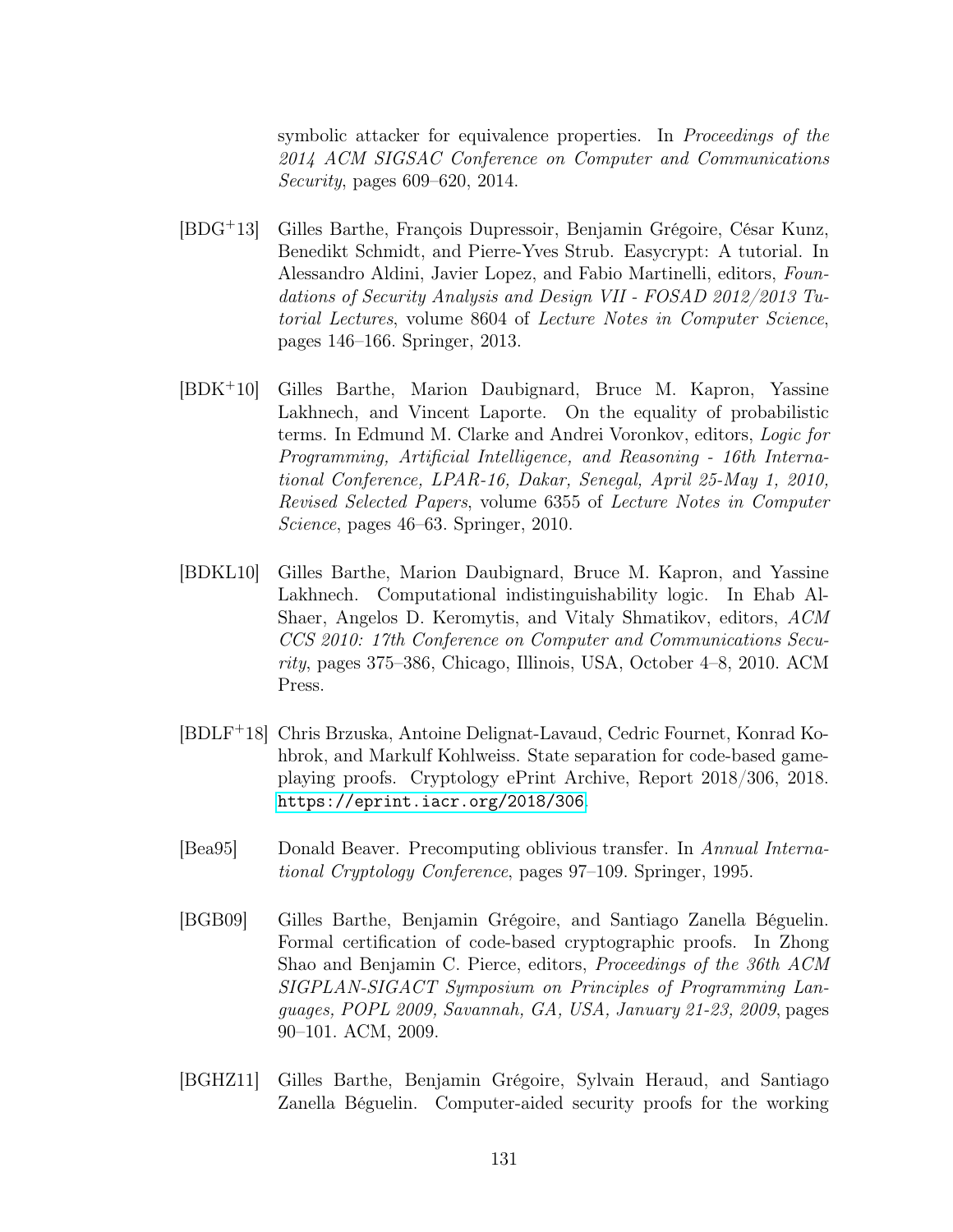symbolic attacker for equivalence properties. In Proceedings of the 2014 ACM SIGSAC Conference on Computer and Communications Security, pages 609–620, 2014.

- [BDG<sup>+</sup>13] Gilles Barthe, François Dupressoir, Benjamin Grégoire, César Kunz, Benedikt Schmidt, and Pierre-Yves Strub. Easycrypt: A tutorial. In Alessandro Aldini, Javier Lopez, and Fabio Martinelli, editors, Foundations of Security Analysis and Design VII - FOSAD 2012/2013 Tutorial Lectures, volume 8604 of Lecture Notes in Computer Science, pages 146–166. Springer, 2013.
- [BDK<sup>+</sup>10] Gilles Barthe, Marion Daubignard, Bruce M. Kapron, Yassine Lakhnech, and Vincent Laporte. On the equality of probabilistic terms. In Edmund M. Clarke and Andrei Voronkov, editors, Logic for Programming, Artificial Intelligence, and Reasoning - 16th International Conference, LPAR-16, Dakar, Senegal, April 25-May 1, 2010, Revised Selected Papers, volume 6355 of Lecture Notes in Computer Science, pages 46–63. Springer, 2010.
- [BDKL10] Gilles Barthe, Marion Daubignard, Bruce M. Kapron, and Yassine Lakhnech. Computational indistinguishability logic. In Ehab Al-Shaer, Angelos D. Keromytis, and Vitaly Shmatikov, editors, ACM CCS 2010: 17th Conference on Computer and Communications Security, pages 375–386, Chicago, Illinois, USA, October 4–8, 2010. ACM Press.
- <span id="page-139-1"></span>[BDLF<sup>+</sup>18] Chris Brzuska, Antoine Delignat-Lavaud, Cedric Fournet, Konrad Kohbrok, and Markulf Kohlweiss. State separation for code-based gameplaying proofs. Cryptology ePrint Archive, Report 2018/306, 2018. <https://eprint.iacr.org/2018/306>.
- [Bea95] Donald Beaver. Precomputing oblivious transfer. In Annual International Cryptology Conference, pages 97–109. Springer, 1995.
- [BGB09] Gilles Barthe, Benjamin Grégoire, and Santiago Zanella Béguelin. Formal certification of code-based cryptographic proofs. In Zhong Shao and Benjamin C. Pierce, editors, Proceedings of the 36th ACM SIGPLAN-SIGACT Symposium on Principles of Programming Languages, POPL 2009, Savannah, GA, USA, January 21-23, 2009, pages 90–101. ACM, 2009.
- <span id="page-139-0"></span>[BGHZ11] Gilles Barthe, Benjamin Grégoire, Sylvain Heraud, and Santiago Zanella Béguelin. Computer-aided security proofs for the working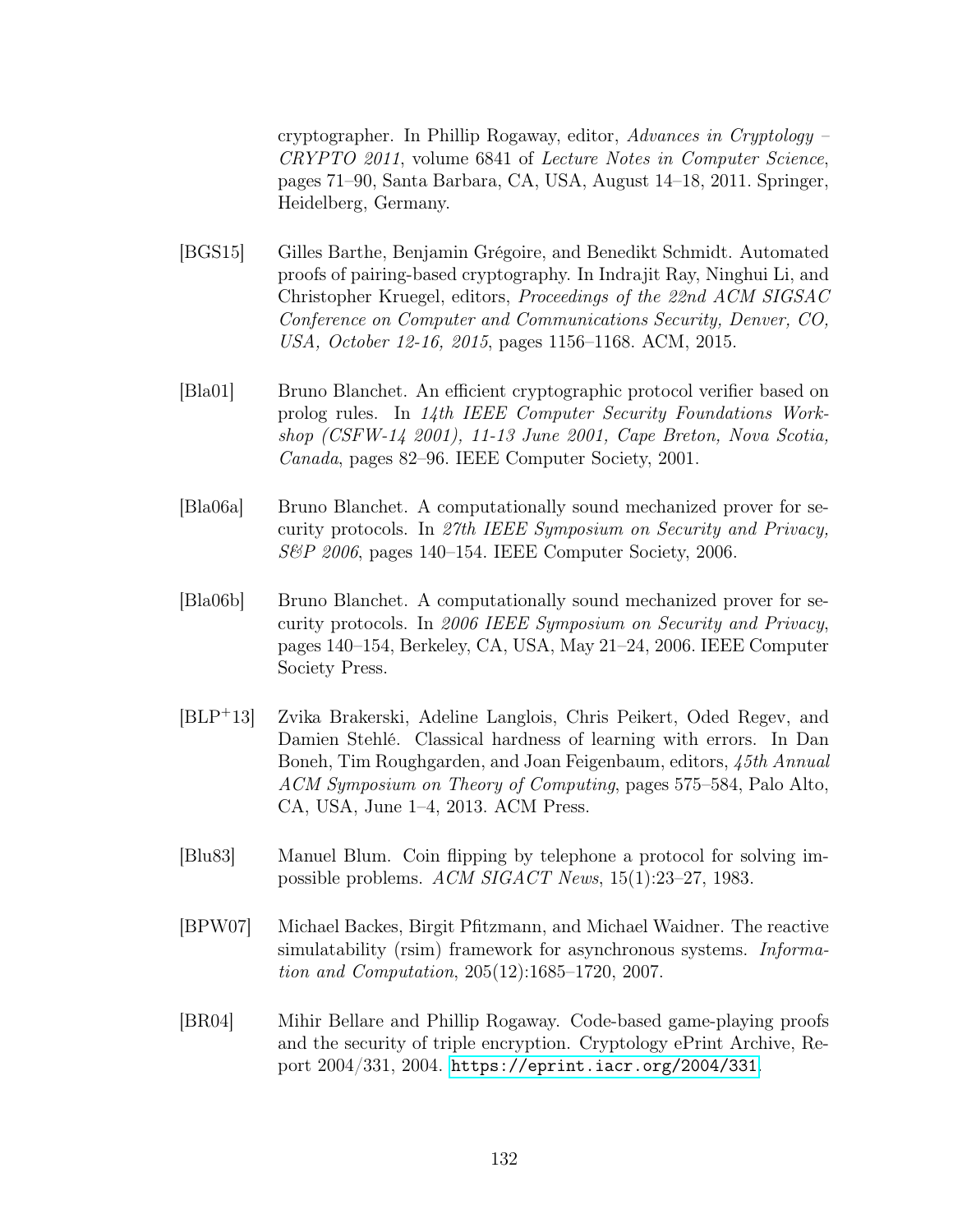cryptographer. In Phillip Rogaway, editor, Advances in Cryptology – CRYPTO 2011, volume 6841 of Lecture Notes in Computer Science, pages 71–90, Santa Barbara, CA, USA, August 14–18, 2011. Springer, Heidelberg, Germany.

- [BGS15] Gilles Barthe, Benjamin Grégoire, and Benedikt Schmidt. Automated proofs of pairing-based cryptography. In Indrajit Ray, Ninghui Li, and Christopher Kruegel, editors, Proceedings of the 22nd ACM SIGSAC Conference on Computer and Communications Security, Denver, CO, USA, October 12-16, 2015, pages 1156–1168. ACM, 2015.
- [Bla01] Bruno Blanchet. An efficient cryptographic protocol verifier based on prolog rules. In 14th IEEE Computer Security Foundations Workshop (CSFW-14 2001), 11-13 June 2001, Cape Breton, Nova Scotia, Canada, pages 82–96. IEEE Computer Society, 2001.
- [Bla06a] Bruno Blanchet. A computationally sound mechanized prover for security protocols. In 27th IEEE Symposium on Security and Privacy, S&P 2006, pages 140–154. IEEE Computer Society, 2006.
- [Bla06b] Bruno Blanchet. A computationally sound mechanized prover for security protocols. In 2006 IEEE Symposium on Security and Privacy, pages 140–154, Berkeley, CA, USA, May 21–24, 2006. IEEE Computer Society Press.
- [BLP<sup>+</sup>13] Zvika Brakerski, Adeline Langlois, Chris Peikert, Oded Regev, and Damien Stehlé. Classical hardness of learning with errors. In Dan Boneh, Tim Roughgarden, and Joan Feigenbaum, editors, 45th Annual ACM Symposium on Theory of Computing, pages 575–584, Palo Alto, CA, USA, June 1–4, 2013. ACM Press.
- [Blu83] Manuel Blum. Coin flipping by telephone a protocol for solving impossible problems. ACM SIGACT News, 15(1):23–27, 1983.
- <span id="page-140-0"></span>[BPW07] Michael Backes, Birgit Pfitzmann, and Michael Waidner. The reactive simulatability (rsim) framework for asynchronous systems. *Informa*tion and Computation, 205(12):1685–1720, 2007.
- [BR04] Mihir Bellare and Phillip Rogaway. Code-based game-playing proofs and the security of triple encryption. Cryptology ePrint Archive, Report 2004/331, 2004. <https://eprint.iacr.org/2004/331>.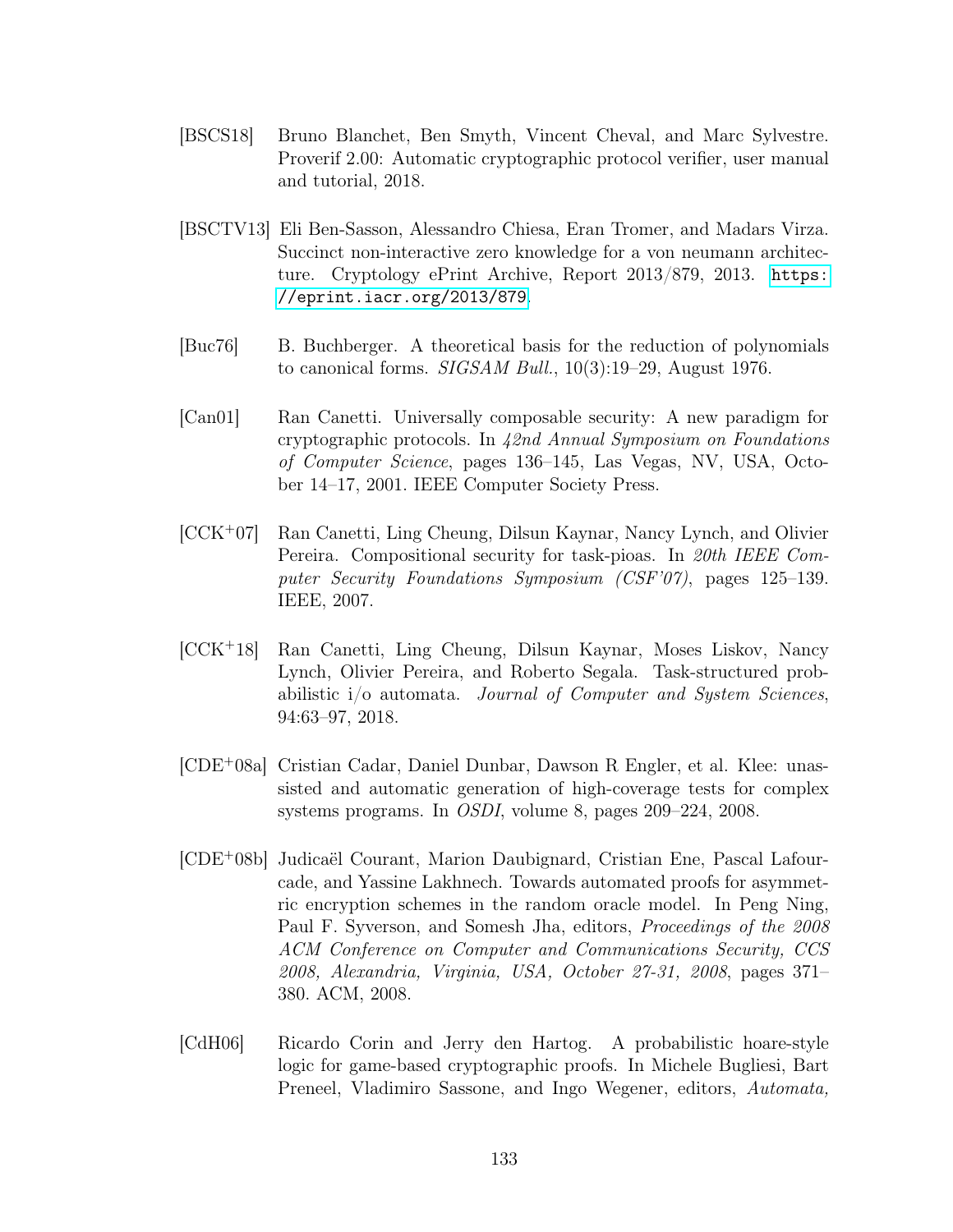- [BSCS18] Bruno Blanchet, Ben Smyth, Vincent Cheval, and Marc Sylvestre. Proverif 2.00: Automatic cryptographic protocol verifier, user manual and tutorial, 2018.
- [BSCTV13] Eli Ben-Sasson, Alessandro Chiesa, Eran Tromer, and Madars Virza. Succinct non-interactive zero knowledge for a von neumann architecture. Cryptology ePrint Archive, Report 2013/879, 2013. [https:](https://eprint.iacr.org/2013/879) [//eprint.iacr.org/2013/879](https://eprint.iacr.org/2013/879).
- [Buc76] B. Buchberger. A theoretical basis for the reduction of polynomials to canonical forms. SIGSAM Bull., 10(3):19–29, August 1976.
- <span id="page-141-0"></span>[Can01] Ran Canetti. Universally composable security: A new paradigm for cryptographic protocols. In 42nd Annual Symposium on Foundations of Computer Science, pages 136–145, Las Vegas, NV, USA, October 14–17, 2001. IEEE Computer Society Press.
- [CCK<sup>+</sup>07] Ran Canetti, Ling Cheung, Dilsun Kaynar, Nancy Lynch, and Olivier Pereira. Compositional security for task-pioas. In 20th IEEE Computer Security Foundations Symposium (CSF'07), pages 125–139. IEEE, 2007.
- <span id="page-141-1"></span>[CCK<sup>+</sup>18] Ran Canetti, Ling Cheung, Dilsun Kaynar, Moses Liskov, Nancy Lynch, Olivier Pereira, and Roberto Segala. Task-structured probabilistic i/o automata. Journal of Computer and System Sciences, 94:63–97, 2018.
- <span id="page-141-2"></span>[CDE<sup>+</sup>08a] Cristian Cadar, Daniel Dunbar, Dawson R Engler, et al. Klee: unassisted and automatic generation of high-coverage tests for complex systems programs. In OSDI, volume 8, pages 209–224, 2008.
- [CDE<sup>+</sup>08b] Judicaël Courant, Marion Daubignard, Cristian Ene, Pascal Lafourcade, and Yassine Lakhnech. Towards automated proofs for asymmetric encryption schemes in the random oracle model. In Peng Ning, Paul F. Syverson, and Somesh Jha, editors, Proceedings of the 2008 ACM Conference on Computer and Communications Security, CCS 2008, Alexandria, Virginia, USA, October 27-31, 2008, pages 371– 380. ACM, 2008.
- [CdH06] Ricardo Corin and Jerry den Hartog. A probabilistic hoare-style logic for game-based cryptographic proofs. In Michele Bugliesi, Bart Preneel, Vladimiro Sassone, and Ingo Wegener, editors, Automata,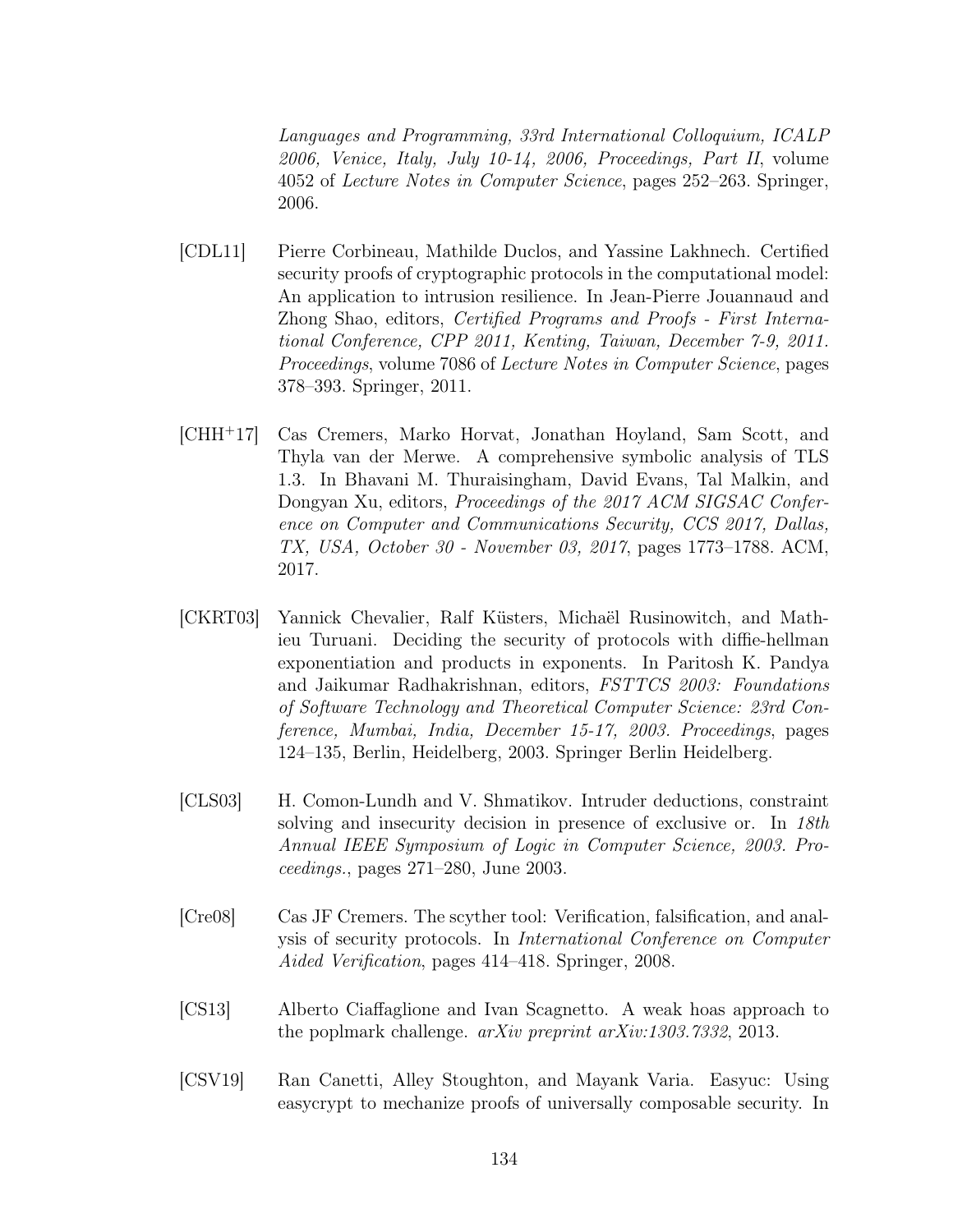Languages and Programming, 33rd International Colloquium, ICALP 2006, Venice, Italy, July 10-14, 2006, Proceedings, Part II, volume 4052 of Lecture Notes in Computer Science, pages 252–263. Springer, 2006.

- [CDL11] Pierre Corbineau, Mathilde Duclos, and Yassine Lakhnech. Certified security proofs of cryptographic protocols in the computational model: An application to intrusion resilience. In Jean-Pierre Jouannaud and Zhong Shao, editors, Certified Programs and Proofs - First International Conference, CPP 2011, Kenting, Taiwan, December 7-9, 2011. Proceedings, volume 7086 of Lecture Notes in Computer Science, pages 378–393. Springer, 2011.
- [CHH<sup>+</sup>17] Cas Cremers, Marko Horvat, Jonathan Hoyland, Sam Scott, and Thyla van der Merwe. A comprehensive symbolic analysis of TLS 1.3. In Bhavani M. Thuraisingham, David Evans, Tal Malkin, and Dongyan Xu, editors, Proceedings of the 2017 ACM SIGSAC Conference on Computer and Communications Security, CCS 2017, Dallas, TX, USA, October 30 - November 03, 2017, pages 1773–1788. ACM, 2017.
- [CKRT03] Yannick Chevalier, Ralf Küsters, Michaël Rusinowitch, and Mathieu Turuani. Deciding the security of protocols with diffie-hellman exponentiation and products in exponents. In Paritosh K. Pandya and Jaikumar Radhakrishnan, editors, FSTTCS 2003: Foundations of Software Technology and Theoretical Computer Science: 23rd Conference, Mumbai, India, December 15-17, 2003. Proceedings, pages 124–135, Berlin, Heidelberg, 2003. Springer Berlin Heidelberg.
- [CLS03] H. Comon-Lundh and V. Shmatikov. Intruder deductions, constraint solving and insecurity decision in presence of exclusive or. In 18th Annual IEEE Symposium of Logic in Computer Science, 2003. Proceedings., pages 271–280, June 2003.
- [Cre08] Cas JF Cremers. The scyther tool: Verification, falsification, and analysis of security protocols. In International Conference on Computer Aided Verification, pages 414–418. Springer, 2008.
- [CS13] Alberto Ciaffaglione and Ivan Scagnetto. A weak hoas approach to the poplmark challenge. arXiv preprint arXiv:1303.7332, 2013.
- <span id="page-142-0"></span>[CSV19] Ran Canetti, Alley Stoughton, and Mayank Varia. Easyuc: Using easycrypt to mechanize proofs of universally composable security. In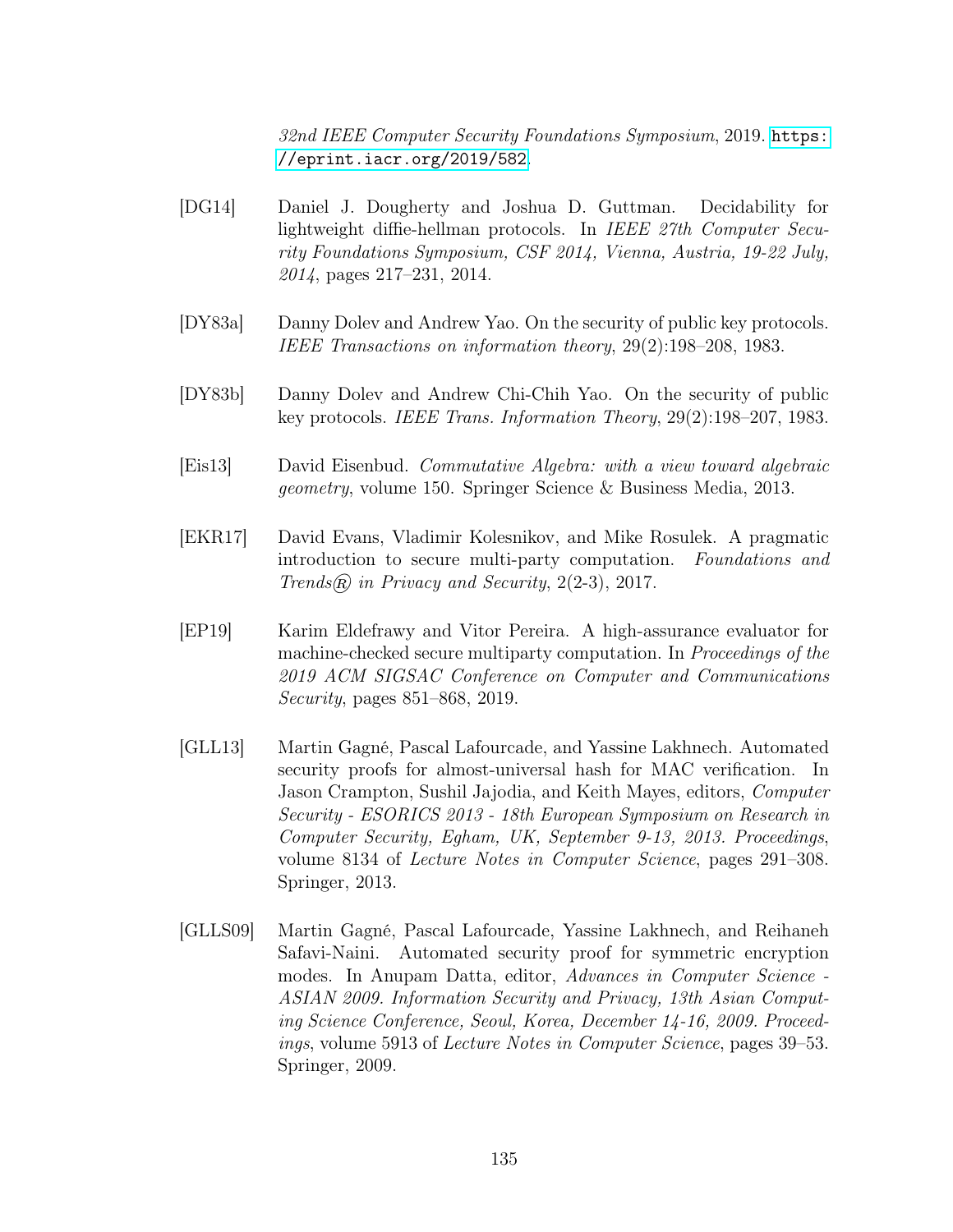32nd IEEE Computer Security Foundations Symposium, 2019. [https:](https://eprint.iacr.org/2019/582) [//eprint.iacr.org/2019/582](https://eprint.iacr.org/2019/582).

- [DG14] Daniel J. Dougherty and Joshua D. Guttman. Decidability for lightweight diffie-hellman protocols. In IEEE 27th Computer Security Foundations Symposium, CSF 2014, Vienna, Austria, 19-22 July, 2014, pages 217–231, 2014.
- [DY83a] Danny Dolev and Andrew Yao. On the security of public key protocols. IEEE Transactions on information theory, 29(2):198–208, 1983.
- [DY83b] Danny Dolev and Andrew Chi-Chih Yao. On the security of public key protocols. IEEE Trans. Information Theory, 29(2):198–207, 1983.
- [Eis13] David Eisenbud. Commutative Algebra: with a view toward algebraic geometry, volume 150. Springer Science & Business Media, 2013.
- [EKR17] David Evans, Vladimir Kolesnikov, and Mike Rosulek. A pragmatic introduction to secure multi-party computation. Foundations and Trends $\mathcal{R}$  in Privacy and Security, 2(2-3), 2017.
- [EP19] Karim Eldefrawy and Vitor Pereira. A high-assurance evaluator for machine-checked secure multiparty computation. In Proceedings of the 2019 ACM SIGSAC Conference on Computer and Communications Security, pages 851–868, 2019.
- [GLL13] Martin Gagné, Pascal Lafourcade, and Yassine Lakhnech. Automated security proofs for almost-universal hash for MAC verification. In Jason Crampton, Sushil Jajodia, and Keith Mayes, editors, Computer Security - ESORICS 2013 - 18th European Symposium on Research in Computer Security, Egham, UK, September 9-13, 2013. Proceedings, volume 8134 of Lecture Notes in Computer Science, pages 291–308. Springer, 2013.
- [GLLS09] Martin Gagné, Pascal Lafourcade, Yassine Lakhnech, and Reihaneh Safavi-Naini. Automated security proof for symmetric encryption modes. In Anupam Datta, editor, Advances in Computer Science - ASIAN 2009. Information Security and Privacy, 13th Asian Computing Science Conference, Seoul, Korea, December 14-16, 2009. Proceedings, volume 5913 of Lecture Notes in Computer Science, pages 39–53. Springer, 2009.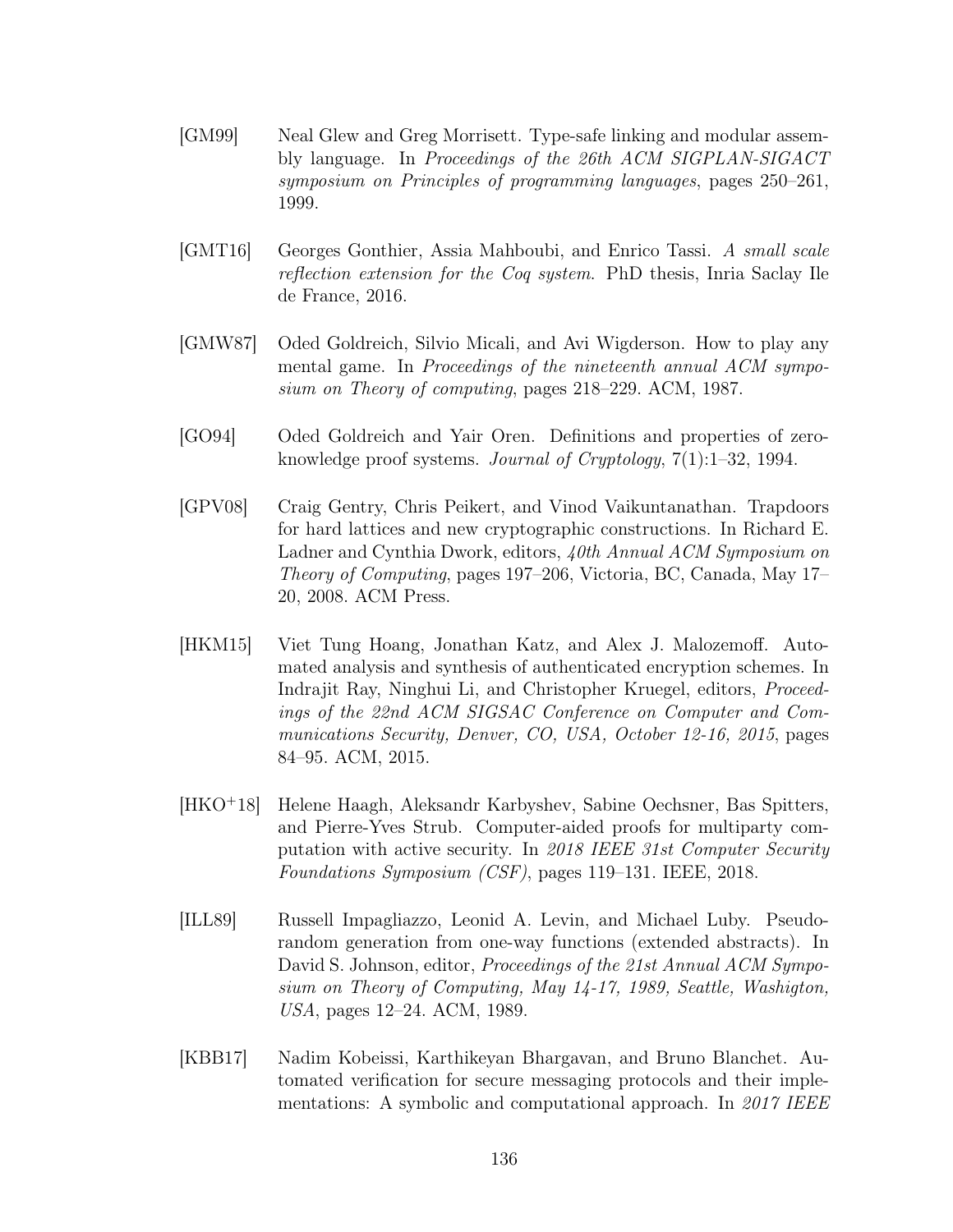- [GM99] Neal Glew and Greg Morrisett. Type-safe linking and modular assembly language. In Proceedings of the 26th ACM SIGPLAN-SIGACT symposium on Principles of programming languages, pages 250–261, 1999.
- [GMT16] Georges Gonthier, Assia Mahboubi, and Enrico Tassi. A small scale reflection extension for the Coq system. PhD thesis, Inria Saclay Ile de France, 2016.
- [GMW87] Oded Goldreich, Silvio Micali, and Avi Wigderson. How to play any mental game. In Proceedings of the nineteenth annual ACM symposium on Theory of computing, pages 218–229. ACM, 1987.
- [GO94] Oded Goldreich and Yair Oren. Definitions and properties of zeroknowledge proof systems. Journal of Cryptology, 7(1):1–32, 1994.
- [GPV08] Craig Gentry, Chris Peikert, and Vinod Vaikuntanathan. Trapdoors for hard lattices and new cryptographic constructions. In Richard E. Ladner and Cynthia Dwork, editors, 40th Annual ACM Symposium on Theory of Computing, pages 197–206, Victoria, BC, Canada, May 17– 20, 2008. ACM Press.
- [HKM15] Viet Tung Hoang, Jonathan Katz, and Alex J. Malozemoff. Automated analysis and synthesis of authenticated encryption schemes. In Indrajit Ray, Ninghui Li, and Christopher Kruegel, editors, Proceedings of the 22nd ACM SIGSAC Conference on Computer and Communications Security, Denver, CO, USA, October 12-16, 2015, pages 84–95. ACM, 2015.
- [HKO<sup>+</sup>18] Helene Haagh, Aleksandr Karbyshev, Sabine Oechsner, Bas Spitters, and Pierre-Yves Strub. Computer-aided proofs for multiparty computation with active security. In 2018 IEEE 31st Computer Security Foundations Symposium (CSF), pages 119–131. IEEE, 2018.
- [ILL89] Russell Impagliazzo, Leonid A. Levin, and Michael Luby. Pseudorandom generation from one-way functions (extended abstracts). In David S. Johnson, editor, *Proceedings of the 21st Annual ACM Sympo*sium on Theory of Computing, May 14-17, 1989, Seattle, Washigton, USA, pages 12–24. ACM, 1989.
- [KBB17] Nadim Kobeissi, Karthikeyan Bhargavan, and Bruno Blanchet. Automated verification for secure messaging protocols and their implementations: A symbolic and computational approach. In 2017 IEEE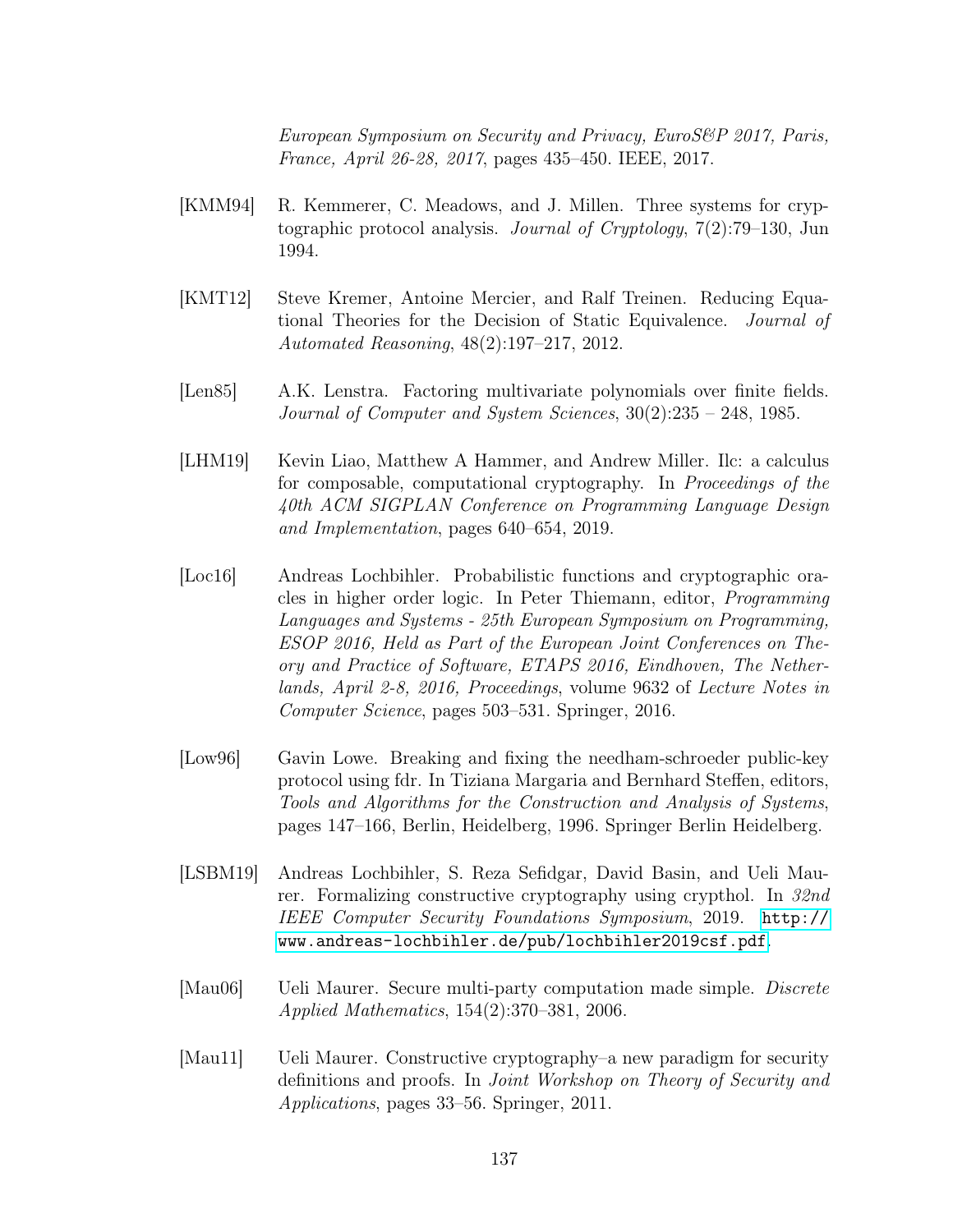European Symposium on Security and Privacy, EuroS&P 2017, Paris, France, April 26-28, 2017, pages 435–450. IEEE, 2017.

- [KMM94] R. Kemmerer, C. Meadows, and J. Millen. Three systems for cryptographic protocol analysis. Journal of Cryptology, 7(2):79–130, Jun 1994.
- [KMT12] Steve Kremer, Antoine Mercier, and Ralf Treinen. Reducing Equational Theories for the Decision of Static Equivalence. Journal of Automated Reasoning, 48(2):197–217, 2012.
- [Len85] A.K. Lenstra. Factoring multivariate polynomials over finite fields. Journal of Computer and System Sciences, 30(2):235 – 248, 1985.
- [LHM19] Kevin Liao, Matthew A Hammer, and Andrew Miller. Ilc: a calculus for composable, computational cryptography. In Proceedings of the 40th ACM SIGPLAN Conference on Programming Language Design and Implementation, pages 640–654, 2019.
- [Loc16] Andreas Lochbihler. Probabilistic functions and cryptographic oracles in higher order logic. In Peter Thiemann, editor, Programming Languages and Systems - 25th European Symposium on Programming, ESOP 2016, Held as Part of the European Joint Conferences on Theory and Practice of Software, ETAPS 2016, Eindhoven, The Netherlands, April 2-8, 2016, Proceedings, volume 9632 of Lecture Notes in Computer Science, pages 503–531. Springer, 2016.
- [Low96] Gavin Lowe. Breaking and fixing the needham-schroeder public-key protocol using fdr. In Tiziana Margaria and Bernhard Steffen, editors, Tools and Algorithms for the Construction and Analysis of Systems, pages 147–166, Berlin, Heidelberg, 1996. Springer Berlin Heidelberg.
- [LSBM19] Andreas Lochbihler, S. Reza Sefidgar, David Basin, and Ueli Maurer. Formalizing constructive cryptography using crypthol. In 32nd IEEE Computer Security Foundations Symposium, 2019. [http://](http://www.andreas-lochbihler.de/pub/lochbihler2019csf.pdf) [www.andreas-lochbihler.de/pub/lochbihler2019csf.pdf](http://www.andreas-lochbihler.de/pub/lochbihler2019csf.pdf).
- [Mau06] Ueli Maurer. Secure multi-party computation made simple. Discrete Applied Mathematics, 154(2):370–381, 2006.
- [Mau11] Ueli Maurer. Constructive cryptography–a new paradigm for security definitions and proofs. In Joint Workshop on Theory of Security and Applications, pages 33–56. Springer, 2011.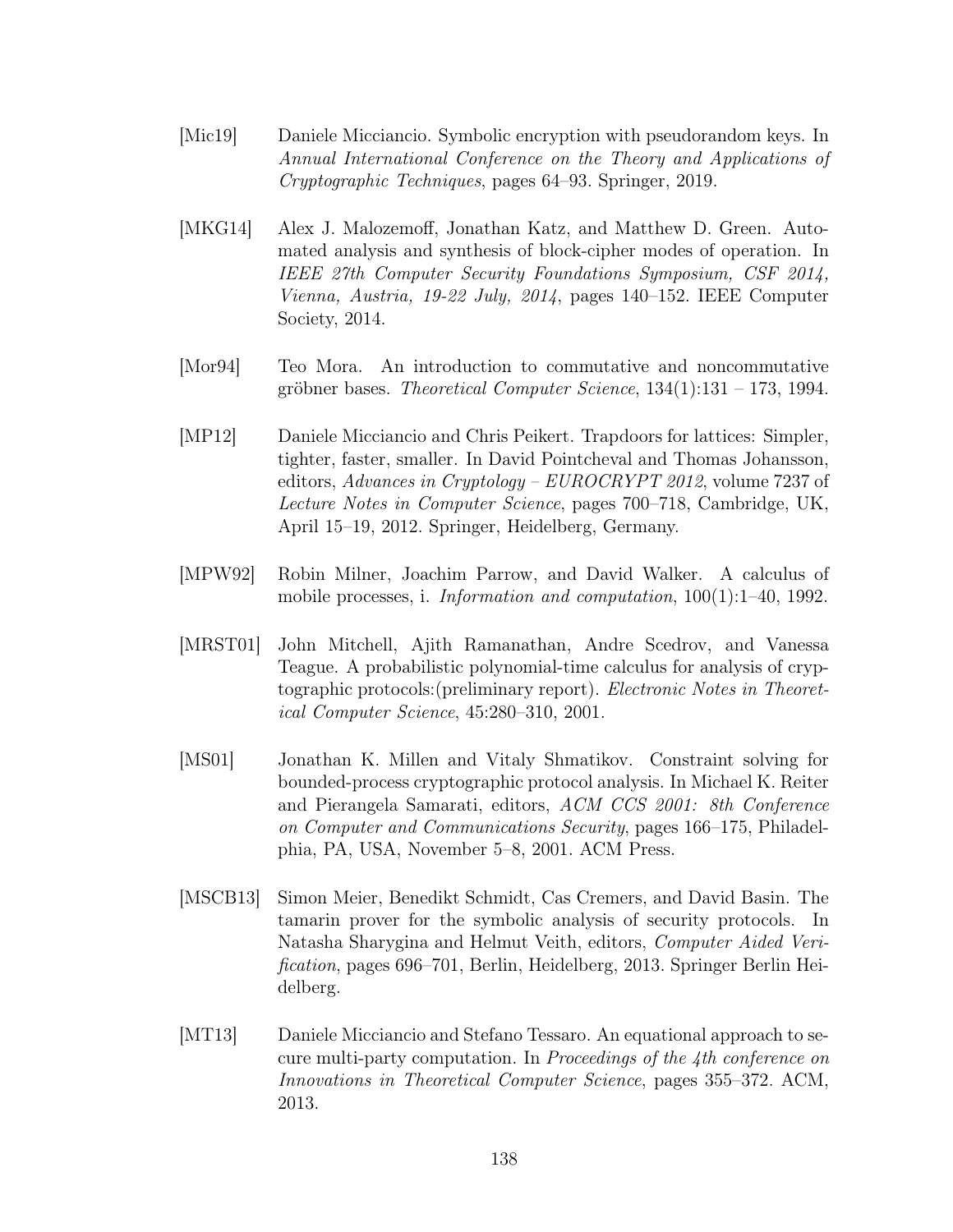- [Mic19] Daniele Micciancio. Symbolic encryption with pseudorandom keys. In Annual International Conference on the Theory and Applications of Cryptographic Techniques, pages 64–93. Springer, 2019.
- [MKG14] Alex J. Malozemoff, Jonathan Katz, and Matthew D. Green. Automated analysis and synthesis of block-cipher modes of operation. In IEEE 27th Computer Security Foundations Symposium, CSF 2014, Vienna, Austria, 19-22 July, 2014, pages 140–152. IEEE Computer Society, 2014.
- [Mor94] Teo Mora. An introduction to commutative and noncommutative gröbner bases. Theoretical Computer Science, 134(1):131 – 173, 1994.
- [MP12] Daniele Micciancio and Chris Peikert. Trapdoors for lattices: Simpler, tighter, faster, smaller. In David Pointcheval and Thomas Johansson, editors, Advances in Cryptology – EUROCRYPT 2012, volume 7237 of Lecture Notes in Computer Science, pages 700–718, Cambridge, UK, April 15–19, 2012. Springer, Heidelberg, Germany.
- [MPW92] Robin Milner, Joachim Parrow, and David Walker. A calculus of mobile processes, i. Information and computation, 100(1):1–40, 1992.
- [MRST01] John Mitchell, Ajith Ramanathan, Andre Scedrov, and Vanessa Teague. A probabilistic polynomial-time calculus for analysis of cryptographic protocols:(preliminary report). Electronic Notes in Theoretical Computer Science, 45:280–310, 2001.
- [MS01] Jonathan K. Millen and Vitaly Shmatikov. Constraint solving for bounded-process cryptographic protocol analysis. In Michael K. Reiter and Pierangela Samarati, editors, ACM CCS 2001: 8th Conference on Computer and Communications Security, pages 166–175, Philadelphia, PA, USA, November 5–8, 2001. ACM Press.
- [MSCB13] Simon Meier, Benedikt Schmidt, Cas Cremers, and David Basin. The tamarin prover for the symbolic analysis of security protocols. In Natasha Sharygina and Helmut Veith, editors, Computer Aided Verification, pages 696–701, Berlin, Heidelberg, 2013. Springer Berlin Heidelberg.
- [MT13] Daniele Micciancio and Stefano Tessaro. An equational approach to secure multi-party computation. In Proceedings of the 4th conference on Innovations in Theoretical Computer Science, pages 355–372. ACM, 2013.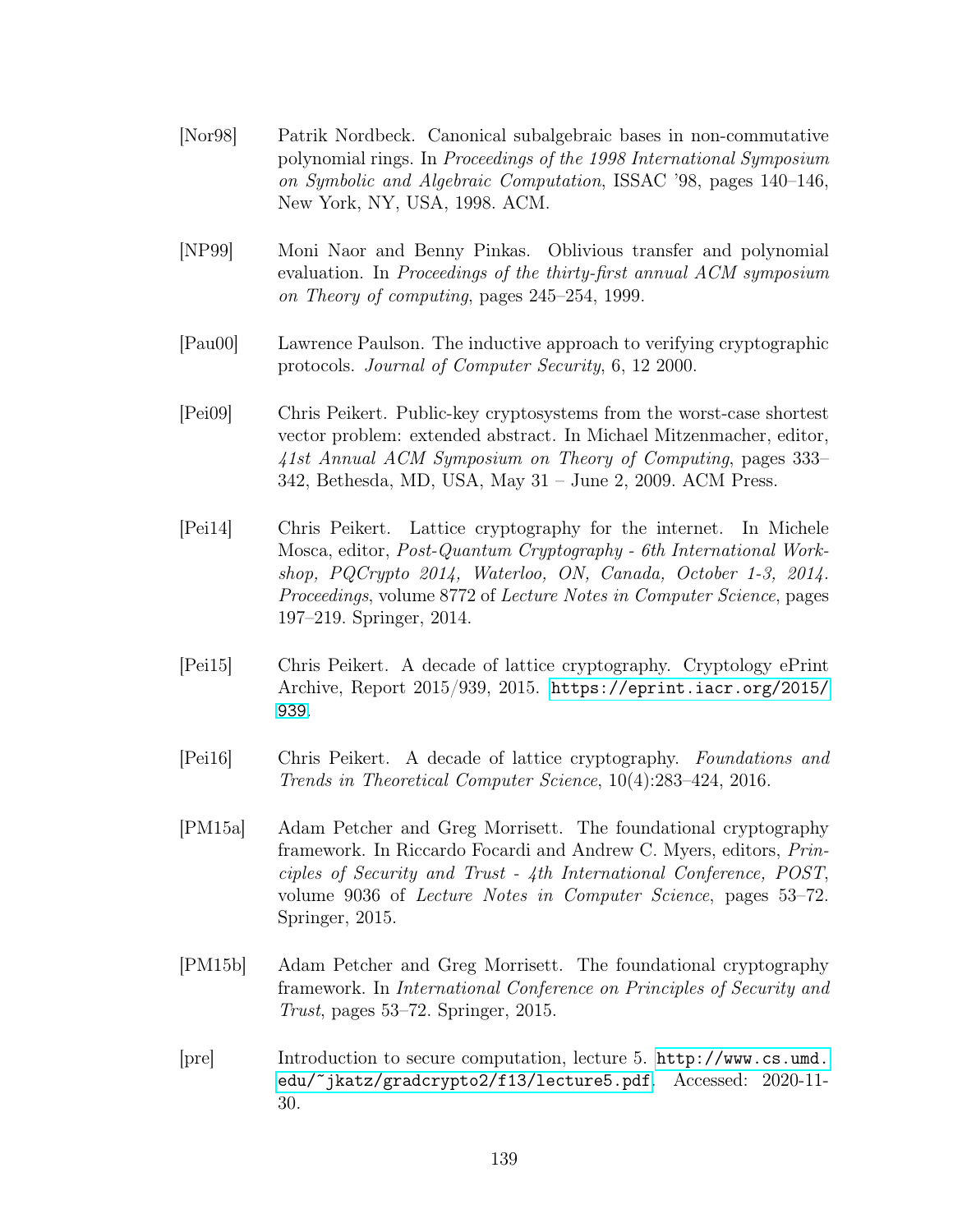- [Nor98] Patrik Nordbeck. Canonical subalgebraic bases in non-commutative polynomial rings. In Proceedings of the 1998 International Symposium on Symbolic and Algebraic Computation, ISSAC '98, pages 140–146, New York, NY, USA, 1998. ACM.
- [NP99] Moni Naor and Benny Pinkas. Oblivious transfer and polynomial evaluation. In Proceedings of the thirty-first annual ACM symposium on Theory of computing, pages 245–254, 1999.
- [Pau00] Lawrence Paulson. The inductive approach to verifying cryptographic protocols. Journal of Computer Security, 6, 12 2000.
- [Pei09] Chris Peikert. Public-key cryptosystems from the worst-case shortest vector problem: extended abstract. In Michael Mitzenmacher, editor, 41st Annual ACM Symposium on Theory of Computing, pages 333– 342, Bethesda, MD, USA, May 31 – June 2, 2009. ACM Press.
- [Pei14] Chris Peikert. Lattice cryptography for the internet. In Michele Mosca, editor, Post-Quantum Cryptography - 6th International Workshop, PQCrypto 2014, Waterloo, ON, Canada, October 1-3, 2014. Proceedings, volume 8772 of Lecture Notes in Computer Science, pages 197–219. Springer, 2014.
- [Pei15] Chris Peikert. A decade of lattice cryptography. Cryptology ePrint Archive, Report 2015/939, 2015. [https://eprint.iacr.org/2015/](https://eprint.iacr.org/2015/939) [939](https://eprint.iacr.org/2015/939).
- [Pei16] Chris Peikert. A decade of lattice cryptography. Foundations and Trends in Theoretical Computer Science, 10(4):283–424, 2016.
- [PM15a] Adam Petcher and Greg Morrisett. The foundational cryptography framework. In Riccardo Focardi and Andrew C. Myers, editors, Principles of Security and Trust - 4th International Conference, POST, volume 9036 of Lecture Notes in Computer Science, pages 53–72. Springer, 2015.
- [PM15b] Adam Petcher and Greg Morrisett. The foundational cryptography framework. In International Conference on Principles of Security and Trust, pages 53–72. Springer, 2015.
- [pre] Introduction to secure computation, lecture 5. [http://www.cs.umd.](http://www.cs.umd.edu/~jkatz/gradcrypto2/f13/lecture5.pdf) [edu/~jkatz/gradcrypto2/f13/lecture5.pdf](http://www.cs.umd.edu/~jkatz/gradcrypto2/f13/lecture5.pdf). Accessed: 2020-11- 30.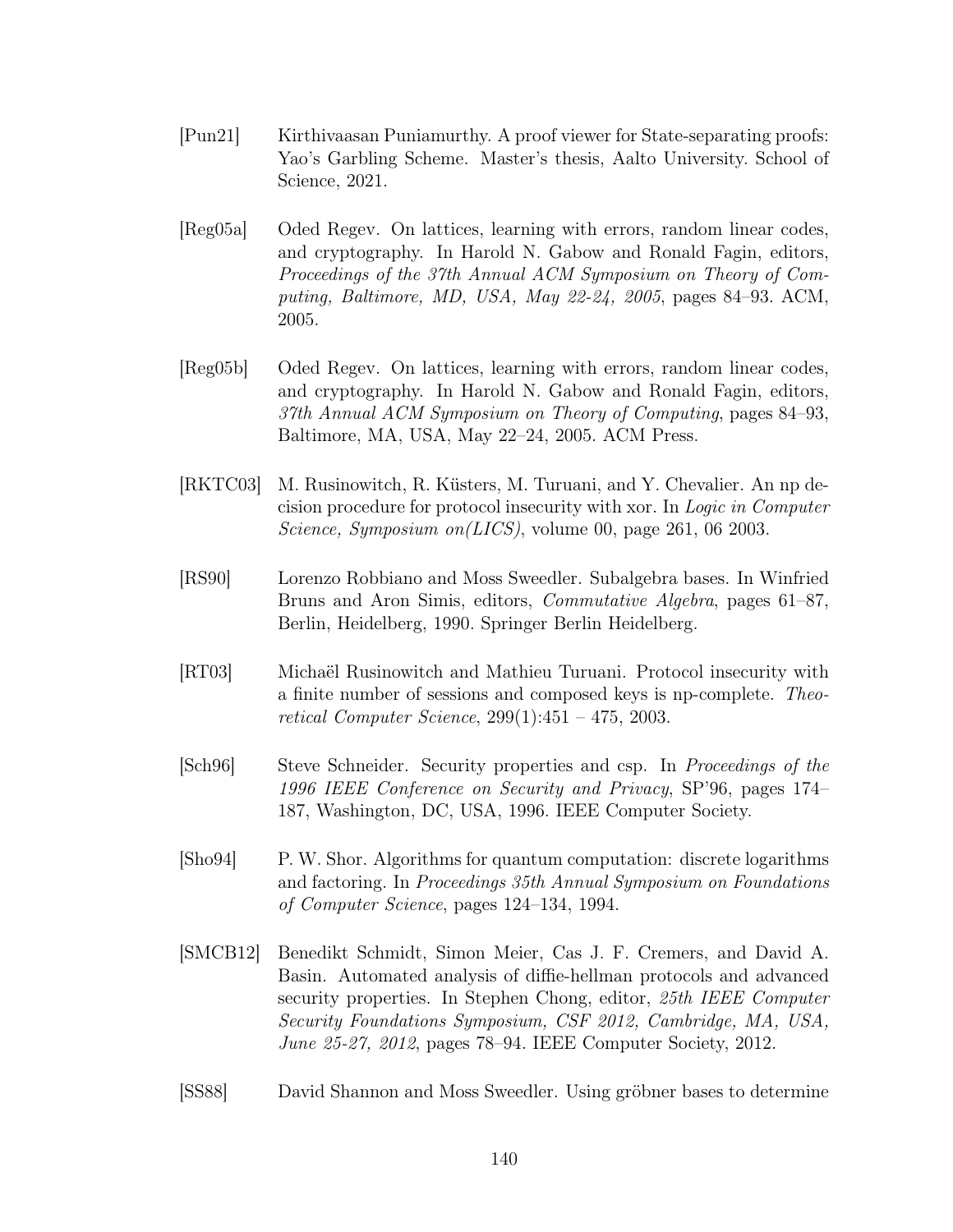- [Pun21] Kirthivaasan Puniamurthy. A proof viewer for State-separating proofs: Yao's Garbling Scheme. Master's thesis, Aalto University. School of Science, 2021.
- [Reg05a] Oded Regev. On lattices, learning with errors, random linear codes, and cryptography. In Harold N. Gabow and Ronald Fagin, editors, Proceedings of the 37th Annual ACM Symposium on Theory of Computing, Baltimore, MD, USA, May 22-24, 2005, pages 84–93. ACM, 2005.
- [Reg05b] Oded Regev. On lattices, learning with errors, random linear codes, and cryptography. In Harold N. Gabow and Ronald Fagin, editors, 37th Annual ACM Symposium on Theory of Computing, pages 84–93, Baltimore, MA, USA, May 22–24, 2005. ACM Press.
- [RKTC03] M. Rusinowitch, R. Küsters, M. Turuani, and Y. Chevalier. An np decision procedure for protocol insecurity with xor. In Logic in Computer Science, Symposium on(LICS), volume 00, page 261, 06 2003.
- [RS90] Lorenzo Robbiano and Moss Sweedler. Subalgebra bases. In Winfried Bruns and Aron Simis, editors, Commutative Algebra, pages 61–87, Berlin, Heidelberg, 1990. Springer Berlin Heidelberg.
- [RT03] Michaël Rusinowitch and Mathieu Turuani. Protocol insecurity with a finite number of sessions and composed keys is np-complete. Theoretical Computer Science, 299(1):451 – 475, 2003.
- [Sch96] Steve Schneider. Security properties and csp. In Proceedings of the 1996 IEEE Conference on Security and Privacy, SP'96, pages 174– 187, Washington, DC, USA, 1996. IEEE Computer Society.
- [Sho94] P. W. Shor. Algorithms for quantum computation: discrete logarithms and factoring. In Proceedings 35th Annual Symposium on Foundations of Computer Science, pages 124–134, 1994.
- [SMCB12] Benedikt Schmidt, Simon Meier, Cas J. F. Cremers, and David A. Basin. Automated analysis of diffie-hellman protocols and advanced security properties. In Stephen Chong, editor, 25th IEEE Computer Security Foundations Symposium, CSF 2012, Cambridge, MA, USA, June 25-27, 2012, pages 78–94. IEEE Computer Society, 2012.
- [SS88] David Shannon and Moss Sweedler. Using gröbner bases to determine